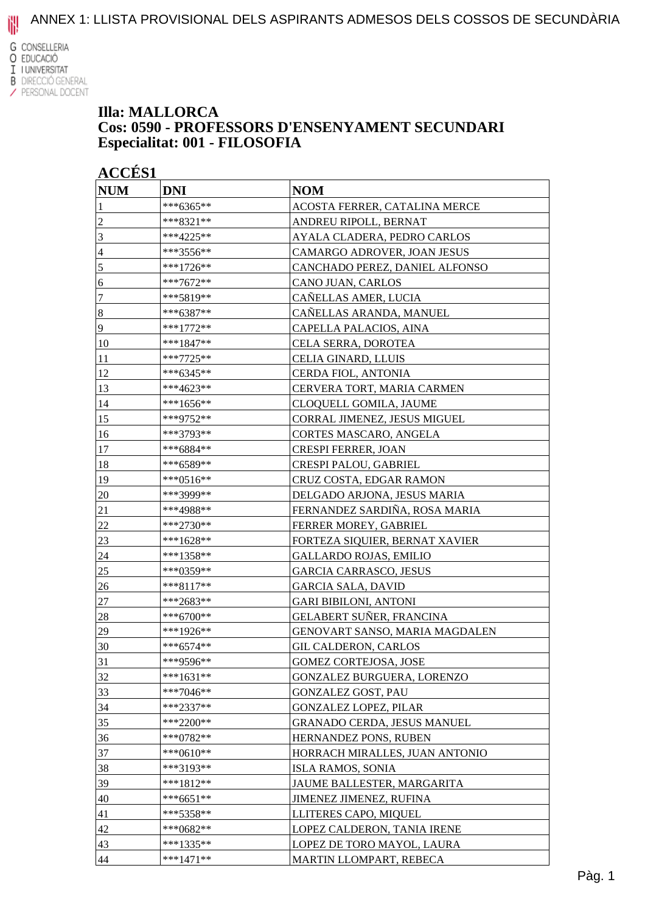**G** CONSELLERIA O EDUCACIÓ I I UNIVERSITAT **B** DIRECCIÓ GENERAL

### / PERSONAL DOCENT

#### **Illa: MALLORCA Cos: 0590 - PROFESSORS D'ENSENYAMENT SECUNDARI Especialitat: 001 - FILOSOFIA**

| <b>NUM</b>     | <b>DNI</b>  | <b>NOM</b>                         |
|----------------|-------------|------------------------------------|
|                | ***6365**   | ACOSTA FERRER, CATALINA MERCE      |
| $\overline{c}$ | ***8321**   | ANDREU RIPOLL, BERNAT              |
| 3              | ***4225**   | AYALA CLADERA, PEDRO CARLOS        |
| $\overline{4}$ | ***3556**   | CAMARGO ADROVER, JOAN JESUS        |
| 5              | ***1726**   | CANCHADO PEREZ, DANIEL ALFONSO     |
| 6              | ***7672**   | CANO JUAN, CARLOS                  |
| 7              | ***5819**   | CAÑELLAS AMER, LUCIA               |
| $\sqrt{8}$     | ***6387**   | CAÑELLAS ARANDA, MANUEL            |
| 9              | ***1772**   | CAPELLA PALACIOS, AINA             |
| 10             | ***1847**   | CELA SERRA, DOROTEA                |
| 11             | ***7725**   | CELIA GINARD, LLUIS                |
| 12             | ***6345**   | CERDA FIOL, ANTONIA                |
| 13             | ***4623**   | CERVERA TORT, MARIA CARMEN         |
| 14             | ***1656**   | CLOQUELL GOMILA, JAUME             |
| 15             | ***9752**   | CORRAL JIMENEZ, JESUS MIGUEL       |
| 16             | ***3793**   | CORTES MASCARO, ANGELA             |
| 17             | ***6884**   | <b>CRESPI FERRER, JOAN</b>         |
| 18             | ***6589**   | CRESPI PALOU, GABRIEL              |
| 19             | ***0516**   | CRUZ COSTA, EDGAR RAMON            |
| 20             | ***3999**   | DELGADO ARJONA, JESUS MARIA        |
| 21             | ***4988**   | FERNANDEZ SARDIÑA, ROSA MARIA      |
| 22             | ***2730**   | <b>FERRER MOREY, GABRIEL</b>       |
| 23             | ***1628**   | FORTEZA SIQUIER, BERNAT XAVIER     |
| 24             | ***1358**   | <b>GALLARDO ROJAS, EMILIO</b>      |
| <u>25</u>      | ***0359**   | <b>GARCIA CARRASCO, JESUS</b>      |
| 26             | ***8117**   | <b>GARCIA SALA, DAVID</b>          |
| 27             | ***2683**   | <b>GARI BIBILONI, ANTONI</b>       |
| 28             | ***6700**   | GELABERT SUÑER, FRANCINA           |
| 29             | ***1926**   | GENOVART SANSO, MARIA MAGDALEN     |
| 30             | $***6574**$ | GIL CALDERON, CARLOS               |
| 31             | ***9596**   | <b>GOMEZ CORTEJOSA, JOSE</b>       |
| 32             | ***1631**   | GONZALEZ BURGUERA, LORENZO         |
| 33             | $***7046**$ | <b>GONZALEZ GOST, PAU</b>          |
| 34             | ***2337**   | <b>GONZALEZ LOPEZ, PILAR</b>       |
| 35             | ***2200**   | <b>GRANADO CERDA, JESUS MANUEL</b> |
| 36             | ***0782**   | HERNANDEZ PONS, RUBEN              |
| 37             | ***0610**   | HORRACH MIRALLES, JUAN ANTONIO     |
| 38             | ***3193**   | <b>ISLA RAMOS, SONIA</b>           |
| 39             | ***1812**   | JAUME BALLESTER, MARGARITA         |
| 40             | ***6651**   | <b>JIMENEZ JIMENEZ, RUFINA</b>     |
| 41             | ***5358**   | LLITERES CAPO, MIQUEL              |
| 42             | ***0682**   | LOPEZ CALDERON, TANIA IRENE        |
| 43             | ***1335**   | LOPEZ DE TORO MAYOL, LAURA         |
| 44             | $***1471**$ | MARTIN LLOMPART, REBECA            |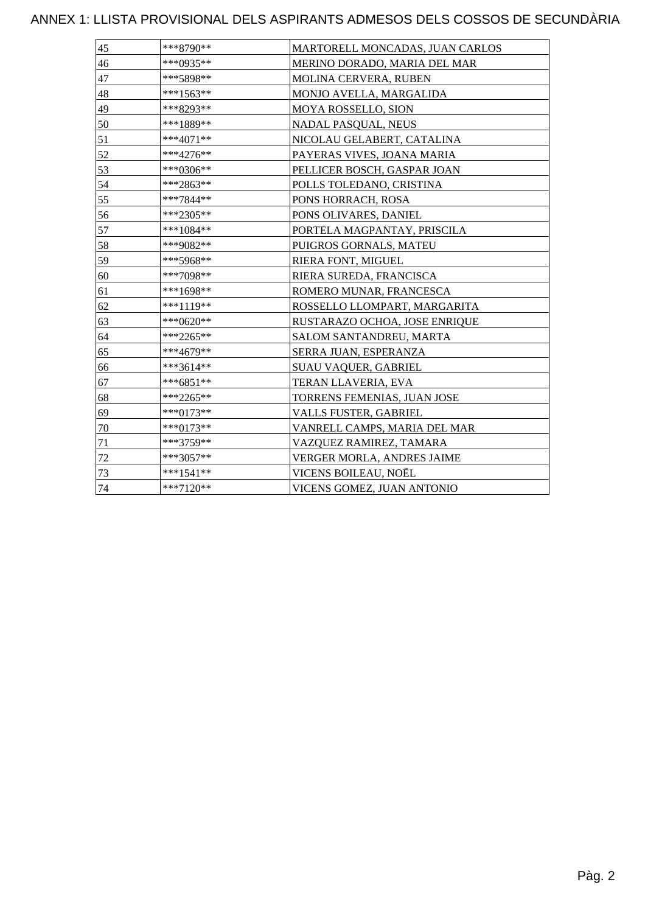| 45 | ***8790**   | MARTORELL MONCADAS, JUAN CARLOS |
|----|-------------|---------------------------------|
| 46 | ***0935**   | MERINO DORADO, MARIA DEL MAR    |
| 47 | ***5898**   | MOLINA CERVERA, RUBEN           |
| 48 | $***1563**$ | MONJO AVELLA, MARGALIDA         |
| 49 | ***8293**   | MOYA ROSSELLO, SION             |
| 50 | ***1889**   | <b>NADAL PASQUAL, NEUS</b>      |
| 51 | ***4071**   | NICOLAU GELABERT, CATALINA      |
| 52 | ***4276**   | PAYERAS VIVES, JOANA MARIA      |
| 53 | ***0306**   | PELLICER BOSCH, GASPAR JOAN     |
| 54 | ***2863**   | POLLS TOLEDANO, CRISTINA        |
| 55 | ***7844**   | PONS HORRACH, ROSA              |
| 56 | ***2305**   | PONS OLIVARES, DANIEL           |
| 57 | ***1084**   | PORTELA MAGPANTAY, PRISCILA     |
| 58 | ***9082**   | PUIGROS GORNALS, MATEU          |
| 59 | ***5968**   | RIERA FONT, MIGUEL              |
| 60 | ***7098**   | RIERA SUREDA, FRANCISCA         |
| 61 | ***1698**   | ROMERO MUNAR, FRANCESCA         |
| 62 | ***1119**   | ROSSELLO LLOMPART, MARGARITA    |
| 63 | ***0620**   | RUSTARAZO OCHOA, JOSE ENRIQUE   |
| 64 | ***2265**   | SALOM SANTANDREU, MARTA         |
| 65 | ***4679**   | SERRA JUAN, ESPERANZA           |
| 66 | ***3614**   | SUAU VAQUER, GABRIEL            |
| 67 | ***6851**   | TERAN LLAVERIA, EVA             |
| 68 | ***2265**   | TORRENS FEMENIAS, JUAN JOSE     |
| 69 | ***0173**   | <b>VALLS FUSTER, GABRIEL</b>    |
| 70 | ***0173**   | VANRELL CAMPS, MARIA DEL MAR    |
| 71 | ***3759**   | VAZQUEZ RAMIREZ, TAMARA         |
| 72 | ***3057**   | VERGER MORLA, ANDRES JAIME      |
| 73 | ***1541**   | VICENS BOILEAU, NOËL            |
| 74 | ***7120**   | VICENS GOMEZ, JUAN ANTONIO      |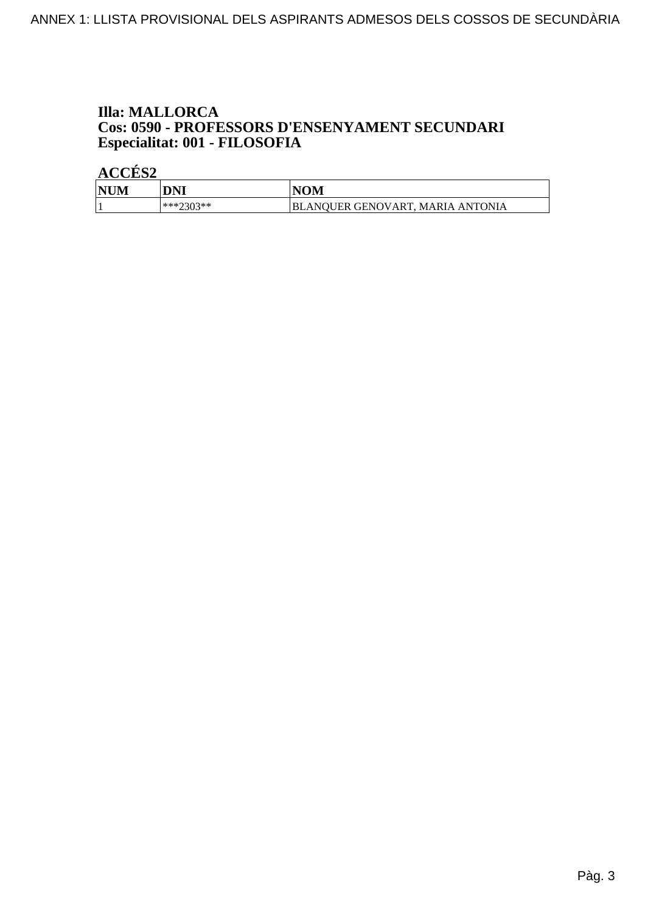## **Illa: MALLORCA Cos: 0590 - PROFESSORS D'ENSENYAMENT SECUNDARI<br>Especialitat: 001 - FILOSOFIA**

| INHN<br>M | DNI                  | <b>IOM</b>                                                   |
|-----------|----------------------|--------------------------------------------------------------|
|           | ***つ?∩?**<br>ر راز ک | TONIA<br>JER GENOVART.<br><b>MARIA</b><br>BLAN(<br>мı<br>AN. |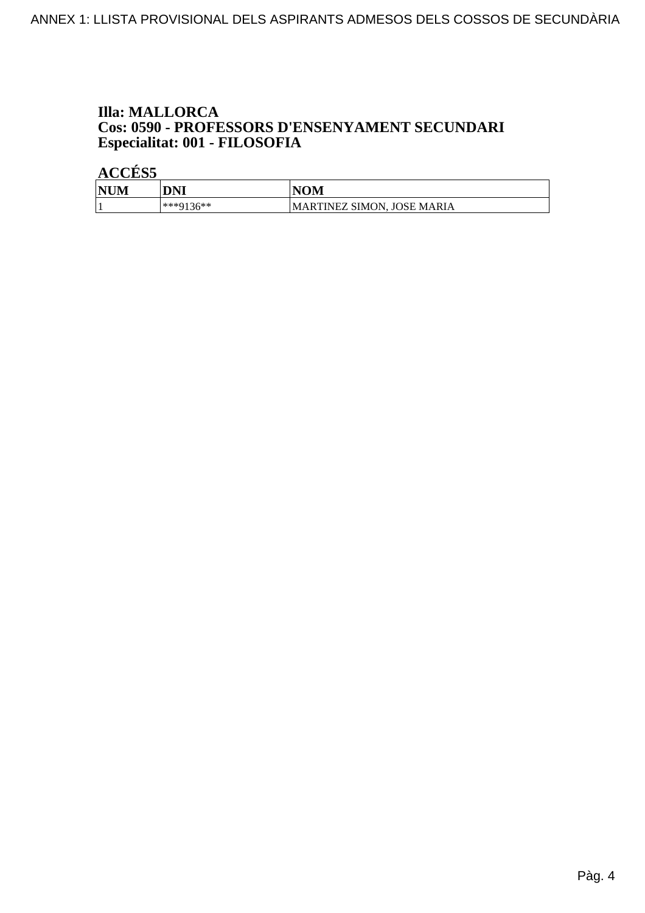## **Illa: MALLORCA Cos: 0590 - PROFESSORS D'ENSENYAMENT SECUNDARI<br>Especialitat: 001 - FILOSOFIA**

| <b>NUM</b> | <b>DNI</b> | <b>NOM</b>                 |
|------------|------------|----------------------------|
|            | ***0136**  | MARTINEZ SIMON, JOSE MARIA |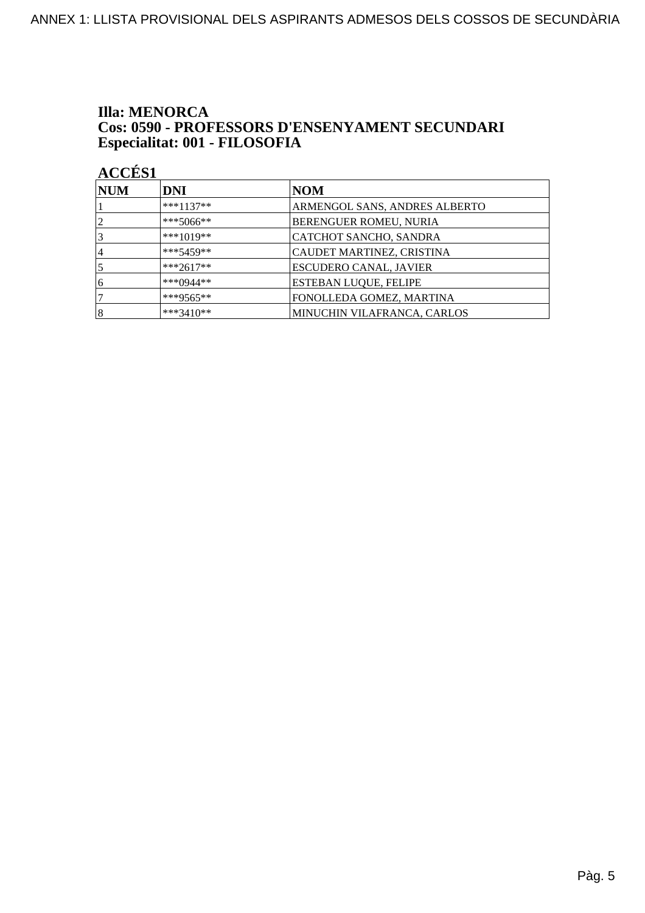### **Illa: MENORCA** Cos: 0590 - PROFESSORS D'ENSENYAMENT SECUNDARI Especialitat: 001 - FILOSOFIA

| <b>NUM</b>     | <b>DNI</b>  | NOM                           |
|----------------|-------------|-------------------------------|
|                | $***1137**$ | ARMENGOL SANS, ANDRES ALBERTO |
| $\overline{2}$ | ***5066**   | <b>BERENGUER ROMEU, NURIA</b> |
| 3              | ***1019**   | CATCHOT SANCHO, SANDRA        |
| 14             | ***5459**   | CAUDET MARTINEZ, CRISTINA     |
|                | $***2617**$ | ESCUDERO CANAL, JAVIER        |
| 6              | ***0944**   | <b>ESTEBAN LUQUE, FELIPE</b>  |
|                | ***9565**   | FONOLLEDA GOMEZ, MARTINA      |
| 8              | ***3410**   | MINUCHIN VILAFRANCA, CARLOS   |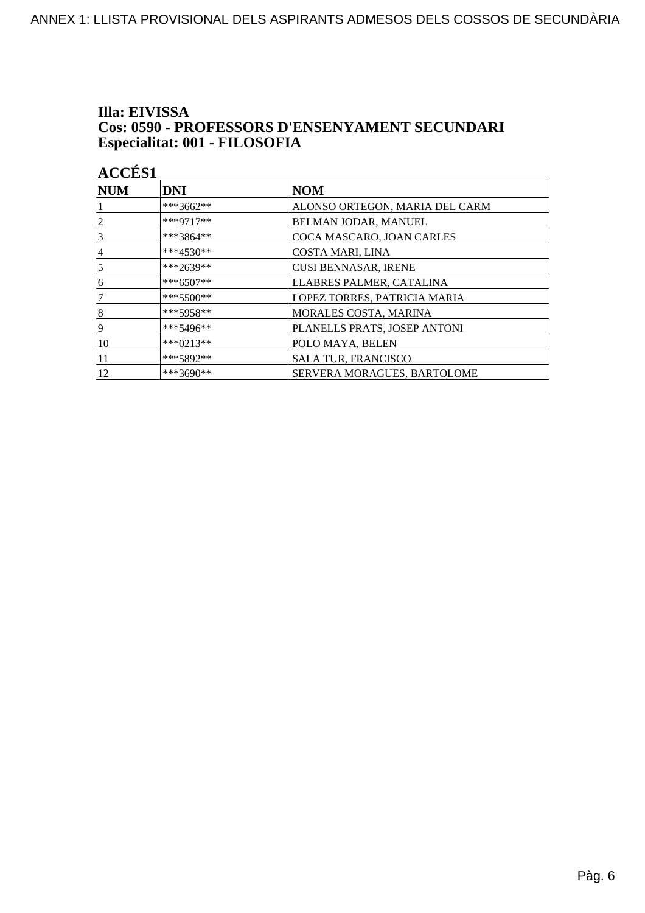# Illa: EIVISSA **Cos: 0590 - PROFESSORS D'ENSENYAMENT SECUNDARI<br>Especialitat: 001 - FILOSOFIA**

| ۱ |  |
|---|--|
|   |  |

| NUM            | <b>DNI</b>  | <b>NOM</b>                     |
|----------------|-------------|--------------------------------|
|                | ***3662**   | ALONSO ORTEGON, MARIA DEL CARM |
| $\overline{2}$ | ***9717**   | BELMAN JODAR, MANUEL           |
| 3              | $***3864**$ | COCA MASCARO, JOAN CARLES      |
| 4              | $***4530**$ | <b>COSTA MARI, LINA</b>        |
| $\overline{5}$ | ***2639**   | <b>CUSI BENNASAR, IRENE</b>    |
| 16             | $***6507**$ | LLABRES PALMER, CATALINA       |
| 7              | $***5500**$ | LOPEZ TORRES, PATRICIA MARIA   |
| 8              | $***5958**$ | MORALES COSTA, MARINA          |
| 19             | ***5496**   | PLANELLS PRATS, JOSEP ANTONI   |
| 10             | ***0213**   | POLO MAYA, BELEN               |
| 11             | ***5892**   | <b>SALA TUR, FRANCISCO</b>     |
| 12             | $***3690**$ | SERVERA MORAGUES, BARTOLOME    |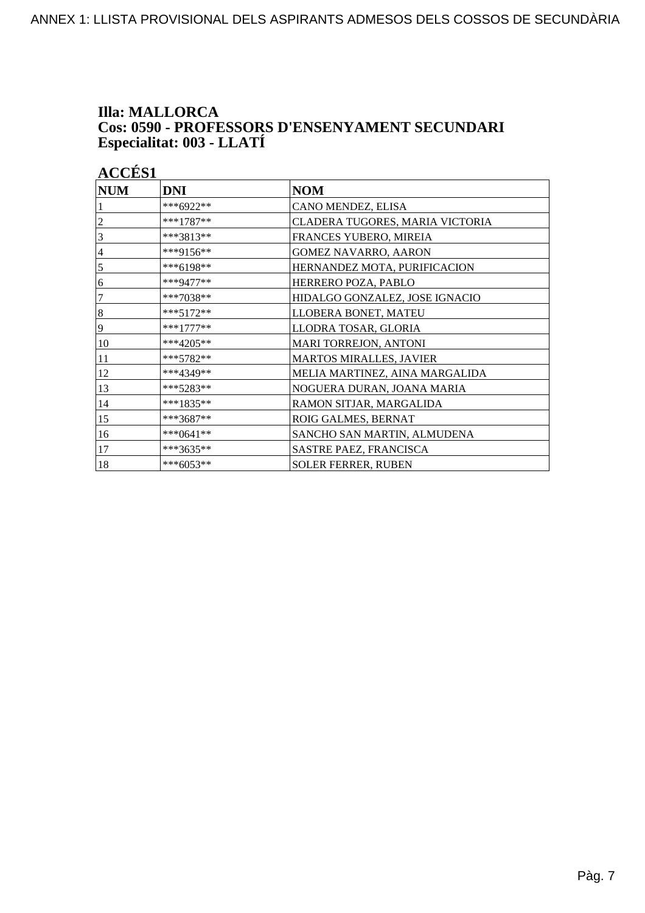## **Illa: MALLORCA Cos: 0590 - PROFESSORS D'ENSENYAMENT SECUNDARI<br>Especialitat: 003 - LLATÍ**

| <b>ACCÉS 1</b>   |              |                                 |
|------------------|--------------|---------------------------------|
| <b>NUM</b>       | <b>DNI</b>   | <b>NOM</b>                      |
|                  | ***6922**    | CANO MENDEZ, ELISA              |
| 2                | ***1787**    | CLADERA TUGORES, MARIA VICTORIA |
| 3                | ***3813**    | FRANCES YUBERO, MIREIA          |
| 4                | ***9156**    | <b>GOMEZ NAVARRO, AARON</b>     |
| $\mathfrak s$    | $***6198**$  | HERNANDEZ MOTA, PURIFICACION    |
| 6                | ***9477**    | HERRERO POZA, PABLO             |
| 7                | ***7038**    | HIDALGO GONZALEZ, JOSE IGNACIO  |
| $\boldsymbol{8}$ | ***5172**    | LLOBERA BONET, MATEU            |
| 9                | $***1777***$ | LLODRA TOSAR, GLORIA            |
| 10               | $***4205**$  | MARI TORREJON, ANTONI           |
| 11               | $***5782**$  | <b>MARTOS MIRALLES, JAVIER</b>  |
| 12               | ***4349**    | MELIA MARTINEZ, AINA MARGALIDA  |
| 13               | $***5283**$  | NOGUERA DURAN, JOANA MARIA      |
| 14               | ***1835**    | RAMON SITJAR, MARGALIDA         |
| 15               | ***3687**    | ROIG GALMES, BERNAT             |
| 16               | ***0641**    | SANCHO SAN MARTIN, ALMUDENA     |
| 17               | ***3635**    | SASTRE PAEZ, FRANCISCA          |
| 18               | ***6053**    | <b>SOLER FERRER, RUBEN</b>      |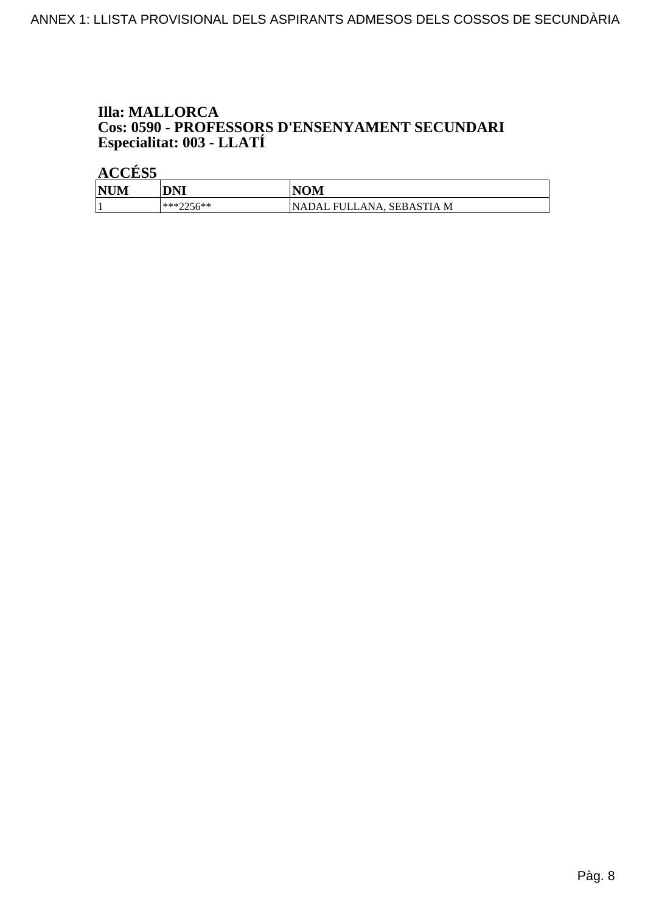# **Illa: MALLORCA Cos: 0590 - PROFESSORS D'ENSENYAMENT SECUNDARI<br>Especialitat: 003 - LLATÍ**

| <b>NUM</b> | <b>DNI</b>  | <b>NOM</b>                       |
|------------|-------------|----------------------------------|
|            | $***7756**$ | <b>NADAL FULLANA, SEBASTIA M</b> |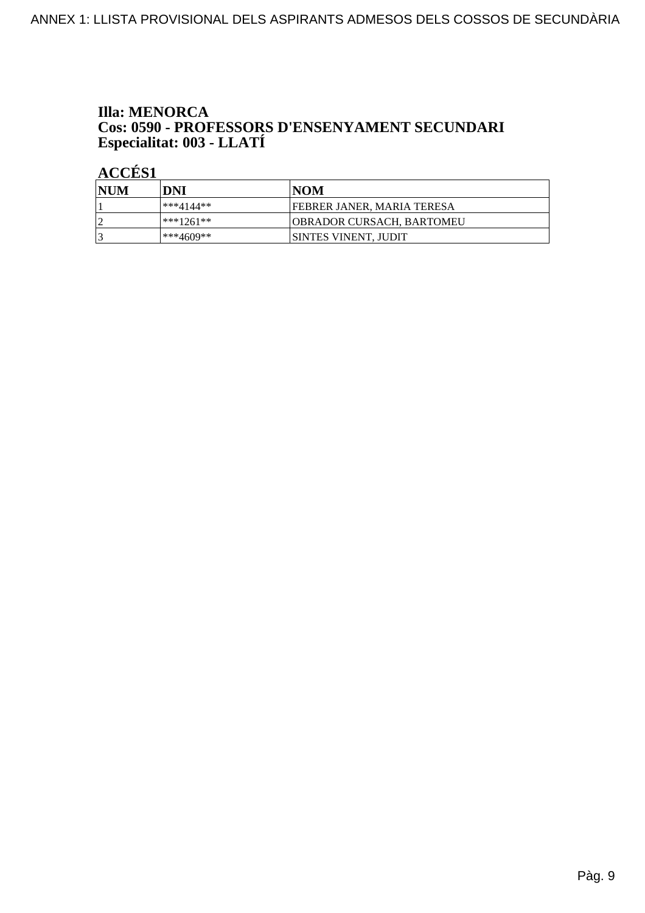# **Illa: MENORCA Cos: 0590 - PROFESSORS D'ENSENYAMENT SECUNDARI<br>Especialitat: 003 - LLATÍ**

| NUM | DNI          | NOM                               |
|-----|--------------|-----------------------------------|
|     | ***4144**    | <b>FEBRER JANER, MARIA TERESA</b> |
| LO  | $ ***1261**$ | OBRADOR CURSACH. BARTOMEU         |
|     | ***4609**    | <b>SINTES VINENT, JUDIT</b>       |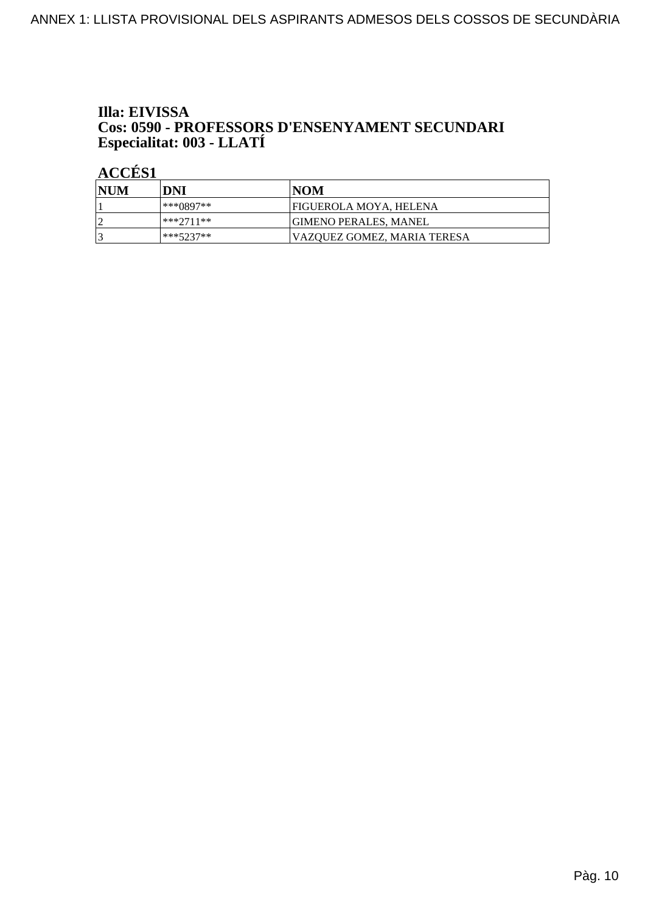# Illa: EIVISSA **Cos: 0590 - PROFESSORS D'ENSENYAMENT SECUNDARI<br>Especialitat: 003 - LLATÍ**

| NUM            | DNI         | INOM                        |
|----------------|-------------|-----------------------------|
|                | ***()897**  | FIGUEROLA MOYA. HELENA      |
| $\overline{2}$ | $***2711**$ | IGIMENO PERALES. MANEL      |
|                | ***5237**   | VAZQUEZ GOMEZ, MARIA TERESA |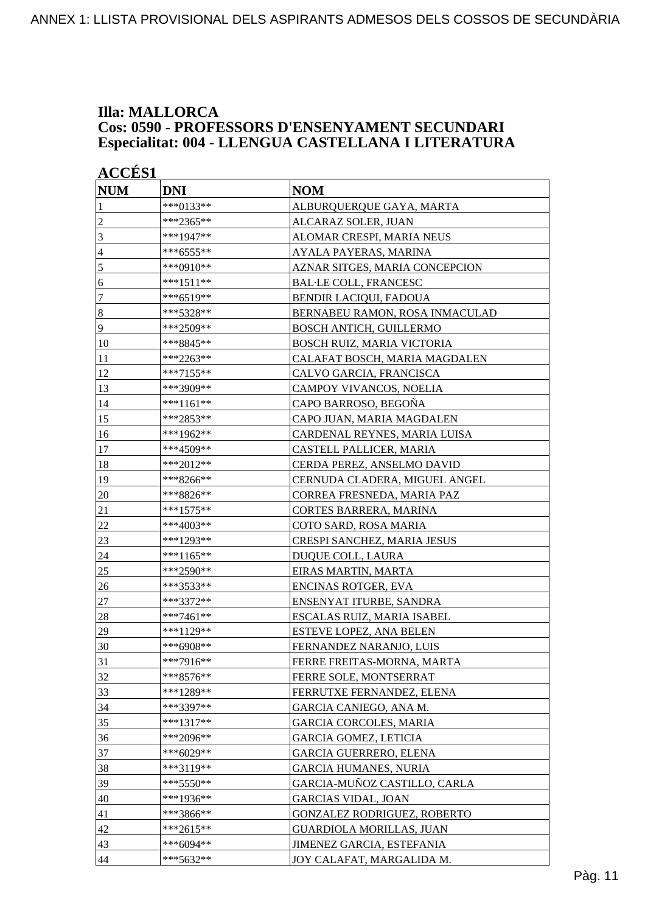### **Illa: MALLORCA Cos: 0590 - PROFESSORS D'ENSENYAMENT SECUNDARI Especialitat: 004 - LLENGUA CASTELLANA I LITERATURA**

| <b>ACCÉS 1</b>   |             |                                    |
|------------------|-------------|------------------------------------|
| <b>NUM</b>       | <b>DNI</b>  | <b>NOM</b>                         |
| 1                | ***0133**   | ALBURQUERQUE GAYA, MARTA           |
| $\overline{c}$   | ***2365**   | ALCARAZ SOLER, JUAN                |
| $\overline{3}$   | ***1947**   | ALOMAR CRESPI, MARIA NEUS          |
| $\overline{4}$   | ***6555**   | AYALA PAYERAS, MARINA              |
| 5                | ***0910**   | AZNAR SITGES, MARIA CONCEPCION     |
| 6                | ***1511**   | <b>BAL·LE COLL, FRANCESC</b>       |
| $\boldsymbol{7}$ | ***6519**   | <b>BENDIR LACIQUI, FADOUA</b>      |
| $\bf 8$          | ***5328**   | BERNABEU RAMON, ROSA INMACULAD     |
| $\overline{9}$   | ***2509**   | <b>BOSCH ANTICH, GUILLERMO</b>     |
| 10               | ***8845**   | BOSCH RUIZ, MARIA VICTORIA         |
| 11               | ***2263**   | CALAFAT BOSCH, MARIA MAGDALEN      |
| 12               | ***7155**   | CALVO GARCIA, FRANCISCA            |
| 13               | ***3909**   | CAMPOY VIVANCOS, NOELIA            |
| 14               | ***1161**   | CAPO BARROSO, BEGOÑA               |
| 15               | ***2853**   | CAPO JUAN, MARIA MAGDALEN          |
| 16               | ***1962**   | CARDENAL REYNES, MARIA LUISA       |
| 17               | ***4509**   | CASTELL PALLICER, MARIA            |
| 18               | ***2012**   | CERDA PEREZ, ANSELMO DAVID         |
| 19               | ***8266**   | CERNUDA CLADERA, MIGUEL ANGEL      |
| 20               | ***8826**   | CORREA FRESNEDA, MARIA PAZ         |
| 21               | ***1575**   | CORTES BARRERA, MARINA             |
| $22\,$           | ***4003**   | COTO SARD, ROSA MARIA              |
| 23               | ***1293**   | <b>CRESPI SANCHEZ, MARIA JESUS</b> |
| 24               | ***1165**   | DUQUE COLL, LAURA                  |
| 25               | ***2590**   | EIRAS MARTIN, MARTA                |
| 26               | ***3533**   | ENCINAS ROTGER, EVA                |
| 27               | ***3372**   | ENSENYAT ITURBE, SANDRA            |
| 28               | ***7461**   | ESCALAS RUIZ, MARIA ISABEL         |
| 29               | ***1129**   | <b>ESTEVE LOPEZ, ANA BELEN</b>     |
| $ 30\rangle$     | ***6908**   | FERNANDEZ NARANJO, LUIS            |
| 31               | ***7916**   | FERRE FREITAS-MORNA, MARTA         |
| 32               | ***8576**   | FERRE SOLE, MONTSERRAT             |
| 33               | ***1289**   | FERRUTXE FERNANDEZ, ELENA          |
| 34               | ***3397**   | GARCIA CANIEGO, ANA M.             |
| 35               | ***1317**   | <b>GARCIA CORCOLES, MARIA</b>      |
| 36               | ***2096**   | <b>GARCIA GOMEZ, LETICIA</b>       |
| 37               | ***6029**   | <b>GARCIA GUERRERO, ELENA</b>      |
| 38               | ***3119**   | <b>GARCIA HUMANES, NURIA</b>       |
| 39               | $***5550**$ | GARCIA-MUÑOZ CASTILLO, CARLA       |
| 40               | ***1936**   | <b>GARCIAS VIDAL, JOAN</b>         |
| 41               | ***3866**   | GONZALEZ RODRIGUEZ, ROBERTO        |
| 42               | $***2615**$ | <b>GUARDIOLA MORILLAS, JUAN</b>    |
| 43               | ***6094**   | JIMENEZ GARCIA, ESTEFANIA          |
| 44               | ***5632**   | JOY CALAFAT, MARGALIDA M.          |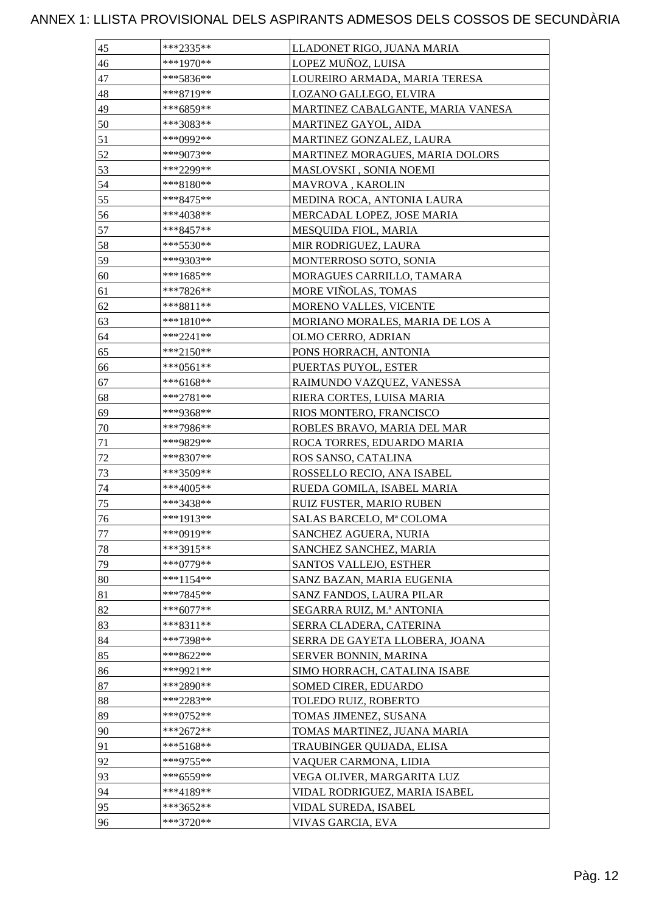| 45 | ***2335**   | LLADONET RIGO, JUANA MARIA        |
|----|-------------|-----------------------------------|
| 46 | ***1970**   | LOPEZ MUÑOZ, LUISA                |
| 47 | ***5836**   | LOUREIRO ARMADA, MARIA TERESA     |
| 48 | ***8719**   | LOZANO GALLEGO, ELVIRA            |
| 49 | ***6859**   | MARTINEZ CABALGANTE, MARIA VANESA |
| 50 | ***3083**   | MARTINEZ GAYOL, AIDA              |
| 51 | ***0992**   | MARTINEZ GONZALEZ, LAURA          |
| 52 | ***9073**   | MARTINEZ MORAGUES, MARIA DOLORS   |
| 53 | ***2299**   | MASLOVSKI, SONIA NOEMI            |
| 54 | ***8180**   | <b>MAVROVA, KAROLIN</b>           |
| 55 | ***8475**   | MEDINA ROCA, ANTONIA LAURA        |
| 56 | ***4038**   | MERCADAL LOPEZ, JOSE MARIA        |
| 57 | ***8457**   | MESQUIDA FIOL, MARIA              |
| 58 | ***5530**   | MIR RODRIGUEZ, LAURA              |
| 59 | ***9303**   | MONTERROSO SOTO, SONIA            |
| 60 | ***1685**   | MORAGUES CARRILLO, TAMARA         |
| 61 | ***7826**   | MORE VIÑOLAS, TOMAS               |
| 62 | ***8811**   | MORENO VALLES, VICENTE            |
| 63 | ***1810**   | MORIANO MORALES, MARIA DE LOS A   |
| 64 | ***2241**   | OLMO CERRO, ADRIAN                |
| 65 | ***2150**   | PONS HORRACH, ANTONIA             |
| 66 | ***0561**   | PUERTAS PUYOL, ESTER              |
| 67 | ***6168**   | RAIMUNDO VAZQUEZ, VANESSA         |
| 68 | ***2781**   | RIERA CORTES, LUISA MARIA         |
| 69 | ***9368**   | RIOS MONTERO, FRANCISCO           |
| 70 | ***7986**   | ROBLES BRAVO, MARIA DEL MAR       |
| 71 | ***9829**   | ROCA TORRES, EDUARDO MARIA        |
| 72 | ***8307**   | ROS SANSO, CATALINA               |
| 73 | ***3509**   | ROSSELLO RECIO, ANA ISABEL        |
| 74 | ***4005**   | RUEDA GOMILA, ISABEL MARIA        |
| 75 | ***3438**   | RUIZ FUSTER, MARIO RUBEN          |
| 76 | ***1913**   | SALAS BARCELO, Mª COLOMA          |
| 77 | ***0919**   | SANCHEZ AGUERA, NURIA             |
| 78 | ***3915**   | SANCHEZ SANCHEZ, MARIA            |
| 79 | ***0779**   | SANTOS VALLEJO, ESTHER            |
| 80 | $***1154**$ | SANZ BAZAN, MARIA EUGENIA         |
| 81 | ***7845**   | SANZ FANDOS, LAURA PILAR          |
| 82 | $***6077**$ | SEGARRA RUIZ, M.ª ANTONIA         |
| 83 | ***8311**   | SERRA CLADERA, CATERINA           |
| 84 | ***7398**   | SERRA DE GAYETA LLOBERA, JOANA    |
| 85 | ***8622**   | SERVER BONNIN, MARINA             |
| 86 | ***9921**   | SIMO HORRACH, CATALINA ISABE      |
| 87 | ***2890**   | SOMED CIRER, EDUARDO              |
| 88 | ***2283**   | TOLEDO RUIZ, ROBERTO              |
| 89 | ***0752**   | TOMAS JIMENEZ, SUSANA             |
| 90 | ***2672**   | TOMAS MARTINEZ, JUANA MARIA       |
| 91 | ***5168**   | TRAUBINGER QUIJADA, ELISA         |
| 92 | ***9755**   | VAQUER CARMONA, LIDIA             |
| 93 | ***6559**   | VEGA OLIVER, MARGARITA LUZ        |
| 94 | ***4189**   | VIDAL RODRIGUEZ, MARIA ISABEL     |
| 95 | ***3652**   | VIDAL SUREDA, ISABEL              |
| 96 | ***3720**   | VIVAS GARCIA, EVA                 |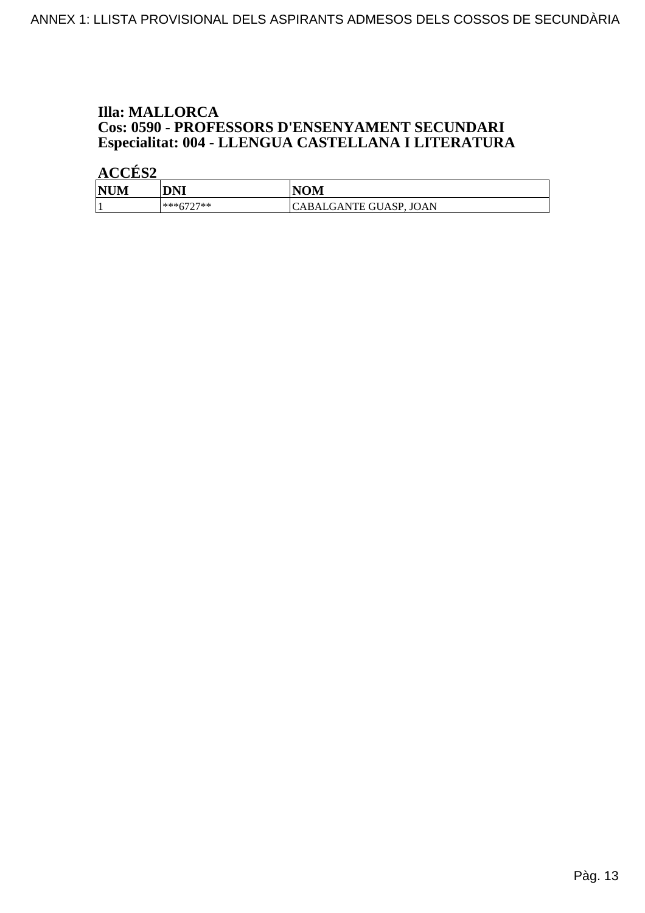## **Illa: MALLORCA Cos: 0590 - PROFESSORS D'ENSENYAMENT SECUNDARI<br>Especialitat: 004 - LLENGUA CASTELLANA I LITERATURA**

| <b>NUM</b> | DNI       | <b>IOM</b>             |
|------------|-----------|------------------------|
|            | ***6707** | CABALGANTE GUASP, JOAN |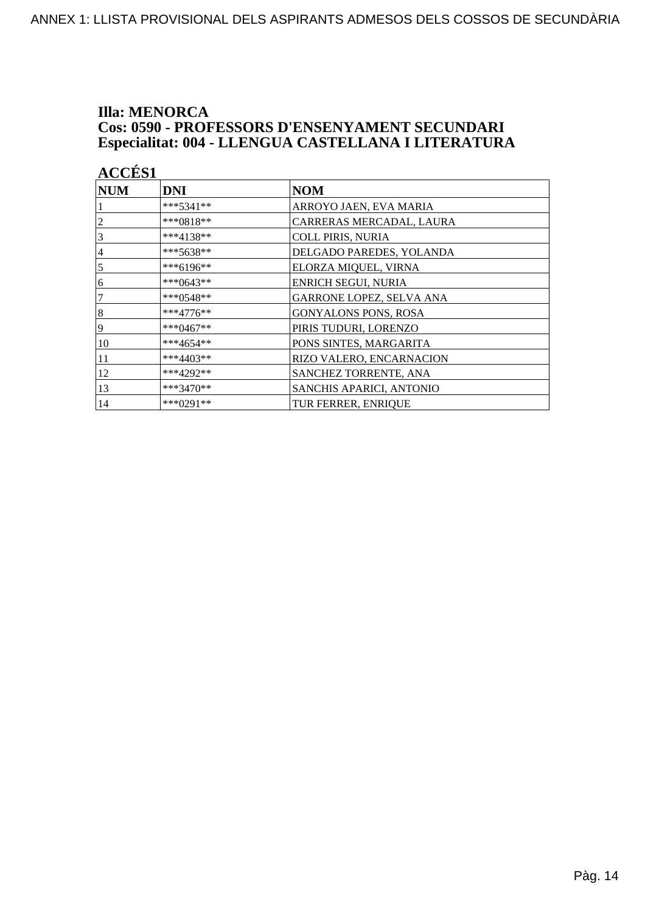### **Illa: MENORCA** Cos: 0590 - PROFESSORS D'ENSENYAMENT SECUNDARI Especialitat: 004 - LLENGUA CASTELLANA I LITERATURA

| <b>ACCÉS 1</b> |               |                             |  |
|----------------|---------------|-----------------------------|--|
| <b>NUM</b>     | <b>DNI</b>    | <b>NOM</b>                  |  |
|                | $***5341**$   | ARROYO JAEN, EVA MARIA      |  |
| $\overline{c}$ | ***0818**     | CARRERAS MERCADAL, LAURA    |  |
| 3              | ***4138**     | <b>COLL PIRIS, NURIA</b>    |  |
| $\overline{4}$ | ***5638**     | DELGADO PAREDES, YOLANDA    |  |
| 5              | ***6196**     | ELORZA MIQUEL, VIRNA        |  |
| 6              | ***0643**     | <b>ENRICH SEGUI, NURIA</b>  |  |
| $\overline{7}$ | *** $0.548**$ | GARRONE LOPEZ, SELVA ANA    |  |
| $\vert 8$      | ***4776**     | <b>GONYALONS PONS, ROSA</b> |  |
| 9              | ***0467**     | PIRIS TUDURI, LORENZO       |  |
| 10             | ***4654**     | PONS SINTES, MARGARITA      |  |
| 11             | ***4403**     | RIZO VALERO, ENCARNACION    |  |
| 12             | ***4292**     | SANCHEZ TORRENTE, ANA       |  |
| 13             | ***3470**     | SANCHIS APARICI, ANTONIO    |  |
| 14             | ***0291**     | TUR FERRER, ENRIQUE         |  |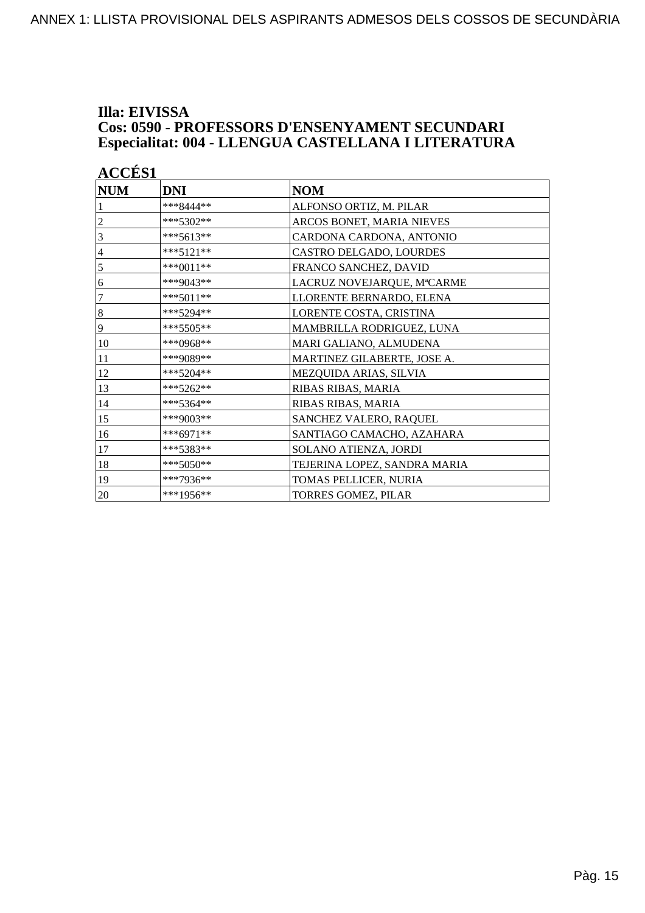### **Illa: EIVISSA Cos: 0590 - PROFESSORS D'ENSENYAMENT SECUNDARI Especialitat: 004 - LLENGUA CASTELLANA I LITERATURA**

|                  | <b>ACCES 1</b> |                              |  |  |
|------------------|----------------|------------------------------|--|--|
| <b>NUM</b>       | <b>DNI</b>     | <b>NOM</b>                   |  |  |
|                  | ***8444**      | ALFONSO ORTIZ, M. PILAR      |  |  |
| $\overline{c}$   | ***5302**      | ARCOS BONET, MARIA NIEVES    |  |  |
| 3                | $***5613**$    | CARDONA CARDONA, ANTONIO     |  |  |
| 4                | $***5121**$    | CASTRO DELGADO, LOURDES      |  |  |
| 5                | $***0011**$    | FRANCO SANCHEZ, DAVID        |  |  |
| 6                | ***9043**      | LACRUZ NOVEJARQUE, MªCARME   |  |  |
| 7                | $***5011**$    | LLORENTE BERNARDO, ELENA     |  |  |
| $\boldsymbol{8}$ | $***5294**$    | LORENTE COSTA, CRISTINA      |  |  |
| 9                | ***5505**      | MAMBRILLA RODRIGUEZ, LUNA    |  |  |
| 10               | ***0968**      | MARI GALIANO, ALMUDENA       |  |  |
| 11               | ***9089**      | MARTINEZ GILABERTE, JOSE A.  |  |  |
| 12               | ***5204**      | MEZQUIDA ARIAS, SILVIA       |  |  |
| 13               | ***5262**      | RIBAS RIBAS, MARIA           |  |  |
| 14               | ***5364**      | RIBAS RIBAS, MARIA           |  |  |
| 15               | ***9003**      | SANCHEZ VALERO, RAQUEL       |  |  |
| 16               | $***6971**$    | SANTIAGO CAMACHO, AZAHARA    |  |  |
| 17               | ***5383**      | SOLANO ATIENZA, JORDI        |  |  |
| 18               | ***5050**      | TEJERINA LOPEZ, SANDRA MARIA |  |  |
| 19               | ***7936**      | TOMAS PELLICER, NURIA        |  |  |
| 20               | ***1956**      | <b>TORRES GOMEZ, PILAR</b>   |  |  |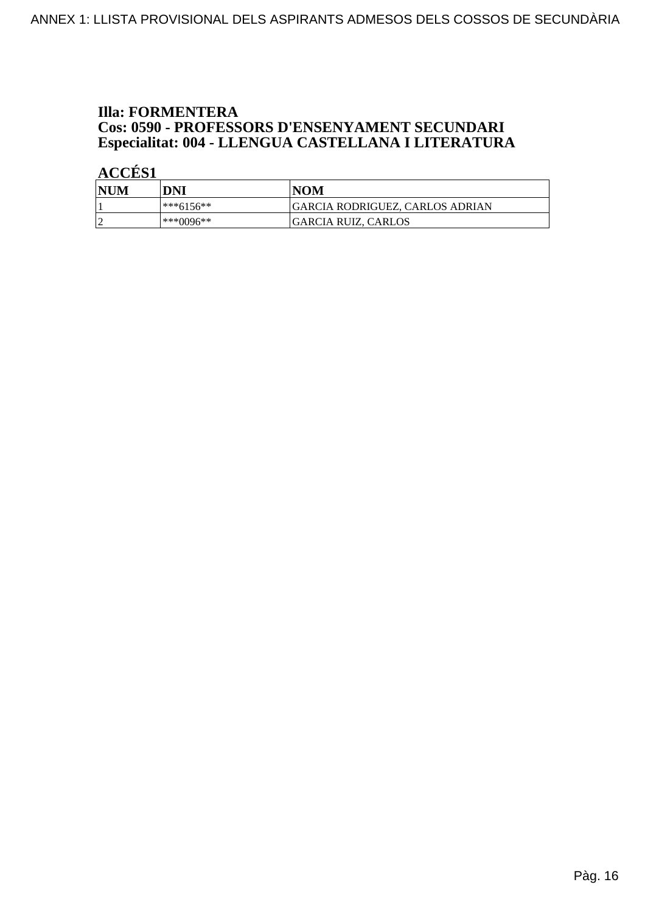## **Illa: FORMENTERA Cos: 0590 - PROFESSORS D'ENSENYAMENT SECUNDARI<br>Especialitat: 004 - LLENGUA CASTELLANA I LITERATURA**

| <b>NUM</b> | DNI        | <b>NOM</b>                      |
|------------|------------|---------------------------------|
|            | l***6156** | GARCIA RODRIGUEZ, CARLOS ADRIAN |
|            | ***0096**  | GARCIA RUIZ, CARLOS             |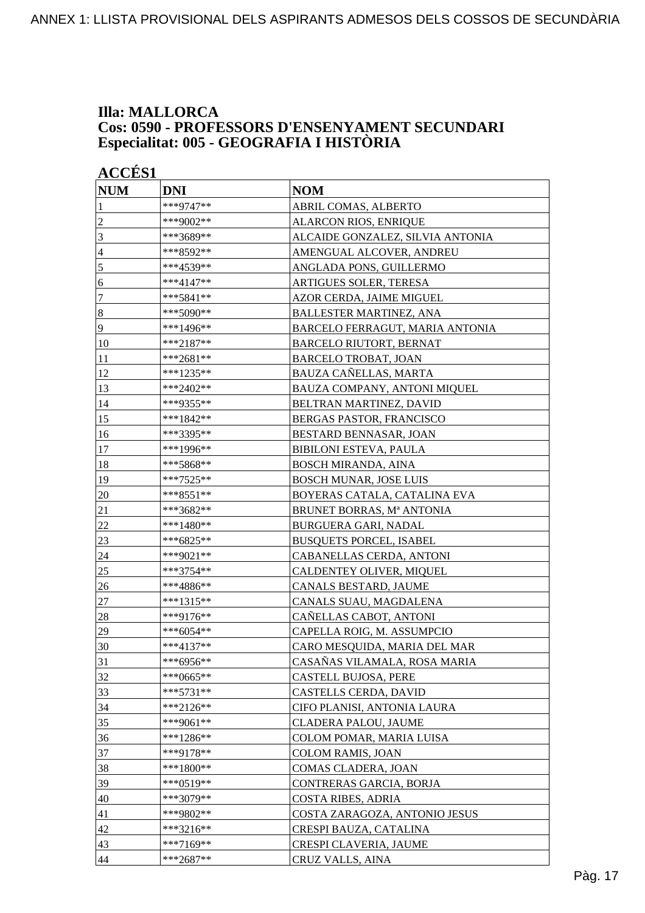### **Illa: MALLORCA Cos: 0590 - PROFESSORS D'ENSENYAMENT SECUNDARI Especialitat: 005 - GEOGRAFIA I HISTÒRIA**

| <b>ACCÉS 1</b>   |             |                                  |
|------------------|-------------|----------------------------------|
| <b>NUM</b>       | <b>DNI</b>  | <b>NOM</b>                       |
| 1                | ***9747**   | ABRIL COMAS, ALBERTO             |
| $\overline{c}$   | ***9002**   | <b>ALARCON RIOS, ENRIQUE</b>     |
| 3                | ***3689**   | ALCAIDE GONZALEZ, SILVIA ANTONIA |
| $\overline{4}$   | ***8592**   | AMENGUAL ALCOVER, ANDREU         |
| 5                | ***4539**   | ANGLADA PONS, GUILLERMO          |
| 6                | ***4147**   | ARTIGUES SOLER, TERESA           |
| $\boldsymbol{7}$ | ***5841**   | AZOR CERDA, JAIME MIGUEL         |
| $\boldsymbol{8}$ | ***5090**   | <b>BALLESTER MARTINEZ, ANA</b>   |
| 9                | ***1496**   | BARCELO FERRAGUT, MARIA ANTONIA  |
| 10               | $***2187**$ | <b>BARCELO RIUTORT, BERNAT</b>   |
| 11               | ***2681**   | <b>BARCELO TROBAT, JOAN</b>      |
| 12               | ***1235**   | BAUZA CAÑELLAS, MARTA            |
| 13               | ***2402**   | BAUZA COMPANY, ANTONI MIQUEL     |
| 14               | ***9355**   | BELTRAN MARTINEZ, DAVID          |
| 15               | ***1842**   | <b>BERGAS PASTOR, FRANCISCO</b>  |
| 16               | ***3395**   | BESTARD BENNASAR, JOAN           |
| 17               | ***1996**   | <b>BIBILONI ESTEVA, PAULA</b>    |
| 18               | ***5868**   | <b>BOSCH MIRANDA, AINA</b>       |
| 19               | ***7525**   | <b>BOSCH MUNAR, JOSE LUIS</b>    |
| 20               | ***8551**   | BOYERAS CATALA, CATALINA EVA     |
| 21               | ***3682**   | BRUNET BORRAS, Mª ANTONIA        |
| 22               | $***1480**$ | BURGUERA GARI, NADAL             |
| 23               | ***6825**   | <b>BUSQUETS PORCEL, ISABEL</b>   |
| 24               | ***9021**   | CABANELLAS CERDA, ANTONI         |
| 25               | ***3754**   | CALDENTEY OLIVER, MIQUEL         |
| 26               | ***4886**   | CANALS BESTARD, JAUME            |
| 27               | ***1315**   | CANALS SUAU, MAGDALENA           |
| 28               | ***9176**   | CAÑELLAS CABOT, ANTONI           |
| 29               | ***6054**   | CAPELLA ROIG, M. ASSUMPCIO       |
| 30               | ***4137**   | CARO MESQUIDA, MARIA DEL MAR     |
| 31               | ***6956**   | CASAÑAS VILAMALA, ROSA MARIA     |
| 32               | ***0665**   | CASTELL BUJOSA, PERE             |
| 33               | ***5731**   | CASTELLS CERDA, DAVID            |
| 34               | ***2126**   | CIFO PLANISI, ANTONIA LAURA      |
| 35               | ***9061**   | CLADERA PALOU, JAUME             |
| 36               | ***1286**   | COLOM POMAR, MARIA LUISA         |
| 37               | ***9178**   | <b>COLOM RAMIS, JOAN</b>         |
| 38               | ***1800**   | COMAS CLADERA, JOAN              |
| 39               | ***0519**   | CONTRERAS GARCIA, BORJA          |
| 40               | ***3079**   | <b>COSTA RIBES, ADRIA</b>        |
| 41               | ***9802**   | COSTA ZARAGOZA, ANTONIO JESUS    |
| 42               | ***3216**   | CRESPI BAUZA, CATALINA           |
| 43               | ***7169**   | CRESPI CLAVERIA, JAUME           |
| 44               | ***2687**   | CRUZ VALLS, AINA                 |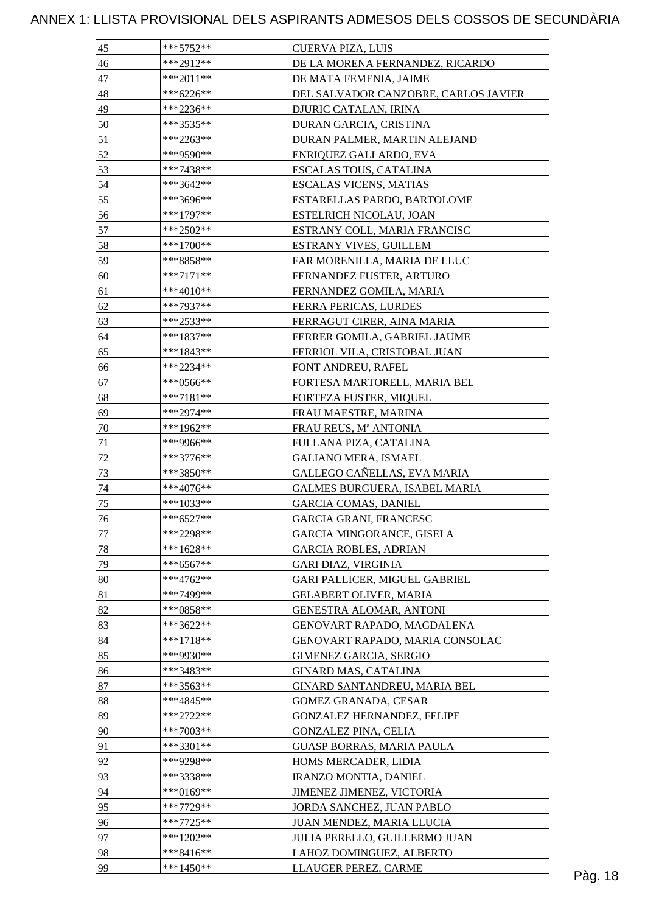| 45 | ***5752**   | CUERVA PIZA, LUIS                    |
|----|-------------|--------------------------------------|
| 46 | ***2912**   | DE LA MORENA FERNANDEZ, RICARDO      |
| 47 | $***2011**$ | DE MATA FEMENIA, JAIME               |
| 48 | ***6226**   | DEL SALVADOR CANZOBRE, CARLOS JAVIER |
| 49 | ***2236**   | DJURIC CATALAN, IRINA                |
| 50 | ***3535**   | DURAN GARCIA, CRISTINA               |
| 51 | $***2263**$ | DURAN PALMER, MARTIN ALEJAND         |
| 52 | ***9590**   | ENRIQUEZ GALLARDO, EVA               |
| 53 | ***7438**   | ESCALAS TOUS, CATALINA               |
| 54 | ***3642**   | <b>ESCALAS VICENS, MATIAS</b>        |
| 55 | ***3696**   | ESTARELLAS PARDO, BARTOLOME          |
| 56 | ***1797**   | ESTELRICH NICOLAU, JOAN              |
| 57 | $***2502**$ | ESTRANY COLL, MARIA FRANCISC         |
| 58 | $***1700**$ | ESTRANY VIVES, GUILLEM               |
| 59 | ***8858**   | FAR MORENILLA, MARIA DE LLUC         |
| 60 | $***7171**$ | FERNANDEZ FUSTER, ARTURO             |
| 61 | $***4010**$ | FERNANDEZ GOMILA, MARIA              |
| 62 | ***7937**   | FERRA PERICAS, LURDES                |
| 63 | ***2533**   | FERRAGUT CIRER, AINA MARIA           |
| 64 | ***1837**   | FERRER GOMILA, GABRIEL JAUME         |
| 65 | ***1843**   | FERRIOL VILA, CRISTOBAL JUAN         |
| 66 | ***2234**   | FONT ANDREU, RAFEL                   |
|    |             |                                      |
| 67 | ***0566**   | FORTESA MARTORELL, MARIA BEL         |
| 68 | ***7181**   | FORTEZA FUSTER, MIQUEL               |
| 69 | ***2974**   | FRAU MAESTRE, MARINA                 |
| 70 | $***1962**$ | FRAU REUS, Mª ANTONIA                |
| 71 | ***9966**   | FULLANA PIZA, CATALINA               |
| 72 | $***3776**$ | <b>GALIANO MERA, ISMAEL</b>          |
| 73 | ***3850**   | GALLEGO CAÑELLAS, EVA MARIA          |
| 74 | ***4076**   | GALMES BURGUERA, ISABEL MARIA        |
| 75 | $***1033**$ | <b>GARCIA COMAS, DANIEL</b>          |
| 76 | $***6527**$ | <b>GARCIA GRANI, FRANCESC</b>        |
| 77 | ***2298**   | <b>GARCIA MINGORANCE, GISELA</b>     |
| 78 | $***1628**$ | <b>GARCIA ROBLES, ADRIAN</b>         |
| 79 | $***6567**$ | GARI DIAZ, VIRGINIA                  |
| 80 | $***4762**$ | GARI PALLICER, MIGUEL GABRIEL        |
| 81 | ***7499**   | <b>GELABERT OLIVER, MARIA</b>        |
| 82 | ***0858**   | GENESTRA ALOMAR, ANTONI              |
| 83 | ***3622**   | GENOVART RAPADO, MAGDALENA           |
| 84 | $***1718**$ | GENOVART RAPADO, MARIA CONSOLAC      |
| 85 | ***9930**   | <b>GIMENEZ GARCIA, SERGIO</b>        |
| 86 | ***3483**   | <b>GINARD MAS, CATALINA</b>          |
| 87 | $***3563**$ | GINARD SANTANDREU, MARIA BEL         |
| 88 | ***4845**   | <b>GOMEZ GRANADA, CESAR</b>          |
| 89 | ***2722**   | GONZALEZ HERNANDEZ, FELIPE           |
| 90 | ***7003**   | <b>GONZALEZ PINA, CELIA</b>          |
| 91 | ***3301**   | <b>GUASP BORRAS, MARIA PAULA</b>     |
| 92 | ***9298**   | HOMS MERCADER, LIDIA                 |
| 93 | ***3338**   | <b>IRANZO MONTIA, DANIEL</b>         |
| 94 | $***0169**$ | JIMENEZ JIMENEZ, VICTORIA            |
| 95 | ***7729**   | JORDA SANCHEZ, JUAN PABLO            |
| 96 | $***7725**$ | JUAN MENDEZ, MARIA LLUCIA            |
| 97 | ***1202**   | JULIA PERELLO, GUILLERMO JUAN        |
| 98 | $***8416**$ | LAHOZ DOMINGUEZ, ALBERTO             |
| 99 | ***1450**   | LLAUGER PEREZ, CARME                 |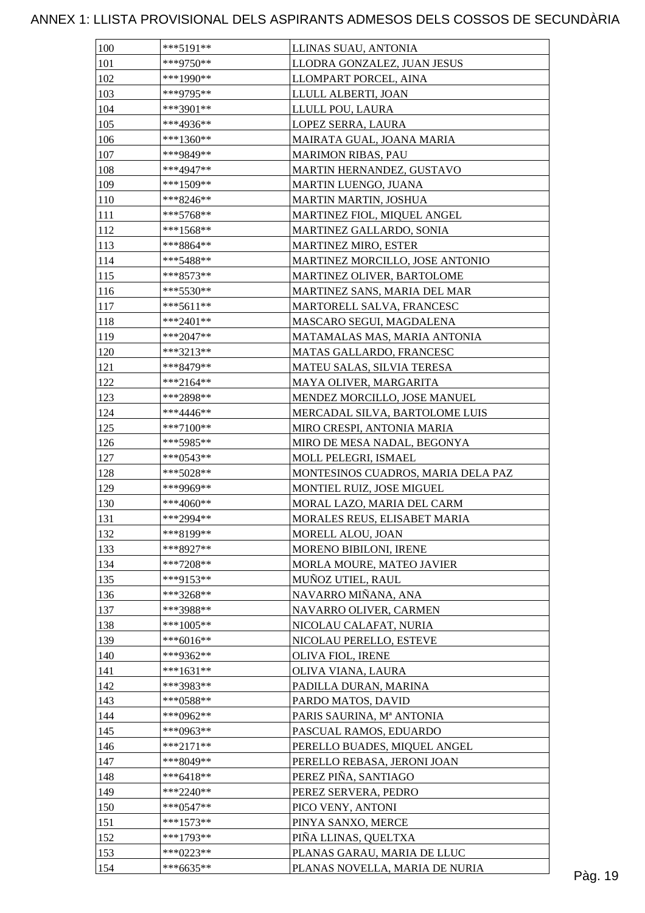| 100        | $***5191**$ | LLINAS SUAU, ANTONIA               |         |
|------------|-------------|------------------------------------|---------|
| 101        | ***9750**   | LLODRA GONZALEZ, JUAN JESUS        |         |
| 102        | ***1990**   | LLOMPART PORCEL, AINA              |         |
| 103        | ***9795**   | LLULL ALBERTI, JOAN                |         |
| 104        | $***3901**$ | LLULL POU, LAURA                   |         |
| 105        | ***4936**   | LOPEZ SERRA, LAURA                 |         |
| 106        | ***1360**   | MAIRATA GUAL, JOANA MARIA          |         |
| 107        | ***9849**   | <b>MARIMON RIBAS, PAU</b>          |         |
| 108        | ***4947**   | MARTIN HERNANDEZ, GUSTAVO          |         |
| 109        | $***1509**$ | MARTIN LUENGO, JUANA               |         |
| 110        | $***8246**$ | MARTIN MARTIN, JOSHUA              |         |
| 111        | $***5768**$ | MARTINEZ FIOL, MIQUEL ANGEL        |         |
| 112        | ***1568**   | MARTINEZ GALLARDO, SONIA           |         |
| 113        | ***8864**   | <b>MARTINEZ MIRO, ESTER</b>        |         |
| 114        | ***5488**   | MARTINEZ MORCILLO, JOSE ANTONIO    |         |
| 115        | $***8573**$ | MARTINEZ OLIVER, BARTOLOME         |         |
| 116        | $***5530**$ | MARTINEZ SANS, MARIA DEL MAR       |         |
| 117        | $***5611**$ | MARTORELL SALVA, FRANCESC          |         |
| 118        | ***2401**   | MASCARO SEGUI, MAGDALENA           |         |
| 119        | $***2047**$ | MATAMALAS MAS, MARIA ANTONIA       |         |
| 120        | ***3213**   | <b>MATAS GALLARDO, FRANCESC</b>    |         |
| 121        | ***8479**   | MATEU SALAS, SILVIA TERESA         |         |
| 122        | ***2164**   | MAYA OLIVER, MARGARITA             |         |
| 123        | ***2898**   | MENDEZ MORCILLO, JOSE MANUEL       |         |
| 124        | $***4446**$ | MERCADAL SILVA, BARTOLOME LUIS     |         |
| 125        | $***7100**$ |                                    |         |
|            | ***5985**   | MIRO CRESPI, ANTONIA MARIA         |         |
| 126<br>127 | $***0543**$ | MIRO DE MESA NADAL, BEGONYA        |         |
|            | ***5028**   | MOLL PELEGRI, ISMAEL               |         |
| 128        | ***9969**   | MONTESINOS CUADROS, MARIA DELA PAZ |         |
| 129        |             | MONTIEL RUIZ, JOSE MIGUEL          |         |
| 130        | ***4060**   | MORAL LAZO, MARIA DEL CARM         |         |
| 131        | ***2994**   | MORALES REUS, ELISABET MARIA       |         |
| 132        | ***8199**   | MORELL ALOU, JOAN                  |         |
| 133        | ***8927**   | MORENO BIBILONI, IRENE             |         |
| 134        | $***7208**$ | MORLA MOURE, MATEO JAVIER          |         |
| 135        | ***9153**   | MUÑOZ UTIEL, RAUL                  |         |
| 136        | $***3268**$ | NAVARRO MIÑANA, ANA                |         |
| 137        | ***3988**   | NAVARRO OLIVER, CARMEN             |         |
| 138        | ***1005**   | NICOLAU CALAFAT, NURIA             |         |
| 139        | $***6016**$ | NICOLAU PERELLO, ESTEVE            |         |
| 140        | ***9362**   | OLIVA FIOL, IRENE                  |         |
| 141        | $***1631**$ | OLIVA VIANA, LAURA                 |         |
| 142        | ***3983**   | PADILLA DURAN, MARINA              |         |
| 143        | $***0588**$ | PARDO MATOS, DAVID                 |         |
| 144        | ***0962**   | PARIS SAURINA, Mª ANTONIA          |         |
| 145        | ***0963**   | PASCUAL RAMOS, EDUARDO             |         |
| 146        | $***2171**$ | PERELLO BUADES, MIQUEL ANGEL       |         |
| 147        | ***8049**   | PERELLO REBASA, JERONI JOAN        |         |
| 148        | $***6418**$ | PEREZ PIÑA, SANTIAGO               |         |
| 149        | ***2240**   | PEREZ SERVERA, PEDRO               |         |
| 150        | $***0547**$ | PICO VENY, ANTONI                  |         |
| 151        | $***1573**$ | PINYA SANXO, MERCE                 |         |
| 152        | $***1793**$ | PIÑA LLINAS, QUELTXA               |         |
| 153        | ***0223**   | PLANAS GARAU, MARIA DE LLUC        |         |
| 154        | $***6635**$ | PLANAS NOVELLA, MARIA DE NURIA     | Pàg. 19 |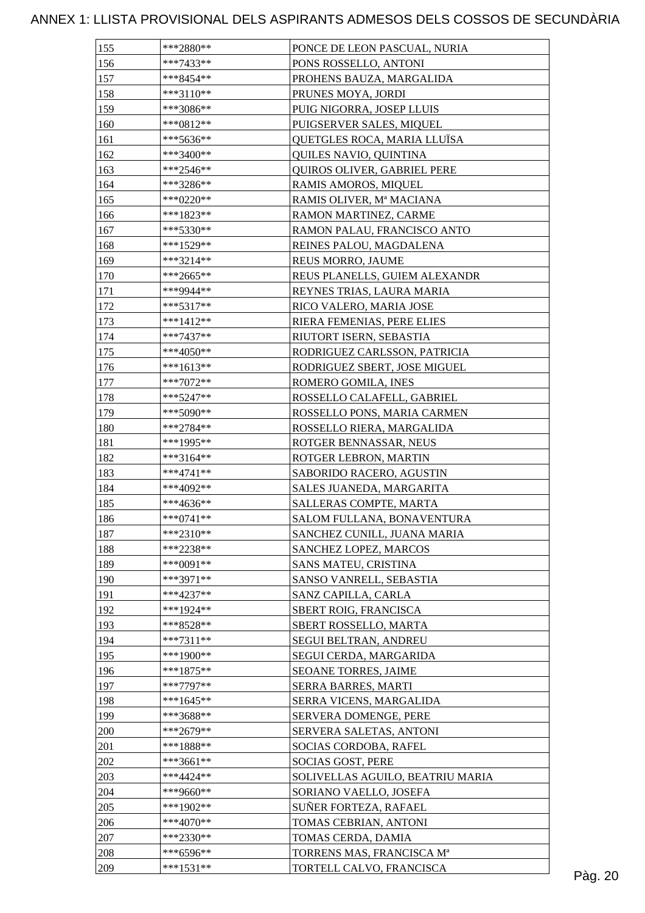| 155 | ***2880**   | PONCE DE LEON PASCUAL, NURIA     |         |
|-----|-------------|----------------------------------|---------|
| 156 | ***7433**   | PONS ROSSELLO, ANTONI            |         |
| 157 | ***8454**   | PROHENS BAUZA, MARGALIDA         |         |
| 158 | ***3110**   | PRUNES MOYA, JORDI               |         |
| 159 | ***3086**   | PUIG NIGORRA, JOSEP LLUIS        |         |
| 160 | $***0812**$ | PUIGSERVER SALES, MIQUEL         |         |
| 161 | ***5636**   | QUETGLES ROCA, MARIA LLUÏSA      |         |
| 162 | ***3400**   | QUILES NAVIO, QUINTINA           |         |
| 163 | ***2546**   | QUIROS OLIVER, GABRIEL PERE      |         |
| 164 | ***3286**   | RAMIS AMOROS, MIQUEL             |         |
| 165 | ***0220**   | RAMIS OLIVER, Mª MACIANA         |         |
| 166 | ***1823**   | RAMON MARTINEZ, CARME            |         |
| 167 | $***5330**$ | RAMON PALAU, FRANCISCO ANTO      |         |
| 168 | ***1529**   | REINES PALOU, MAGDALENA          |         |
| 169 | ***3214**   | REUS MORRO, JAUME                |         |
| 170 | $***2665**$ | REUS PLANELLS, GUIEM ALEXANDR    |         |
| 171 | ***9944**   | REYNES TRIAS, LAURA MARIA        |         |
| 172 | ***5317**   | RICO VALERO, MARIA JOSE          |         |
| 173 | ***1412**   | RIERA FEMENIAS, PERE ELIES       |         |
| 174 | $***7437**$ | RIUTORT ISERN, SEBASTIA          |         |
| 175 | $***4050**$ | RODRIGUEZ CARLSSON, PATRICIA     |         |
| 176 | ***1613**   | RODRIGUEZ SBERT, JOSE MIGUEL     |         |
| 177 | $***7072**$ | ROMERO GOMILA, INES              |         |
| 178 | ***5247**   | ROSSELLO CALAFELL, GABRIEL       |         |
| 179 | $***5090**$ | ROSSELLO PONS, MARIA CARMEN      |         |
| 180 | $***2784**$ |                                  |         |
|     | ***1995**   | ROSSELLO RIERA, MARGALIDA        |         |
| 181 | $***3164**$ | ROTGER BENNASSAR, NEUS           |         |
| 182 |             | ROTGER LEBRON, MARTIN            |         |
| 183 | $***4741**$ | SABORIDO RACERO, AGUSTIN         |         |
| 184 | ***4092**   | SALES JUANEDA, MARGARITA         |         |
| 185 | ***4636**   | SALLERAS COMPTE, MARTA           |         |
| 186 | $***0741**$ | SALOM FULLANA, BONAVENTURA       |         |
| 187 | ***2310**   | SANCHEZ CUNILL, JUANA MARIA      |         |
| 188 | ***2238**   | SANCHEZ LOPEZ, MARCOS            |         |
| 189 | $***0091**$ | SANS MATEU, CRISTINA             |         |
| 190 | ***3971**   | SANSO VANRELL, SEBASTIA          |         |
| 191 | ***4237**   | SANZ CAPILLA, CARLA              |         |
| 192 | ***1924**   | SBERT ROIG, FRANCISCA            |         |
| 193 | ***8528**   | SBERT ROSSELLO, MARTA            |         |
| 194 | $***7311**$ | SEGUI BELTRAN, ANDREU            |         |
| 195 | ***1900**   | SEGUI CERDA, MARGARIDA           |         |
| 196 | $***1875**$ | SEOANE TORRES, JAIME             |         |
| 197 | $***7797**$ | SERRA BARRES, MARTI              |         |
| 198 | $***1645**$ | SERRA VICENS, MARGALIDA          |         |
| 199 | ***3688**   | SERVERA DOMENGE, PERE            |         |
| 200 | ***2679**   | SERVERA SALETAS, ANTONI          |         |
| 201 | $***1888**$ | SOCIAS CORDOBA, RAFEL            |         |
| 202 | ***3661**   | SOCIAS GOST, PERE                |         |
| 203 | ***4424**   | SOLIVELLAS AGUILO, BEATRIU MARIA |         |
| 204 | ***9660**   | SORIANO VAELLO, JOSEFA           |         |
| 205 | ***1902**   | SUÑER FORTEZA, RAFAEL            |         |
| 206 | ***4070**   | TOMAS CEBRIAN, ANTONI            |         |
| 207 | $***2330**$ | TOMAS CERDA, DAMIA               |         |
| 208 | ***6596**   | TORRENS MAS, FRANCISCA Mª        |         |
| 209 | $***1531**$ | TORTELL CALVO, FRANCISCA         | Pàg. 20 |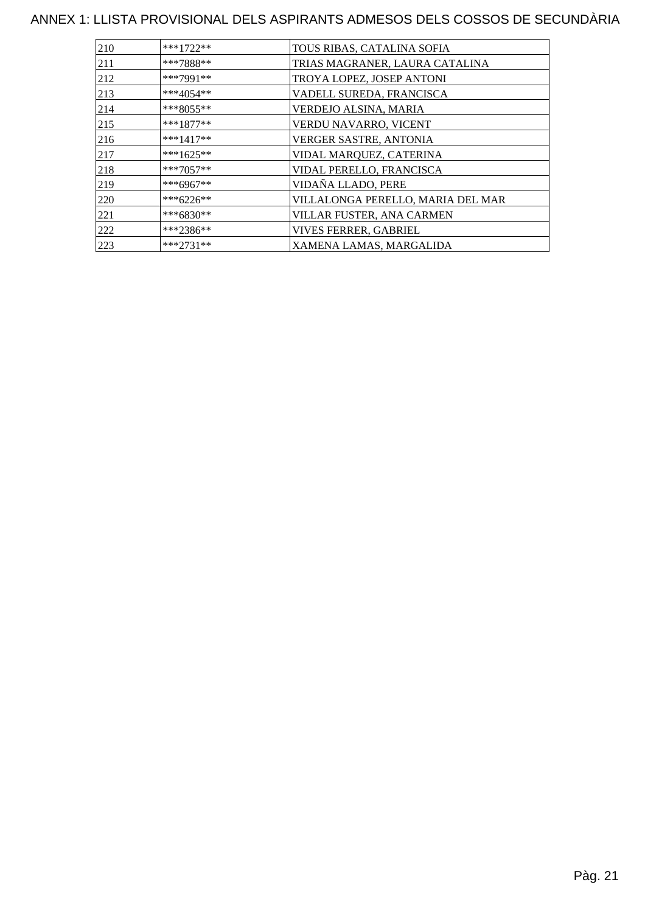| 210 | $***1722**$ | TOUS RIBAS, CATALINA SOFIA        |
|-----|-------------|-----------------------------------|
| 211 | ***7888**   | TRIAS MAGRANER, LAURA CATALINA    |
| 212 | ***7991**   | TROYA LOPEZ, JOSEP ANTONI         |
| 213 | ***4054**   | VADELL SUREDA, FRANCISCA          |
| 214 | $***8055**$ | VERDEJO ALSINA, MARIA             |
| 215 | $***1877**$ | VERDU NAVARRO, VICENT             |
| 216 | $***1417**$ | VERGER SASTRE, ANTONIA            |
| 217 | ***1625**   | VIDAL MARQUEZ, CATERINA           |
| 218 | $***7057**$ | VIDAL PERELLO, FRANCISCA          |
| 219 | ***6967**   | VIDAÑA LLADO, PERE                |
| 220 | ***6226**   | VILLALONGA PERELLO, MARIA DEL MAR |
| 221 | $***6830**$ | VILLAR FUSTER, ANA CARMEN         |
| 222 | ***2386**   | <b>VIVES FERRER, GABRIEL</b>      |
| 223 | $***2731**$ | XAMENA LAMAS, MARGALIDA           |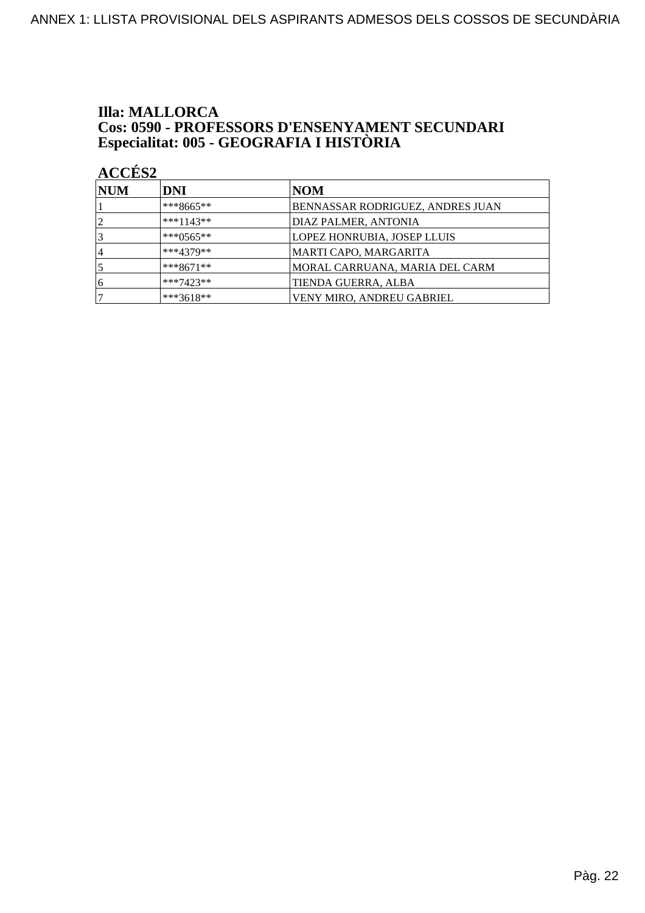## **Illa: MALLORCA Cos: 0590 - PROFESSORS D'ENSENYAMENT SECUNDARI<br>Especialitat: 005 - GEOGRAFIA I HISTÒRIA**

| <b>NUM</b> | DNI          | <b>NOM</b>                       |
|------------|--------------|----------------------------------|
|            | $***8665***$ | BENNASSAR RODRIGUEZ, ANDRES JUAN |
| 2          | $***1143**$  | DIAZ PALMER, ANTONIA             |
|            | ***0565**    | LOPEZ HONRUBIA, JOSEP LLUIS      |
| $\vert$    | $***4379**$  | MARTI CAPO, MARGARITA            |
|            | $***8671**$  | MORAL CARRUANA, MARIA DEL CARM   |
| 6          | $***7423**$  | TIENDA GUERRA, ALBA              |
|            | ***3618**    | VENY MIRO, ANDREU GABRIEL        |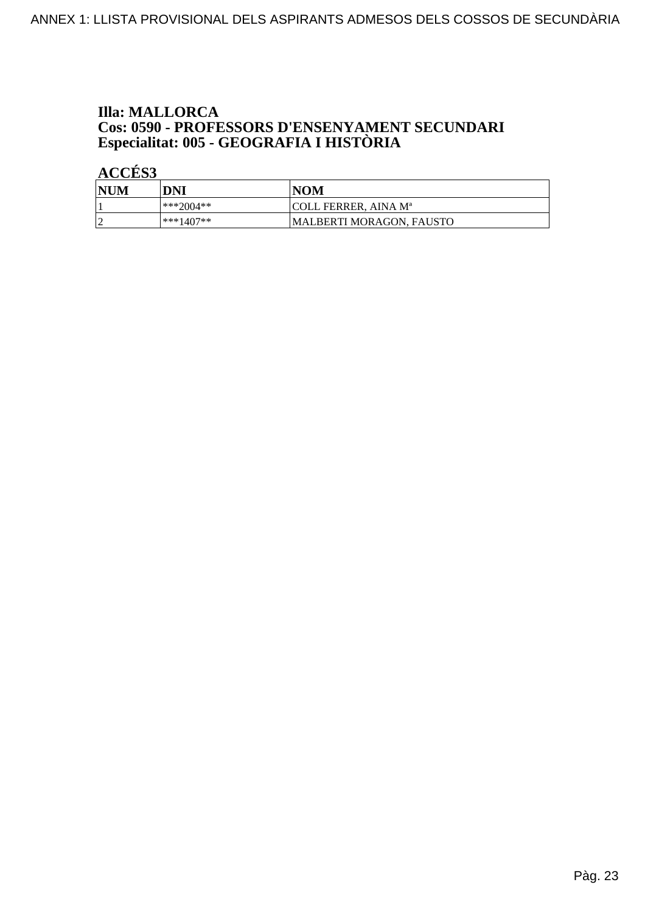## **Illa: MALLORCA Cos: 0590 - PROFESSORS D'ENSENYAMENT SECUNDARI<br>Especialitat: 005 - GEOGRAFIA I HISTÒRIA**

| NUM | DNI         | <b>NOM</b>               |
|-----|-------------|--------------------------|
|     | ***2004**   | COLL FERRER. AINA Mª     |
|     | $***1407**$ | MALBERTI MORAGON. FAUSTO |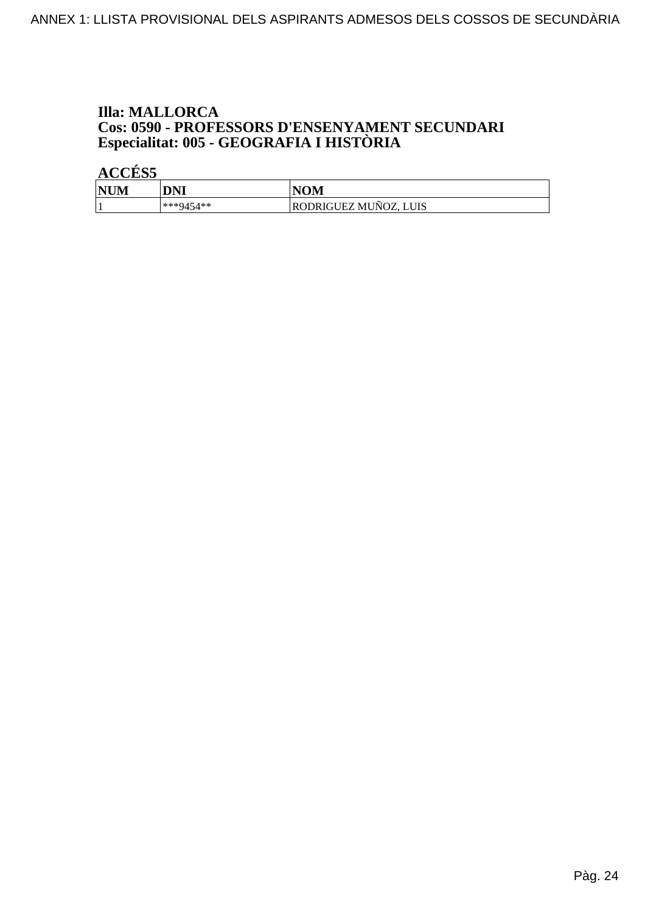## **Illa: MALLORCA Cos: 0590 - PROFESSORS D'ENSENYAMENT SECUNDARI<br>Especialitat: 005 - GEOGRAFIA I HISTÒRIA**

| <b>NUM</b><br>'N | DNI       | <b>NOM</b>                                               |
|------------------|-----------|----------------------------------------------------------|
|                  | ***9454** | $\tilde{\phantom{a}}$<br>RODRIGUEZ MUNOZ,<br><b>LUIS</b> |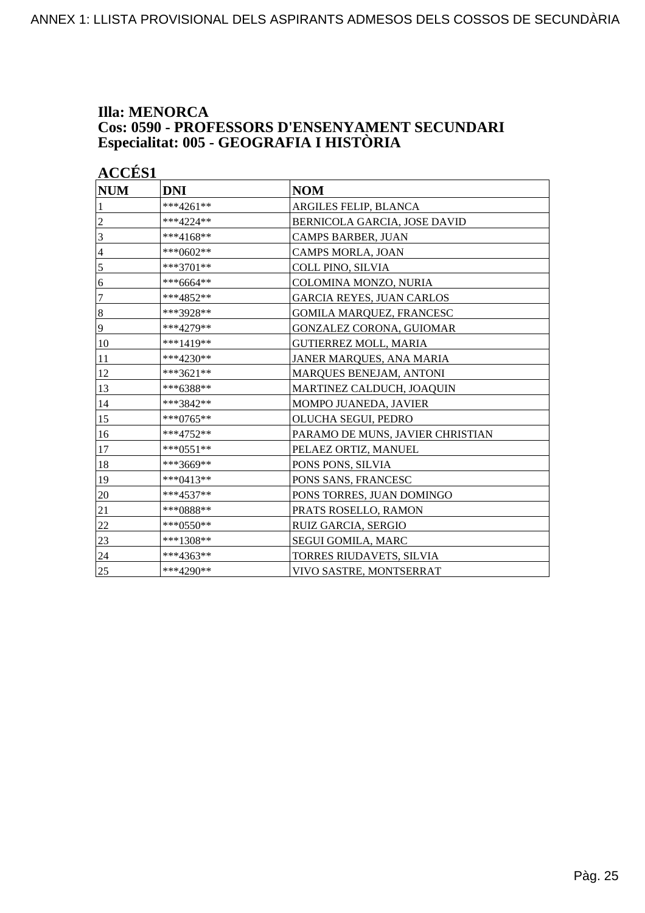### **Illa: MENORCA Cos: 0590 - PROFESSORS D'ENSENYAMENT SECUNDARI Especialitat: 005 - GEOGRAFIA I HISTÒRIA**

| <b>ACCÉS 1</b>   |             |                                  |
|------------------|-------------|----------------------------------|
| $\bf NUM$        | <b>DNI</b>  | <b>NOM</b>                       |
| 1                | ***4261**   | ARGILES FELIP, BLANCA            |
| $\boldsymbol{2}$ | ***4224**   | BERNICOLA GARCIA, JOSE DAVID     |
| $\mathfrak{Z}$   | $***4168**$ | CAMPS BARBER, JUAN               |
| 4                | ***0602**   | <b>CAMPS MORLA, JOAN</b>         |
| 5                | $***3701**$ | COLL PINO, SILVIA                |
| 6                | ***6664**   | COLOMINA MONZO, NURIA            |
| $\overline{7}$   | ***4852**   | <b>GARCIA REYES, JUAN CARLOS</b> |
| $\boldsymbol{8}$ | ***3928**   | <b>GOMILA MARQUEZ, FRANCESC</b>  |
| 9                | ***4279**   | GONZALEZ CORONA, GUIOMAR         |
| 10               | ***1419**   | GUTIERREZ MOLL, MARIA            |
| 11               | ***4230**   | JANER MARQUES, ANA MARIA         |
| 12               | ***3621**   | MARQUES BENEJAM, ANTONI          |
| 13               | ***6388**   | MARTINEZ CALDUCH, JOAQUIN        |
| 14               | ***3842**   | MOMPO JUANEDA, JAVIER            |
| 15               | ***0765**   | OLUCHA SEGUI, PEDRO              |
| 16               | ***4752**   | PARAMO DE MUNS, JAVIER CHRISTIAN |
| 17               | ***0551**   | PELAEZ ORTIZ, MANUEL             |
| 18               | ***3669**   | PONS PONS, SILVIA                |
| 19               | ***0413**   | PONS SANS, FRANCESC              |
| 20               | ***4537**   | PONS TORRES, JUAN DOMINGO        |
| 21               | ***0888**   | PRATS ROSELLO, RAMON             |
| 22               | ***0550**   | RUIZ GARCIA, SERGIO              |
| 23               | ***1308**   | SEGUI GOMILA, MARC               |
| 24               | ***4363**   | TORRES RIUDAVETS, SILVIA         |
| 25               | ***4290**   | VIVO SASTRE, MONTSERRAT          |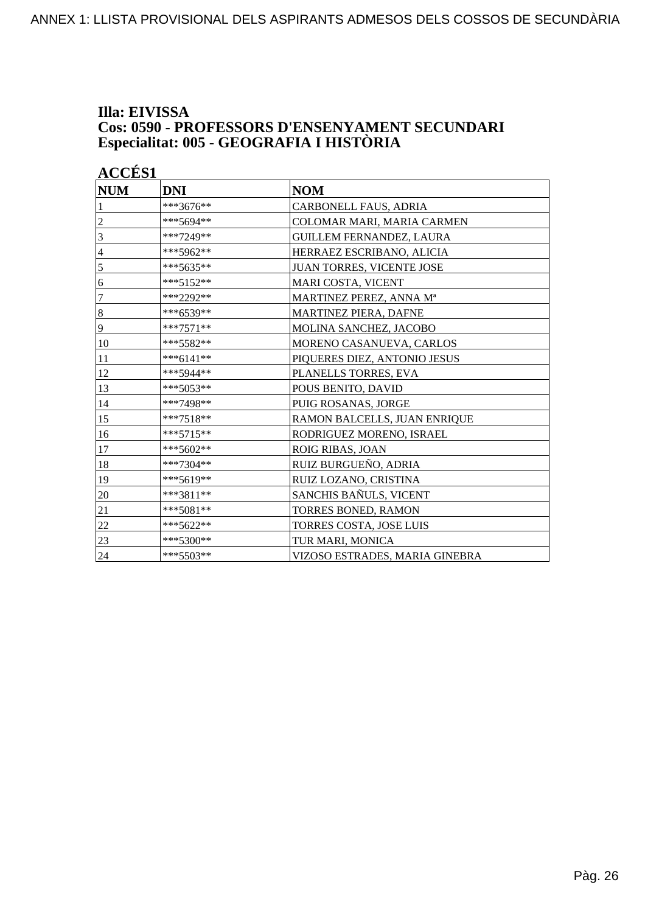### **Illa: EIVISSA Cos: 0590 - PROFESSORS D'ENSENYAMENT SECUNDARI Especialitat: 005 - GEOGRAFIA I HISTÒRIA**

| <b>ACCÉS 1</b> |             |                                 |
|----------------|-------------|---------------------------------|
| $\bf NUM$      | <b>DNI</b>  | <b>NOM</b>                      |
| 1              | ***3676**   | CARBONELL FAUS, ADRIA           |
| $\mathfrak{2}$ | ***5694**   | COLOMAR MARI, MARIA CARMEN      |
| 3              | ***7249**   | <b>GUILLEM FERNANDEZ, LAURA</b> |
| $\overline{4}$ | ***5962**   | HERRAEZ ESCRIBANO, ALICIA       |
| 5              | ***5635**   | JUAN TORRES, VICENTE JOSE       |
| 6              | ***5152**   | MARI COSTA, VICENT              |
| 7              | ***2292**   | MARTINEZ PEREZ, ANNA Mª         |
| $\bf 8$        | ***6539**   | MARTINEZ PIERA, DAFNE           |
| 9              | $***7571**$ | MOLINA SANCHEZ, JACOBO          |
| 10             | ***5582**   | MORENO CASANUEVA, CARLOS        |
| 11             | $***6141**$ | PIQUERES DIEZ, ANTONIO JESUS    |
| 12             | ***5944**   | PLANELLS TORRES, EVA            |
| 13             | ***5053**   | POUS BENITO, DAVID              |
| 14             | ***7498**   | PUIG ROSANAS, JORGE             |
| 15             | ***7518**   | RAMON BALCELLS, JUAN ENRIQUE    |
| 16             | ***5715**   | RODRIGUEZ MORENO, ISRAEL        |
| 17             | ***5602**   | ROIG RIBAS, JOAN                |
| 18             | $***7304**$ | RUIZ BURGUEÑO, ADRIA            |
| 19             | ***5619**   | RUIZ LOZANO, CRISTINA           |
| 20             | ***3811**   | SANCHIS BAÑULS, VICENT          |
| 21             | ***5081**   | TORRES BONED, RAMON             |
| 22             | ***5622**   | TORRES COSTA, JOSE LUIS         |
| 23             | ***5300**   | TUR MARI, MONICA                |
| 24             | ***5503**   | VIZOSO ESTRADES, MARIA GINEBRA  |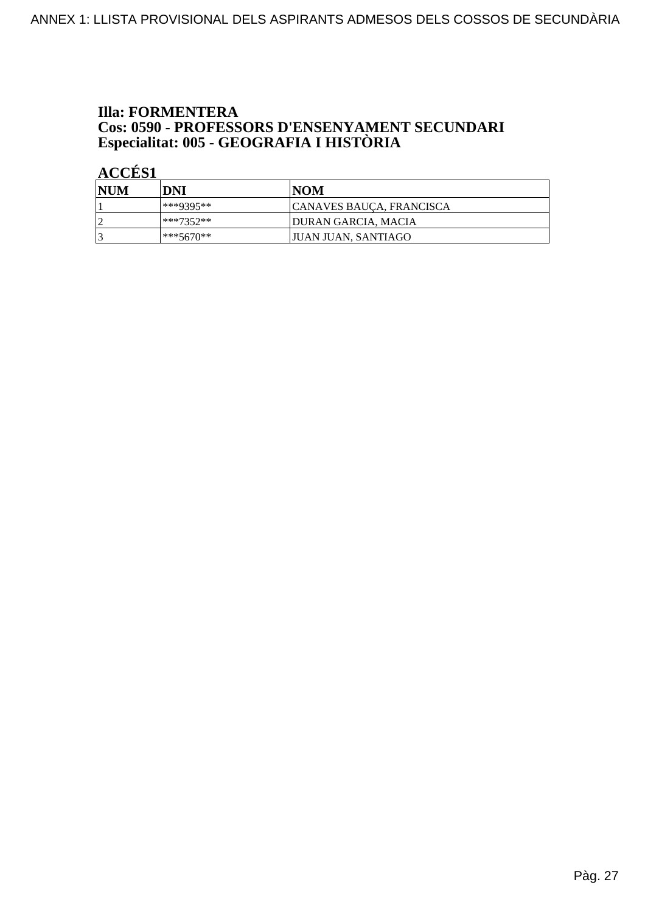## **Illa: FORMENTERA Cos: 0590 - PROFESSORS D'ENSENYAMENT SECUNDARI<br>Especialitat: 005 - GEOGRAFIA I HISTÒRIA**

| NUM | DNI         | NOM                        |
|-----|-------------|----------------------------|
|     | ***9395**   | CANAVES BAUÇA, FRANCISCA   |
| n   | $***7352**$ | <b>DURAN GARCIA, MACIA</b> |
|     | $***5670**$ | JUAN JUAN, SANTIAGO        |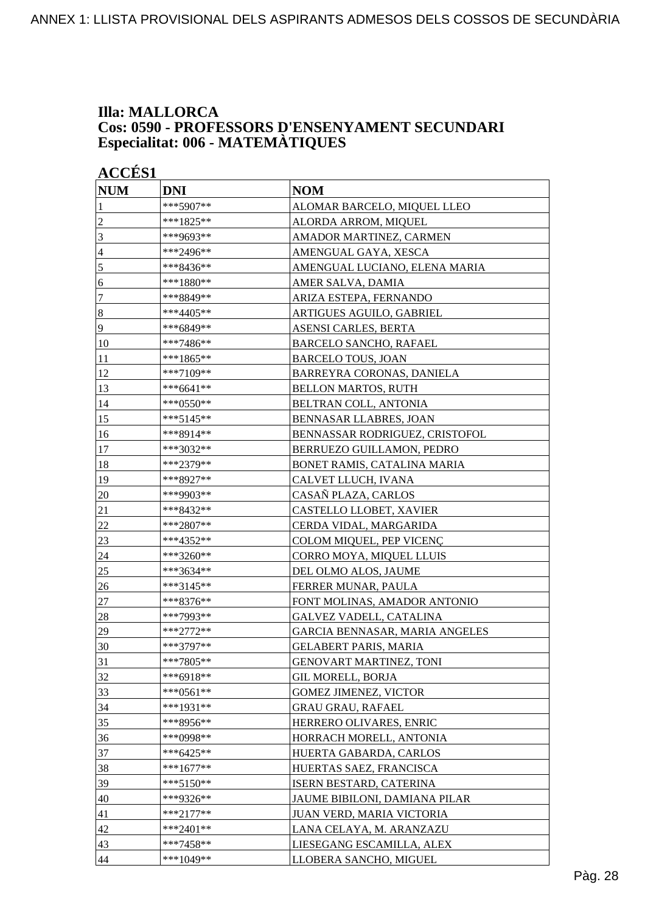### **Illa: MALLORCA Cos: 0590 - PROFESSORS D'ENSENYAMENT SECUNDARI Especialitat: 006 - MATEMÀTIQUES**

| <b>ACCÉS 1</b>   |             |                                |
|------------------|-------------|--------------------------------|
| <b>NUM</b>       | <b>DNI</b>  | <b>NOM</b>                     |
| 1                | ***5907**   | ALOMAR BARCELO, MIQUEL LLEO    |
| $\overline{c}$   | ***1825**   | ALORDA ARROM, MIQUEL           |
| 3                | ***9693**   | AMADOR MARTINEZ, CARMEN        |
| $\overline{4}$   | ***2496**   | AMENGUAL GAYA, XESCA           |
| 5                | ***8436**   | AMENGUAL LUCIANO, ELENA MARIA  |
| 6                | ***1880**   | AMER SALVA, DAMIA              |
| $\tau$           | ***8849**   | ARIZA ESTEPA, FERNANDO         |
| $\boldsymbol{8}$ | ***4405**   | ARTIGUES AGUILO, GABRIEL       |
| 9                | ***6849**   | ASENSI CARLES, BERTA           |
| 10               | ***7486**   | BARCELO SANCHO, RAFAEL         |
| 11               | ***1865**   | <b>BARCELO TOUS, JOAN</b>      |
| 12               | ***7109**   | BARREYRA CORONAS, DANIELA      |
| 13               | $***6641**$ | <b>BELLON MARTOS, RUTH</b>     |
| 14               | ***0550**   | BELTRAN COLL, ANTONIA          |
| 15               | ***5145**   | <b>BENNASAR LLABRES, JOAN</b>  |
| 16               | ***8914**   | BENNASSAR RODRIGUEZ, CRISTOFOL |
| 17               | ***3032**   | BERRUEZO GUILLAMON, PEDRO      |
| 18               | ***2379**   | BONET RAMIS, CATALINA MARIA    |
| 19               | ***8927**   | CALVET LLUCH, IVANA            |
| 20               | ***9903**   | CASAÑ PLAZA, CARLOS            |
| 21               | ***8432**   | CASTELLO LLOBET, XAVIER        |
| 22               | ***2807**   | CERDA VIDAL, MARGARIDA         |
| 23               | ***4352**   | COLOM MIQUEL, PEP VICENÇ       |
| 24               | ***3260**   | CORRO MOYA, MIQUEL LLUIS       |
| 25               | ***3634**   | DEL OLMO ALOS, JAUME           |
| 26               | ***3145**   | FERRER MUNAR, PAULA            |
| 27               | ***8376**   | FONT MOLINAS, AMADOR ANTONIO   |
| 28               | ***7993**   | <b>GALVEZ VADELL, CATALINA</b> |
| 29               | ***2772**   | GARCIA BENNASAR, MARIA ANGELES |
| 30               | ***3797**   | <b>GELABERT PARIS, MARIA</b>   |
| 31               | ***7805**   | <b>GENOVART MARTINEZ, TONI</b> |
| 32               | $***6918**$ | <b>GIL MORELL, BORJA</b>       |
| 33               | $***0561**$ | <b>GOMEZ JIMENEZ, VICTOR</b>   |
| 34               | ***1931**   | <b>GRAU GRAU, RAFAEL</b>       |
| 35               | ***8956**   | HERRERO OLIVARES, ENRIC        |
| 36               | ***0998**   | HORRACH MORELL, ANTONIA        |
| 37               | ***6425**   | HUERTA GABARDA, CARLOS         |
| 38               | $***1677**$ | HUERTAS SAEZ, FRANCISCA        |
| 39               | ***5150**   | ISERN BESTARD, CATERINA        |
| 40               | ***9326**   | JAUME BIBILONI, DAMIANA PILAR  |
| 41               | $***2177**$ | JUAN VERD, MARIA VICTORIA      |
| 42               | ***2401**   | LANA CELAYA, M. ARANZAZU       |
| 43               | ***7458**   | LIESEGANG ESCAMILLA, ALEX      |
| 44               | ***1049**   | LLOBERA SANCHO, MIGUEL         |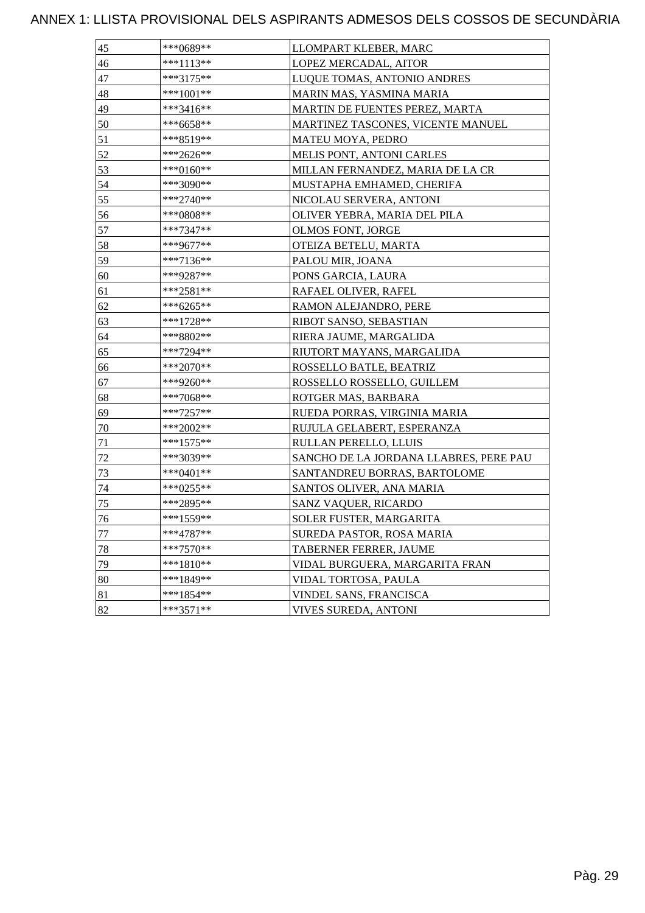| 45 | ***0689**   | LLOMPART KLEBER, MARC                  |
|----|-------------|----------------------------------------|
| 46 | ***1113**   | LOPEZ MERCADAL, AITOR                  |
| 47 | ***3175**   | LUQUE TOMAS, ANTONIO ANDRES            |
| 48 | ***1001**   | MARIN MAS, YASMINA MARIA               |
| 49 | ***3416**   | MARTIN DE FUENTES PEREZ, MARTA         |
| 50 | ***6658**   | MARTINEZ TASCONES, VICENTE MANUEL      |
| 51 | ***8519**   | MATEU MOYA, PEDRO                      |
| 52 | ***2626**   | <b>MELIS PONT, ANTONI CARLES</b>       |
| 53 | ***0160**   | MILLAN FERNANDEZ, MARIA DE LA CR       |
| 54 | ***3090**   | MUSTAPHA EMHAMED, CHERIFA              |
| 55 | ***2740**   | NICOLAU SERVERA, ANTONI                |
| 56 | ***0808**   | OLIVER YEBRA, MARIA DEL PILA           |
| 57 | ***7347**   | OLMOS FONT, JORGE                      |
| 58 | ***9677**   | OTEIZA BETELU, MARTA                   |
| 59 | ***7136**   | PALOU MIR, JOANA                       |
| 60 | ***9287**   | PONS GARCIA, LAURA                     |
| 61 | ***2581**   | RAFAEL OLIVER, RAFEL                   |
| 62 | ***6265**   | RAMON ALEJANDRO, PERE                  |
| 63 | ***1728**   | RIBOT SANSO, SEBASTIAN                 |
| 64 | ***8802**   | RIERA JAUME, MARGALIDA                 |
| 65 | ***7294**   | RIUTORT MAYANS, MARGALIDA              |
| 66 | ***2070**   | ROSSELLO BATLE, BEATRIZ                |
| 67 | ***9260**   | ROSSELLO ROSSELLO, GUILLEM             |
| 68 | ***7068**   | ROTGER MAS, BARBARA                    |
| 69 | $***7257**$ | RUEDA PORRAS, VIRGINIA MARIA           |
| 70 | ***2002**   | RUJULA GELABERT, ESPERANZA             |
| 71 | ***1575**   | RULLAN PERELLO, LLUIS                  |
| 72 | ***3039**   | SANCHO DE LA JORDANA LLABRES, PERE PAU |
| 73 | ***0401**   | SANTANDREU BORRAS, BARTOLOME           |
| 74 | ***0255**   | SANTOS OLIVER, ANA MARIA               |
| 75 | ***2895**   | SANZ VAQUER, RICARDO                   |
| 76 | ***1559**   | SOLER FUSTER, MARGARITA                |
| 77 | ***4787**   | SUREDA PASTOR, ROSA MARIA              |
| 78 | $***7570**$ | TABERNER FERRER, JAUME                 |
| 79 | $***1810**$ | VIDAL BURGUERA, MARGARITA FRAN         |
| 80 | ***1849**   | VIDAL TORTOSA, PAULA                   |
| 81 | $***1854**$ | VINDEL SANS, FRANCISCA                 |
| 82 | $***3571**$ | VIVES SUREDA, ANTONI                   |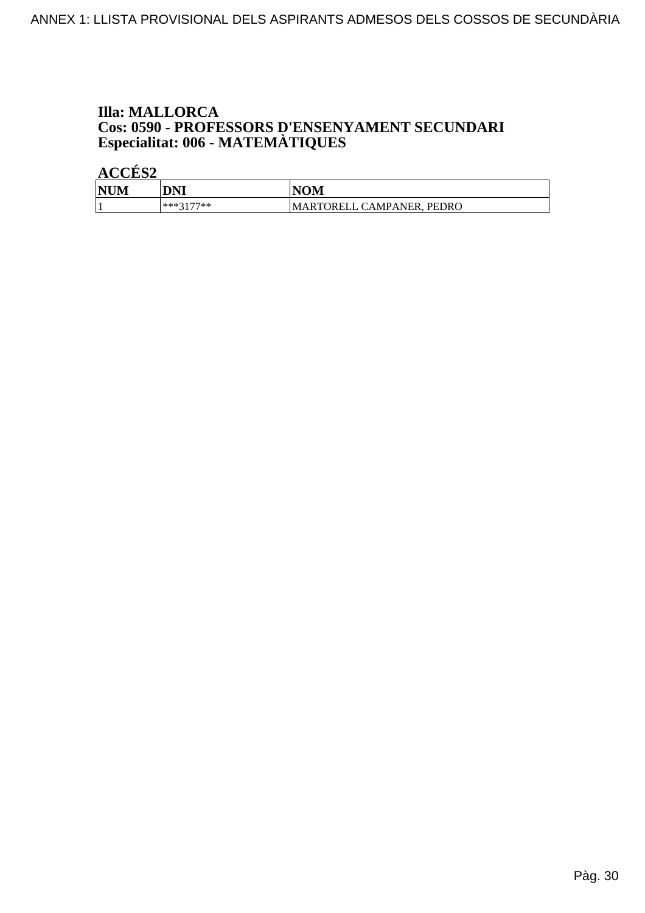## **Illa: MALLORCA Cos: 0590 - PROFESSORS D'ENSENYAMENT SECUNDARI<br>Especialitat: 006 - MATEMÀTIQUES**

| <b>NUM</b> | DNI       | VOM                            |
|------------|-----------|--------------------------------|
|            | ***3177** | . PEDRO<br>MARTORELL CAMPANER, |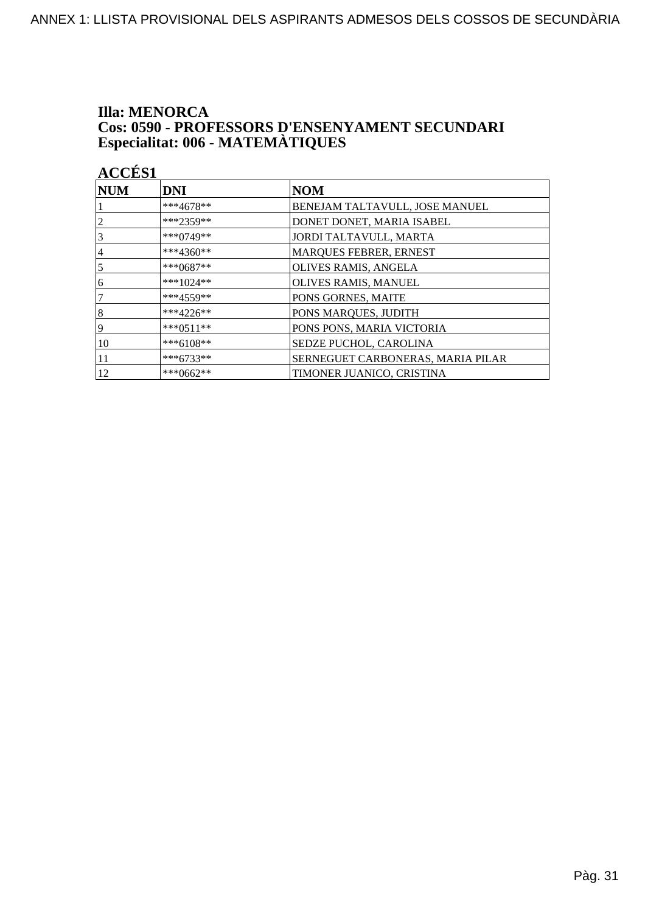# **Illa: MENORCA Cos: 0590 - PROFESSORS D'ENSENYAMENT SECUNDARI<br>Especialitat: 006 - MATEMÀTIQUES**

| $\bm{\mathsf{NUM}}$ | <b>DNI</b>  | <b>NOM</b>                        |
|---------------------|-------------|-----------------------------------|
|                     | ***4678**   | BENEJAM TALTAVULL, JOSE MANUEL    |
| 2                   | $***2359**$ | DONET DONET, MARIA ISABEL         |
| 3                   | $***0749**$ | JORDI TALTAVULL, MARTA            |
| $\overline{4}$      | $***4360**$ | MARQUES FEBRER, ERNEST            |
| 5                   | $***0687**$ | OLIVES RAMIS, ANGELA              |
| 6                   | $***1024**$ | OLIVES RAMIS, MANUEL              |
| 7                   | $***4559**$ | PONS GORNES, MAITE                |
| 8                   | $***4226**$ | PONS MARQUES, JUDITH              |
| 9                   | $***0511**$ | PONS PONS, MARIA VICTORIA         |
| 10                  | $***6108**$ | SEDZE PUCHOL, CAROLINA            |
| 11                  | $***6733**$ | SERNEGUET CARBONERAS, MARIA PILAR |
| 12                  | ***0662**   | TIMONER JUANICO, CRISTINA         |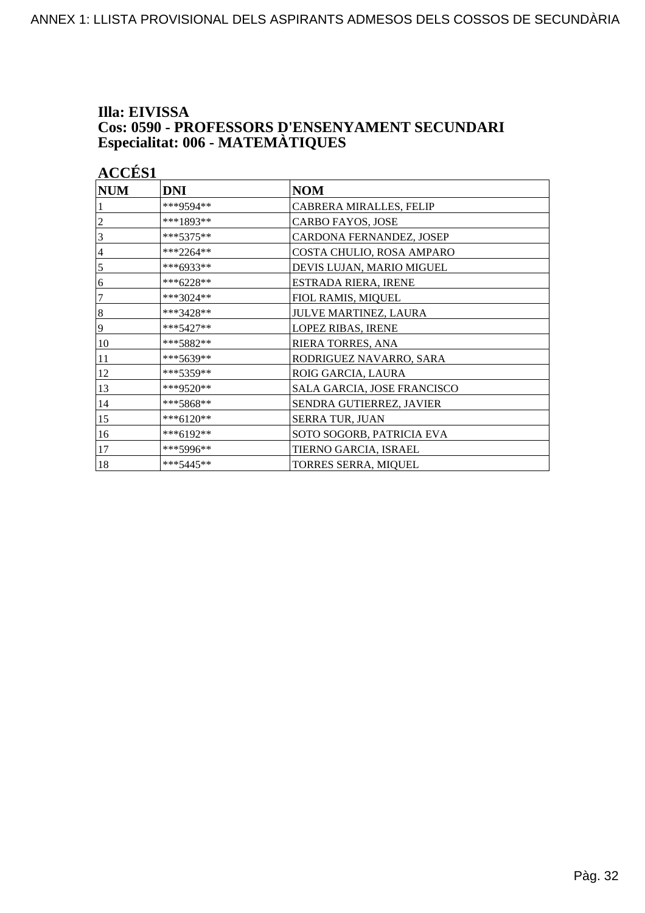# Illa: EIVISSA **Cos: 0590 - PROFESSORS D'ENSENYAMENT SECUNDARI<br>Especialitat: 006 - MATEMÀTIQUES**

| <b>ACCÉS 1</b> |             |                             |
|----------------|-------------|-----------------------------|
| <b>NUM</b>     | <b>DNI</b>  | <b>NOM</b>                  |
|                | ***9594**   | CABRERA MIRALLES, FELIP     |
| $\overline{c}$ | ***1893**   | CARBO FAYOS, JOSE           |
| 3              | $***5375**$ | CARDONA FERNANDEZ, JOSEP    |
| 4              | ***2264**   | COSTA CHULIO, ROSA AMPARO   |
| 5              | ***6933**   | DEVIS LUJAN, MARIO MIGUEL   |
| 6              | $***6228**$ | ESTRADA RIERA, IRENE        |
| 7              | ***3024**   | FIOL RAMIS, MIQUEL          |
| 8              | ***3428**   | JULVE MARTINEZ, LAURA       |
| 9              | $***5427**$ | LOPEZ RIBAS, IRENE          |
| 10             | ***5882**   | RIERA TORRES, ANA           |
| 11             | ***5639**   | RODRIGUEZ NAVARRO, SARA     |
| 12             | ***5359**   | ROIG GARCIA, LAURA          |
| 13             | ***9520**   | SALA GARCIA, JOSE FRANCISCO |
| 14             | ***5868**   | SENDRA GUTIERREZ, JAVIER    |
| 15             | ***6120**   | SERRA TUR, JUAN             |
| 16             | ***6192**   | SOTO SOGORB, PATRICIA EVA   |
| 17             | ***5996**   | TIERNO GARCIA, ISRAEL       |
| 18             | $***5445**$ | TORRES SERRA, MIQUEL        |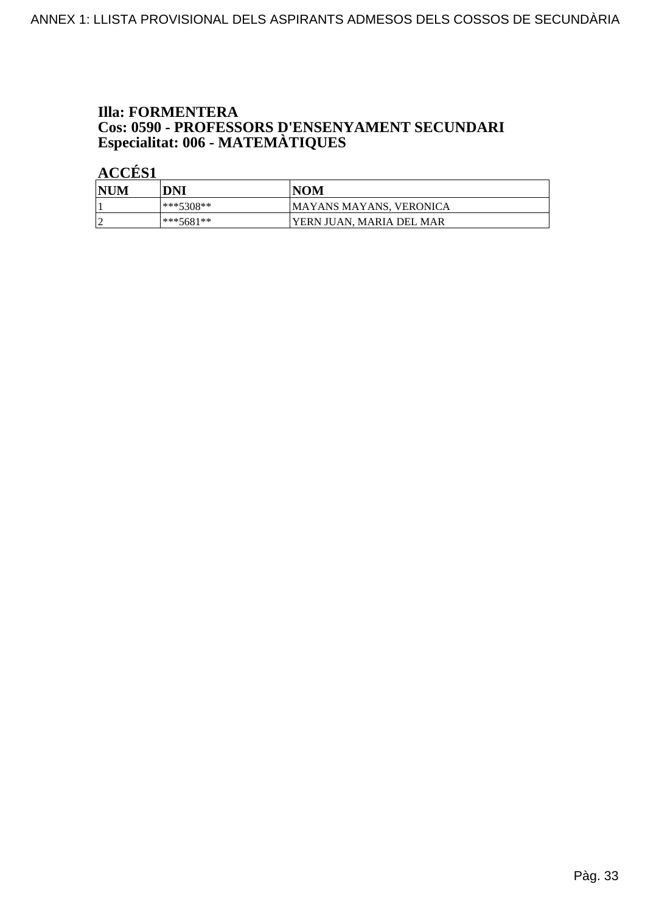## **Illa: FORMENTERA Cos: 0590 - PROFESSORS D'ENSENYAMENT SECUNDARI<br>Especialitat: 006 - MATEMÀTIQUES**

| <b>NUM</b> | DNI       | <b>NOM</b>               |
|------------|-----------|--------------------------|
|            | ***5308** | MAYANS MAYANS, VERONICA  |
|            | ***5681** | YERN JUAN. MARIA DEL MAR |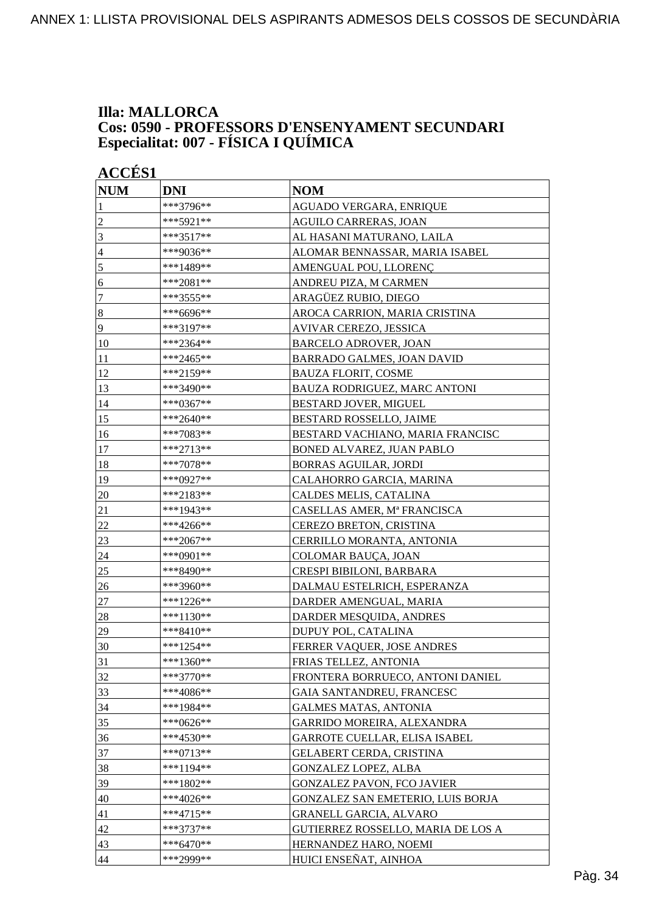### **Illa: MALLORCA Cos: 0590 - PROFESSORS D'ENSENYAMENT SECUNDARI Especialitat: 007 - FÍSICA I QUÍMICA**

| <b>ACCÉS 1</b>   |             |                                      |
|------------------|-------------|--------------------------------------|
| <b>NUM</b>       | <b>DNI</b>  | <b>NOM</b>                           |
| 1                | ***3796**   | AGUADO VERGARA, ENRIQUE              |
| $\overline{2}$   | ***5921**   | AGUILO CARRERAS, JOAN                |
| 3                | ***3517**   | AL HASANI MATURANO, LAILA            |
| $\overline{4}$   | ***9036**   | ALOMAR BENNASSAR, MARIA ISABEL       |
| 5                | ***1489**   | AMENGUAL POU, LLORENÇ                |
| 6                | ***2081**   | ANDREU PIZA, M CARMEN                |
| $\boldsymbol{7}$ | ***3555**   | ARAGÜEZ RUBIO, DIEGO                 |
| $\bf 8$          | ***6696**   | AROCA CARRION, MARIA CRISTINA        |
| 9                | ***3197**   | AVIVAR CEREZO, JESSICA               |
| 10               | ***2364**   | <b>BARCELO ADROVER, JOAN</b>         |
| 11               | ***2465**   | <b>BARRADO GALMES, JOAN DAVID</b>    |
| 12               | ***2159**   | <b>BAUZA FLORIT, COSME</b>           |
| 13               | ***3490**   | BAUZA RODRIGUEZ, MARC ANTONI         |
| 14               | ***0367**   | BESTARD JOVER, MIGUEL                |
| 15               | ***2640**   | BESTARD ROSSELLO, JAIME              |
| 16               | ***7083**   | BESTARD VACHIANO, MARIA FRANCISC     |
| 17               | ***2713**   | BONED ALVAREZ, JUAN PABLO            |
| 18               | ***7078**   | <b>BORRAS AGUILAR, JORDI</b>         |
| 19               | ***0927**   | CALAHORRO GARCIA, MARINA             |
| 20               | ***2183**   | CALDES MELIS, CATALINA               |
| 21               | ***1943**   | CASELLAS AMER, Mª FRANCISCA          |
| 22               | ***4266**   | CEREZO BRETON, CRISTINA              |
| 23               | ***2067**   | CERRILLO MORANTA, ANTONIA            |
| 24               | ***0901**   | COLOMAR BAUÇA, JOAN                  |
| 25               | ***8490**   | CRESPI BIBILONI, BARBARA             |
| 26               | ***3960**   | DALMAU ESTELRICH, ESPERANZA          |
| $27\,$           | ***1226**   | DARDER AMENGUAL, MARIA               |
| 28               | ***1130**   | DARDER MESQUIDA, ANDRES              |
| 29               | ***8410**   | DUPUY POL, CATALINA                  |
| 30               | $***1254**$ | FERRER VAQUER, JOSE ANDRES           |
| 31               | $***1360**$ | FRIAS TELLEZ, ANTONIA                |
| 32               | $***3770**$ | FRONTERA BORRUECO, ANTONI DANIEL     |
| 33               | ***4086**   | <b>GAIA SANTANDREU, FRANCESC</b>     |
| 34               | ***1984**   | <b>GALMES MATAS, ANTONIA</b>         |
| 35               | ***0626**   | GARRIDO MOREIRA, ALEXANDRA           |
| 36               | ***4530**   | <b>GARROTE CUELLAR, ELISA ISABEL</b> |
| 37               | ***0713**   | GELABERT CERDA, CRISTINA             |
| 38               | ***1194**   | <b>GONZALEZ LOPEZ, ALBA</b>          |
| 39               | ***1802**   | <b>GONZALEZ PAVON, FCO JAVIER</b>    |
| 40               | ***4026**   | GONZALEZ SAN EMETERIO, LUIS BORJA    |
| 41               | ***4715**   | <b>GRANELL GARCIA, ALVARO</b>        |
| 42               | ***3737**   | GUTIERREZ ROSSELLO, MARIA DE LOS A   |
| 43               | ***6470**   | HERNANDEZ HARO, NOEMI                |
| 44               | ***2999**   | HUICI ENSEÑAT, AINHOA                |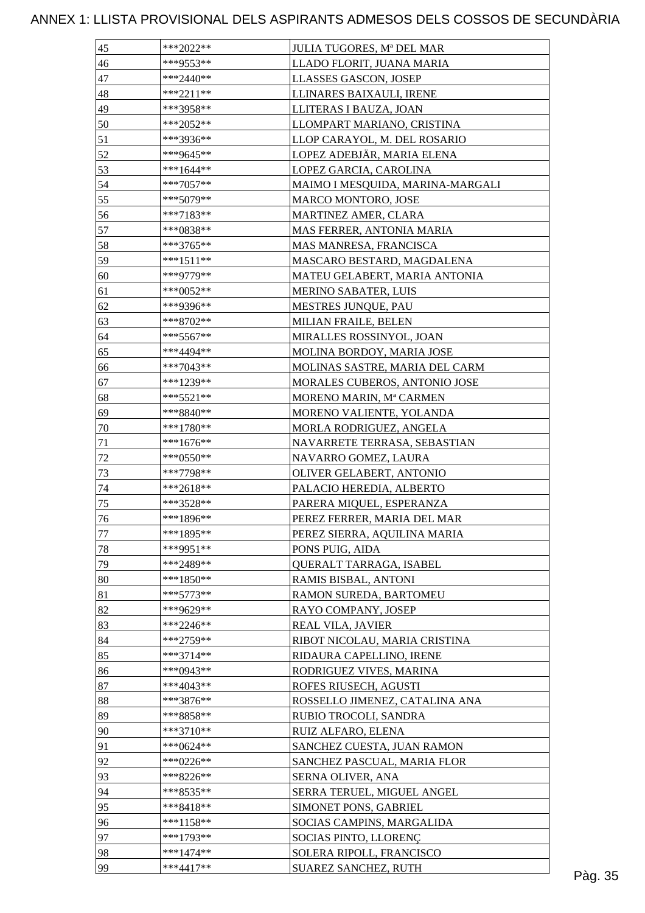| 46<br>***9553**<br>LLADO FLORIT, JUANA MARIA<br>47<br>$***2440**$<br>LLASSES GASCON, JOSEP<br>48<br>$***2211**$<br>LLINARES BAIXAULI, IRENE<br>49<br>***3958**<br>LLITERAS I BAUZA, JOAN |         |
|------------------------------------------------------------------------------------------------------------------------------------------------------------------------------------------|---------|
|                                                                                                                                                                                          |         |
|                                                                                                                                                                                          |         |
|                                                                                                                                                                                          |         |
|                                                                                                                                                                                          |         |
| 50<br>***2052**<br>LLOMPART MARIANO, CRISTINA                                                                                                                                            |         |
| 51<br>***3936**<br>LLOP CARAYOL, M. DEL ROSARIO                                                                                                                                          |         |
| 52<br>LOPEZ ADEBJÄR, MARIA ELENA<br>***9645**                                                                                                                                            |         |
| 53<br>***1644**<br>LOPEZ GARCIA, CAROLINA                                                                                                                                                |         |
| 54<br>$***7057**$<br>MAIMO I MESQUIDA, MARINA-MARGALI                                                                                                                                    |         |
| 55<br>***5079**<br>MARCO MONTORO, JOSE                                                                                                                                                   |         |
| 56<br>***7183**<br>MARTINEZ AMER, CLARA                                                                                                                                                  |         |
| 57<br>***0838**<br>MAS FERRER, ANTONIA MARIA                                                                                                                                             |         |
| 58<br>***3765**<br>MAS MANRESA, FRANCISCA                                                                                                                                                |         |
| 59<br>$***1511**$<br>MASCARO BESTARD, MAGDALENA                                                                                                                                          |         |
| ***9779**<br>60<br>MATEU GELABERT, MARIA ANTONIA                                                                                                                                         |         |
| 61<br>***0052**<br><b>MERINO SABATER, LUIS</b>                                                                                                                                           |         |
| 62<br>***9396**<br>MESTRES JUNQUE, PAU                                                                                                                                                   |         |
| 63<br>$***8702**$<br>MILIAN FRAILE, BELEN                                                                                                                                                |         |
| 64<br>***5567**<br>MIRALLES ROSSINYOL, JOAN                                                                                                                                              |         |
| 65<br>***4494**<br>MOLINA BORDOY, MARIA JOSE                                                                                                                                             |         |
| $***7043**$<br>MOLINAS SASTRE, MARIA DEL CARM<br>66                                                                                                                                      |         |
| 67<br>***1239**<br>MORALES CUBEROS, ANTONIO JOSE                                                                                                                                         |         |
| 68<br>***5521**<br>MORENO MARIN, Mª CARMEN                                                                                                                                               |         |
|                                                                                                                                                                                          |         |
| 69<br>***8840**<br>MORENO VALIENTE, YOLANDA                                                                                                                                              |         |
| 70<br>$***1780**$<br>MORLA RODRIGUEZ, ANGELA                                                                                                                                             |         |
| 71<br>$***1676**$<br>NAVARRETE TERRASA, SEBASTIAN                                                                                                                                        |         |
| 72<br>***0550**<br>NAVARRO GOMEZ, LAURA                                                                                                                                                  |         |
| 73<br>***7798**<br>OLIVER GELABERT, ANTONIO                                                                                                                                              |         |
| 74<br>***2618**<br>PALACIO HEREDIA, ALBERTO                                                                                                                                              |         |
| 75<br>***3528**<br>PARERA MIQUEL, ESPERANZA                                                                                                                                              |         |
| ***1896**<br>PEREZ FERRER, MARIA DEL MAR<br>76                                                                                                                                           |         |
| ***1895**<br>77<br>PEREZ SIERRA, AQUILINA MARIA                                                                                                                                          |         |
| 78<br>***9951**<br>PONS PUIG, AIDA                                                                                                                                                       |         |
| 79<br>***2489**<br>QUERALT TARRAGA, ISABEL                                                                                                                                               |         |
| 80<br>***1850**<br>RAMIS BISBAL, ANTONI                                                                                                                                                  |         |
| 81<br>***5773**<br>RAMON SUREDA, BARTOMEU                                                                                                                                                |         |
| 82<br>***9629**<br>RAYO COMPANY, JOSEP                                                                                                                                                   |         |
| 83<br>REAL VILA, JAVIER<br>***2246**                                                                                                                                                     |         |
| 84<br>$***2759**$<br>RIBOT NICOLAU, MARIA CRISTINA                                                                                                                                       |         |
| 85<br>$***3714**$<br>RIDAURA CAPELLINO, IRENE                                                                                                                                            |         |
| 86<br>***0943**<br>RODRIGUEZ VIVES, MARINA                                                                                                                                               |         |
| 87<br>***4043**<br>ROFES RIUSECH, AGUSTI                                                                                                                                                 |         |
| 88<br>***3876**<br>ROSSELLO JIMENEZ, CATALINA ANA                                                                                                                                        |         |
| 89<br>***8858**<br>RUBIO TROCOLI, SANDRA                                                                                                                                                 |         |
| 90<br>***3710**<br>RUIZ ALFARO, ELENA                                                                                                                                                    |         |
| 91<br>***0624**<br>SANCHEZ CUESTA, JUAN RAMON                                                                                                                                            |         |
| 92<br>***0226**<br>SANCHEZ PASCUAL, MARIA FLOR                                                                                                                                           |         |
| 93<br>***8226**<br>SERNA OLIVER, ANA                                                                                                                                                     |         |
| 94<br>***8535**<br>SERRA TERUEL, MIGUEL ANGEL                                                                                                                                            |         |
| 95<br>***8418**<br>SIMONET PONS, GABRIEL                                                                                                                                                 |         |
| $***1158**$<br>SOCIAS CAMPINS, MARGALIDA<br>96                                                                                                                                           |         |
| 97<br>***1793**<br>SOCIAS PINTO, LLORENÇ                                                                                                                                                 |         |
| 98<br>$***1474**$<br>SOLERA RIPOLL, FRANCISCO                                                                                                                                            |         |
| 99<br>$***4417**$<br>SUAREZ SANCHEZ, RUTH                                                                                                                                                | Pàg. 35 |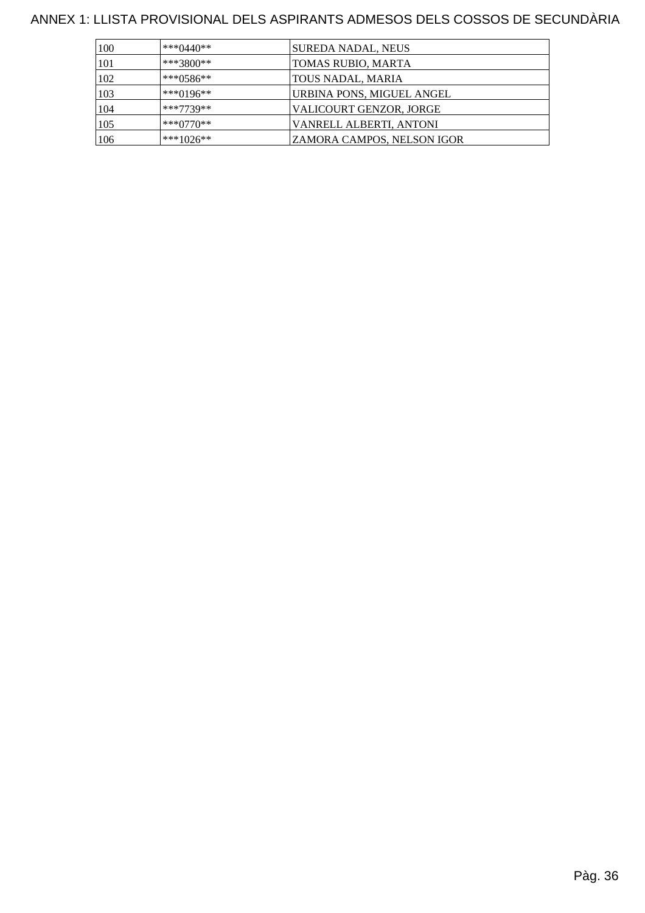| 100 | *** $0440**$ | SUREDA NADAL, NEUS                |
|-----|--------------|-----------------------------------|
| 101 | $***3800**$  | TOMAS RUBIO, MARTA                |
| 102 | $***0586**$  | TOUS NADAL, MARIA                 |
| 103 | $***0196**$  | URBINA PONS, MIGUEL ANGEL         |
| 104 | ***7739**    | VALICOURT GENZOR, JORGE           |
| 105 | $***0770**$  | VANRELL ALBERTI, ANTONI           |
| 106 | $***1026**$  | <b>ZAMORA CAMPOS, NELSON IGOR</b> |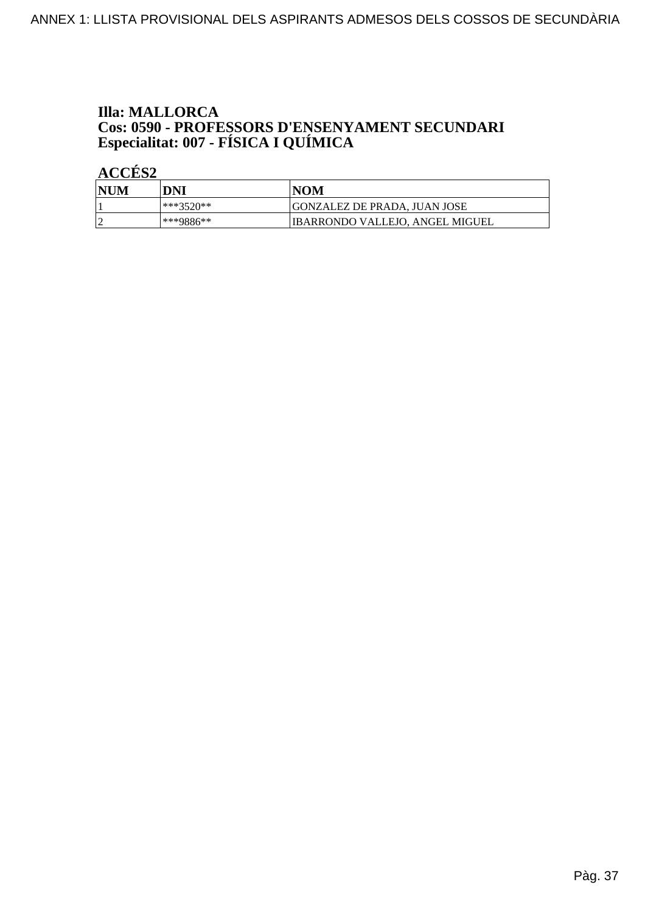# **Illa: MALLORCA Cos: 0590 - PROFESSORS D'ENSENYAMENT SECUNDARI<br>Especialitat: 007 - FÍSICA I QUÍMICA**

| 'NUM | DNI       | <b>NOM</b>                       |
|------|-----------|----------------------------------|
|      | ***3520** | GONZALEZ DE PRADA. JUAN JOSE     |
|      | ***9886** | 'IBARRONDO VALLEJO, ANGEL MIGUEL |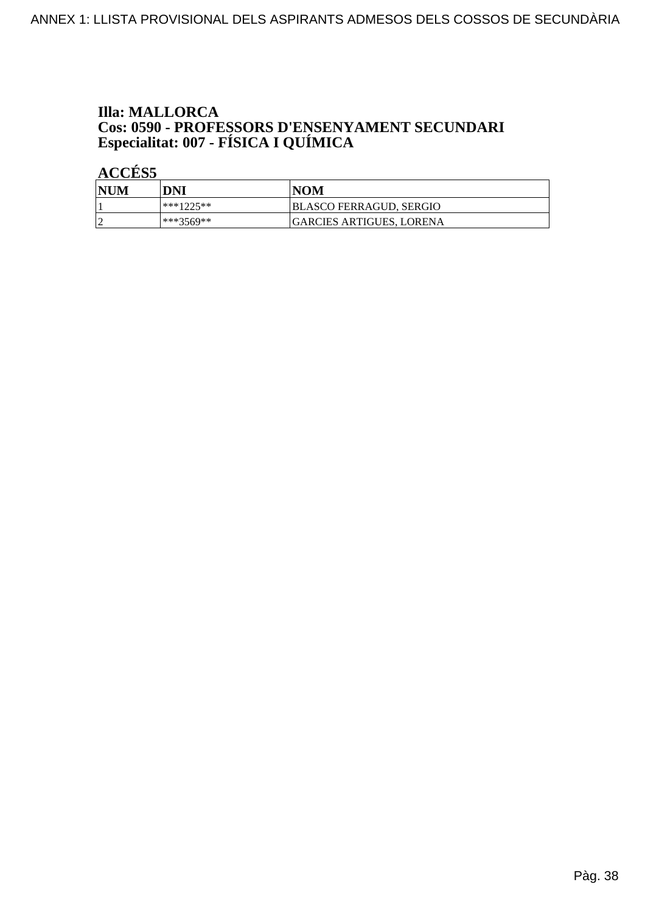# **Illa: MALLORCA Cos: 0590 - PROFESSORS D'ENSENYAMENT SECUNDARI<br>Especialitat: 007 - FÍSICA I QUÍMICA**

| NUM | DNI       | <b>NOM</b>               |
|-----|-----------|--------------------------|
|     | ***1225** | BLASCO FERRAGUD, SERGIO  |
|     | ***3569** | GARCIES ARTIGUES. LORENA |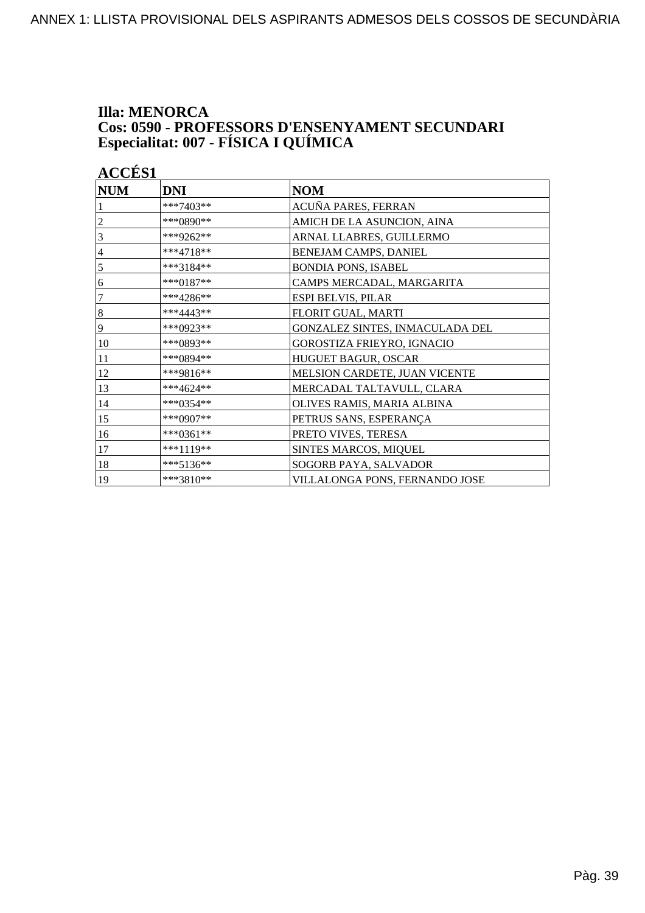# **Illa: MENORCA Cos: 0590 - PROFESSORS D'ENSENYAMENT SECUNDARI<br>Especialitat: 007 - FÍSICA I QUÍMICA**

|            | <b>ACCÉS 1</b> |                                 |  |
|------------|----------------|---------------------------------|--|
| <b>NUM</b> | <b>DNI</b>     | <b>NOM</b>                      |  |
|            | ***7403**      | ACUÑA PARES, FERRAN             |  |
| 2          | ***0890**      | AMICH DE LA ASUNCION, AINA      |  |
| 3          | ***9262**      | ARNAL LLABRES, GUILLERMO        |  |
| 4          | $***4718**$    | BENEJAM CAMPS, DANIEL           |  |
| 5          | ***3184**      | <b>BONDIA PONS, ISABEL</b>      |  |
| 6          | ***0187**      | CAMPS MERCADAL, MARGARITA       |  |
| 7          | ***4286**      | <b>ESPI BELVIS, PILAR</b>       |  |
| $\,8\,$    | ***4443**      | FLORIT GUAL, MARTI              |  |
| 9          | ***0923**      | GONZALEZ SINTES, INMACULADA DEL |  |
| 10         | ***0893**      | GOROSTIZA FRIEYRO, IGNACIO      |  |
| 11         | ***0894**      | HUGUET BAGUR, OSCAR             |  |
| 12         | ***9816**      | MELSION CARDETE, JUAN VICENTE   |  |
| 13         | ***4624**      | MERCADAL TALTAVULL, CLARA       |  |
| 14         | ***0354**      | OLIVES RAMIS, MARIA ALBINA      |  |
| 15         | ***0907**      | PETRUS SANS, ESPERANÇA          |  |
| 16         | ***0361**      | PRETO VIVES, TERESA             |  |
| 17         | ***1119**      | SINTES MARCOS, MIQUEL           |  |
| 18         | $***5136**$    | SOGORB PAYA, SALVADOR           |  |
| 19         | $***3810**$    | VILLALONGA PONS, FERNANDO JOSE  |  |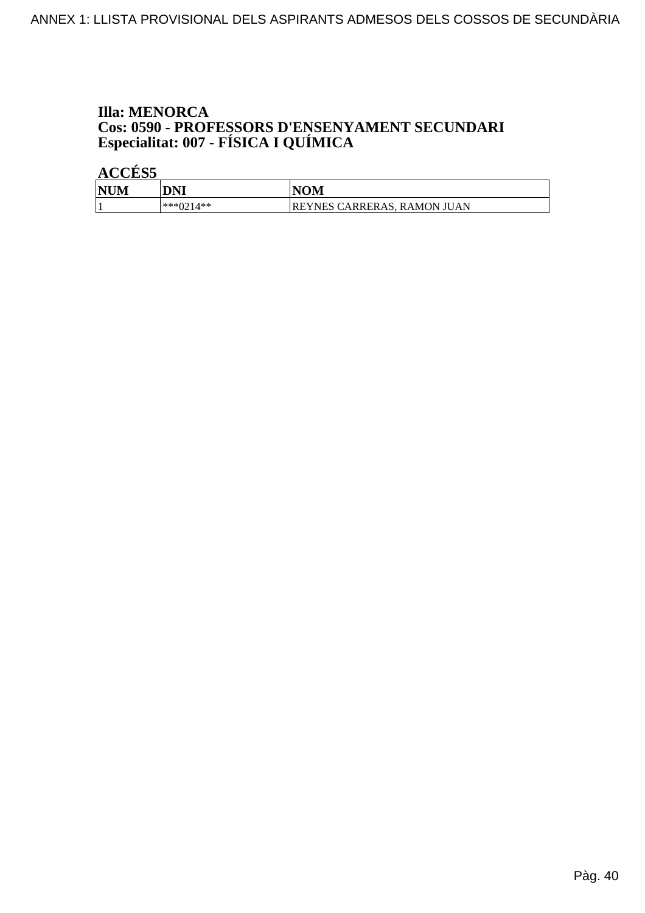## **Illa: MENORCA Cos: 0590 - PROFESSORS D'ENSENYAMENT SECUNDARI<br>Especialitat: 007 - FÍSICA I QUÍMICA**

| <b>NU'</b><br>IМ | DNI          | VOM                                     |
|------------------|--------------|-----------------------------------------|
|                  | 4**<br>***∩′ | <b>REYNES CARRERAS,</b><br>. RAMON JUAN |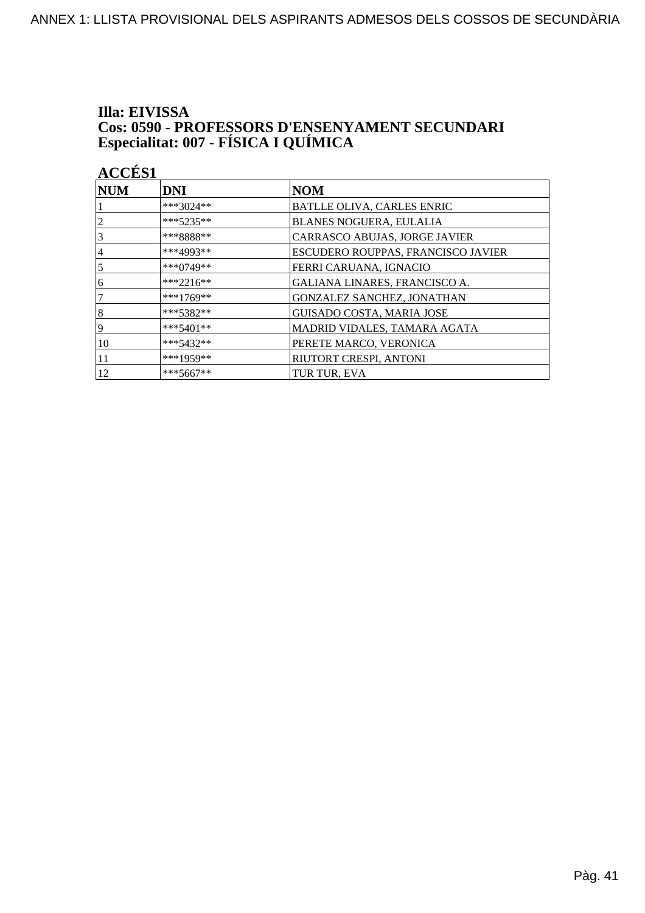# Illa: EIVISSA **Cos: 0590 - PROFESSORS D'ENSENYAMENT SECUNDARI<br>Especialitat: 007 - FÍSICA I QUÍMICA**

| <b>ACCÉS1</b> |           |  |  |
|---------------|-----------|--|--|
| INUM          | DNI       |  |  |
|               | ***3024** |  |  |

| $\bm{\mathsf{NUM}}$ | <b>DNI</b>   | <b>NOM</b>                         |
|---------------------|--------------|------------------------------------|
|                     | ***3024**    | BATLLE OLIVA, CARLES ENRIC         |
|                     | $***5235**$  | <b>BLANES NOGUERA, EULALIA</b>     |
| 3                   | ***8888**    | CARRASCO ABUJAS, JORGE JAVIER      |
| 4                   | ***4993**    | ESCUDERO ROUPPAS, FRANCISCO JAVIER |
| 5                   | *** $0749**$ | FERRI CARUANA, IGNACIO             |
| 6                   | $***2216**$  | GALIANA LINARES, FRANCISCO A.      |
|                     | ***1769**    | <b>GONZALEZ SANCHEZ, JONATHAN</b>  |
| 8                   | $***5382**$  | <b>GUISADO COSTA, MARIA JOSE</b>   |
| 9                   | $***5401**$  | MADRID VIDALES, TAMARA AGATA       |
| 10                  | $***5432**$  | PERETE MARCO, VERONICA             |
| 11                  | ***1959**    | RIUTORT CRESPI, ANTONI             |
| 12                  | $***5667**$  | TUR TUR, EVA                       |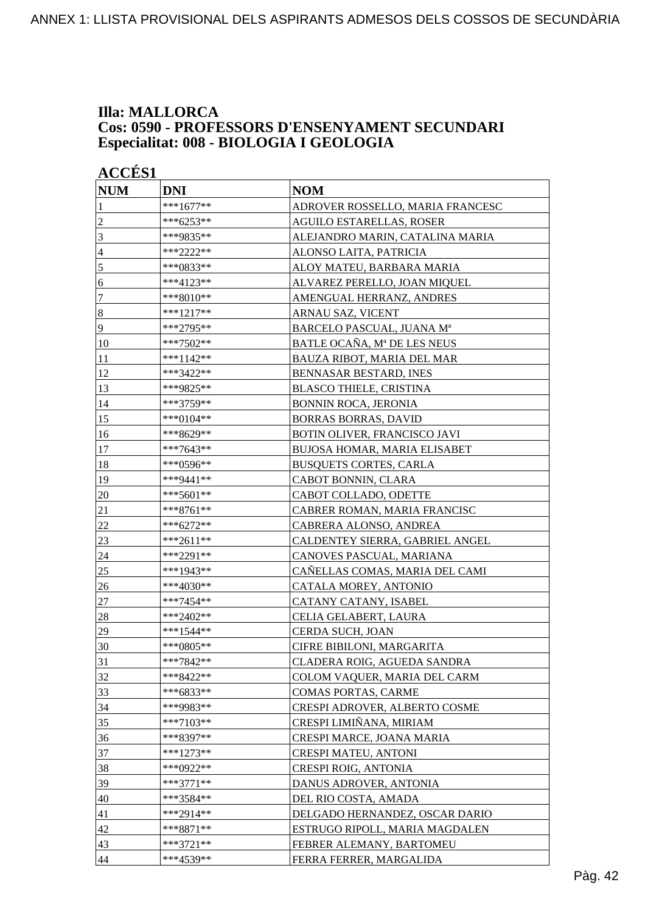#### **Illa: MALLORCA Cos: 0590 - PROFESSORS D'ENSENYAMENT SECUNDARI Especialitat: 008 - BIOLOGIA I GEOLOGIA**

|                | <b>ACCÉS 1</b> |                                      |  |
|----------------|----------------|--------------------------------------|--|
| <b>NUM</b>     | <b>DNI</b>     | <b>NOM</b>                           |  |
| 1              | ***1677**      | ADROVER ROSSELLO, MARIA FRANCESC     |  |
| $\overline{c}$ | ***6253**      | <b>AGUILO ESTARELLAS, ROSER</b>      |  |
| 3              | ***9835**      | ALEJANDRO MARIN, CATALINA MARIA      |  |
| $\overline{4}$ | ***2222**      | ALONSO LAITA, PATRICIA               |  |
| 5              | ***0833**      | ALOY MATEU, BARBARA MARIA            |  |
| 6              | ***4123**      | ALVAREZ PERELLO, JOAN MIQUEL         |  |
| 7              | ***8010**      | AMENGUAL HERRANZ, ANDRES             |  |
| $\bf 8$        | ***1217**      | ARNAU SAZ, VICENT                    |  |
| 9              | ***2795**      | BARCELO PASCUAL, JUANA Mª            |  |
| 10             | ***7502**      | BATLE OCAÑA, Mª DE LES NEUS          |  |
| 11             | ***1142**      | BAUZA RIBOT, MARIA DEL MAR           |  |
| 12             | ***3422**      | BENNASAR BESTARD, INES               |  |
| 13             | ***9825**      | <b>BLASCO THIELE, CRISTINA</b>       |  |
| 14             | ***3759**      | <b>BONNIN ROCA, JERONIA</b>          |  |
| 15             | ***0104**      | <b>BORRAS BORRAS, DAVID</b>          |  |
| 16             | ***8629**      | BOTIN OLIVER, FRANCISCO JAVI         |  |
| 17             | ***7643**      | BUJOSA HOMAR, MARIA ELISABET         |  |
| 18             | ***0596**      | <b>BUSQUETS CORTES, CARLA</b>        |  |
| 19             | ***9441**      | CABOT BONNIN, CLARA                  |  |
| 20             | ***5601**      | CABOT COLLADO, ODETTE                |  |
| 21             | ***8761**      | CABRER ROMAN, MARIA FRANCISC         |  |
| 22             | ***6272**      | CABRERA ALONSO, ANDREA               |  |
| 23             | ***2611**      | CALDENTEY SIERRA, GABRIEL ANGEL      |  |
| 24             | ***2291**      | CANOVES PASCUAL, MARIANA             |  |
| 25             | ***1943**      | CAÑELLAS COMAS, MARIA DEL CAMI       |  |
| 26             | ***4030**      | CATALA MOREY, ANTONIO                |  |
| $27\,$         | ***7454**      | CATANY CATANY, ISABEL                |  |
| 28             | ***2402**      | CELIA GELABERT, LAURA                |  |
| 29             | ***1544**      | CERDA SUCH, JOAN                     |  |
| 30             | ***0805**      | CIFRE BIBILONI, MARGARITA            |  |
| 31             | ***7842**      | CLADERA ROIG, AGUEDA SANDRA          |  |
| 32             | ***8422**      | COLOM VAQUER, MARIA DEL CARM         |  |
| 33             | ***6833**      | <b>COMAS PORTAS, CARME</b>           |  |
| 34             | ***9983**      | <b>CRESPI ADROVER, ALBERTO COSME</b> |  |
| 35             | ***7103**      | CRESPI LIMIÑANA, MIRIAM              |  |
| 36             | ***8397**      | CRESPI MARCE, JOANA MARIA            |  |
| 37             | ***1273**      | <b>CRESPI MATEU, ANTONI</b>          |  |
| 38             | ***0922**      | <b>CRESPI ROIG, ANTONIA</b>          |  |
| 39             | ***3771**      | DANUS ADROVER, ANTONIA               |  |
| 40             | ***3584**      | DEL RIO COSTA, AMADA                 |  |
| 41             | ***2914**      | DELGADO HERNANDEZ, OSCAR DARIO       |  |
| 42             | ***8871**      | ESTRUGO RIPOLL, MARIA MAGDALEN       |  |
| 43             | $***3721**$    | FEBRER ALEMANY, BARTOMEU             |  |
| 44             | ***4539**      | FERRA FERRER, MARGALIDA              |  |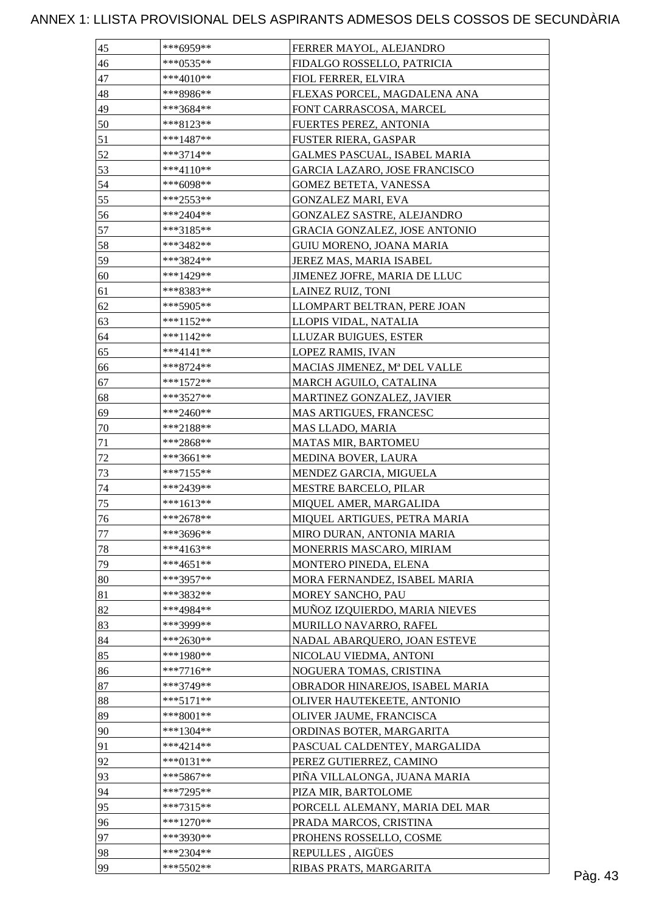| 46<br>***0535**<br>FIDALGO ROSSELLO, PATRICIA<br>47<br>$***4010**$<br>FIOL FERRER, ELVIRA<br>48<br>***8986**<br>FLEXAS PORCEL, MAGDALENA ANA<br>49<br>***3684**<br>FONT CARRASCOSA, MARCEL<br>50<br>***8123**<br>FUERTES PEREZ, ANTONIA<br>51<br>$***1487**$<br><b>FUSTER RIERA, GASPAR</b><br>52<br>$***3714**$<br>GALMES PASCUAL, ISABEL MARIA<br>53<br>***4110**<br>GARCIA LAZARO, JOSE FRANCISCO<br>54<br>***6098**<br><b>GOMEZ BETETA, VANESSA</b><br>55<br>***2553**<br><b>GONZALEZ MARI, EVA</b><br>56<br>***2404**<br>GONZALEZ SASTRE, ALEJANDRO<br>57<br>***3185**<br>GRACIA GONZALEZ, JOSE ANTONIO<br>58<br>GUIU MORENO, JOANA MARIA<br>***3482**<br>59<br>***3824**<br>JEREZ MAS, MARIA ISABEL<br>60<br>***1429**<br>JIMENEZ JOFRE, MARIA DE LLUC<br>LAINEZ RUIZ, TONI<br>61<br>***8383**<br>62<br>***5905**<br>LLOMPART BELTRAN, PERE JOAN<br>63<br>$***1152**$<br>LLOPIS VIDAL, NATALIA<br>64<br>***1142**<br>LLUZAR BUIGUES, ESTER<br>65<br>$***4141**$<br>LOPEZ RAMIS, IVAN<br>66<br>$***8724**$<br>MACIAS JIMENEZ, Mª DEL VALLE<br>67<br>***1572**<br>MARCH AGUILO, CATALINA<br>68<br>***3527**<br>MARTINEZ GONZALEZ, JAVIER<br>69<br>***2460**<br>MAS ARTIGUES, FRANCESC<br>70<br>***2188**<br><b>MAS LLADO, MARIA</b><br>71<br>***2868**<br>MATAS MIR, BARTOMEU<br>72<br>***3661**<br><b>MEDINA BOVER, LAURA</b><br>73<br>***7155**<br>MENDEZ GARCIA, MIGUELA<br>$74\,$<br>***2439**<br><b>MESTRE BARCELO, PILAR</b><br>75<br>$***1613**$<br>MIQUEL AMER, MARGALIDA<br>76<br>MIQUEL ARTIGUES, PETRA MARIA<br>***2678**<br>77<br>***3696**<br>MIRO DURAN, ANTONIA MARIA<br>$78\,$<br>$***4163**$<br>MONERRIS MASCARO, MIRIAM<br>79<br>$***4651**$<br>MONTERO PINEDA, ELENA<br>80<br>***3957**<br>MORA FERNANDEZ, ISABEL MARIA<br>81<br>***3832**<br>MOREY SANCHO, PAU<br>82<br>MUÑOZ IZQUIERDO, MARIA NIEVES<br>***4984**<br>83<br>***3999**<br>MURILLO NAVARRO, RAFEL<br>84<br>$***2630**$<br>NADAL ABARQUERO, JOAN ESTEVE<br>85<br>***1980**<br>NICOLAU VIEDMA, ANTONI<br>86<br>$***7716**$<br>NOGUERA TOMAS, CRISTINA<br>87<br>***3749**<br>OBRADOR HINAREJOS, ISABEL MARIA<br>88<br>$***5171**$<br>OLIVER HAUTEKEETE, ANTONIO<br>89<br>$***8001**$<br>OLIVER JAUME, FRANCISCA<br>90<br>$***1304**$<br>ORDINAS BOTER, MARGARITA<br>91<br>PASCUAL CALDENTEY, MARGALIDA<br>$***4214**$<br>92<br>***0131**<br>PEREZ GUTIERREZ, CAMINO<br>93<br>$***5867**$<br>PIÑA VILLALONGA, JUANA MARIA<br>94<br>$***7295**$<br>PIZA MIR, BARTOLOME<br>95<br>***7315**<br>PORCELL ALEMANY, MARIA DEL MAR<br>96<br>$***1270**$<br>PRADA MARCOS, CRISTINA<br>97<br>***3930**<br>PROHENS ROSSELLO, COSME<br>98<br>$***2304**$<br>REPULLES, AIGÜES | 45 | ***6959** | FERRER MAYOL, ALEJANDRO |         |
|----------------------------------------------------------------------------------------------------------------------------------------------------------------------------------------------------------------------------------------------------------------------------------------------------------------------------------------------------------------------------------------------------------------------------------------------------------------------------------------------------------------------------------------------------------------------------------------------------------------------------------------------------------------------------------------------------------------------------------------------------------------------------------------------------------------------------------------------------------------------------------------------------------------------------------------------------------------------------------------------------------------------------------------------------------------------------------------------------------------------------------------------------------------------------------------------------------------------------------------------------------------------------------------------------------------------------------------------------------------------------------------------------------------------------------------------------------------------------------------------------------------------------------------------------------------------------------------------------------------------------------------------------------------------------------------------------------------------------------------------------------------------------------------------------------------------------------------------------------------------------------------------------------------------------------------------------------------------------------------------------------------------------------------------------------------------------------------------------------------------------------------------------------------------------------------------------------------------------------------------------------------------------------------------------------------------------------------------------------------------------------------------------------------------------------------------------------------------------------------------------------------------------------------------------------------------------------------------------------------------------------------------------|----|-----------|-------------------------|---------|
|                                                                                                                                                                                                                                                                                                                                                                                                                                                                                                                                                                                                                                                                                                                                                                                                                                                                                                                                                                                                                                                                                                                                                                                                                                                                                                                                                                                                                                                                                                                                                                                                                                                                                                                                                                                                                                                                                                                                                                                                                                                                                                                                                                                                                                                                                                                                                                                                                                                                                                                                                                                                                                                    |    |           |                         |         |
|                                                                                                                                                                                                                                                                                                                                                                                                                                                                                                                                                                                                                                                                                                                                                                                                                                                                                                                                                                                                                                                                                                                                                                                                                                                                                                                                                                                                                                                                                                                                                                                                                                                                                                                                                                                                                                                                                                                                                                                                                                                                                                                                                                                                                                                                                                                                                                                                                                                                                                                                                                                                                                                    |    |           |                         |         |
|                                                                                                                                                                                                                                                                                                                                                                                                                                                                                                                                                                                                                                                                                                                                                                                                                                                                                                                                                                                                                                                                                                                                                                                                                                                                                                                                                                                                                                                                                                                                                                                                                                                                                                                                                                                                                                                                                                                                                                                                                                                                                                                                                                                                                                                                                                                                                                                                                                                                                                                                                                                                                                                    |    |           |                         |         |
|                                                                                                                                                                                                                                                                                                                                                                                                                                                                                                                                                                                                                                                                                                                                                                                                                                                                                                                                                                                                                                                                                                                                                                                                                                                                                                                                                                                                                                                                                                                                                                                                                                                                                                                                                                                                                                                                                                                                                                                                                                                                                                                                                                                                                                                                                                                                                                                                                                                                                                                                                                                                                                                    |    |           |                         |         |
|                                                                                                                                                                                                                                                                                                                                                                                                                                                                                                                                                                                                                                                                                                                                                                                                                                                                                                                                                                                                                                                                                                                                                                                                                                                                                                                                                                                                                                                                                                                                                                                                                                                                                                                                                                                                                                                                                                                                                                                                                                                                                                                                                                                                                                                                                                                                                                                                                                                                                                                                                                                                                                                    |    |           |                         |         |
|                                                                                                                                                                                                                                                                                                                                                                                                                                                                                                                                                                                                                                                                                                                                                                                                                                                                                                                                                                                                                                                                                                                                                                                                                                                                                                                                                                                                                                                                                                                                                                                                                                                                                                                                                                                                                                                                                                                                                                                                                                                                                                                                                                                                                                                                                                                                                                                                                                                                                                                                                                                                                                                    |    |           |                         |         |
|                                                                                                                                                                                                                                                                                                                                                                                                                                                                                                                                                                                                                                                                                                                                                                                                                                                                                                                                                                                                                                                                                                                                                                                                                                                                                                                                                                                                                                                                                                                                                                                                                                                                                                                                                                                                                                                                                                                                                                                                                                                                                                                                                                                                                                                                                                                                                                                                                                                                                                                                                                                                                                                    |    |           |                         |         |
|                                                                                                                                                                                                                                                                                                                                                                                                                                                                                                                                                                                                                                                                                                                                                                                                                                                                                                                                                                                                                                                                                                                                                                                                                                                                                                                                                                                                                                                                                                                                                                                                                                                                                                                                                                                                                                                                                                                                                                                                                                                                                                                                                                                                                                                                                                                                                                                                                                                                                                                                                                                                                                                    |    |           |                         |         |
|                                                                                                                                                                                                                                                                                                                                                                                                                                                                                                                                                                                                                                                                                                                                                                                                                                                                                                                                                                                                                                                                                                                                                                                                                                                                                                                                                                                                                                                                                                                                                                                                                                                                                                                                                                                                                                                                                                                                                                                                                                                                                                                                                                                                                                                                                                                                                                                                                                                                                                                                                                                                                                                    |    |           |                         |         |
|                                                                                                                                                                                                                                                                                                                                                                                                                                                                                                                                                                                                                                                                                                                                                                                                                                                                                                                                                                                                                                                                                                                                                                                                                                                                                                                                                                                                                                                                                                                                                                                                                                                                                                                                                                                                                                                                                                                                                                                                                                                                                                                                                                                                                                                                                                                                                                                                                                                                                                                                                                                                                                                    |    |           |                         |         |
|                                                                                                                                                                                                                                                                                                                                                                                                                                                                                                                                                                                                                                                                                                                                                                                                                                                                                                                                                                                                                                                                                                                                                                                                                                                                                                                                                                                                                                                                                                                                                                                                                                                                                                                                                                                                                                                                                                                                                                                                                                                                                                                                                                                                                                                                                                                                                                                                                                                                                                                                                                                                                                                    |    |           |                         |         |
|                                                                                                                                                                                                                                                                                                                                                                                                                                                                                                                                                                                                                                                                                                                                                                                                                                                                                                                                                                                                                                                                                                                                                                                                                                                                                                                                                                                                                                                                                                                                                                                                                                                                                                                                                                                                                                                                                                                                                                                                                                                                                                                                                                                                                                                                                                                                                                                                                                                                                                                                                                                                                                                    |    |           |                         |         |
|                                                                                                                                                                                                                                                                                                                                                                                                                                                                                                                                                                                                                                                                                                                                                                                                                                                                                                                                                                                                                                                                                                                                                                                                                                                                                                                                                                                                                                                                                                                                                                                                                                                                                                                                                                                                                                                                                                                                                                                                                                                                                                                                                                                                                                                                                                                                                                                                                                                                                                                                                                                                                                                    |    |           |                         |         |
|                                                                                                                                                                                                                                                                                                                                                                                                                                                                                                                                                                                                                                                                                                                                                                                                                                                                                                                                                                                                                                                                                                                                                                                                                                                                                                                                                                                                                                                                                                                                                                                                                                                                                                                                                                                                                                                                                                                                                                                                                                                                                                                                                                                                                                                                                                                                                                                                                                                                                                                                                                                                                                                    |    |           |                         |         |
|                                                                                                                                                                                                                                                                                                                                                                                                                                                                                                                                                                                                                                                                                                                                                                                                                                                                                                                                                                                                                                                                                                                                                                                                                                                                                                                                                                                                                                                                                                                                                                                                                                                                                                                                                                                                                                                                                                                                                                                                                                                                                                                                                                                                                                                                                                                                                                                                                                                                                                                                                                                                                                                    |    |           |                         |         |
|                                                                                                                                                                                                                                                                                                                                                                                                                                                                                                                                                                                                                                                                                                                                                                                                                                                                                                                                                                                                                                                                                                                                                                                                                                                                                                                                                                                                                                                                                                                                                                                                                                                                                                                                                                                                                                                                                                                                                                                                                                                                                                                                                                                                                                                                                                                                                                                                                                                                                                                                                                                                                                                    |    |           |                         |         |
|                                                                                                                                                                                                                                                                                                                                                                                                                                                                                                                                                                                                                                                                                                                                                                                                                                                                                                                                                                                                                                                                                                                                                                                                                                                                                                                                                                                                                                                                                                                                                                                                                                                                                                                                                                                                                                                                                                                                                                                                                                                                                                                                                                                                                                                                                                                                                                                                                                                                                                                                                                                                                                                    |    |           |                         |         |
|                                                                                                                                                                                                                                                                                                                                                                                                                                                                                                                                                                                                                                                                                                                                                                                                                                                                                                                                                                                                                                                                                                                                                                                                                                                                                                                                                                                                                                                                                                                                                                                                                                                                                                                                                                                                                                                                                                                                                                                                                                                                                                                                                                                                                                                                                                                                                                                                                                                                                                                                                                                                                                                    |    |           |                         |         |
|                                                                                                                                                                                                                                                                                                                                                                                                                                                                                                                                                                                                                                                                                                                                                                                                                                                                                                                                                                                                                                                                                                                                                                                                                                                                                                                                                                                                                                                                                                                                                                                                                                                                                                                                                                                                                                                                                                                                                                                                                                                                                                                                                                                                                                                                                                                                                                                                                                                                                                                                                                                                                                                    |    |           |                         |         |
|                                                                                                                                                                                                                                                                                                                                                                                                                                                                                                                                                                                                                                                                                                                                                                                                                                                                                                                                                                                                                                                                                                                                                                                                                                                                                                                                                                                                                                                                                                                                                                                                                                                                                                                                                                                                                                                                                                                                                                                                                                                                                                                                                                                                                                                                                                                                                                                                                                                                                                                                                                                                                                                    |    |           |                         |         |
|                                                                                                                                                                                                                                                                                                                                                                                                                                                                                                                                                                                                                                                                                                                                                                                                                                                                                                                                                                                                                                                                                                                                                                                                                                                                                                                                                                                                                                                                                                                                                                                                                                                                                                                                                                                                                                                                                                                                                                                                                                                                                                                                                                                                                                                                                                                                                                                                                                                                                                                                                                                                                                                    |    |           |                         |         |
|                                                                                                                                                                                                                                                                                                                                                                                                                                                                                                                                                                                                                                                                                                                                                                                                                                                                                                                                                                                                                                                                                                                                                                                                                                                                                                                                                                                                                                                                                                                                                                                                                                                                                                                                                                                                                                                                                                                                                                                                                                                                                                                                                                                                                                                                                                                                                                                                                                                                                                                                                                                                                                                    |    |           |                         |         |
|                                                                                                                                                                                                                                                                                                                                                                                                                                                                                                                                                                                                                                                                                                                                                                                                                                                                                                                                                                                                                                                                                                                                                                                                                                                                                                                                                                                                                                                                                                                                                                                                                                                                                                                                                                                                                                                                                                                                                                                                                                                                                                                                                                                                                                                                                                                                                                                                                                                                                                                                                                                                                                                    |    |           |                         |         |
|                                                                                                                                                                                                                                                                                                                                                                                                                                                                                                                                                                                                                                                                                                                                                                                                                                                                                                                                                                                                                                                                                                                                                                                                                                                                                                                                                                                                                                                                                                                                                                                                                                                                                                                                                                                                                                                                                                                                                                                                                                                                                                                                                                                                                                                                                                                                                                                                                                                                                                                                                                                                                                                    |    |           |                         |         |
|                                                                                                                                                                                                                                                                                                                                                                                                                                                                                                                                                                                                                                                                                                                                                                                                                                                                                                                                                                                                                                                                                                                                                                                                                                                                                                                                                                                                                                                                                                                                                                                                                                                                                                                                                                                                                                                                                                                                                                                                                                                                                                                                                                                                                                                                                                                                                                                                                                                                                                                                                                                                                                                    |    |           |                         |         |
|                                                                                                                                                                                                                                                                                                                                                                                                                                                                                                                                                                                                                                                                                                                                                                                                                                                                                                                                                                                                                                                                                                                                                                                                                                                                                                                                                                                                                                                                                                                                                                                                                                                                                                                                                                                                                                                                                                                                                                                                                                                                                                                                                                                                                                                                                                                                                                                                                                                                                                                                                                                                                                                    |    |           |                         |         |
|                                                                                                                                                                                                                                                                                                                                                                                                                                                                                                                                                                                                                                                                                                                                                                                                                                                                                                                                                                                                                                                                                                                                                                                                                                                                                                                                                                                                                                                                                                                                                                                                                                                                                                                                                                                                                                                                                                                                                                                                                                                                                                                                                                                                                                                                                                                                                                                                                                                                                                                                                                                                                                                    |    |           |                         |         |
|                                                                                                                                                                                                                                                                                                                                                                                                                                                                                                                                                                                                                                                                                                                                                                                                                                                                                                                                                                                                                                                                                                                                                                                                                                                                                                                                                                                                                                                                                                                                                                                                                                                                                                                                                                                                                                                                                                                                                                                                                                                                                                                                                                                                                                                                                                                                                                                                                                                                                                                                                                                                                                                    |    |           |                         |         |
|                                                                                                                                                                                                                                                                                                                                                                                                                                                                                                                                                                                                                                                                                                                                                                                                                                                                                                                                                                                                                                                                                                                                                                                                                                                                                                                                                                                                                                                                                                                                                                                                                                                                                                                                                                                                                                                                                                                                                                                                                                                                                                                                                                                                                                                                                                                                                                                                                                                                                                                                                                                                                                                    |    |           |                         |         |
|                                                                                                                                                                                                                                                                                                                                                                                                                                                                                                                                                                                                                                                                                                                                                                                                                                                                                                                                                                                                                                                                                                                                                                                                                                                                                                                                                                                                                                                                                                                                                                                                                                                                                                                                                                                                                                                                                                                                                                                                                                                                                                                                                                                                                                                                                                                                                                                                                                                                                                                                                                                                                                                    |    |           |                         |         |
|                                                                                                                                                                                                                                                                                                                                                                                                                                                                                                                                                                                                                                                                                                                                                                                                                                                                                                                                                                                                                                                                                                                                                                                                                                                                                                                                                                                                                                                                                                                                                                                                                                                                                                                                                                                                                                                                                                                                                                                                                                                                                                                                                                                                                                                                                                                                                                                                                                                                                                                                                                                                                                                    |    |           |                         |         |
|                                                                                                                                                                                                                                                                                                                                                                                                                                                                                                                                                                                                                                                                                                                                                                                                                                                                                                                                                                                                                                                                                                                                                                                                                                                                                                                                                                                                                                                                                                                                                                                                                                                                                                                                                                                                                                                                                                                                                                                                                                                                                                                                                                                                                                                                                                                                                                                                                                                                                                                                                                                                                                                    |    |           |                         |         |
|                                                                                                                                                                                                                                                                                                                                                                                                                                                                                                                                                                                                                                                                                                                                                                                                                                                                                                                                                                                                                                                                                                                                                                                                                                                                                                                                                                                                                                                                                                                                                                                                                                                                                                                                                                                                                                                                                                                                                                                                                                                                                                                                                                                                                                                                                                                                                                                                                                                                                                                                                                                                                                                    |    |           |                         |         |
|                                                                                                                                                                                                                                                                                                                                                                                                                                                                                                                                                                                                                                                                                                                                                                                                                                                                                                                                                                                                                                                                                                                                                                                                                                                                                                                                                                                                                                                                                                                                                                                                                                                                                                                                                                                                                                                                                                                                                                                                                                                                                                                                                                                                                                                                                                                                                                                                                                                                                                                                                                                                                                                    |    |           |                         |         |
|                                                                                                                                                                                                                                                                                                                                                                                                                                                                                                                                                                                                                                                                                                                                                                                                                                                                                                                                                                                                                                                                                                                                                                                                                                                                                                                                                                                                                                                                                                                                                                                                                                                                                                                                                                                                                                                                                                                                                                                                                                                                                                                                                                                                                                                                                                                                                                                                                                                                                                                                                                                                                                                    |    |           |                         |         |
|                                                                                                                                                                                                                                                                                                                                                                                                                                                                                                                                                                                                                                                                                                                                                                                                                                                                                                                                                                                                                                                                                                                                                                                                                                                                                                                                                                                                                                                                                                                                                                                                                                                                                                                                                                                                                                                                                                                                                                                                                                                                                                                                                                                                                                                                                                                                                                                                                                                                                                                                                                                                                                                    |    |           |                         |         |
|                                                                                                                                                                                                                                                                                                                                                                                                                                                                                                                                                                                                                                                                                                                                                                                                                                                                                                                                                                                                                                                                                                                                                                                                                                                                                                                                                                                                                                                                                                                                                                                                                                                                                                                                                                                                                                                                                                                                                                                                                                                                                                                                                                                                                                                                                                                                                                                                                                                                                                                                                                                                                                                    |    |           |                         |         |
|                                                                                                                                                                                                                                                                                                                                                                                                                                                                                                                                                                                                                                                                                                                                                                                                                                                                                                                                                                                                                                                                                                                                                                                                                                                                                                                                                                                                                                                                                                                                                                                                                                                                                                                                                                                                                                                                                                                                                                                                                                                                                                                                                                                                                                                                                                                                                                                                                                                                                                                                                                                                                                                    |    |           |                         |         |
|                                                                                                                                                                                                                                                                                                                                                                                                                                                                                                                                                                                                                                                                                                                                                                                                                                                                                                                                                                                                                                                                                                                                                                                                                                                                                                                                                                                                                                                                                                                                                                                                                                                                                                                                                                                                                                                                                                                                                                                                                                                                                                                                                                                                                                                                                                                                                                                                                                                                                                                                                                                                                                                    |    |           |                         |         |
|                                                                                                                                                                                                                                                                                                                                                                                                                                                                                                                                                                                                                                                                                                                                                                                                                                                                                                                                                                                                                                                                                                                                                                                                                                                                                                                                                                                                                                                                                                                                                                                                                                                                                                                                                                                                                                                                                                                                                                                                                                                                                                                                                                                                                                                                                                                                                                                                                                                                                                                                                                                                                                                    |    |           |                         |         |
|                                                                                                                                                                                                                                                                                                                                                                                                                                                                                                                                                                                                                                                                                                                                                                                                                                                                                                                                                                                                                                                                                                                                                                                                                                                                                                                                                                                                                                                                                                                                                                                                                                                                                                                                                                                                                                                                                                                                                                                                                                                                                                                                                                                                                                                                                                                                                                                                                                                                                                                                                                                                                                                    |    |           |                         |         |
|                                                                                                                                                                                                                                                                                                                                                                                                                                                                                                                                                                                                                                                                                                                                                                                                                                                                                                                                                                                                                                                                                                                                                                                                                                                                                                                                                                                                                                                                                                                                                                                                                                                                                                                                                                                                                                                                                                                                                                                                                                                                                                                                                                                                                                                                                                                                                                                                                                                                                                                                                                                                                                                    |    |           |                         |         |
|                                                                                                                                                                                                                                                                                                                                                                                                                                                                                                                                                                                                                                                                                                                                                                                                                                                                                                                                                                                                                                                                                                                                                                                                                                                                                                                                                                                                                                                                                                                                                                                                                                                                                                                                                                                                                                                                                                                                                                                                                                                                                                                                                                                                                                                                                                                                                                                                                                                                                                                                                                                                                                                    |    |           |                         |         |
|                                                                                                                                                                                                                                                                                                                                                                                                                                                                                                                                                                                                                                                                                                                                                                                                                                                                                                                                                                                                                                                                                                                                                                                                                                                                                                                                                                                                                                                                                                                                                                                                                                                                                                                                                                                                                                                                                                                                                                                                                                                                                                                                                                                                                                                                                                                                                                                                                                                                                                                                                                                                                                                    |    |           |                         |         |
|                                                                                                                                                                                                                                                                                                                                                                                                                                                                                                                                                                                                                                                                                                                                                                                                                                                                                                                                                                                                                                                                                                                                                                                                                                                                                                                                                                                                                                                                                                                                                                                                                                                                                                                                                                                                                                                                                                                                                                                                                                                                                                                                                                                                                                                                                                                                                                                                                                                                                                                                                                                                                                                    |    |           |                         |         |
|                                                                                                                                                                                                                                                                                                                                                                                                                                                                                                                                                                                                                                                                                                                                                                                                                                                                                                                                                                                                                                                                                                                                                                                                                                                                                                                                                                                                                                                                                                                                                                                                                                                                                                                                                                                                                                                                                                                                                                                                                                                                                                                                                                                                                                                                                                                                                                                                                                                                                                                                                                                                                                                    |    |           |                         |         |
|                                                                                                                                                                                                                                                                                                                                                                                                                                                                                                                                                                                                                                                                                                                                                                                                                                                                                                                                                                                                                                                                                                                                                                                                                                                                                                                                                                                                                                                                                                                                                                                                                                                                                                                                                                                                                                                                                                                                                                                                                                                                                                                                                                                                                                                                                                                                                                                                                                                                                                                                                                                                                                                    |    |           |                         |         |
|                                                                                                                                                                                                                                                                                                                                                                                                                                                                                                                                                                                                                                                                                                                                                                                                                                                                                                                                                                                                                                                                                                                                                                                                                                                                                                                                                                                                                                                                                                                                                                                                                                                                                                                                                                                                                                                                                                                                                                                                                                                                                                                                                                                                                                                                                                                                                                                                                                                                                                                                                                                                                                                    |    |           |                         |         |
|                                                                                                                                                                                                                                                                                                                                                                                                                                                                                                                                                                                                                                                                                                                                                                                                                                                                                                                                                                                                                                                                                                                                                                                                                                                                                                                                                                                                                                                                                                                                                                                                                                                                                                                                                                                                                                                                                                                                                                                                                                                                                                                                                                                                                                                                                                                                                                                                                                                                                                                                                                                                                                                    |    |           |                         |         |
|                                                                                                                                                                                                                                                                                                                                                                                                                                                                                                                                                                                                                                                                                                                                                                                                                                                                                                                                                                                                                                                                                                                                                                                                                                                                                                                                                                                                                                                                                                                                                                                                                                                                                                                                                                                                                                                                                                                                                                                                                                                                                                                                                                                                                                                                                                                                                                                                                                                                                                                                                                                                                                                    |    |           |                         |         |
|                                                                                                                                                                                                                                                                                                                                                                                                                                                                                                                                                                                                                                                                                                                                                                                                                                                                                                                                                                                                                                                                                                                                                                                                                                                                                                                                                                                                                                                                                                                                                                                                                                                                                                                                                                                                                                                                                                                                                                                                                                                                                                                                                                                                                                                                                                                                                                                                                                                                                                                                                                                                                                                    |    |           |                         |         |
|                                                                                                                                                                                                                                                                                                                                                                                                                                                                                                                                                                                                                                                                                                                                                                                                                                                                                                                                                                                                                                                                                                                                                                                                                                                                                                                                                                                                                                                                                                                                                                                                                                                                                                                                                                                                                                                                                                                                                                                                                                                                                                                                                                                                                                                                                                                                                                                                                                                                                                                                                                                                                                                    |    |           |                         |         |
|                                                                                                                                                                                                                                                                                                                                                                                                                                                                                                                                                                                                                                                                                                                                                                                                                                                                                                                                                                                                                                                                                                                                                                                                                                                                                                                                                                                                                                                                                                                                                                                                                                                                                                                                                                                                                                                                                                                                                                                                                                                                                                                                                                                                                                                                                                                                                                                                                                                                                                                                                                                                                                                    |    |           |                         |         |
|                                                                                                                                                                                                                                                                                                                                                                                                                                                                                                                                                                                                                                                                                                                                                                                                                                                                                                                                                                                                                                                                                                                                                                                                                                                                                                                                                                                                                                                                                                                                                                                                                                                                                                                                                                                                                                                                                                                                                                                                                                                                                                                                                                                                                                                                                                                                                                                                                                                                                                                                                                                                                                                    |    |           |                         |         |
| 99<br>$***5502**$<br>RIBAS PRATS, MARGARITA                                                                                                                                                                                                                                                                                                                                                                                                                                                                                                                                                                                                                                                                                                                                                                                                                                                                                                                                                                                                                                                                                                                                                                                                                                                                                                                                                                                                                                                                                                                                                                                                                                                                                                                                                                                                                                                                                                                                                                                                                                                                                                                                                                                                                                                                                                                                                                                                                                                                                                                                                                                                        |    |           |                         | Pàg. 43 |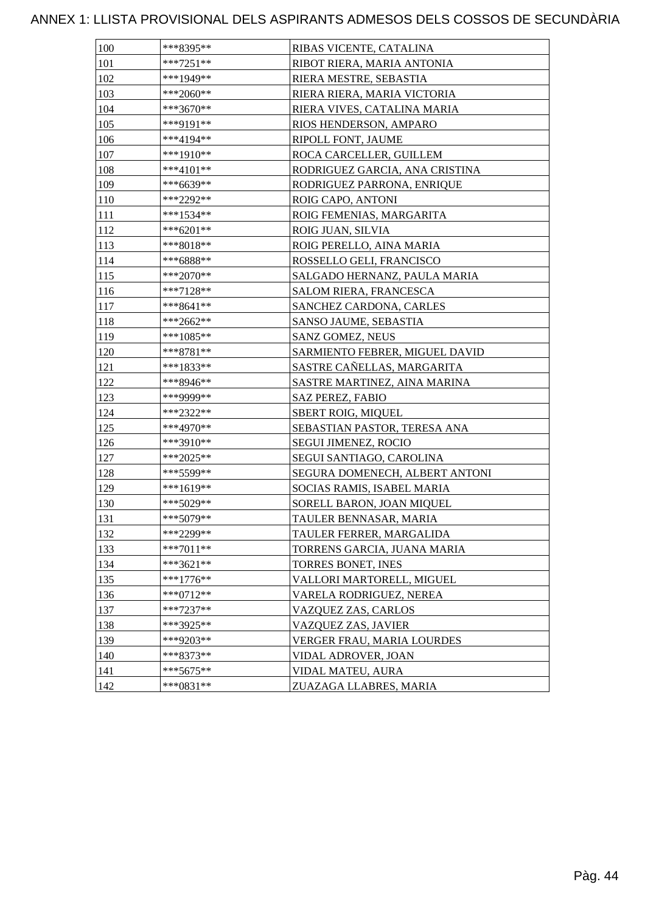| 100 | ***8395**   | RIBAS VICENTE, CATALINA        |
|-----|-------------|--------------------------------|
| 101 | $***7251**$ | RIBOT RIERA, MARIA ANTONIA     |
| 102 | ***1949**   | RIERA MESTRE, SEBASTIA         |
| 103 | ***2060**   | RIERA RIERA, MARIA VICTORIA    |
| 104 | ***3670**   | RIERA VIVES, CATALINA MARIA    |
| 105 | ***9191**   | RIOS HENDERSON, AMPARO         |
| 106 | ***4194**   | RIPOLL FONT, JAUME             |
| 107 | ***1910**   | ROCA CARCELLER, GUILLEM        |
| 108 | ***4101**   | RODRIGUEZ GARCIA, ANA CRISTINA |
| 109 | ***6639**   | RODRIGUEZ PARRONA, ENRIQUE     |
| 110 | ***2292**   | ROIG CAPO, ANTONI              |
| 111 | ***1534**   | ROIG FEMENIAS, MARGARITA       |
| 112 | ***6201**   | ROIG JUAN, SILVIA              |
| 113 | ***8018**   | ROIG PERELLO, AINA MARIA       |
| 114 | ***6888**   | ROSSELLO GELI, FRANCISCO       |
| 115 | $***2070**$ | SALGADO HERNANZ, PAULA MARIA   |
| 116 | ***7128**   | <b>SALOM RIERA, FRANCESCA</b>  |
| 117 | $***8641**$ | SANCHEZ CARDONA, CARLES        |
| 118 | ***2662**   | SANSO JAUME, SEBASTIA          |
| 119 | ***1085**   | SANZ GOMEZ, NEUS               |
| 120 | ***8781**   | SARMIENTO FEBRER, MIGUEL DAVID |
| 121 | ***1833**   | SASTRE CAÑELLAS, MARGARITA     |
| 122 | ***8946**   | SASTRE MARTINEZ, AINA MARINA   |
| 123 | ***9999**   | <b>SAZ PEREZ, FABIO</b>        |
| 124 | ***2322**   | <b>SBERT ROIG, MIQUEL</b>      |
| 125 | ***4970**   | SEBASTIAN PASTOR, TERESA ANA   |
| 126 | ***3910**   | <b>SEGUI JIMENEZ, ROCIO</b>    |
| 127 | ***2025**   | SEGUI SANTIAGO, CAROLINA       |
| 128 | ***5599**   | SEGURA DOMENECH, ALBERT ANTONI |
| 129 | ***1619**   | SOCIAS RAMIS, ISABEL MARIA     |
| 130 | ***5029**   | SORELL BARON, JOAN MIQUEL      |
| 131 | ***5079**   | TAULER BENNASAR, MARIA         |
| 132 | ***2299**   | TAULER FERRER, MARGALIDA       |
| 133 | ***7011**   | TORRENS GARCIA, JUANA MARIA    |
| 134 | ***3621**   | TORRES BONET, INES             |
| 135 | $***1776**$ | VALLORI MARTORELL, MIGUEL      |
| 136 | ***0712**   | VARELA RODRIGUEZ, NEREA        |
| 137 | $***7237**$ | VAZQUEZ ZAS, CARLOS            |
| 138 | ***3925**   | VAZQUEZ ZAS, JAVIER            |
| 139 | ***9203**   | VERGER FRAU, MARIA LOURDES     |
| 140 | ***8373**   | VIDAL ADROVER, JOAN            |
| 141 | $***5675**$ | VIDAL MATEU, AURA              |
| 142 | ***0831**   | ZUAZAGA LLABRES, MARIA         |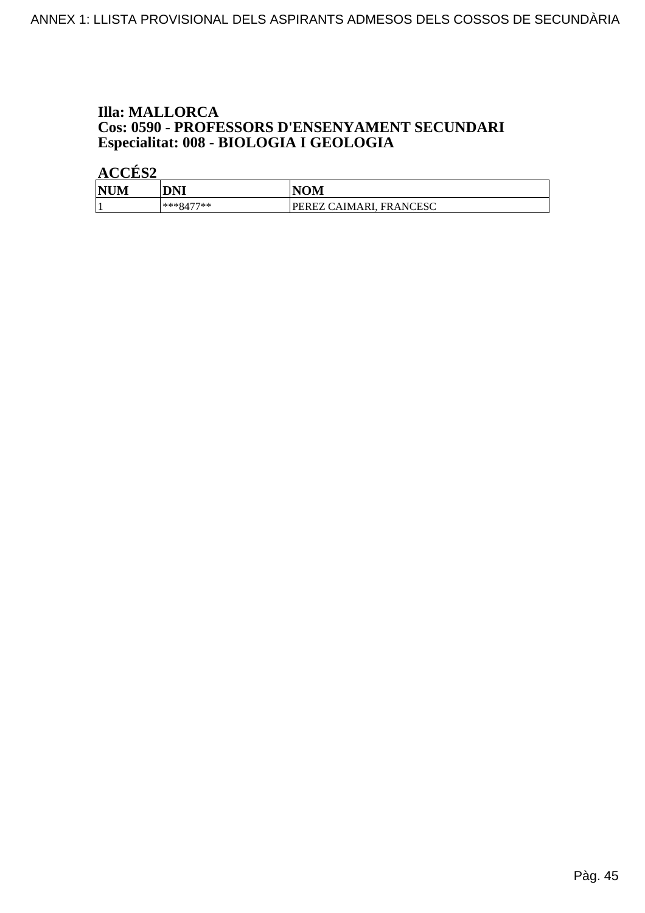### **Illa: MALLORCA Cos: 0590 - PROFESSORS D'ENSENYAMENT SECUNDARI<br>Especialitat: 008 - BIOLOGIA I GEOLOGIA**

| <b>NUM</b> | DNI         | <b>NOM</b>              |
|------------|-------------|-------------------------|
|            | $***8477**$ | PEREZ CAIMARI, FRANCESC |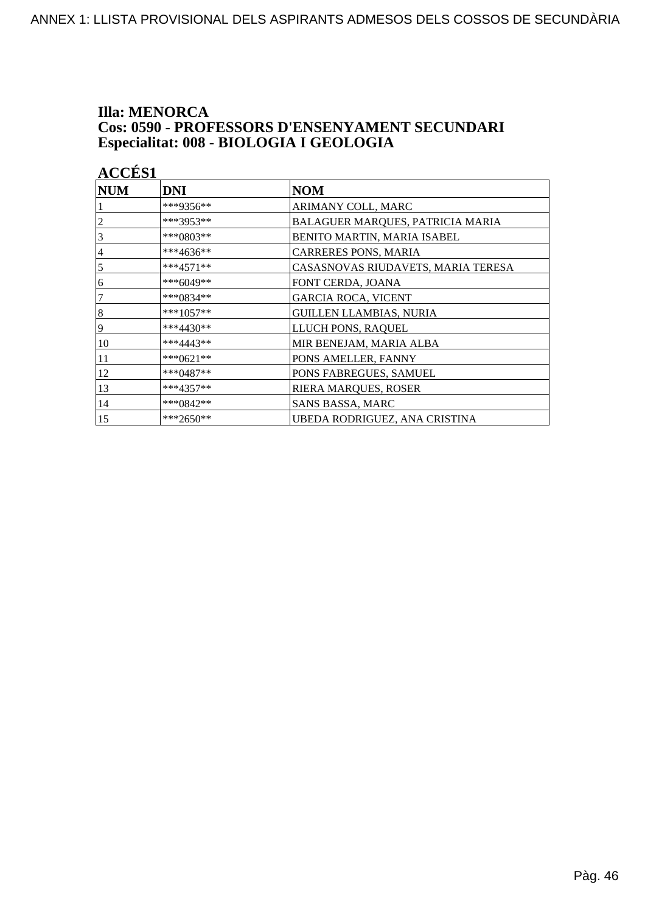#### **Illa: MENORCA** Cos: 0590 - PROFESSORS D'ENSENYAMENT SECUNDARI Especialitat: 008 - BIOLOGIA I GEOLOGIA

| <b>ACCÉS 1</b> |             |                                    |
|----------------|-------------|------------------------------------|
| <b>NUM</b>     | <b>DNI</b>  | <b>NOM</b>                         |
|                | ***9356**   | ARIMANY COLL, MARC                 |
| $\overline{c}$ | ***3953**   | BALAGUER MARQUES, PATRICIA MARIA   |
| 3              | ***0803**   | BENITO MARTIN, MARIA ISABEL        |
| $\overline{4}$ | ***4636**   | CARRERES PONS, MARIA               |
| 5              | $***4571**$ | CASASNOVAS RIUDAVETS, MARIA TERESA |
| 6              | ***6049**   | FONT CERDA, JOANA                  |
| 7              | ***0834**   | <b>GARCIA ROCA, VICENT</b>         |
| $\sqrt{8}$     | $***1057**$ | <b>GUILLEN LLAMBIAS, NURIA</b>     |
| $\overline{9}$ | $***4430**$ | LLUCH PONS, RAQUEL                 |
| 10             | ***4443**   | MIR BENEJAM, MARIA ALBA            |
| 11             | ***0621**   | PONS AMELLER, FANNY                |
| 12             | ***0487**   | PONS FABREGUES, SAMUEL             |
| 13             | ***4357**   | RIERA MARQUES, ROSER               |
| 14             | ***0842**   | SANS BASSA, MARC                   |
| 15             | ***2650**   | UBEDA RODRIGUEZ, ANA CRISTINA      |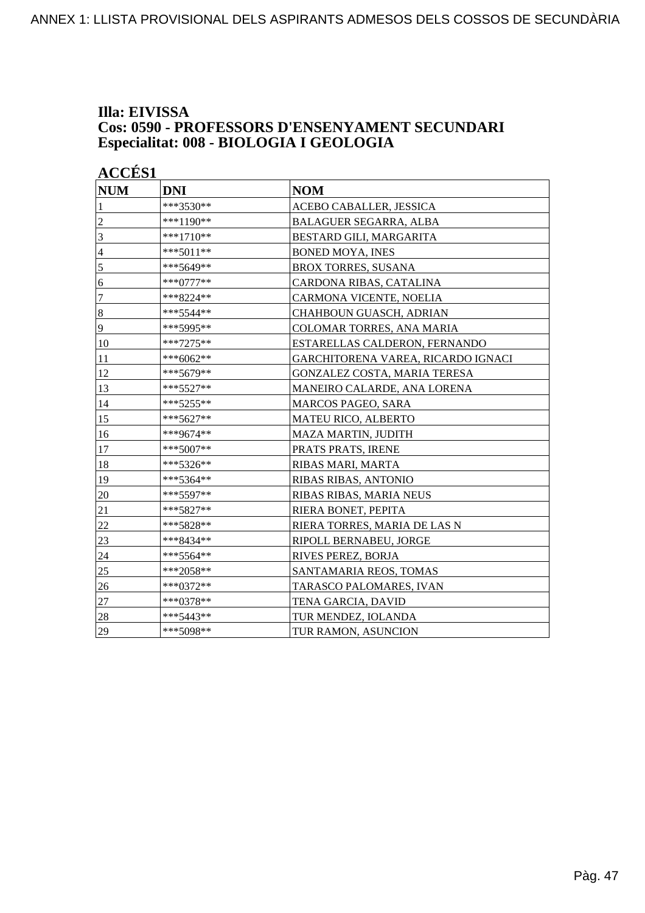### Illa: EIVISSA **Cos: 0590 - PROFESSORS D'ENSENYAMENT SECUNDARI<br>Especialitat: 008 - BIOLOGIA I GEOLOGIA**

|                | <b>ACCÉS 1</b> |                                    |  |
|----------------|----------------|------------------------------------|--|
| <b>NUM</b>     | <b>DNI</b>     | <b>NOM</b>                         |  |
| $\mathbf{1}$   | ***3530**      | ACEBO CABALLER, JESSICA            |  |
| $\overline{2}$ | ***1190**      | <b>BALAGUER SEGARRA, ALBA</b>      |  |
| 3              | $***1710**$    | BESTARD GILI, MARGARITA            |  |
| $\overline{4}$ | $***5011**$    | <b>BONED MOYA, INES</b>            |  |
| 5              | ***5649**      | <b>BROX TORRES, SUSANA</b>         |  |
| 6              | ***0777**      | CARDONA RIBAS, CATALINA            |  |
| 7              | ***8224**      | CARMONA VICENTE, NOELIA            |  |
| $8\,$          | ***5544**      | CHAHBOUN GUASCH, ADRIAN            |  |
| 9              | ***5995**      | COLOMAR TORRES, ANA MARIA          |  |
| 10             | ***7275**      | ESTARELLAS CALDERON, FERNANDO      |  |
| 11             | ***6062**      | GARCHITORENA VAREA, RICARDO IGNACI |  |
| 12             | ***5679**      | GONZALEZ COSTA, MARIA TERESA       |  |
| 13             | ***5527**      | MANEIRO CALARDE, ANA LORENA        |  |
| 14             | ***5255**      | <b>MARCOS PAGEO, SARA</b>          |  |
| 15             | ***5627**      | MATEU RICO, ALBERTO                |  |
| 16             | ***9674**      | <b>MAZA MARTIN, JUDITH</b>         |  |
| 17             | ***5007**      | PRATS PRATS, IRENE                 |  |
| 18             | ***5326**      | RIBAS MARI, MARTA                  |  |
| 19             | ***5364**      | RIBAS RIBAS, ANTONIO               |  |
| 20             | ***5597**      | RIBAS RIBAS, MARIA NEUS            |  |
| 21             | ***5827**      | RIERA BONET, PEPITA                |  |
| 22             | ***5828**      | RIERA TORRES, MARIA DE LAS N       |  |
| 23             | ***8434**      | RIPOLL BERNABEU, JORGE             |  |
| 24             | $***5564**$    | RIVES PEREZ, BORJA                 |  |
| 25             | ***2058**      | SANTAMARIA REOS, TOMAS             |  |
| 26             | ***0372**      | TARASCO PALOMARES, IVAN            |  |
| 27             | ***0378**      | TENA GARCIA, DAVID                 |  |
| 28             | ***5443**      | TUR MENDEZ, IOLANDA                |  |
| 29             | ***5098**      | TUR RAMON, ASUNCION                |  |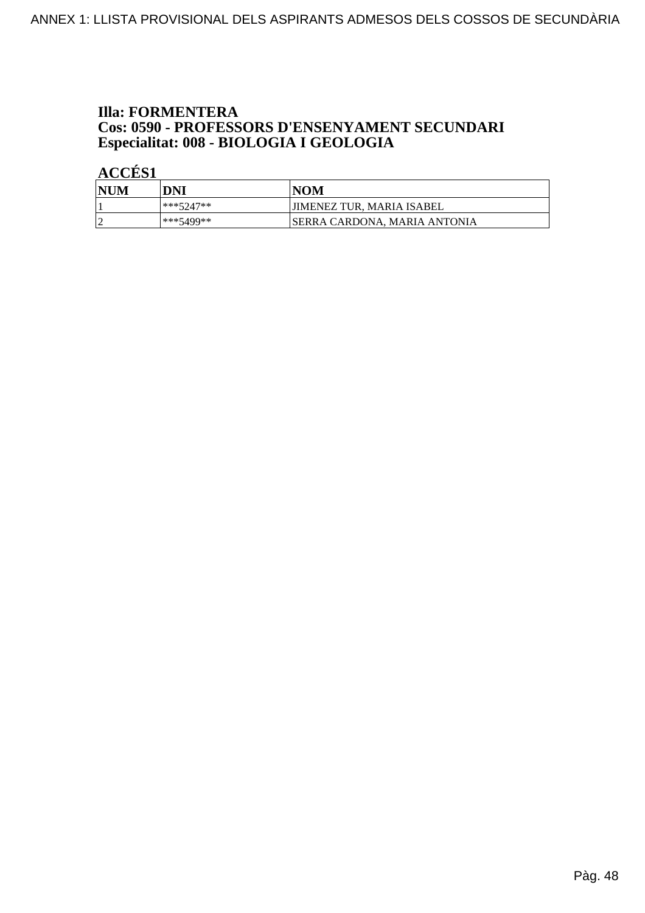### **Illa: FORMENTERA Cos: 0590 - PROFESSORS D'ENSENYAMENT SECUNDARI<br>Especialitat: 008 - BIOLOGIA I GEOLOGIA**

| 'NUM | DNI       | <b>NOM</b>                   |
|------|-----------|------------------------------|
|      | ***5247** | 'JIMENEZ TUR, MARIA ISABEL   |
|      | ***5499** | SERRA CARDONA. MARIA ANTONIA |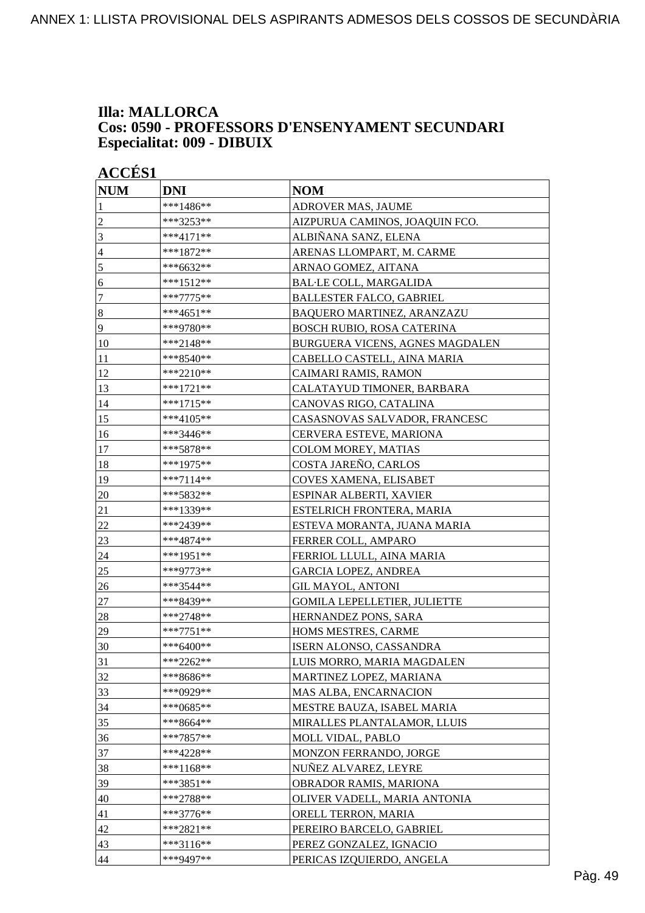#### **Illa: MALLORCA Cos: 0590 - PROFESSORS D'ENSENYAMENT SECUNDARI Especialitat: 009 - DIBUIX**

| <b>ACCÉS 1</b> |             |                                     |  |
|----------------|-------------|-------------------------------------|--|
| <b>NUM</b>     | <b>DNI</b>  | <b>NOM</b>                          |  |
| 1              | ***1486**   | ADROVER MAS, JAUME                  |  |
| $\overline{c}$ | ***3253**   | AIZPURUA CAMINOS, JOAQUIN FCO.      |  |
| 3              | $***4171**$ | ALBIÑANA SANZ, ELENA                |  |
| 4              | ***1872**   | ARENAS LLOMPART, M. CARME           |  |
| 5              | ***6632**   | ARNAO GOMEZ, AITANA                 |  |
| 6              | ***1512**   | <b>BAL·LE COLL, MARGALIDA</b>       |  |
| $\tau$         | ***7775**   | <b>BALLESTER FALCO, GABRIEL</b>     |  |
| $\sqrt{8}$     | ***4651**   | BAQUERO MARTINEZ, ARANZAZU          |  |
| $\overline{9}$ | ***9780**   | <b>BOSCH RUBIO, ROSA CATERINA</b>   |  |
| 10             | ***2148**   | BURGUERA VICENS, AGNES MAGDALEN     |  |
| 11             | ***8540**   | CABELLO CASTELL, AINA MARIA         |  |
| 12             | ***2210**   | CAIMARI RAMIS, RAMON                |  |
| 13             | ***1721**   | CALATAYUD TIMONER, BARBARA          |  |
| 14             | ***1715**   | CANOVAS RIGO, CATALINA              |  |
| 15             | ***4105**   | CASASNOVAS SALVADOR, FRANCESC       |  |
| 16             | ***3446**   | <b>CERVERA ESTEVE, MARIONA</b>      |  |
| 17             | ***5878**   | <b>COLOM MOREY, MATIAS</b>          |  |
| 18             | ***1975**   | COSTA JAREÑO, CARLOS                |  |
| 19             | ***7114**   | <b>COVES XAMENA, ELISABET</b>       |  |
| 20             | ***5832**   | ESPINAR ALBERTI, XAVIER             |  |
| 21             | ***1339**   | ESTELRICH FRONTERA, MARIA           |  |
| 22             | ***2439**   | ESTEVA MORANTA, JUANA MARIA         |  |
| 23             | ***4874**   | FERRER COLL, AMPARO                 |  |
| 24             | ***1951**   | FERRIOL LLULL, AINA MARIA           |  |
| 25             | ***9773**   | <b>GARCIA LOPEZ, ANDREA</b>         |  |
| 26             | ***3544**   | <b>GIL MAYOL, ANTONI</b>            |  |
| $27\,$         | ***8439**   | <b>GOMILA LEPELLETIER, JULIETTE</b> |  |
| 28             | ***2748**   | <b>HERNANDEZ PONS, SARA</b>         |  |
| 29             | ***7751**   | HOMS MESTRES, CARME                 |  |
| 30             | ***6400**   | ISERN ALONSO, CASSANDRA             |  |
| 31             | ***2262**   | LUIS MORRO, MARIA MAGDALEN          |  |
| 32             | ***8686**   | MARTINEZ LOPEZ, MARIANA             |  |
| 33             | ***0929**   | MAS ALBA, ENCARNACION               |  |
| 34             | ***0685**   | MESTRE BAUZA, ISABEL MARIA          |  |
| 35             | ***8664**   | MIRALLES PLANTALAMOR, LLUIS         |  |
| 36             | ***7857**   | MOLL VIDAL, PABLO                   |  |
| 37             | ***4228**   | MONZON FERRANDO, JORGE              |  |
| 38             | ***1168**   | NUÑEZ ALVAREZ, LEYRE                |  |
| 39             | ***3851**   | OBRADOR RAMIS, MARIONA              |  |
| 40             | ***2788**   | OLIVER VADELL, MARIA ANTONIA        |  |
| 41             | $***3776**$ | ORELL TERRON, MARIA                 |  |
| 42             | ***2821**   | PEREIRO BARCELO, GABRIEL            |  |
| 43             | ***3116**   | PEREZ GONZALEZ, IGNACIO             |  |
| 44             | ***9497**   | PERICAS IZQUIERDO, ANGELA           |  |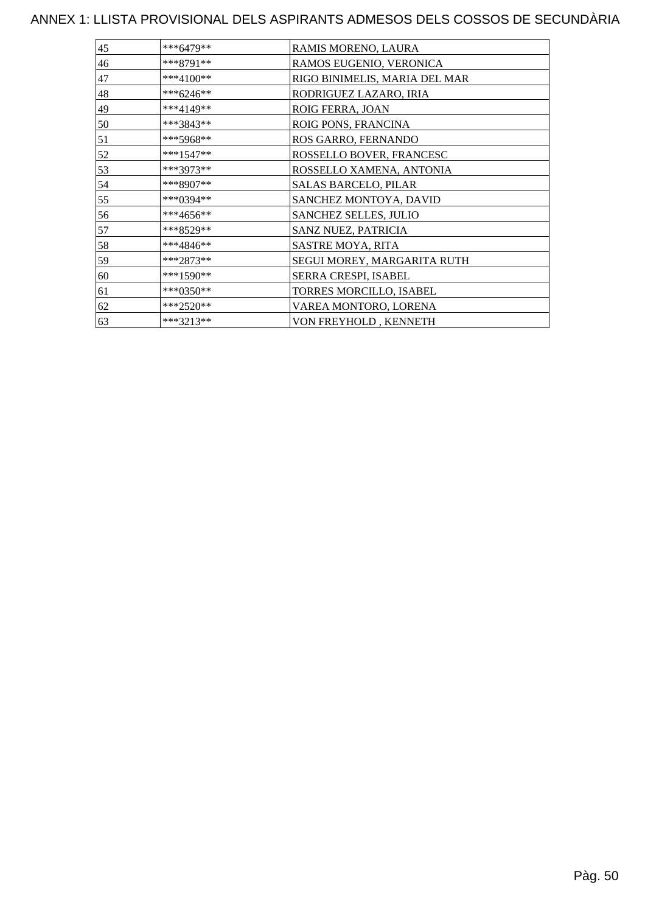| ***6479**   | RAMIS MORENO, LAURA           |
|-------------|-------------------------------|
| ***8791**   | RAMOS EUGENIO, VERONICA       |
| ***4100**   | RIGO BINIMELIS, MARIA DEL MAR |
| ***6246**   | RODRIGUEZ LAZARO, IRIA        |
| ***4149**   | ROIG FERRA, JOAN              |
| ***3843**   | ROIG PONS, FRANCINA           |
| ***5968**   | ROS GARRO, FERNANDO           |
| $***1547**$ | ROSSELLO BOVER, FRANCESC      |
| ***3973**   | ROSSELLO XAMENA, ANTONIA      |
| ***8907**   | <b>SALAS BARCELO, PILAR</b>   |
| ***0394**   | SANCHEZ MONTOYA, DAVID        |
| ***4656**   | SANCHEZ SELLES, JULIO         |
| ***8529**   | SANZ NUEZ, PATRICIA           |
| ***4846**   | SASTRE MOYA, RITA             |
| ***2873**   | SEGUI MOREY, MARGARITA RUTH   |
| $***1590**$ | SERRA CRESPI, ISABEL          |
| ***0350**   | TORRES MORCILLO, ISABEL       |
| $***2520**$ | VAREA MONTORO, LORENA         |
| $***3213**$ | VON FREYHOLD, KENNETH         |
|             |                               |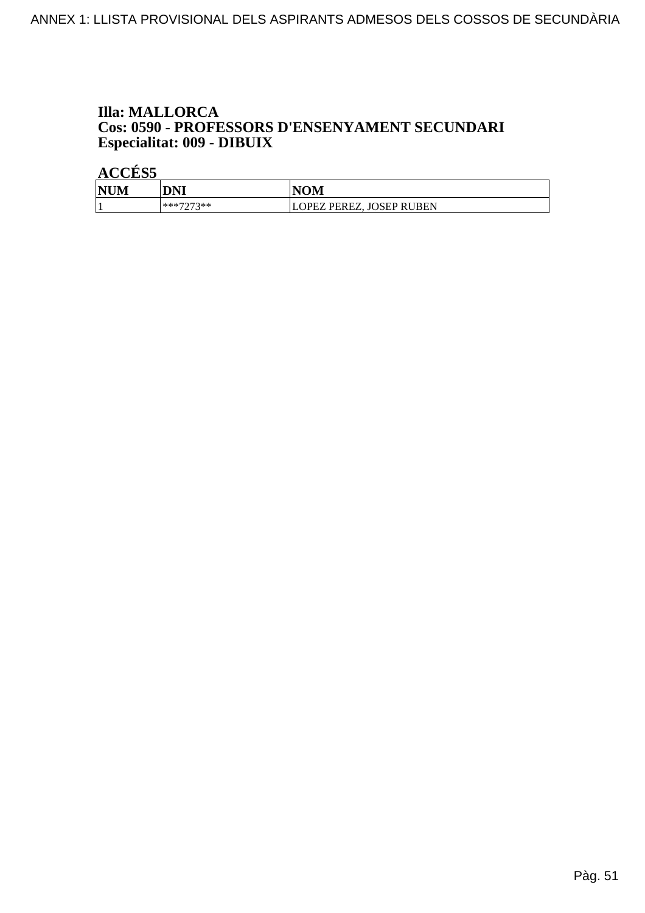#### **Illa: MALLORCA** Cos: 0590 - PROFESSORS D'ENSENYAMENT SECUNDARI Especialitat: 009 - DIBUIX

| <b>NUM</b> | DNI       | <b>NOM</b>              |
|------------|-----------|-------------------------|
|            | ***7073** | OPEZ PEREZ, JOSEP RUBEN |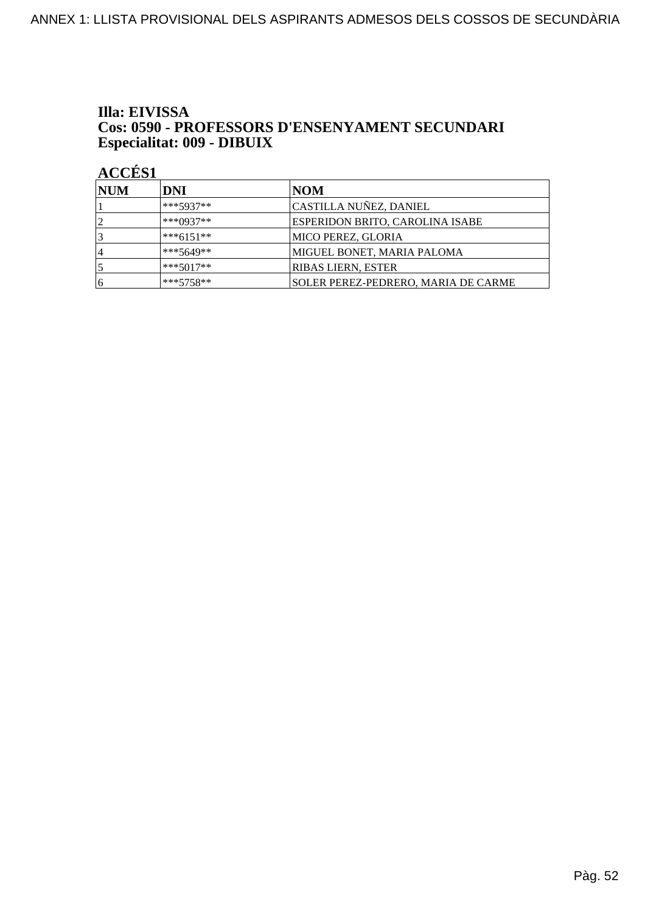#### Illa: EIVISSA Cos: 0590 - PROFESSORS D'ENSENYAMENT SECUNDARI Especialitat: 009 - DIBUIX

| <b>NUM</b>     | DNI         | <b>NOM</b>                          |  |  |
|----------------|-------------|-------------------------------------|--|--|
|                | ***5937**   | CASTILLA NUÑEZ, DANIEL              |  |  |
| $\overline{2}$ | $***0937**$ | ESPERIDON BRITO, CAROLINA ISABE     |  |  |
|                | $***6151**$ | MICO PEREZ, GLORIA                  |  |  |
| 14             | ***5649**   | MIGUEL BONET, MARIA PALOMA          |  |  |
|                | $***5017**$ | <b>RIBAS LIERN, ESTER</b>           |  |  |
| 16             | $***5758**$ | SOLER PEREZ-PEDRERO, MARIA DE CARME |  |  |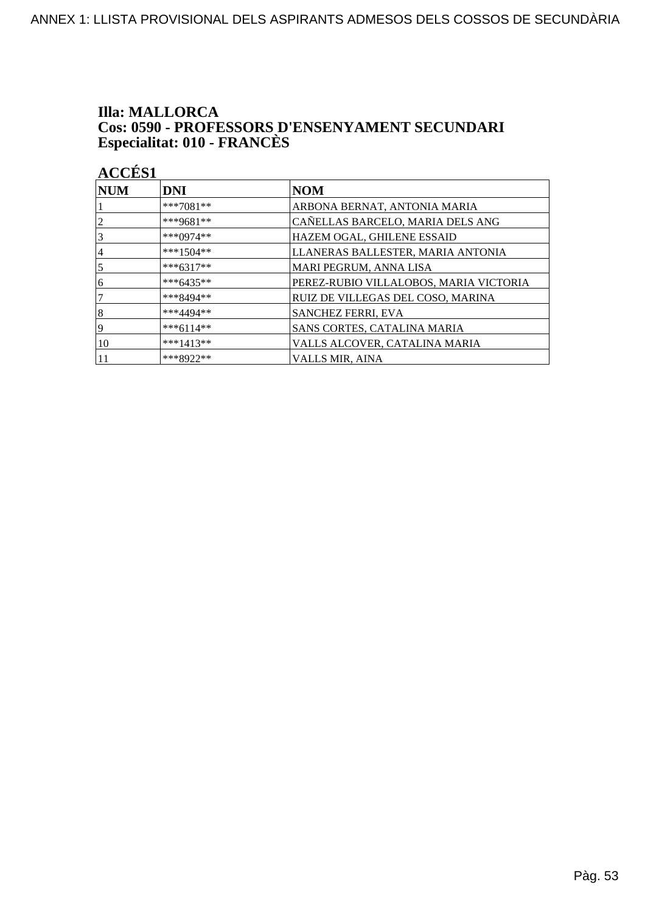### **Illa: MALLORCA Cos: 0590 - PROFESSORS D'ENSENYAMENT SECUNDARI<br>Especialitat: 010 - FRANCÈS**

| <b>NUM</b>     | <b>DNI</b>  | <b>NOM</b>                             |  |  |  |
|----------------|-------------|----------------------------------------|--|--|--|
|                | $***7081**$ | ARBONA BERNAT, ANTONIA MARIA           |  |  |  |
| $\overline{2}$ | ***9681**   | CAÑELLAS BARCELO, MARIA DELS ANG       |  |  |  |
| 3              | ***0974**   | HAZEM OGAL, GHILENE ESSAID             |  |  |  |
| 14             | ***1504**   | LLANERAS BALLESTER, MARIA ANTONIA      |  |  |  |
| 5              | $***6317**$ | MARI PEGRUM, ANNA LISA                 |  |  |  |
| 6              | $***6435**$ | PEREZ-RUBIO VILLALOBOS, MARIA VICTORIA |  |  |  |
| 17             | ***8494**   | RUIZ DE VILLEGAS DEL COSO, MARINA      |  |  |  |
| 8              | ***4494**   | SANCHEZ FERRI, EVA                     |  |  |  |
| 19             | $***6114**$ | SANS CORTES, CATALINA MARIA            |  |  |  |
| 10             | $***1413**$ | VALLS ALCOVER, CATALINA MARIA          |  |  |  |
|                | ***8922**   | <b>VALLS MIR, AINA</b>                 |  |  |  |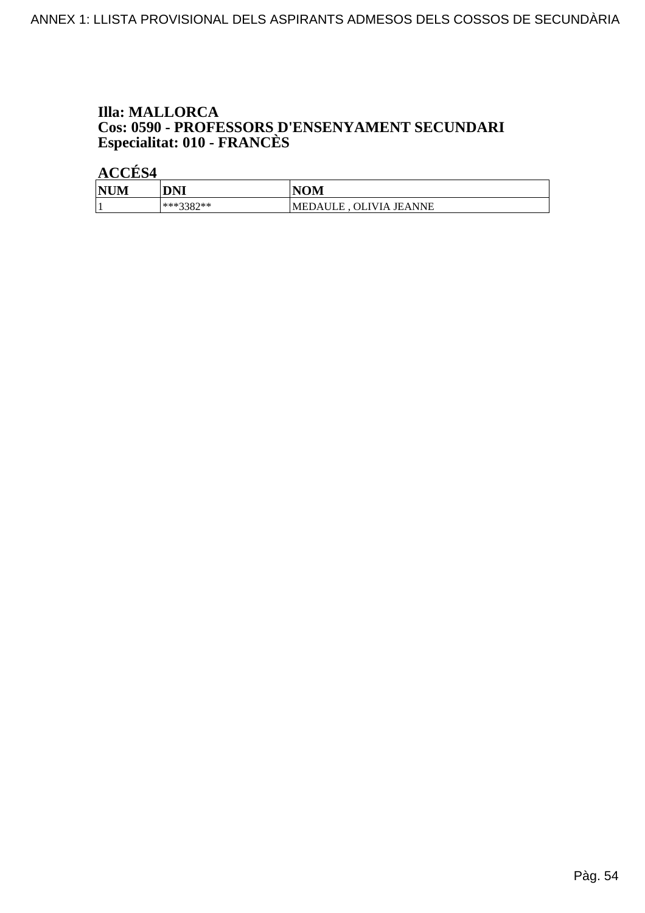### **Illa: MALLORCA Cos: 0590 - PROFESSORS D'ENSENYAMENT SECUNDARI<br>Especialitat: 010 - FRANCÈS**

| <b>NUM</b> | DNI         | <b>NOM</b>                 |
|------------|-------------|----------------------------|
|            | $***3387**$ | 'MEDAULE,<br>OLIVIA JEANNE |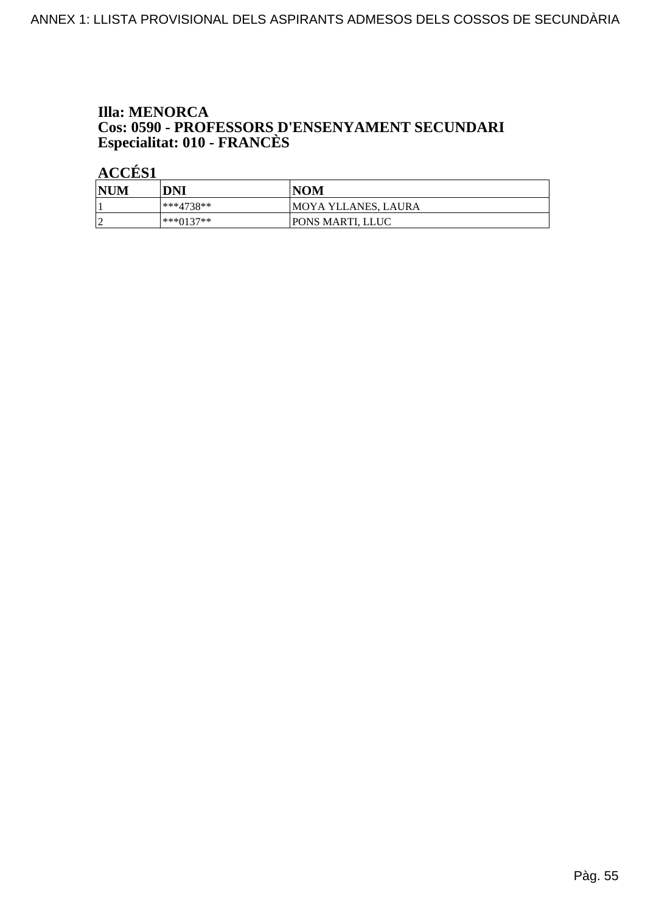## **Illa: MENORCA Cos: 0590 - PROFESSORS D'ENSENYAMENT SECUNDARI<br>Especialitat: 010 - FRANCÈS**

| <b>NUM</b>      | DNI       | <b>NOM</b>          |
|-----------------|-----------|---------------------|
|                 | ***4738** | MOYA YLLANES, LAURA |
| $\sqrt{ }$<br>∼ | ∗∗∗∩137∗∗ | PONS MARTI, LLUC    |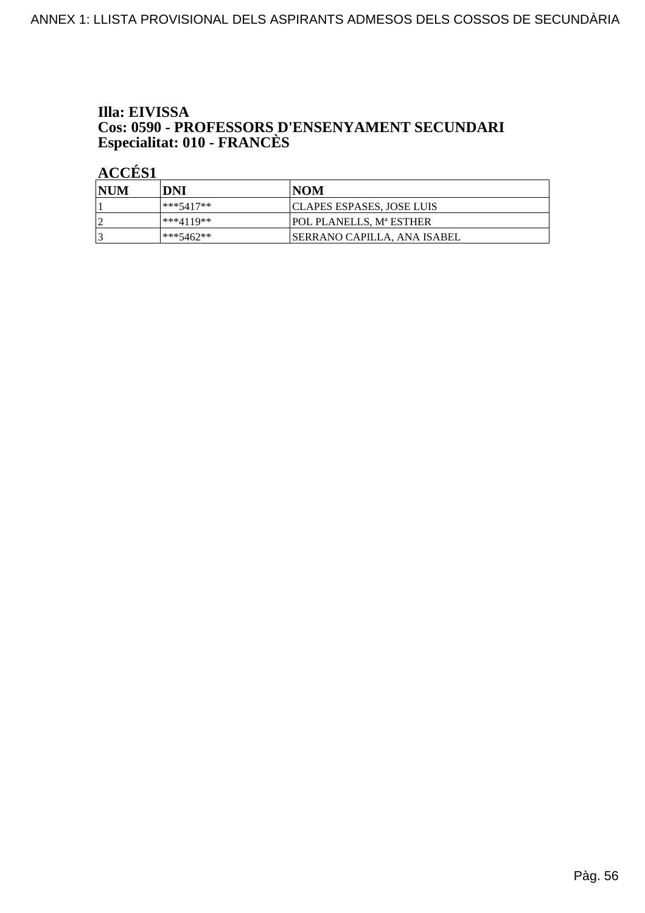## Illa: EIVISSA **Cos: 0590 - PROFESSORS D'ENSENYAMENT SECUNDARI<br>Especialitat: 010 - FRANCÈS**

| NUM | DNI       | INOM                                |
|-----|-----------|-------------------------------------|
|     | ***5417** | <b>CLAPES ESPASES, JOSE LUIS</b>    |
|     | ***4119** | <b>POL PLANELLS. Mª ESTHER</b>      |
|     | ***5462** | <b>ISERRANO CAPILLA. ANA ISABEL</b> |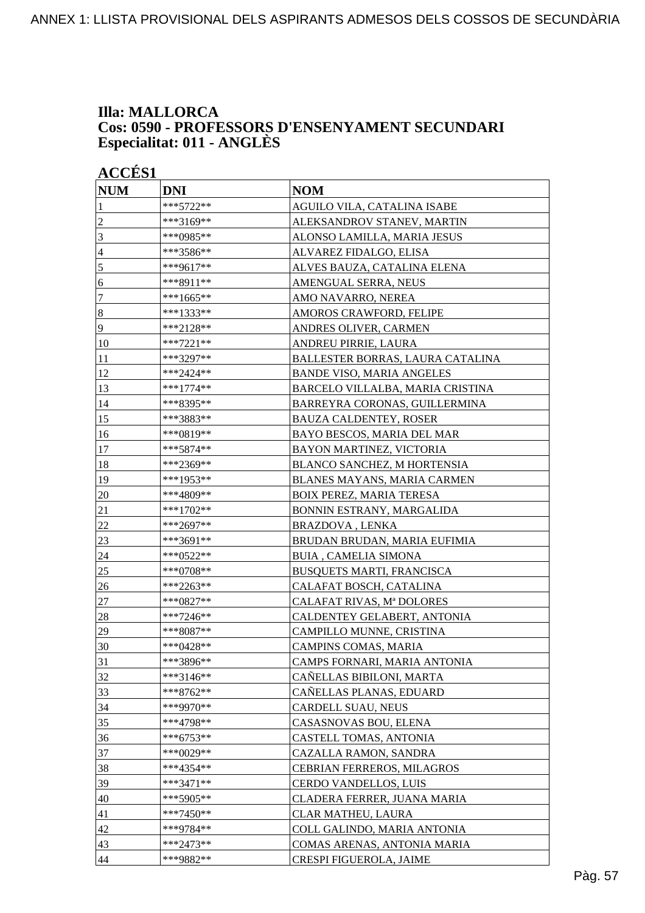#### **Illa: MALLORCA Cos: 0590 - PROFESSORS D'ENSENYAMENT SECUNDARI Especialitat: 011 - ANGLÈS**

| <b>ACCÉS 1</b> |                                   |  |  |
|----------------|-----------------------------------|--|--|
| <b>DNI</b>     | <b>NOM</b>                        |  |  |
| ***5722**      | AGUILO VILA, CATALINA ISABE       |  |  |
| ***3169**      | ALEKSANDROV STANEV, MARTIN        |  |  |
| ***0985**      | ALONSO LAMILLA, MARIA JESUS       |  |  |
| ***3586**      | ALVAREZ FIDALGO, ELISA            |  |  |
| ***9617**      | ALVES BAUZA, CATALINA ELENA       |  |  |
| ***8911**      | AMENGUAL SERRA, NEUS              |  |  |
| ***1665**      | AMO NAVARRO, NEREA                |  |  |
| ***1333**      | AMOROS CRAWFORD, FELIPE           |  |  |
| ***2128**      | ANDRES OLIVER, CARMEN             |  |  |
| ***7221**      | ANDREU PIRRIE, LAURA              |  |  |
| ***3297**      | BALLESTER BORRAS, LAURA CATALINA  |  |  |
| ***2424**      | <b>BANDE VISO, MARIA ANGELES</b>  |  |  |
| ***1774**      | BARCELO VILLALBA, MARIA CRISTINA  |  |  |
| ***8395**      | BARREYRA CORONAS, GUILLERMINA     |  |  |
| ***3883**      | BAUZA CALDENTEY, ROSER            |  |  |
| ***0819**      | BAYO BESCOS, MARIA DEL MAR        |  |  |
| ***5874**      | BAYON MARTINEZ, VICTORIA          |  |  |
| ***2369**      | BLANCO SANCHEZ, M HORTENSIA       |  |  |
| ***1953**      | BLANES MAYANS, MARIA CARMEN       |  |  |
| ***4809**      | <b>BOIX PEREZ, MARIA TERESA</b>   |  |  |
| ***1702**      | BONNIN ESTRANY, MARGALIDA         |  |  |
| ***2697**      | BRAZDOVA, LENKA                   |  |  |
| ***3691**      | BRUDAN BRUDAN, MARIA EUFIMIA      |  |  |
| ***0522**      | <b>BUIA, CAMELIA SIMONA</b>       |  |  |
| ***0708**      | <b>BUSQUETS MARTI, FRANCISCA</b>  |  |  |
| ***2263**      | CALAFAT BOSCH, CATALINA           |  |  |
| ***0827**      | CALAFAT RIVAS, Mª DOLORES         |  |  |
| ***7246**      | CALDENTEY GELABERT, ANTONIA       |  |  |
| ***8087**      | CAMPILLO MUNNE, CRISTINA          |  |  |
|                | CAMPINS COMAS, MARIA              |  |  |
| ***3896**      | CAMPS FORNARI, MARIA ANTONIA      |  |  |
| ***3146**      | CAÑELLAS BIBILONI, MARTA          |  |  |
| ***8762**      | CAÑELLAS PLANAS, EDUARD           |  |  |
| ***9970**      | CARDELL SUAU, NEUS                |  |  |
| ***4798**      | CASASNOVAS BOU, ELENA             |  |  |
|                | CASTELL TOMAS, ANTONIA            |  |  |
| ***0029**      | CAZALLA RAMON, SANDRA             |  |  |
| ***4354**      | <b>CEBRIAN FERREROS, MILAGROS</b> |  |  |
| ***3471**      | CERDO VANDELLOS, LUIS             |  |  |
| ***5905**      | CLADERA FERRER, JUANA MARIA       |  |  |
| ***7450**      | CLAR MATHEU, LAURA                |  |  |
| ***9784**      | COLL GALINDO, MARIA ANTONIA       |  |  |
| ***2473**      | COMAS ARENAS, ANTONIA MARIA       |  |  |
| ***9882**      | CRESPI FIGUEROLA, JAIME           |  |  |
|                | ***0428**<br>$***6753**$          |  |  |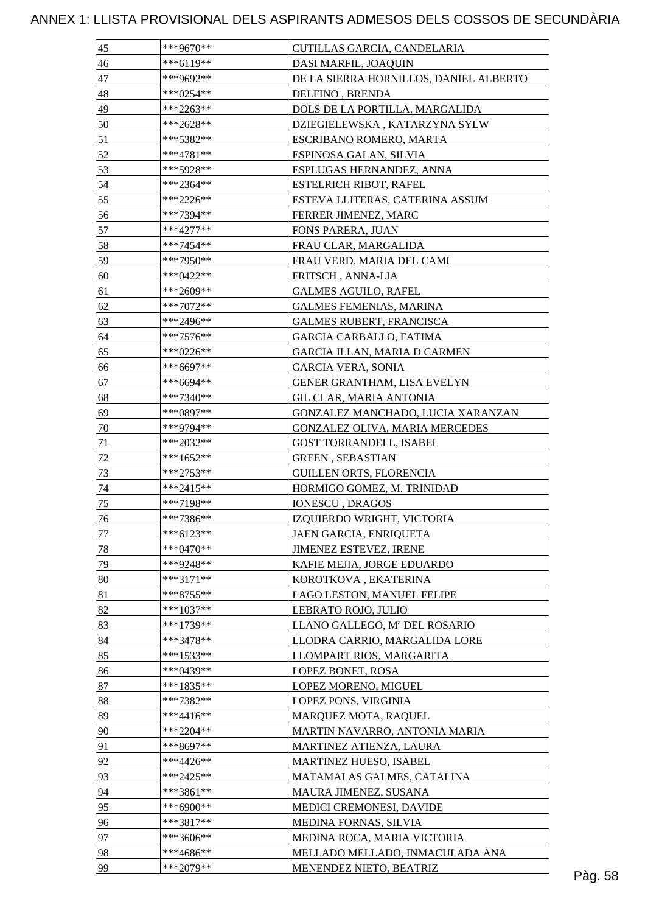| 46<br>***6119**<br>DASI MARFIL, JOAQUIN<br>47<br>***9692**<br>DE LA SIERRA HORNILLOS, DANIEL ALBERTO<br>48<br>***0254**<br>DELFINO, BRENDA<br>49<br>***2263**<br>DOLS DE LA PORTILLA, MARGALIDA<br>50<br>***2628**<br>DZIEGIELEWSKA, KATARZYNA SYLW<br>51<br>***5382**<br>ESCRIBANO ROMERO, MARTA<br>52<br>$***4781**$<br>ESPINOSA GALAN, SILVIA<br>53<br>***5928**<br>ESPLUGAS HERNANDEZ, ANNA<br>54<br>***2364**<br><b>ESTELRICH RIBOT, RAFEL</b><br>55<br>ESTEVA LLITERAS, CATERINA ASSUM<br>***2226**<br>56<br>***7394**<br>FERRER JIMENEZ, MARC<br>57<br>$***4277**$<br>FONS PARERA, JUAN<br>58<br>FRAU CLAR, MARGALIDA<br>***7454**<br>59<br>***7950**<br>FRAU VERD, MARIA DEL CAMI<br>60<br>***0422**<br>FRITSCH, ANNA-LIA<br>61<br>***2609**<br><b>GALMES AGUILO, RAFEL</b><br>62<br>***7072**<br><b>GALMES FEMENIAS, MARINA</b><br>63<br>***2496**<br><b>GALMES RUBERT, FRANCISCA</b><br>64<br><b>GARCIA CARBALLO, FATIMA</b><br>***7576**<br>65<br>***0226**<br>GARCIA ILLAN, MARIA D CARMEN<br>66<br>***6697**<br><b>GARCIA VERA, SONIA</b><br>67<br>***6694**<br>GENER GRANTHAM, LISA EVELYN<br>68<br>***7340**<br>GIL CLAR, MARIA ANTONIA<br>69<br>***0897**<br>GONZALEZ MANCHADO, LUCIA XARANZAN<br>70<br>GONZALEZ OLIVA, MARIA MERCEDES<br>***9794**<br>71<br>***2032**<br><b>GOST TORRANDELL, ISABEL</b><br>$72\,$<br>***1652**<br><b>GREEN, SEBASTIAN</b><br>73<br><b>GUILLEN ORTS, FLORENCIA</b><br>***2753**<br>74<br>***2415**<br>HORMIGO GOMEZ, M. TRINIDAD<br>75<br>***7198**<br>IONESCU, DRAGOS<br>76<br>***7386**<br>IZQUIERDO WRIGHT, VICTORIA<br>77<br>***6123**<br>JAEN GARCIA, ENRIQUETA<br>78<br>$***0470**$<br>JIMENEZ ESTEVEZ, IRENE<br>79<br>***9248**<br>KAFIE MEJIA, JORGE EDUARDO |  |
|----------------------------------------------------------------------------------------------------------------------------------------------------------------------------------------------------------------------------------------------------------------------------------------------------------------------------------------------------------------------------------------------------------------------------------------------------------------------------------------------------------------------------------------------------------------------------------------------------------------------------------------------------------------------------------------------------------------------------------------------------------------------------------------------------------------------------------------------------------------------------------------------------------------------------------------------------------------------------------------------------------------------------------------------------------------------------------------------------------------------------------------------------------------------------------------------------------------------------------------------------------------------------------------------------------------------------------------------------------------------------------------------------------------------------------------------------------------------------------------------------------------------------------------------------------------------------------------------------------------------------------------------------------------------------------------------------------------------|--|
|                                                                                                                                                                                                                                                                                                                                                                                                                                                                                                                                                                                                                                                                                                                                                                                                                                                                                                                                                                                                                                                                                                                                                                                                                                                                                                                                                                                                                                                                                                                                                                                                                                                                                                                      |  |
|                                                                                                                                                                                                                                                                                                                                                                                                                                                                                                                                                                                                                                                                                                                                                                                                                                                                                                                                                                                                                                                                                                                                                                                                                                                                                                                                                                                                                                                                                                                                                                                                                                                                                                                      |  |
|                                                                                                                                                                                                                                                                                                                                                                                                                                                                                                                                                                                                                                                                                                                                                                                                                                                                                                                                                                                                                                                                                                                                                                                                                                                                                                                                                                                                                                                                                                                                                                                                                                                                                                                      |  |
|                                                                                                                                                                                                                                                                                                                                                                                                                                                                                                                                                                                                                                                                                                                                                                                                                                                                                                                                                                                                                                                                                                                                                                                                                                                                                                                                                                                                                                                                                                                                                                                                                                                                                                                      |  |
|                                                                                                                                                                                                                                                                                                                                                                                                                                                                                                                                                                                                                                                                                                                                                                                                                                                                                                                                                                                                                                                                                                                                                                                                                                                                                                                                                                                                                                                                                                                                                                                                                                                                                                                      |  |
|                                                                                                                                                                                                                                                                                                                                                                                                                                                                                                                                                                                                                                                                                                                                                                                                                                                                                                                                                                                                                                                                                                                                                                                                                                                                                                                                                                                                                                                                                                                                                                                                                                                                                                                      |  |
|                                                                                                                                                                                                                                                                                                                                                                                                                                                                                                                                                                                                                                                                                                                                                                                                                                                                                                                                                                                                                                                                                                                                                                                                                                                                                                                                                                                                                                                                                                                                                                                                                                                                                                                      |  |
|                                                                                                                                                                                                                                                                                                                                                                                                                                                                                                                                                                                                                                                                                                                                                                                                                                                                                                                                                                                                                                                                                                                                                                                                                                                                                                                                                                                                                                                                                                                                                                                                                                                                                                                      |  |
|                                                                                                                                                                                                                                                                                                                                                                                                                                                                                                                                                                                                                                                                                                                                                                                                                                                                                                                                                                                                                                                                                                                                                                                                                                                                                                                                                                                                                                                                                                                                                                                                                                                                                                                      |  |
|                                                                                                                                                                                                                                                                                                                                                                                                                                                                                                                                                                                                                                                                                                                                                                                                                                                                                                                                                                                                                                                                                                                                                                                                                                                                                                                                                                                                                                                                                                                                                                                                                                                                                                                      |  |
|                                                                                                                                                                                                                                                                                                                                                                                                                                                                                                                                                                                                                                                                                                                                                                                                                                                                                                                                                                                                                                                                                                                                                                                                                                                                                                                                                                                                                                                                                                                                                                                                                                                                                                                      |  |
|                                                                                                                                                                                                                                                                                                                                                                                                                                                                                                                                                                                                                                                                                                                                                                                                                                                                                                                                                                                                                                                                                                                                                                                                                                                                                                                                                                                                                                                                                                                                                                                                                                                                                                                      |  |
|                                                                                                                                                                                                                                                                                                                                                                                                                                                                                                                                                                                                                                                                                                                                                                                                                                                                                                                                                                                                                                                                                                                                                                                                                                                                                                                                                                                                                                                                                                                                                                                                                                                                                                                      |  |
|                                                                                                                                                                                                                                                                                                                                                                                                                                                                                                                                                                                                                                                                                                                                                                                                                                                                                                                                                                                                                                                                                                                                                                                                                                                                                                                                                                                                                                                                                                                                                                                                                                                                                                                      |  |
|                                                                                                                                                                                                                                                                                                                                                                                                                                                                                                                                                                                                                                                                                                                                                                                                                                                                                                                                                                                                                                                                                                                                                                                                                                                                                                                                                                                                                                                                                                                                                                                                                                                                                                                      |  |
|                                                                                                                                                                                                                                                                                                                                                                                                                                                                                                                                                                                                                                                                                                                                                                                                                                                                                                                                                                                                                                                                                                                                                                                                                                                                                                                                                                                                                                                                                                                                                                                                                                                                                                                      |  |
|                                                                                                                                                                                                                                                                                                                                                                                                                                                                                                                                                                                                                                                                                                                                                                                                                                                                                                                                                                                                                                                                                                                                                                                                                                                                                                                                                                                                                                                                                                                                                                                                                                                                                                                      |  |
|                                                                                                                                                                                                                                                                                                                                                                                                                                                                                                                                                                                                                                                                                                                                                                                                                                                                                                                                                                                                                                                                                                                                                                                                                                                                                                                                                                                                                                                                                                                                                                                                                                                                                                                      |  |
|                                                                                                                                                                                                                                                                                                                                                                                                                                                                                                                                                                                                                                                                                                                                                                                                                                                                                                                                                                                                                                                                                                                                                                                                                                                                                                                                                                                                                                                                                                                                                                                                                                                                                                                      |  |
|                                                                                                                                                                                                                                                                                                                                                                                                                                                                                                                                                                                                                                                                                                                                                                                                                                                                                                                                                                                                                                                                                                                                                                                                                                                                                                                                                                                                                                                                                                                                                                                                                                                                                                                      |  |
|                                                                                                                                                                                                                                                                                                                                                                                                                                                                                                                                                                                                                                                                                                                                                                                                                                                                                                                                                                                                                                                                                                                                                                                                                                                                                                                                                                                                                                                                                                                                                                                                                                                                                                                      |  |
|                                                                                                                                                                                                                                                                                                                                                                                                                                                                                                                                                                                                                                                                                                                                                                                                                                                                                                                                                                                                                                                                                                                                                                                                                                                                                                                                                                                                                                                                                                                                                                                                                                                                                                                      |  |
|                                                                                                                                                                                                                                                                                                                                                                                                                                                                                                                                                                                                                                                                                                                                                                                                                                                                                                                                                                                                                                                                                                                                                                                                                                                                                                                                                                                                                                                                                                                                                                                                                                                                                                                      |  |
|                                                                                                                                                                                                                                                                                                                                                                                                                                                                                                                                                                                                                                                                                                                                                                                                                                                                                                                                                                                                                                                                                                                                                                                                                                                                                                                                                                                                                                                                                                                                                                                                                                                                                                                      |  |
|                                                                                                                                                                                                                                                                                                                                                                                                                                                                                                                                                                                                                                                                                                                                                                                                                                                                                                                                                                                                                                                                                                                                                                                                                                                                                                                                                                                                                                                                                                                                                                                                                                                                                                                      |  |
|                                                                                                                                                                                                                                                                                                                                                                                                                                                                                                                                                                                                                                                                                                                                                                                                                                                                                                                                                                                                                                                                                                                                                                                                                                                                                                                                                                                                                                                                                                                                                                                                                                                                                                                      |  |
|                                                                                                                                                                                                                                                                                                                                                                                                                                                                                                                                                                                                                                                                                                                                                                                                                                                                                                                                                                                                                                                                                                                                                                                                                                                                                                                                                                                                                                                                                                                                                                                                                                                                                                                      |  |
|                                                                                                                                                                                                                                                                                                                                                                                                                                                                                                                                                                                                                                                                                                                                                                                                                                                                                                                                                                                                                                                                                                                                                                                                                                                                                                                                                                                                                                                                                                                                                                                                                                                                                                                      |  |
|                                                                                                                                                                                                                                                                                                                                                                                                                                                                                                                                                                                                                                                                                                                                                                                                                                                                                                                                                                                                                                                                                                                                                                                                                                                                                                                                                                                                                                                                                                                                                                                                                                                                                                                      |  |
|                                                                                                                                                                                                                                                                                                                                                                                                                                                                                                                                                                                                                                                                                                                                                                                                                                                                                                                                                                                                                                                                                                                                                                                                                                                                                                                                                                                                                                                                                                                                                                                                                                                                                                                      |  |
|                                                                                                                                                                                                                                                                                                                                                                                                                                                                                                                                                                                                                                                                                                                                                                                                                                                                                                                                                                                                                                                                                                                                                                                                                                                                                                                                                                                                                                                                                                                                                                                                                                                                                                                      |  |
|                                                                                                                                                                                                                                                                                                                                                                                                                                                                                                                                                                                                                                                                                                                                                                                                                                                                                                                                                                                                                                                                                                                                                                                                                                                                                                                                                                                                                                                                                                                                                                                                                                                                                                                      |  |
|                                                                                                                                                                                                                                                                                                                                                                                                                                                                                                                                                                                                                                                                                                                                                                                                                                                                                                                                                                                                                                                                                                                                                                                                                                                                                                                                                                                                                                                                                                                                                                                                                                                                                                                      |  |
|                                                                                                                                                                                                                                                                                                                                                                                                                                                                                                                                                                                                                                                                                                                                                                                                                                                                                                                                                                                                                                                                                                                                                                                                                                                                                                                                                                                                                                                                                                                                                                                                                                                                                                                      |  |
|                                                                                                                                                                                                                                                                                                                                                                                                                                                                                                                                                                                                                                                                                                                                                                                                                                                                                                                                                                                                                                                                                                                                                                                                                                                                                                                                                                                                                                                                                                                                                                                                                                                                                                                      |  |
| 80<br>$***3171**$<br>KOROTKOVA, EKATERINA                                                                                                                                                                                                                                                                                                                                                                                                                                                                                                                                                                                                                                                                                                                                                                                                                                                                                                                                                                                                                                                                                                                                                                                                                                                                                                                                                                                                                                                                                                                                                                                                                                                                            |  |
| 81<br>***8755**<br>LAGO LESTON, MANUEL FELIPE                                                                                                                                                                                                                                                                                                                                                                                                                                                                                                                                                                                                                                                                                                                                                                                                                                                                                                                                                                                                                                                                                                                                                                                                                                                                                                                                                                                                                                                                                                                                                                                                                                                                        |  |
| 82<br>$***1037**$<br>LEBRATO ROJO, JULIO                                                                                                                                                                                                                                                                                                                                                                                                                                                                                                                                                                                                                                                                                                                                                                                                                                                                                                                                                                                                                                                                                                                                                                                                                                                                                                                                                                                                                                                                                                                                                                                                                                                                             |  |
| 83<br>***1739**<br>LLANO GALLEGO, Mª DEL ROSARIO                                                                                                                                                                                                                                                                                                                                                                                                                                                                                                                                                                                                                                                                                                                                                                                                                                                                                                                                                                                                                                                                                                                                                                                                                                                                                                                                                                                                                                                                                                                                                                                                                                                                     |  |
| 84<br>***3478**<br>LLODRA CARRIO, MARGALIDA LORE                                                                                                                                                                                                                                                                                                                                                                                                                                                                                                                                                                                                                                                                                                                                                                                                                                                                                                                                                                                                                                                                                                                                                                                                                                                                                                                                                                                                                                                                                                                                                                                                                                                                     |  |
| 85<br>***1533**<br>LLOMPART RIOS, MARGARITA                                                                                                                                                                                                                                                                                                                                                                                                                                                                                                                                                                                                                                                                                                                                                                                                                                                                                                                                                                                                                                                                                                                                                                                                                                                                                                                                                                                                                                                                                                                                                                                                                                                                          |  |
| 86<br>***0439**<br>LOPEZ BONET, ROSA                                                                                                                                                                                                                                                                                                                                                                                                                                                                                                                                                                                                                                                                                                                                                                                                                                                                                                                                                                                                                                                                                                                                                                                                                                                                                                                                                                                                                                                                                                                                                                                                                                                                                 |  |
| 87<br>$***1835**$<br>LOPEZ MORENO, MIGUEL                                                                                                                                                                                                                                                                                                                                                                                                                                                                                                                                                                                                                                                                                                                                                                                                                                                                                                                                                                                                                                                                                                                                                                                                                                                                                                                                                                                                                                                                                                                                                                                                                                                                            |  |
| 88<br>***7382**<br>LOPEZ PONS, VIRGINIA                                                                                                                                                                                                                                                                                                                                                                                                                                                                                                                                                                                                                                                                                                                                                                                                                                                                                                                                                                                                                                                                                                                                                                                                                                                                                                                                                                                                                                                                                                                                                                                                                                                                              |  |
| 89<br>***4416**<br>MARQUEZ MOTA, RAQUEL                                                                                                                                                                                                                                                                                                                                                                                                                                                                                                                                                                                                                                                                                                                                                                                                                                                                                                                                                                                                                                                                                                                                                                                                                                                                                                                                                                                                                                                                                                                                                                                                                                                                              |  |
| 90<br>$***2204**$<br>MARTIN NAVARRO, ANTONIA MARIA                                                                                                                                                                                                                                                                                                                                                                                                                                                                                                                                                                                                                                                                                                                                                                                                                                                                                                                                                                                                                                                                                                                                                                                                                                                                                                                                                                                                                                                                                                                                                                                                                                                                   |  |
| 91<br>***8697**<br>MARTINEZ ATIENZA, LAURA                                                                                                                                                                                                                                                                                                                                                                                                                                                                                                                                                                                                                                                                                                                                                                                                                                                                                                                                                                                                                                                                                                                                                                                                                                                                                                                                                                                                                                                                                                                                                                                                                                                                           |  |
| 92<br>***4426**<br>MARTINEZ HUESO, ISABEL                                                                                                                                                                                                                                                                                                                                                                                                                                                                                                                                                                                                                                                                                                                                                                                                                                                                                                                                                                                                                                                                                                                                                                                                                                                                                                                                                                                                                                                                                                                                                                                                                                                                            |  |
| 93<br>$***2425**$<br>MATAMALAS GALMES, CATALINA                                                                                                                                                                                                                                                                                                                                                                                                                                                                                                                                                                                                                                                                                                                                                                                                                                                                                                                                                                                                                                                                                                                                                                                                                                                                                                                                                                                                                                                                                                                                                                                                                                                                      |  |
| 94<br>***3861**<br>MAURA JIMENEZ, SUSANA                                                                                                                                                                                                                                                                                                                                                                                                                                                                                                                                                                                                                                                                                                                                                                                                                                                                                                                                                                                                                                                                                                                                                                                                                                                                                                                                                                                                                                                                                                                                                                                                                                                                             |  |
| 95<br>***6900**<br>MEDICI CREMONESI, DAVIDE                                                                                                                                                                                                                                                                                                                                                                                                                                                                                                                                                                                                                                                                                                                                                                                                                                                                                                                                                                                                                                                                                                                                                                                                                                                                                                                                                                                                                                                                                                                                                                                                                                                                          |  |
| ***3817**<br>96<br>MEDINA FORNAS, SILVIA                                                                                                                                                                                                                                                                                                                                                                                                                                                                                                                                                                                                                                                                                                                                                                                                                                                                                                                                                                                                                                                                                                                                                                                                                                                                                                                                                                                                                                                                                                                                                                                                                                                                             |  |
| 97<br>***3606**<br>MEDINA ROCA, MARIA VICTORIA                                                                                                                                                                                                                                                                                                                                                                                                                                                                                                                                                                                                                                                                                                                                                                                                                                                                                                                                                                                                                                                                                                                                                                                                                                                                                                                                                                                                                                                                                                                                                                                                                                                                       |  |
| 98<br>***4686**<br>MELLADO MELLADO, INMACULADA ANA                                                                                                                                                                                                                                                                                                                                                                                                                                                                                                                                                                                                                                                                                                                                                                                                                                                                                                                                                                                                                                                                                                                                                                                                                                                                                                                                                                                                                                                                                                                                                                                                                                                                   |  |
| 99<br>***2079**<br>MENENDEZ NIETO, BEATRIZ                                                                                                                                                                                                                                                                                                                                                                                                                                                                                                                                                                                                                                                                                                                                                                                                                                                                                                                                                                                                                                                                                                                                                                                                                                                                                                                                                                                                                                                                                                                                                                                                                                                                           |  |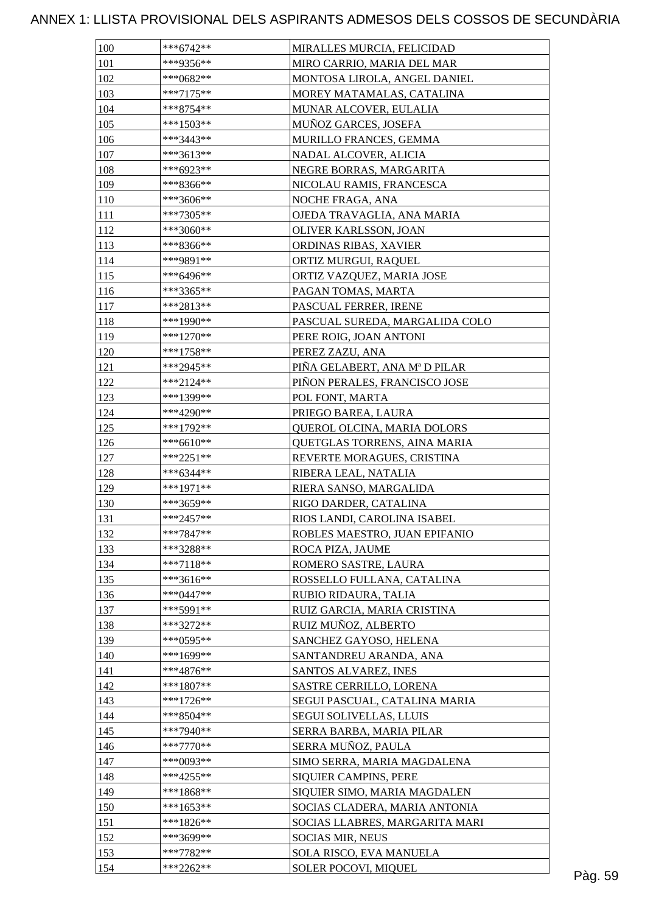| 100 | $***6742**$ | MIRALLES MURCIA, FELICIDAD     |  |
|-----|-------------|--------------------------------|--|
| 101 | ***9356**   | MIRO CARRIO, MARIA DEL MAR     |  |
| 102 | $***0682**$ | MONTOSA LIROLA, ANGEL DANIEL   |  |
| 103 | $***7175**$ | MOREY MATAMALAS, CATALINA      |  |
| 104 | $***8754**$ | MUNAR ALCOVER, EULALIA         |  |
| 105 | $***1503**$ | MUÑOZ GARCES, JOSEFA           |  |
| 106 | ***3443**   | MURILLO FRANCES, GEMMA         |  |
| 107 | ***3613**   | NADAL ALCOVER, ALICIA          |  |
| 108 | ***6923**   | NEGRE BORRAS, MARGARITA        |  |
| 109 | ***8366**   | NICOLAU RAMIS, FRANCESCA       |  |
| 110 | ***3606**   | NOCHE FRAGA, ANA               |  |
| 111 | $***7305**$ | OJEDA TRAVAGLIA, ANA MARIA     |  |
| 112 | $***3060**$ | OLIVER KARLSSON, JOAN          |  |
| 113 | $***8366**$ | ORDINAS RIBAS, XAVIER          |  |
| 114 | ***9891**   | ORTIZ MURGUI, RAQUEL           |  |
| 115 | ***6496**   | ORTIZ VAZQUEZ, MARIA JOSE      |  |
| 116 | ***3365**   | PAGAN TOMAS, MARTA             |  |
| 117 | ***2813**   | PASCUAL FERRER, IRENE          |  |
| 118 | ***1990**   | PASCUAL SUREDA, MARGALIDA COLO |  |
| 119 | $***1270**$ | PERE ROIG, JOAN ANTONI         |  |
| 120 | $***1758**$ | PEREZ ZAZU, ANA                |  |
| 121 | $***2945**$ | PIÑA GELABERT, ANA Mª D PILAR  |  |
| 122 | ***2124**   | PIÑON PERALES, FRANCISCO JOSE  |  |
| 123 | ***1399**   | POL FONT, MARTA                |  |
| 124 | $***4290**$ | PRIEGO BAREA, LAURA            |  |
| 125 | $***1792**$ | QUEROL OLCINA, MARIA DOLORS    |  |
| 126 | $***6610**$ | QUETGLAS TORRENS, AINA MARIA   |  |
| 127 | $***2251**$ | REVERTE MORAGUES, CRISTINA     |  |
| 128 | $***6344**$ | RIBERA LEAL, NATALIA           |  |
| 129 | ***1971**   | RIERA SANSO, MARGALIDA         |  |
| 130 | ***3659**   | RIGO DARDER, CATALINA          |  |
| 131 | $***2457**$ | RIOS LANDI, CAROLINA ISABEL    |  |
| 132 | $***7847**$ | ROBLES MAESTRO, JUAN EPIFANIO  |  |
| 133 | ***3288**   | ROCA PIZA, JAUME               |  |
| 134 | $***7118**$ | ROMERO SASTRE, LAURA           |  |
| 135 | ***3616**   | ROSSELLO FULLANA, CATALINA     |  |
| 136 | $***0447**$ | RUBIO RIDAURA, TALIA           |  |
| 137 | $***5991**$ | RUIZ GARCIA, MARIA CRISTINA    |  |
| 138 | $***3272**$ | RUIZ MUÑOZ, ALBERTO            |  |
| 139 | ***0595**   | SANCHEZ GAYOSO, HELENA         |  |
| 140 | ***1699**   | SANTANDREU ARANDA, ANA         |  |
| 141 | $***4876**$ | SANTOS ALVAREZ, INES           |  |
| 142 | $***1807**$ | SASTRE CERRILLO, LORENA        |  |
| 143 | $***1726**$ | SEGUI PASCUAL, CATALINA MARIA  |  |
| 144 | $***8504**$ | <b>SEGUI SOLIVELLAS, LLUIS</b> |  |
| 145 | $***7940**$ | SERRA BARBA, MARIA PILAR       |  |
| 146 | $***7770**$ | SERRA MUÑOZ, PAULA             |  |
| 147 | ***0093**   | SIMO SERRA, MARIA MAGDALENA    |  |
| 148 | $***4255**$ | <b>SIQUIER CAMPINS, PERE</b>   |  |
| 149 | $***1868**$ | SIQUIER SIMO, MARIA MAGDALEN   |  |
| 150 | ***1653**   | SOCIAS CLADERA, MARIA ANTONIA  |  |
| 151 | $***1826**$ | SOCIAS LLABRES, MARGARITA MARI |  |
| 152 | ***3699**   | SOCIAS MIR, NEUS               |  |
| 153 | $***7782**$ | SOLA RISCO, EVA MANUELA        |  |
|     | ***2262**   | SOLER POCOVI, MIQUEL           |  |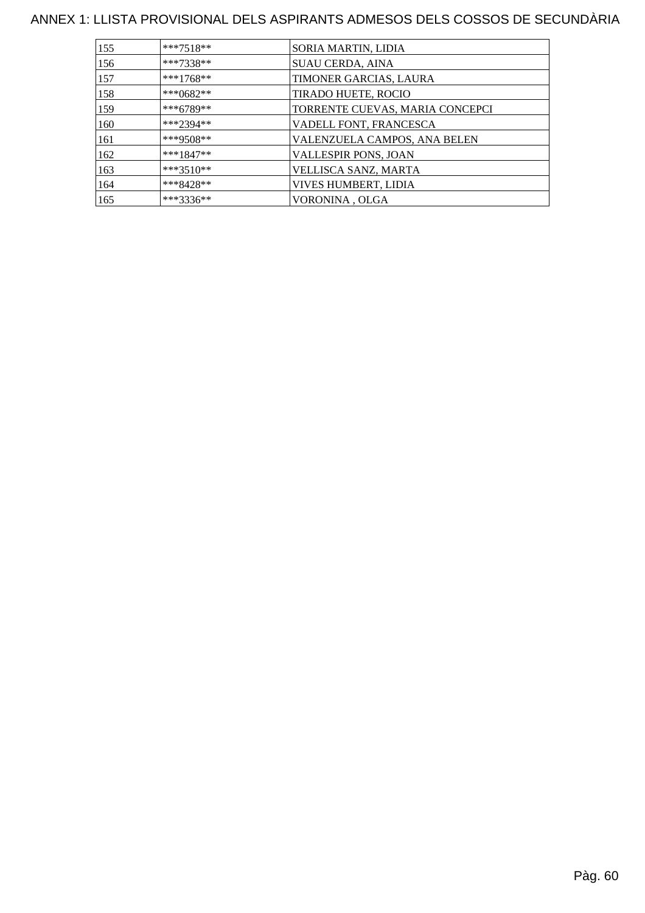| 155 | $***7518**$ | SORIA MARTIN, LIDIA             |
|-----|-------------|---------------------------------|
|     |             |                                 |
| 156 | $***7338**$ | SUAU CERDA, AINA                |
| 157 | $***1768**$ | TIMONER GARCIAS, LAURA          |
| 158 | ***0682**   | TIRADO HUETE, ROCIO             |
| 159 | $***6789**$ | TORRENTE CUEVAS, MARIA CONCEPCI |
| 160 | $***2394**$ | VADELL FONT, FRANCESCA          |
| 161 | ***9508**   | VALENZUELA CAMPOS, ANA BELEN    |
| 162 | $***1847**$ | VALLESPIR PONS, JOAN            |
| 163 | $***3510**$ | VELLISCA SANZ, MARTA            |
| 164 | ***8428**   | VIVES HUMBERT, LIDIA            |
| 165 | ***3336**   | VORONINA, OLGA                  |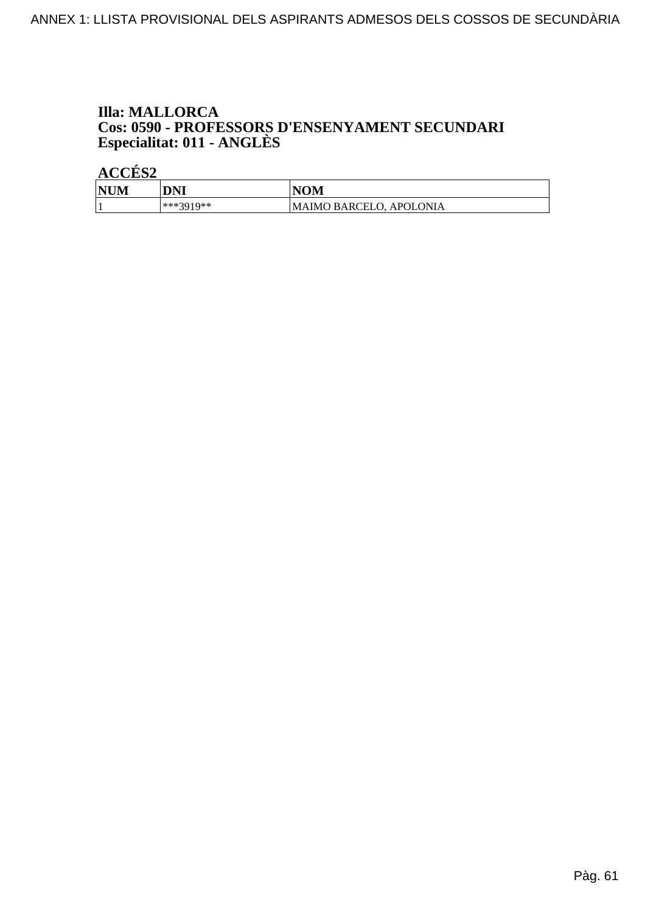## **Illa: MALLORCA Cos: 0590 - PROFESSORS D'ENSENYAMENT SECUNDARI<br>Especialitat: 011 - ANGLÈS**

| <b>NUM</b> | DNI       | <b>NOM</b>                     |
|------------|-----------|--------------------------------|
|            | ***3010** | <b>MAIMO BARCELO, APOLONIA</b> |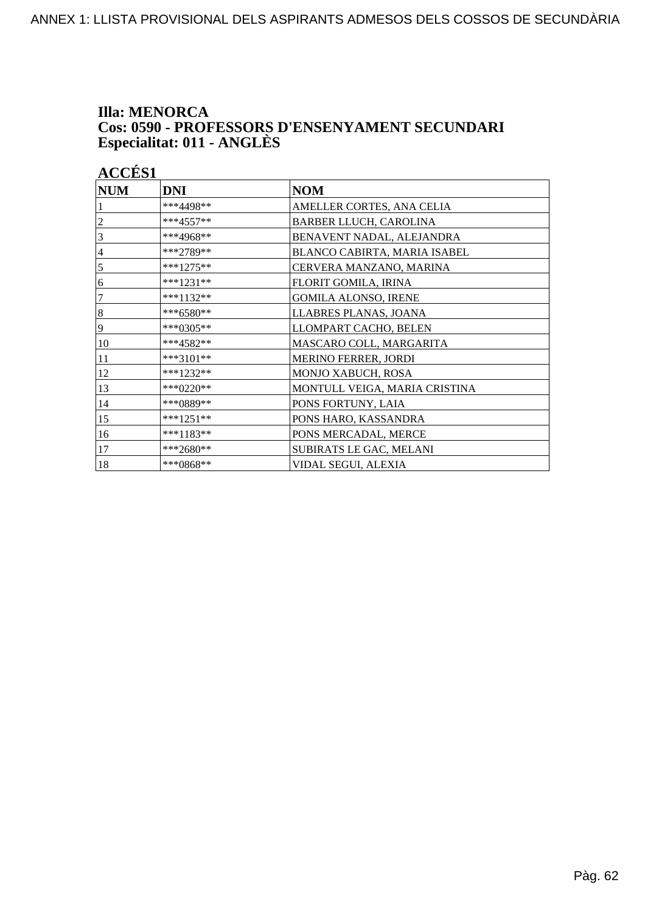## **Illa: MENORCA Cos: 0590 - PROFESSORS D'ENSENYAMENT SECUNDARI<br>Especialitat: 011 - ANGLÈS**

| <b>NUM</b> | <b>DNI</b>  | <b>NOM</b>                    |
|------------|-------------|-------------------------------|
|            | ***4498**   | AMELLER CORTES, ANA CELIA     |
| 2          | $***4557**$ | BARBER LLUCH, CAROLINA        |
| 3          | ***4968**   | BENAVENT NADAL, ALEJANDRA     |
| 4          | ***2789**   | BLANCO CABIRTA, MARIA ISABEL  |
| 5          | ***1275**   | CERVERA MANZANO, MARINA       |
| 6          | ***1231**   | FLORIT GOMILA, IRINA          |
| $\tau$     | ***1132**   | <b>GOMILA ALONSO, IRENE</b>   |
| $\,8\,$    | ***6580**   | LLABRES PLANAS, JOANA         |
| 9          | ***0305**   | LLOMPART CACHO, BELEN         |
| 10         | ***4582**   | MASCARO COLL, MARGARITA       |
| 11         | ***3101**   | <b>MERINO FERRER, JORDI</b>   |
| 12         | $***1232**$ | MONJO XABUCH, ROSA            |
| 13         | ***0220**   | MONTULL VEIGA, MARIA CRISTINA |
| 14         | ***0889**   | PONS FORTUNY, LAIA            |
| 15         | ***1251**   | PONS HARO, KASSANDRA          |
| 16         | ***1183**   | PONS MERCADAL, MERCE          |
| 17         | ***2680**   | SUBIRATS LE GAC, MELANI       |
| 18         | ***0868**   | VIDAL SEGUI, ALEXIA           |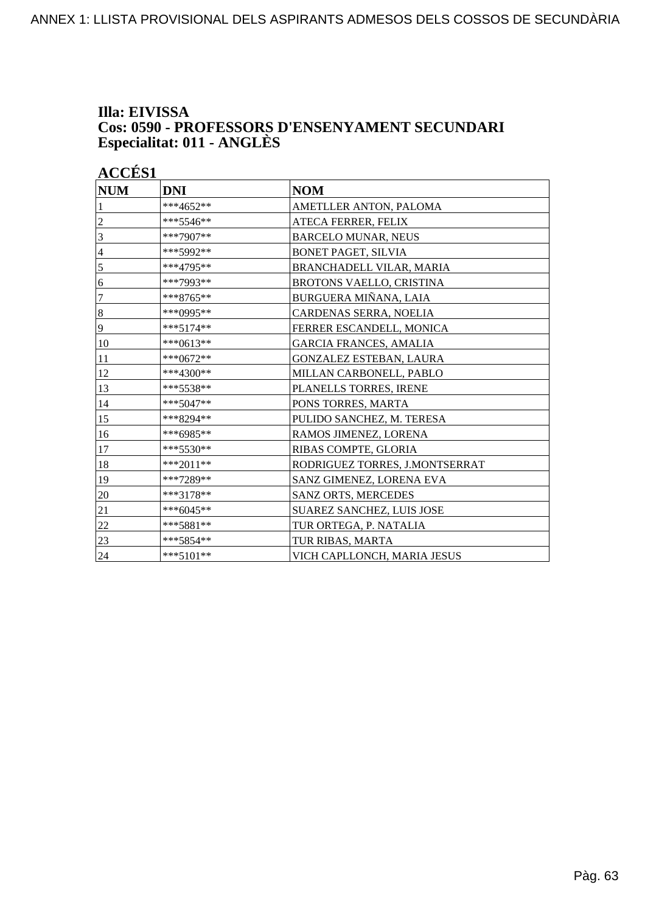#### **Illa: EIVISSA Cos: 0590 - PROFESSORS D'ENSENYAMENT SECUNDARI Especialitat: 011 - ANGLÈS**

| <b>NUM</b> | <b>DNI</b>  | <b>NOM</b>                     |
|------------|-------------|--------------------------------|
|            | ***4652**   | AMETLLER ANTON, PALOMA         |
| 2          | ***5546**   | ATECA FERRER, FELIX            |
| 3          | ***7907**   | <b>BARCELO MUNAR, NEUS</b>     |
| 4          | ***5992**   | <b>BONET PAGET, SILVIA</b>     |
| 5          | ***4795**   | BRANCHADELL VILAR, MARIA       |
| 6          | ***7993**   | BROTONS VAELLO, CRISTINA       |
| 7          | ***8765**   | BURGUERA MIÑANA, LAIA          |
| 8          | ***0995**   | CARDENAS SERRA, NOELIA         |
| 9          | ***5174**   | FERRER ESCANDELL, MONICA       |
| 10         | $***0613**$ | <b>GARCIA FRANCES, AMALIA</b>  |
| 11         | $***0672**$ | GONZALEZ ESTEBAN, LAURA        |
| 12         | ***4300**   | MILLAN CARBONELL, PABLO        |
| 13         | ***5538**   | PLANELLS TORRES, IRENE         |
| 14         | ***5047**   | PONS TORRES, MARTA             |
| 15         | ***8294**   | PULIDO SANCHEZ, M. TERESA      |
| 16         | ***6985**   | RAMOS JIMENEZ, LORENA          |
| 17         | $***5530**$ | RIBAS COMPTE, GLORIA           |
| 18         | $***2011**$ | RODRIGUEZ TORRES, J.MONTSERRAT |
| 19         | ***7289**   | SANZ GIMENEZ, LORENA EVA       |
| 20         | ***3178**   | SANZ ORTS, MERCEDES            |
| 21         | ***6045**   | SUAREZ SANCHEZ, LUIS JOSE      |
| 22         | ***5881**   | TUR ORTEGA, P. NATALIA         |
| 23         | $***5854**$ | TUR RIBAS, MARTA               |
| 24         | ***5101**   | VICH CAPLLONCH, MARIA JESUS    |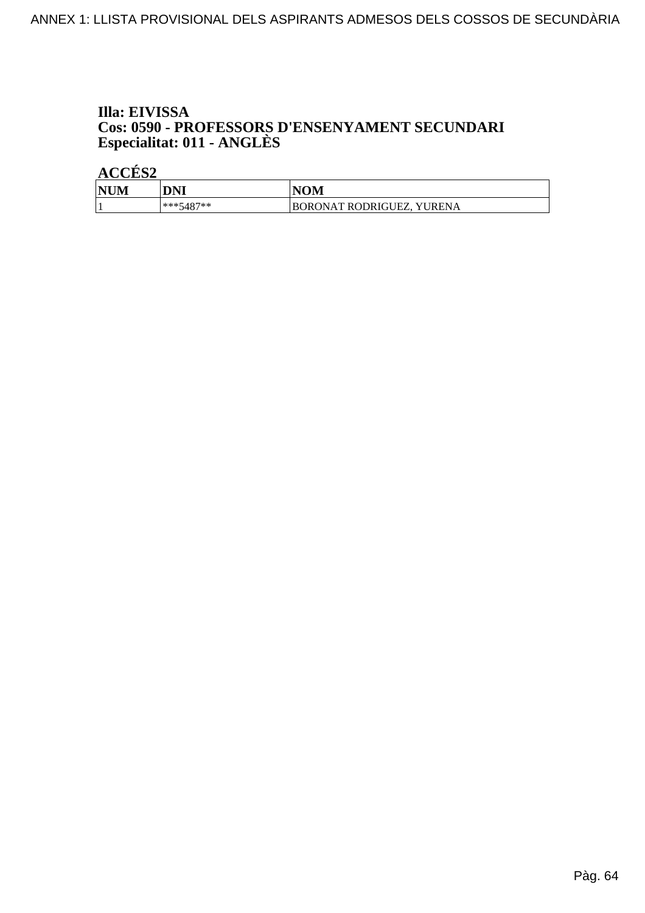## Illa: EIVISSA **Cos: 0590 - PROFESSORS D'ENSENYAMENT SECUNDARI<br>Especialitat: 011 - ANGLÈS**

| <b>NUM</b> | DNI         | <b>NOM</b>                |
|------------|-------------|---------------------------|
|            | $***5487**$ | BORONAT RODRIGUEZ, YURENA |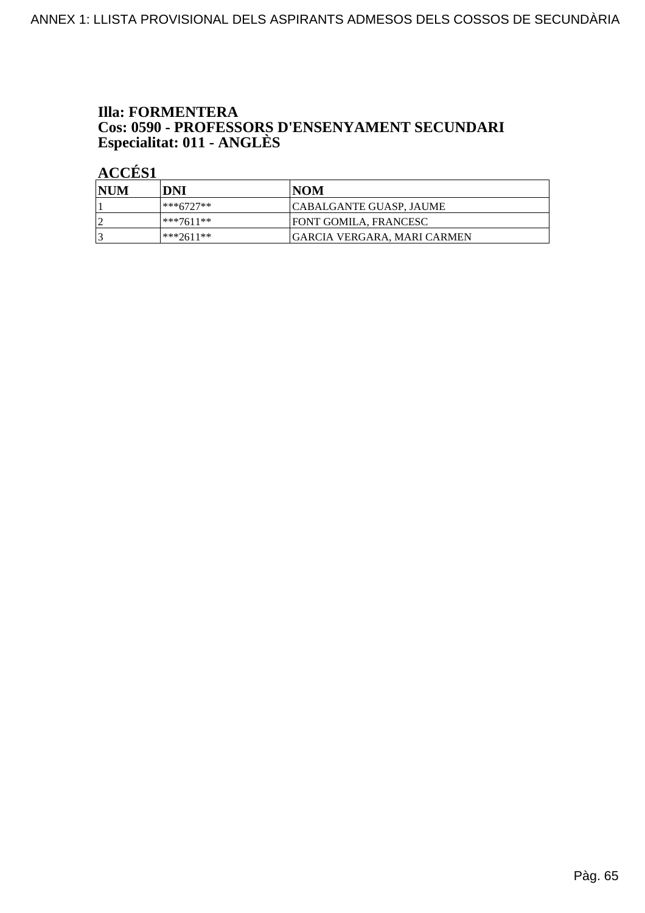## **Illa: FORMENTERA Cos: 0590 - PROFESSORS D'ENSENYAMENT SECUNDARI<br>Especialitat: 011 - ANGLÈS**

| NUM | DNI          | INOM                         |
|-----|--------------|------------------------------|
|     | ***6727**    | CABALGANTE GUASP, JAUME      |
|     | ***7611**    | <b>FONT GOMILA. FRANCESC</b> |
|     | $ ***2611**$ | IGARCIA VERGARA. MARI CARMEN |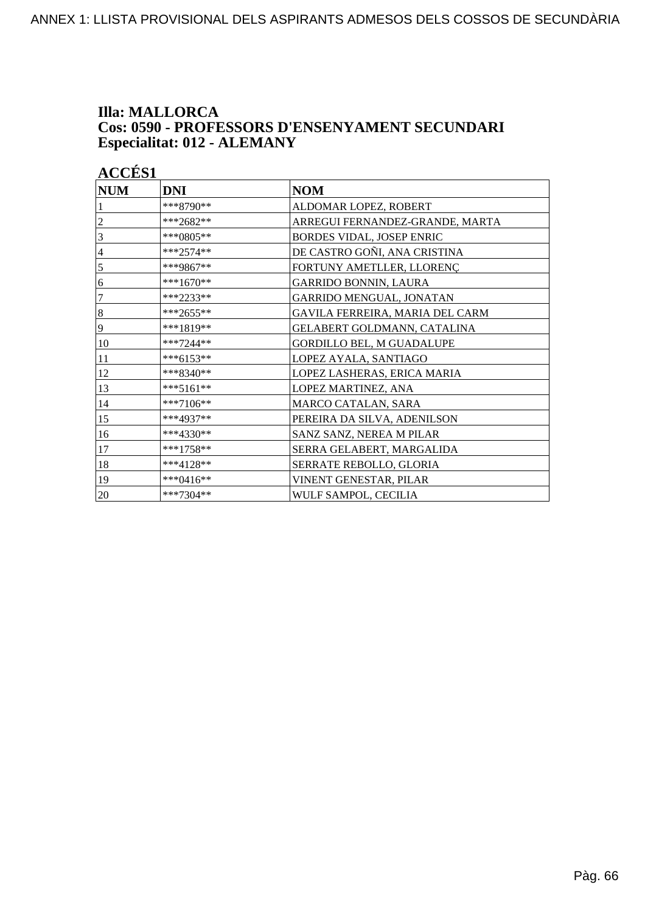#### **Illa: MALLORCA Cos: 0590 - PROFESSORS D'ENSENYAMENT SECUNDARI Especialitat: 012 - ALEMANY**

| <b>NUM</b>       | <b>DNI</b>  | <b>NOM</b>                       |
|------------------|-------------|----------------------------------|
|                  | ***8790**   | ALDOMAR LOPEZ, ROBERT            |
| 2                | ***2682**   | ARREGUI FERNANDEZ-GRANDE, MARTA  |
| 3                | ***0805**   | BORDES VIDAL, JOSEP ENRIC        |
| $\overline{4}$   | $***2574**$ | DE CASTRO GOÑI, ANA CRISTINA     |
| 5                | ***9867**   | FORTUNY AMETLLER, LLORENC        |
| 6                | $***1670**$ | <b>GARRIDO BONNIN, LAURA</b>     |
| 7                | ***2233**   | GARRIDO MENGUAL, JONATAN         |
| $\boldsymbol{8}$ | ***2655**   | GAVILA FERREIRA, MARIA DEL CARM  |
| 9                | ***1819**   | GELABERT GOLDMANN, CATALINA      |
| 10               | ***7244**   | <b>GORDILLO BEL, M GUADALUPE</b> |
| 11               | ***6153**   | LOPEZ AYALA, SANTIAGO            |
| 12               | ***8340**   | LOPEZ LASHERAS, ERICA MARIA      |
| 13               | ***5161**   | LOPEZ MARTINEZ, ANA              |
| 14               | ***7106**   | MARCO CATALAN, SARA              |
| 15               | ***4937**   | PEREIRA DA SILVA, ADENILSON      |
| 16               | ***4330**   | SANZ SANZ, NEREA M PILAR         |
| 17               | ***1758**   | SERRA GELABERT, MARGALIDA        |
| 18               | ***4128**   | SERRATE REBOLLO, GLORIA          |
| 19               | ***0416**   | VINENT GENESTAR, PILAR           |
| 20               | ***7304**   | WULF SAMPOL, CECILIA             |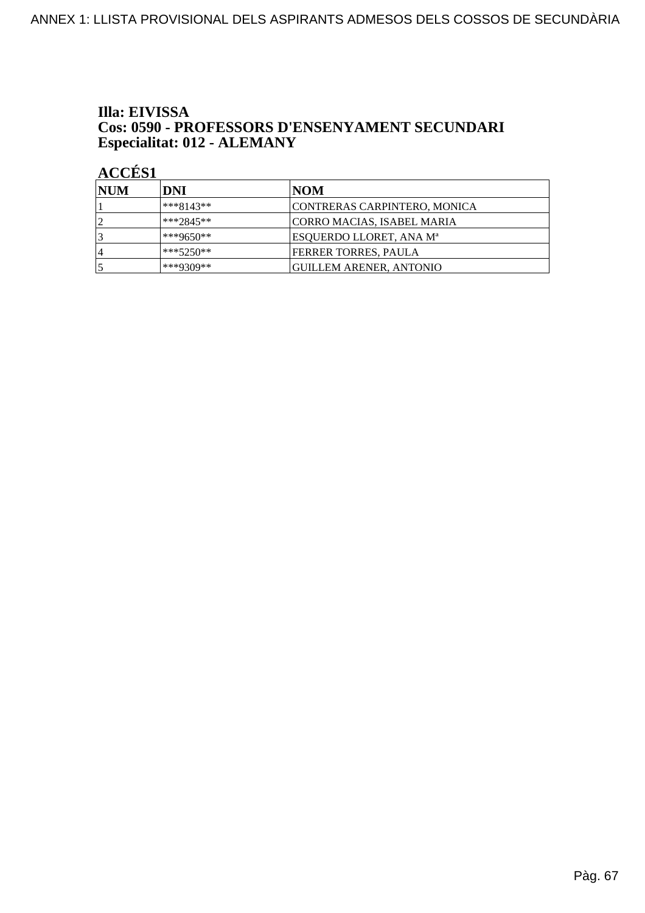#### Illa: EIVISSA Cos: 0590 - PROFESSORS D'ENSENYAMENT SECUNDARI Especialitat: 012 - ALEMANY

| <b>INUM</b>    | DNI         | NOM                            |
|----------------|-------------|--------------------------------|
|                | $***8143**$ | CONTRERAS CARPINTERO, MONICA   |
|                | $***2845**$ | CORRO MACIAS, ISABEL MARIA     |
|                | ***9650**   | ESQUERDO LLORET, ANA Mª        |
| $\overline{4}$ | $***5250**$ | FERRER TORRES, PAULA           |
|                | ***9309**   | <b>GUILLEM ARENER, ANTONIO</b> |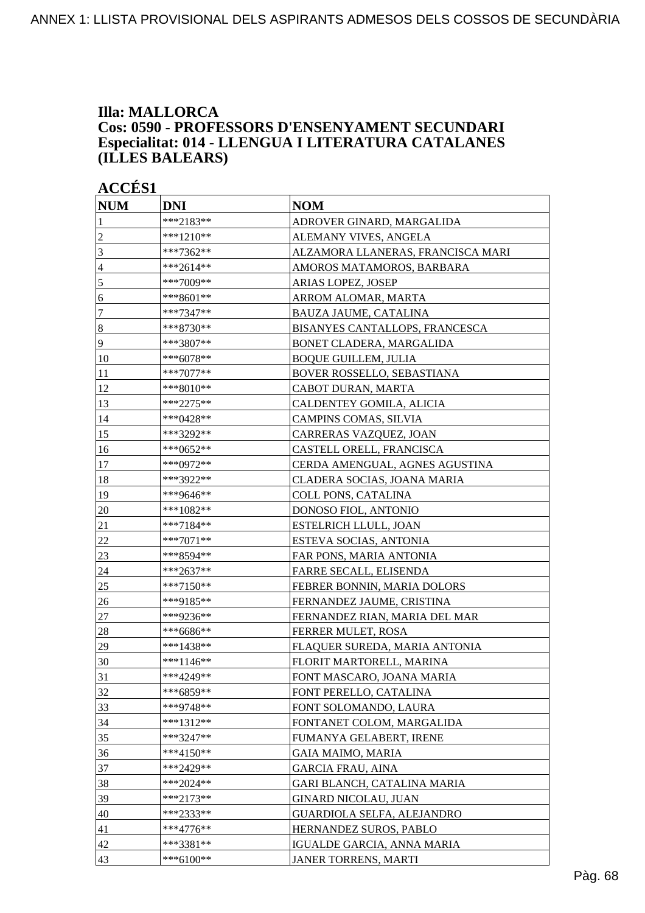#### **Illa: MALLORCA Cos: 0590 - PROFESSORS D'ENSENYAMENT SECUNDARI Especialitat: 014 - LLENGUA I LITERATURA CATALANES (ILLES BALEARS)**

| <b>NUM</b>       | <b>DNI</b>  | <b>NOM</b>                        |
|------------------|-------------|-----------------------------------|
|                  | ***2183**   | ADROVER GINARD, MARGALIDA         |
| $\overline{c}$   | ***1210**   | ALEMANY VIVES, ANGELA             |
| 3                | ***7362**   | ALZAMORA LLANERAS, FRANCISCA MARI |
| $\overline{4}$   | ***2614**   | AMOROS MATAMOROS, BARBARA         |
| 5                | ***7009**   | ARIAS LOPEZ, JOSEP                |
| 6                | ***8601**   | ARROM ALOMAR, MARTA               |
| 7                | ***7347**   | BAUZA JAUME, CATALINA             |
| $\boldsymbol{8}$ | ***8730**   | BISANYES CANTALLOPS, FRANCESCA    |
| 9                | ***3807**   | BONET CLADERA, MARGALIDA          |
| 10               | ***6078**   | <b>BOQUE GUILLEM, JULIA</b>       |
| <sup>11</sup>    | $***7077**$ | BOVER ROSSELLO, SEBASTIANA        |
| 12               | ***8010**   | CABOT DURAN, MARTA                |
| 13               | ***2275**   | CALDENTEY GOMILA, ALICIA          |
| 14               | ***0428**   | CAMPINS COMAS, SILVIA             |
| 15               | ***3292**   | CARRERAS VAZQUEZ, JOAN            |
| 16               | ***0652**   | CASTELL ORELL, FRANCISCA          |
| 17               | ***0972**   | CERDA AMENGUAL, AGNES AGUSTINA    |
| 18               | ***3922**   | CLADERA SOCIAS, JOANA MARIA       |
| 19               | ***9646**   | COLL PONS, CATALINA               |
| 20               | ***1082**   | DONOSO FIOL, ANTONIO              |
| 21               | ***7184**   | ESTELRICH LLULL, JOAN             |
| 22               | ***7071**   | ESTEVA SOCIAS, ANTONIA            |
| 23               | ***8594**   | FAR PONS, MARIA ANTONIA           |
| 24               | ***2637**   | FARRE SECALL, ELISENDA            |
| 25               | ***7150**   | FEBRER BONNIN, MARIA DOLORS       |
| 26               | ***9185**   | FERNANDEZ JAUME, CRISTINA         |
| 27               | ***9236**   | FERNANDEZ RIAN, MARIA DEL MAR     |
| 28               | ***6686**   | <b>FERRER MULET, ROSA</b>         |
| 29               | ***1438**   | FLAQUER SUREDA, MARIA ANTONIA     |
| $ 30\rangle$     | $***1146**$ | FLORIT MARTORELL, MARINA          |
| 31               | ***4249**   | FONT MASCARO, JOANA MARIA         |
| 32               | ***6859**   | FONT PERELLO, CATALINA            |
| 33               | ***9748**   | FONT SOLOMANDO, LAURA             |
| 34               | ***1312**   | FONTANET COLOM, MARGALIDA         |
| 35               | ***3247**   | FUMANYA GELABERT, IRENE           |
| 36               | ***4150**   | GAIA MAIMO, MARIA                 |
| 37               | ***2429**   | <b>GARCIA FRAU, AINA</b>          |
| 38               | ***2024**   | GARI BLANCH, CATALINA MARIA       |
| 39               | ***2173**   | <b>GINARD NICOLAU, JUAN</b>       |
| 40               | ***2333**   | GUARDIOLA SELFA, ALEJANDRO        |
| 41               | $***4776**$ | HERNANDEZ SUROS, PABLO            |
| 42               | ***3381**   | IGUALDE GARCIA, ANNA MARIA        |
| 43               | ***6100**   | <b>JANER TORRENS, MARTI</b>       |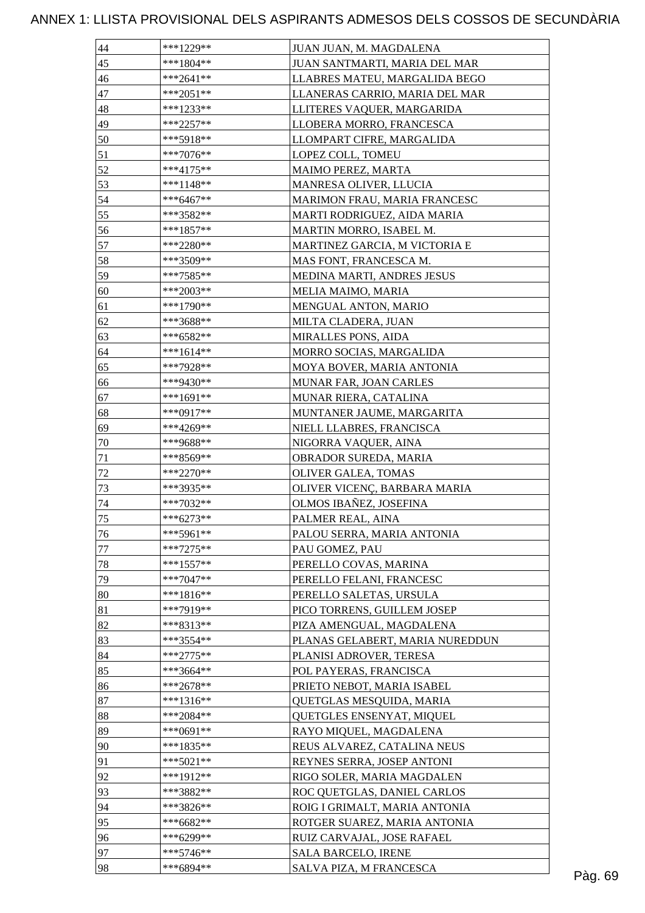| 44 | $***1229**$ | JUAN JUAN, M. MAGDALENA         |  |
|----|-------------|---------------------------------|--|
| 45 | ***1804**   | JUAN SANTMARTI, MARIA DEL MAR   |  |
| 46 | $***2641**$ | LLABRES MATEU, MARGALIDA BEGO   |  |
| 47 | $***2051**$ | LLANERAS CARRIO, MARIA DEL MAR  |  |
| 48 | ***1233**   | LLITERES VAQUER, MARGARIDA      |  |
| 49 | ***2257**   | LLOBERA MORRO, FRANCESCA        |  |
| 50 | ***5918**   | LLOMPART CIFRE, MARGALIDA       |  |
| 51 | $***7076**$ | LOPEZ COLL, TOMEU               |  |
| 52 | $***4175**$ | MAIMO PEREZ, MARTA              |  |
| 53 | ***1148**   | MANRESA OLIVER, LLUCIA          |  |
| 54 | ***6467**   | MARIMON FRAU, MARIA FRANCESC    |  |
| 55 | ***3582**   | MARTI RODRIGUEZ, AIDA MARIA     |  |
| 56 | ***1857**   | MARTIN MORRO, ISABEL M.         |  |
| 57 | ***2280**   | MARTINEZ GARCIA, M VICTORIA E   |  |
| 58 | ***3509**   | MAS FONT, FRANCESCA M.          |  |
| 59 | $***7585**$ | MEDINA MARTI, ANDRES JESUS      |  |
| 60 | ***2003**   |                                 |  |
|    |             | MELIA MAIMO, MARIA              |  |
| 61 | ***1790**   | MENGUAL ANTON, MARIO            |  |
| 62 | ***3688**   | MILTA CLADERA, JUAN             |  |
| 63 | ***6582**   | <b>MIRALLES PONS, AIDA</b>      |  |
| 64 | $***1614**$ | MORRO SOCIAS, MARGALIDA         |  |
| 65 | ***7928**   | MOYA BOVER, MARIA ANTONIA       |  |
| 66 | ***9430**   | MUNAR FAR, JOAN CARLES          |  |
| 67 | $***1691**$ | MUNAR RIERA, CATALINA           |  |
| 68 | ***0917**   | MUNTANER JAUME, MARGARITA       |  |
| 69 | ***4269**   | NIELL LLABRES, FRANCISCA        |  |
| 70 | ***9688**   | NIGORRA VAQUER, AINA            |  |
| 71 | ***8569**   | OBRADOR SUREDA, MARIA           |  |
| 72 | ***2270**   | OLIVER GALEA, TOMAS             |  |
| 73 | ***3935**   | OLIVER VICENÇ, BARBARA MARIA    |  |
| 74 | $***7032**$ | OLMOS IBAÑEZ, JOSEFINA          |  |
| 75 | ***6273**   | PALMER REAL, AINA               |  |
| 76 | ***5961**   | PALOU SERRA, MARIA ANTONIA      |  |
| 77 | $***7275**$ | PAU GOMEZ, PAU                  |  |
| 78 | $***1557**$ | PERELLO COVAS, MARINA           |  |
| 79 | $***7047**$ | PERELLO FELANI, FRANCESC        |  |
| 80 | $***1816**$ | PERELLO SALETAS, URSULA         |  |
| 81 | ***7919**   | PICO TORRENS, GUILLEM JOSEP     |  |
| 82 | ***8313**   | PIZA AMENGUAL, MAGDALENA        |  |
| 83 | ***3554**   | PLANAS GELABERT, MARIA NUREDDUN |  |
| 84 | $***2775**$ | PLANISI ADROVER, TERESA         |  |
| 85 | ***3664**   | POL PAYERAS, FRANCISCA          |  |
| 86 | $***2678**$ | PRIETO NEBOT, MARIA ISABEL      |  |
| 87 | $***1316**$ | QUETGLAS MESQUIDA, MARIA        |  |
| 88 | ***2084**   | QUETGLES ENSENYAT, MIQUEL       |  |
| 89 | $***0691**$ | RAYO MIQUEL, MAGDALENA          |  |
| 90 | ***1835**   | REUS ALVAREZ, CATALINA NEUS     |  |
| 91 | $***5021**$ | REYNES SERRA, JOSEP ANTONI      |  |
| 92 | ***1912**   | RIGO SOLER, MARIA MAGDALEN      |  |
| 93 | ***3882**   | ROC QUETGLAS, DANIEL CARLOS     |  |
| 94 | ***3826**   | ROIG I GRIMALT, MARIA ANTONIA   |  |
| 95 | ***6682**   | ROTGER SUAREZ, MARIA ANTONIA    |  |
| 96 | ***6299**   | RUIZ CARVAJAL, JOSE RAFAEL      |  |
| 97 | ***5746**   | <b>SALA BARCELO, IRENE</b>      |  |
|    |             |                                 |  |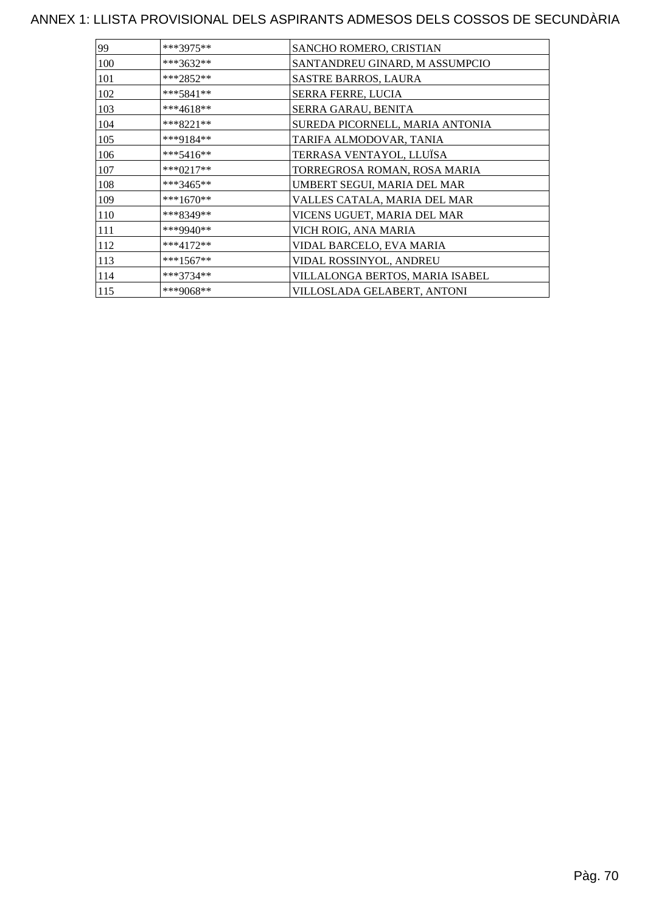| 99  | ***3975**   | SANCHO ROMERO, CRISTIAN         |
|-----|-------------|---------------------------------|
| 100 | ***3632**   | SANTANDREU GINARD, M ASSUMPCIO  |
| 101 | ***2852**   | <b>SASTRE BARROS, LAURA</b>     |
| 102 | $***5841**$ | SERRA FERRE, LUCIA              |
| 103 | ***4618**   | SERRA GARAU, BENITA             |
| 104 | $***8221**$ | SUREDA PICORNELL, MARIA ANTONIA |
| 105 | ***9184**   | TARIFA ALMODOVAR, TANIA         |
| 106 | $***5416**$ | TERRASA VENTAYOL, LLUÏSA        |
| 107 | $***0217**$ | TORREGROSA ROMAN, ROSA MARIA    |
| 108 | ***3465**   | UMBERT SEGUI, MARIA DEL MAR     |
| 109 | ***1670**   | VALLES CATALA, MARIA DEL MAR    |
| 110 | ***8349**   | VICENS UGUET, MARIA DEL MAR     |
| 111 | ***9940**   | VICH ROIG, ANA MARIA            |
| 112 | $***4172**$ | VIDAL BARCELO, EVA MARIA        |
| 113 | $***1567**$ | VIDAL ROSSINYOL, ANDREU         |
| 114 | ***3734**   | VILLALONGA BERTOS, MARIA ISABEL |
| 115 | ***9068**   | VILLOSLADA GELABERT, ANTONI     |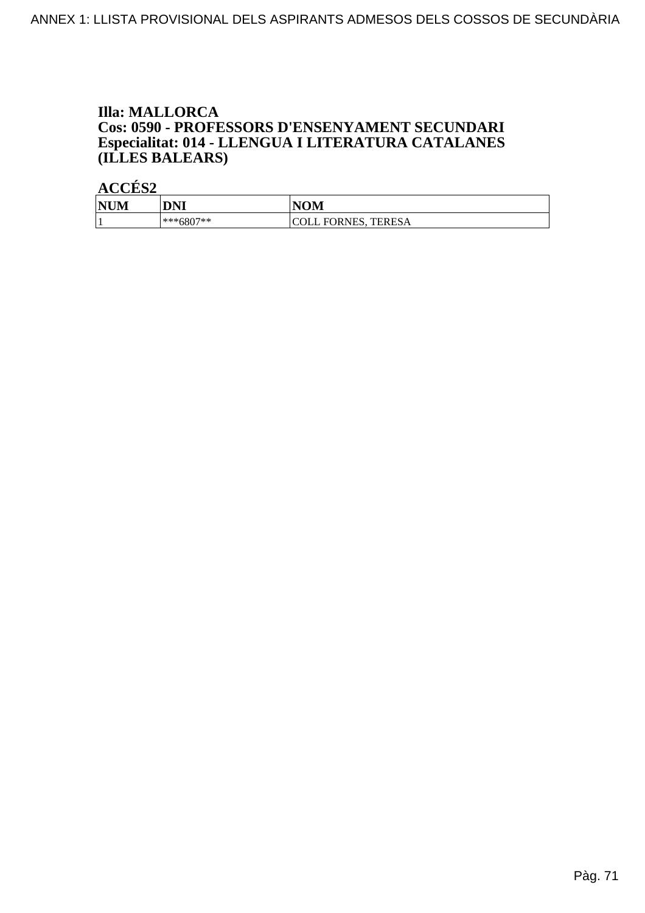#### **Illa: MALLORCA** Cos: 0590 - PROFESSORS D'ENSENYAMENT SECUNDARI Especialitat: 014 - LLENGUA I LITERATURA CATALANES (ILLES BALEARS)

| <b>NUM</b> | <b>DNI</b>  | <b>NOM</b>                    |
|------------|-------------|-------------------------------|
| л.         | $***6807**$ | <b>COLL FORNES.</b><br>TERESA |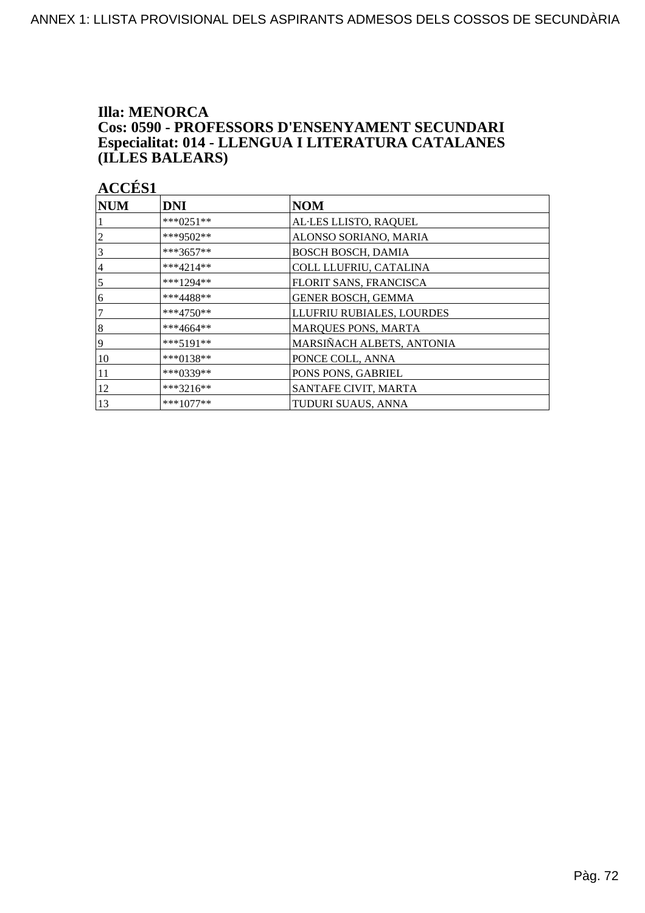#### **Illa: MENORCA** Cos: 0590 - PROFESSORS D'ENSENYAMENT SECUNDARI Especialitat: 014 - LLENGUA I LITERATURA CATALANES (ILLES BALEARS)

| $\bf NUM$ | <b>DNI</b>  | NOM                         |
|-----------|-------------|-----------------------------|
|           | ***0251**   | AL·LES LLISTO, RAQUEL       |
| 2         | ***9502**   | ALONSO SORIANO, MARIA       |
| 3         | $***3657**$ | <b>BOSCH BOSCH, DAMIA</b>   |
| 4         | $***4214**$ | COLL LLUFRIU, CATALINA      |
| 5         | ***1294**   | FLORIT SANS, FRANCISCA      |
| 6         | ***4488**   | <b>GENER BOSCH, GEMMA</b>   |
|           | $***4750**$ | LLUFRIU RUBIALES, LOURDES   |
| $\vert 8$ | $***4664**$ | MARQUES PONS, MARTA         |
| 9         | $***5191**$ | MARSIÑACH ALBETS, ANTONIA   |
| 10        | ***0138**   | PONCE COLL, ANNA            |
| 11        | ***0339**   | PONS PONS, GABRIEL          |
| 12        | ***3216**   | <b>SANTAFE CIVIT, MARTA</b> |
| 13        | $***1077**$ | TUDURI SUAUS, ANNA          |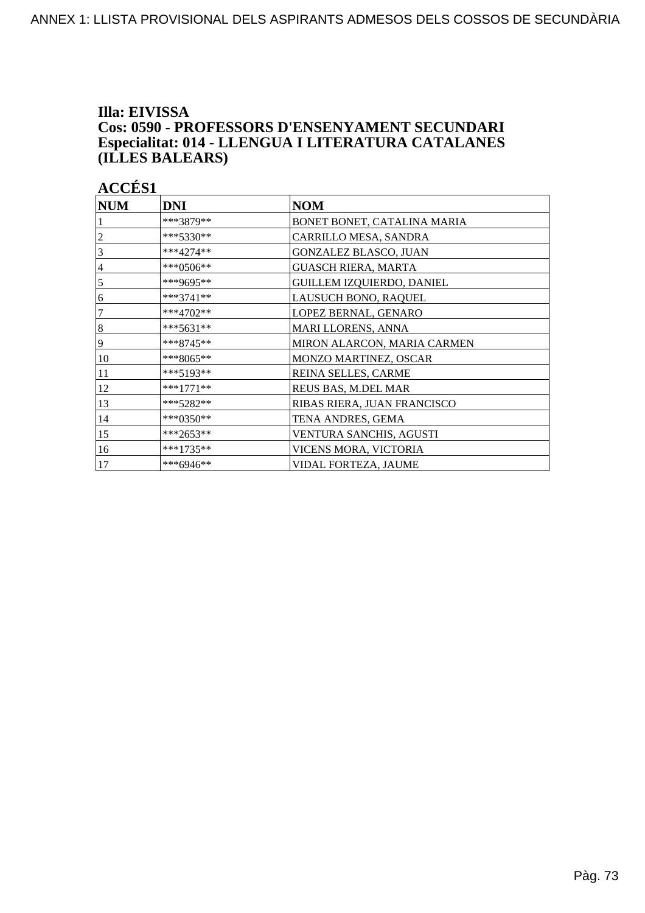#### Illa: EIVISSA Cos: 0590 - PROFESSORS D'ENSENYAMENT SECUNDARI Especialitat: 014 - LLENGUA I LITERATURA CATALANES (ILLES BALEARS)

| <b>ACCES</b> |  |
|--------------|--|
|              |  |
|              |  |

| <b>NUM</b>     | DNI         | <b>NOM</b>                  |
|----------------|-------------|-----------------------------|
|                | ***3879**   | BONET BONET, CATALINA MARIA |
| 2              | ***5330**   | CARRILLO MESA, SANDRA       |
| 3              | $***4274**$ | GONZALEZ BLASCO, JUAN       |
| $\overline{4}$ | ***0506**   | <b>GUASCH RIERA, MARTA</b>  |
| 5              | ***9695**   | GUILLEM IZQUIERDO, DANIEL   |
| 6              | $***3741**$ | LAUSUCH BONO, RAQUEL        |
| 7              | $***4702**$ | LOPEZ BERNAL, GENARO        |
| $\vert 8$      | ***5631**   | MARI LLORENS, ANNA          |
| $\overline{9}$ | ***8745**   | MIRON ALARCON, MARIA CARMEN |
| 10             | ***8065**   | MONZO MARTINEZ, OSCAR       |
| 11             | ***5193**   | REINA SELLES, CARME         |
| 12             | ***1771**   | REUS BAS, M.DEL MAR         |
| 13             | ***5282**   | RIBAS RIERA, JUAN FRANCISCO |
| 14             | ***0350**   | TENA ANDRES, GEMA           |
| 15             | $***2653**$ | VENTURA SANCHIS, AGUSTI     |
| 16             | ***1735**   | VICENS MORA, VICTORIA       |
| 17             | ***6946**   | VIDAL FORTEZA, JAUME        |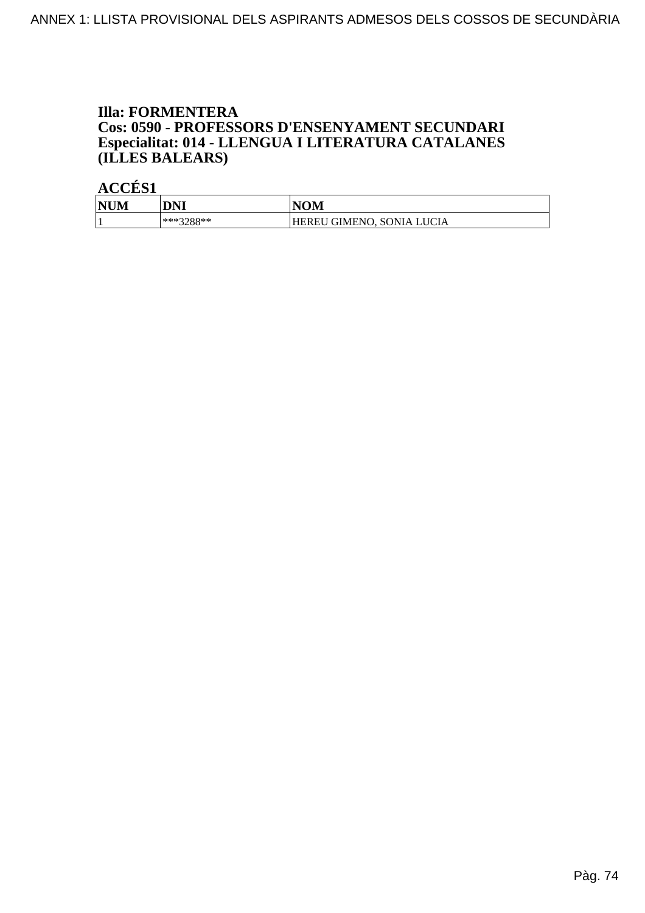### **Illa: FORMENTERA Cos: 0590 - PROFESSORS D'ENSENYAMENT SECUNDARI<br>Especialitat: 014 - LLENGUA I LITERATURA CATALANES** (ILLES BALEARS)

| <b>NUM</b> | DNI       | <b>NOM</b>                |
|------------|-----------|---------------------------|
|            | ***3288** | HEREU GIMENO, SONIA LUCIA |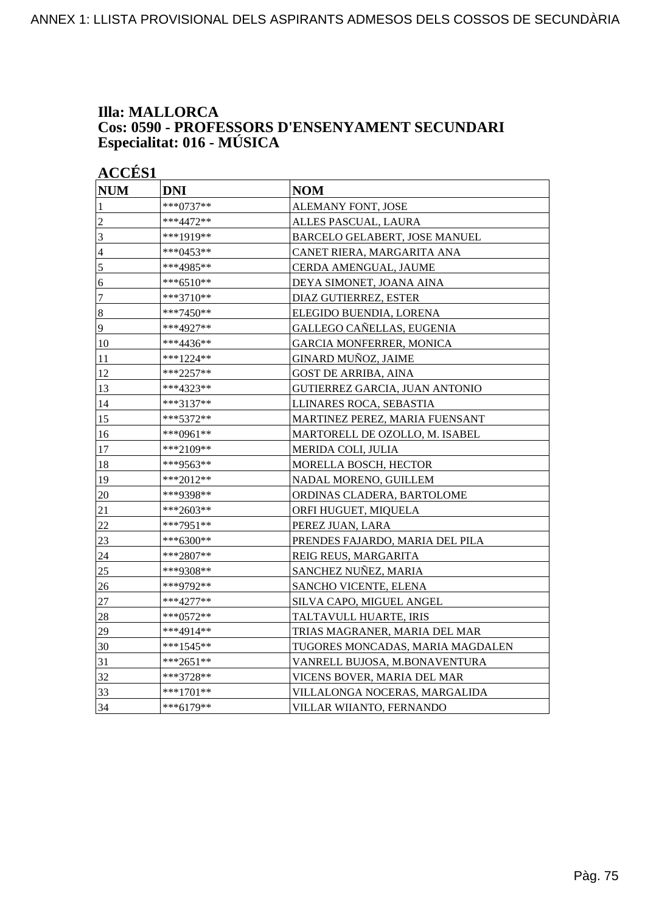#### **Illa: MALLORCA Cos: 0590 - PROFESSORS D'ENSENYAMENT SECUNDARI Especialitat: 016 - MÚSICA**

| <b>ACCÉS 1</b>   |             |                                  |
|------------------|-------------|----------------------------------|
| <b>NUM</b>       | <b>DNI</b>  | <b>NOM</b>                       |
| $\mathbf{1}$     | ***0737**   | ALEMANY FONT, JOSE               |
| $\overline{2}$   | ***4472**   | ALLES PASCUAL, LAURA             |
| 3                | ***1919**   | BARCELO GELABERT, JOSE MANUEL    |
| $\overline{4}$   | ***0453**   | CANET RIERA, MARGARITA ANA       |
| 5                | ***4985**   | CERDA AMENGUAL, JAUME            |
| 6                | ***6510**   | DEYA SIMONET, JOANA AINA         |
| $\overline{7}$   | ***3710**   | DIAZ GUTIERREZ, ESTER            |
| $\boldsymbol{8}$ | ***7450**   | ELEGIDO BUENDIA, LORENA          |
| 9                | ***4927**   | GALLEGO CAÑELLAS, EUGENIA        |
| 10               | ***4436**   | <b>GARCIA MONFERRER, MONICA</b>  |
| 11               | ***1224**   | GINARD MUÑOZ, JAIME              |
| 12               | ***2257**   | <b>GOST DE ARRIBA, AINA</b>      |
| 13               | ***4323**   | GUTIERREZ GARCIA, JUAN ANTONIO   |
| 14               | ***3137**   | LLINARES ROCA, SEBASTIA          |
| 15               | ***5372**   | MARTINEZ PEREZ, MARIA FUENSANT   |
| 16               | ***0961**   | MARTORELL DE OZOLLO, M. ISABEL   |
| 17               | ***2109**   | MERIDA COLI, JULIA               |
| 18               | ***9563**   | MORELLA BOSCH, HECTOR            |
| 19               | ***2012**   | NADAL MORENO, GUILLEM            |
| 20               | ***9398**   | ORDINAS CLADERA, BARTOLOME       |
| 21               | ***2603**   | ORFI HUGUET, MIQUELA             |
| 22               | ***7951**   | PEREZ JUAN, LARA                 |
| 23               | ***6300**   | PRENDES FAJARDO, MARIA DEL PILA  |
| 24               | ***2807**   | REIG REUS, MARGARITA             |
| $25\,$           | ***9308**   | SANCHEZ NUÑEZ, MARIA             |
| 26               | ***9792**   | SANCHO VICENTE, ELENA            |
| $27\,$           | ***4277**   | SILVA CAPO, MIGUEL ANGEL         |
| 28               | ***0572**   | TALTAVULL HUARTE, IRIS           |
| 29               | ***4914**   | TRIAS MAGRANER, MARIA DEL MAR    |
| 30               | ***1545**   | TUGORES MONCADAS, MARIA MAGDALEN |
| 31               | ***2651**   | VANRELL BUJOSA, M.BONAVENTURA    |
| 32               | ***3728**   | VICENS BOVER, MARIA DEL MAR      |
| 33               | $***1701**$ | VILLALONGA NOCERAS, MARGALIDA    |
| 34               | $***6179**$ | VILLAR WIIANTO, FERNANDO         |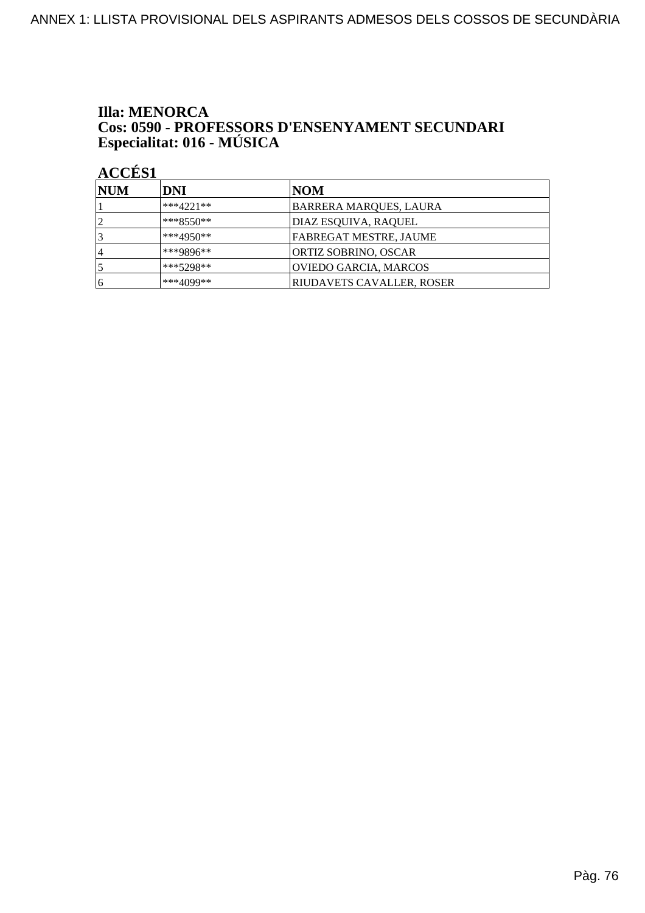# **Illa: MENORCA Cos: 0590 - PROFESSORS D'ENSENYAMENT SECUNDARI<br>Especialitat: 016 - MÚSICA**

| <b>NUM</b>     | <b>DNI</b>   | NOM                           |
|----------------|--------------|-------------------------------|
|                | $***4221**$  | BARRERA MARQUES, LAURA        |
| っ              | $*$ **8550** | DIAZ ESQUIVA, RAQUEL          |
|                | $***4950**$  | <b>FABREGAT MESTRE, JAUME</b> |
| $\overline{4}$ | ***9896**    | ORTIZ SOBRINO, OSCAR          |
|                | $***5298**$  | OVIEDO GARCIA, MARCOS         |
| 16             | $***4099**$  | RIUDAVETS CAVALLER, ROSER     |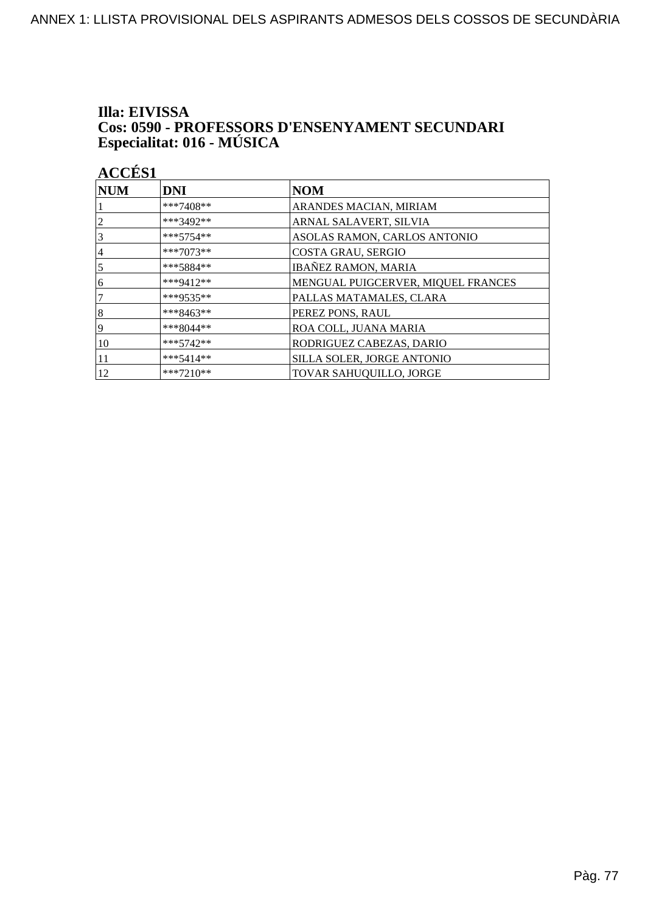# Illa: EIVISSA **Cos: 0590 - PROFESSORS D'ENSENYAMENT SECUNDARI<br>Especialitat: 016 - MÚSICA**

| NUM            | <b>DNI</b>  | <b>NOM</b>                         |
|----------------|-------------|------------------------------------|
|                | ***7408**   | ARANDES MACIAN, MIRIAM             |
| 2              | ***3492**   | ARNAL SALAVERT, SILVIA             |
| 3              | $***5754**$ | ASOLAS RAMON, CARLOS ANTONIO       |
| $\overline{4}$ | ***7073**   | COSTA GRAU, SERGIO                 |
| 5              | ***5884**   | <b>IBAÑEZ RAMON, MARIA</b>         |
| 6              | ***9412**   | MENGUAL PUIGCERVER, MIQUEL FRANCES |
| 7              | ***9535**   | PALLAS MATAMALES, CLARA            |
| 8              | ***8463**   | PEREZ PONS, RAUL                   |
| 9              | $***8044**$ | ROA COLL, JUANA MARIA              |
| 10             | $***5742**$ | RODRIGUEZ CABEZAS, DARIO           |
| 11             | $***5414**$ | SILLA SOLER, JORGE ANTONIO         |
| 12             | $***7210**$ | <b>TOVAR SAHUQUILLO, JORGE</b>     |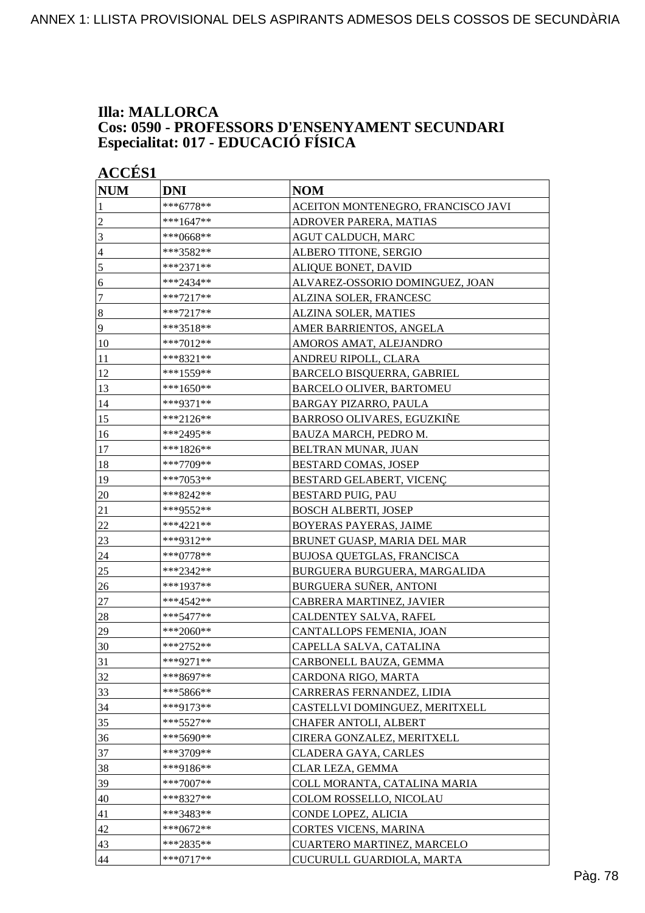#### **Illa: MALLORCA Cos: 0590 - PROFESSORS D'ENSENYAMENT SECUNDARI Especialitat: 017 - EDUCACIÓ FÍSICA**

|                | <b>ACCÉS 1</b> |                                    |  |
|----------------|----------------|------------------------------------|--|
| <b>NUM</b>     | <b>DNI</b>     | <b>NOM</b>                         |  |
| 1              | ***6778**      | ACEITON MONTENEGRO, FRANCISCO JAVI |  |
| $\overline{c}$ | $***1647**$    | ADROVER PARERA, MATIAS             |  |
| 3              | ***0668**      | AGUT CALDUCH, MARC                 |  |
| $\overline{4}$ | ***3582**      | ALBERO TITONE, SERGIO              |  |
| 5              | ***2371**      | ALIQUE BONET, DAVID                |  |
| 6              | ***2434**      | ALVAREZ-OSSORIO DOMINGUEZ, JOAN    |  |
| 7              | $***7217**$    | ALZINA SOLER, FRANCESC             |  |
| $\bf 8$        | ***7217**      | ALZINA SOLER, MATIES               |  |
| $\overline{9}$ | ***3518**      | AMER BARRIENTOS, ANGELA            |  |
| 10             | ***7012**      | AMOROS AMAT, ALEJANDRO             |  |
| 11             | ***8321**      | ANDREU RIPOLL, CLARA               |  |
| 12             | ***1559**      | BARCELO BISQUERRA, GABRIEL         |  |
| 13             | $***1650**$    | <b>BARCELO OLIVER, BARTOMEU</b>    |  |
| 14             | ***9371**      | <b>BARGAY PIZARRO, PAULA</b>       |  |
| 15             | ***2126**      | BARROSO OLIVARES, EGUZKIÑE         |  |
| 16             | ***2495**      | BAUZA MARCH, PEDRO M.              |  |
| 17             | ***1826**      | BELTRAN MUNAR, JUAN                |  |
| 18             | ***7709**      | <b>BESTARD COMAS, JOSEP</b>        |  |
| 19             | ***7053**      | BESTARD GELABERT, VICENC           |  |
| 20             | ***8242**      | <b>BESTARD PUIG, PAU</b>           |  |
| 21             | ***9552**      | <b>BOSCH ALBERTI, JOSEP</b>        |  |
| 22             | ***4221**      | <b>BOYERAS PAYERAS, JAIME</b>      |  |
| 23             | ***9312**      | BRUNET GUASP, MARIA DEL MAR        |  |
| 24             | ***0778**      | BUJOSA QUETGLAS, FRANCISCA         |  |
| <u>25</u>      | ***2342**      | BURGUERA BURGUERA, MARGALIDA       |  |
| 26             | ***1937**      | BURGUERA SUÑER, ANTONI             |  |
| 27             | ***4542**      | CABRERA MARTINEZ, JAVIER           |  |
| 28             | ***5477**      | CALDENTEY SALVA, RAFEL             |  |
| 29             | ***2060**      | CANTALLOPS FEMENIA, JOAN           |  |
| 30             | ***2752**      | CAPELLA SALVA, CATALINA            |  |
| 31             | ***9271**      | CARBONELL BAUZA, GEMMA             |  |
| 32             | ***8697**      | CARDONA RIGO, MARTA                |  |
| 33             | ***5866**      | CARRERAS FERNANDEZ, LIDIA          |  |
| 34             | ***9173**      | CASTELLVI DOMINGUEZ, MERITXELL     |  |
| 35             | ***5527**      | CHAFER ANTOLI, ALBERT              |  |
| 36             | ***5690**      | CIRERA GONZALEZ, MERITXELL         |  |
| 37             | $***3709**$    | CLADERA GAYA, CARLES               |  |
| 38             | ***9186**      | CLAR LEZA, GEMMA                   |  |
| 39             | ***7007**      | COLL MORANTA, CATALINA MARIA       |  |
| 40             | ***8327**      | COLOM ROSSELLO, NICOLAU            |  |
| 41             | ***3483**      | CONDE LOPEZ, ALICIA                |  |
| 42             | ***0672**      | CORTES VICENS, MARINA              |  |
| 43             | ***2835**      | CUARTERO MARTINEZ, MARCELO         |  |
| 44             | $***0717**$    | CUCURULL GUARDIOLA, MARTA          |  |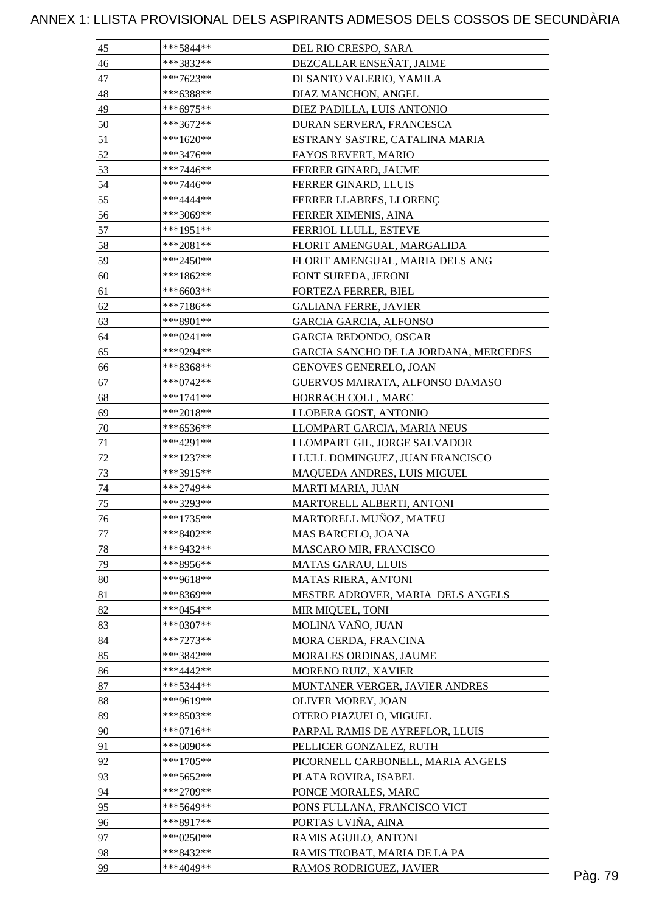### ANNEX 1: LLISTA PROVISIONAL DELS ASPIRANTS ADMESOS DELS COSSOS DE SECUNDÀRIA

| 45       | ***5844**              | DEL RIO CRESPO, SARA                  |  |
|----------|------------------------|---------------------------------------|--|
| 46       | ***3832**              | DEZCALLAR ENSEÑAT, JAIME              |  |
| 47       | $***7623**$            | DI SANTO VALERIO, YAMILA              |  |
| 48       | ***6388**              | DIAZ MANCHON, ANGEL                   |  |
| 49       | ***6975**              | DIEZ PADILLA, LUIS ANTONIO            |  |
| 50       | ***3672**              | DURAN SERVERA, FRANCESCA              |  |
| 51       | ***1620**              | ESTRANY SASTRE, CATALINA MARIA        |  |
| 52       | ***3476**              | FAYOS REVERT, MARIO                   |  |
| 53       | ***7446**              | FERRER GINARD, JAUME                  |  |
| 54       | $***7446**$            | FERRER GINARD, LLUIS                  |  |
| 55       | ***4444**              | FERRER LLABRES, LLORENÇ               |  |
| 56       | ***3069**              | FERRER XIMENIS, AINA                  |  |
| 57       | $***1951**$            | FERRIOL LLULL, ESTEVE                 |  |
| 58       | $***2081**$            | FLORIT AMENGUAL, MARGALIDA            |  |
| 59       | ***2450**              | FLORIT AMENGUAL, MARIA DELS ANG       |  |
| 60       | $***1862**$            | FONT SUREDA, JERONI                   |  |
| 61       | $***6603**$            | FORTEZA FERRER, BIEL                  |  |
| 62       | $***7186**$            | <b>GALIANA FERRE, JAVIER</b>          |  |
| 63       | $***8901**$            | <b>GARCIA GARCIA, ALFONSO</b>         |  |
|          | $***0241**$            | <b>GARCIA REDONDO, OSCAR</b>          |  |
| 64       |                        | GARCIA SANCHO DE LA JORDANA, MERCEDES |  |
| 65<br>66 | ***9294**<br>***8368** | GENOVES GENERELO, JOAN                |  |
|          |                        |                                       |  |
| 67       | ***0742**              | GUERVOS MAIRATA, ALFONSO DAMASO       |  |
| 68       | $***1741**$            | HORRACH COLL, MARC                    |  |
| 69       | $***2018**$            | LLOBERA GOST, ANTONIO                 |  |
| 70       | $***6536**$            | LLOMPART GARCIA, MARIA NEUS           |  |
| $71\,$   | ***4291**              | LLOMPART GIL, JORGE SALVADOR          |  |
| $72\,$   | $***1237**$            | LLULL DOMINGUEZ, JUAN FRANCISCO       |  |
| 73       | ***3915**              | MAQUEDA ANDRES, LUIS MIGUEL           |  |
| $74\,$   | ***2749**              | <b>MARTI MARIA, JUAN</b>              |  |
| 75       | ***3293**              | MARTORELL ALBERTI, ANTONI             |  |
| 76       | ***1735**              | MARTORELL MUÑOZ, MATEU                |  |
| 77       | ***8402**              | MAS BARCELO, JOANA                    |  |
| 78       | ***9432**              | MASCARO MIR, FRANCISCO                |  |
| 79       | ***8956**              | <b>MATAS GARAU, LLUIS</b>             |  |
| 80       | ***9618**              | <b>MATAS RIERA, ANTONI</b>            |  |
| 81       | ***8369**              | MESTRE ADROVER, MARIA DELS ANGELS     |  |
| 82       | $***0454**$            | MIR MIQUEL, TONI                      |  |
| 83       | ***0307**              | MOLINA VAÑO, JUAN                     |  |
| 84       | $***7273**$            | MORA CERDA, FRANCINA                  |  |
| 85       | ***3842**              | MORALES ORDINAS, JAUME                |  |
| 86       | ***4442**              | MORENO RUIZ, XAVIER                   |  |
| 87       | ***5344**              | MUNTANER VERGER, JAVIER ANDRES        |  |
| 88       | ***9619**              | OLIVER MOREY, JOAN                    |  |
| 89       | ***8503**              | OTERO PIAZUELO, MIGUEL                |  |
| 90       | $***0716**$            | PARPAL RAMIS DE AYREFLOR, LLUIS       |  |
| 91       | ***6090**              | PELLICER GONZALEZ, RUTH               |  |
| 92       | $***1705**$            | PICORNELL CARBONELL, MARIA ANGELS     |  |
| 93       | $***5652**$            | PLATA ROVIRA, ISABEL                  |  |
| 94       | ***2709**              | PONCE MORALES, MARC                   |  |
| 95       | ***5649**              | PONS FULLANA, FRANCISCO VICT          |  |
| 96       | ***8917**              | PORTAS UVIÑA, AINA                    |  |
| 97       | ***0250**              | RAMIS AGUILO, ANTONI                  |  |
| 98       | ***8432**              | RAMIS TROBAT, MARIA DE LA PA          |  |
| 99       | ***4049**              | RAMOS RODRIGUEZ, JAVIER               |  |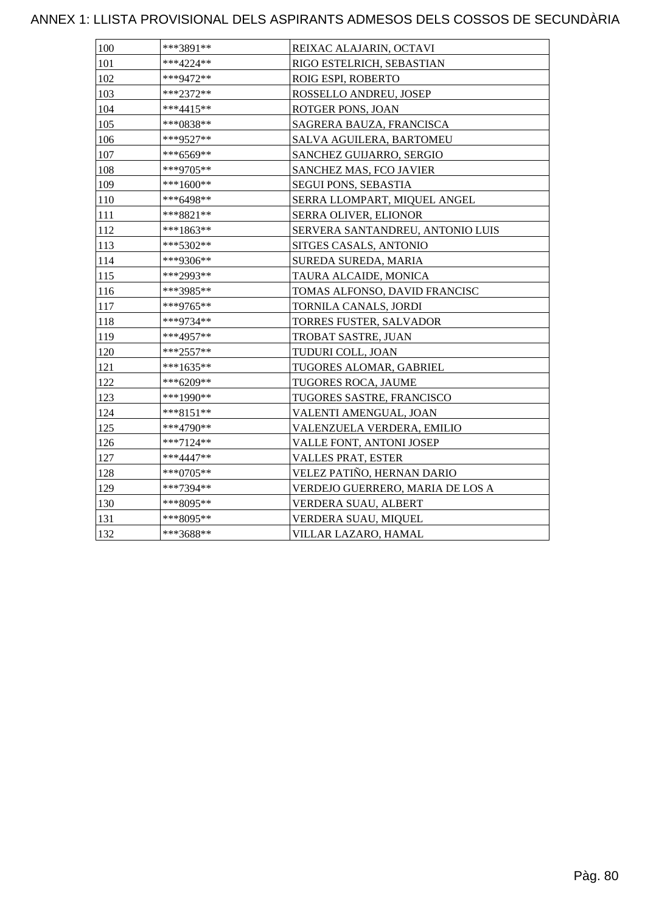### ANNEX 1: LLISTA PROVISIONAL DELS ASPIRANTS ADMESOS DELS COSSOS DE SECUNDÀRIA

| 100 | ***3891**   | REIXAC ALAJARIN, OCTAVI          |
|-----|-------------|----------------------------------|
| 101 | ***4224**   | RIGO ESTELRICH, SEBASTIAN        |
| 102 | ***9472**   | ROIG ESPI, ROBERTO               |
| 103 | ***2372**   | ROSSELLO ANDREU, JOSEP           |
| 104 | ***4415**   | ROTGER PONS, JOAN                |
| 105 | ***0838**   | SAGRERA BAUZA, FRANCISCA         |
| 106 | ***9527**   | SALVA AGUILERA, BARTOMEU         |
| 107 | ***6569**   | SANCHEZ GUIJARRO, SERGIO         |
| 108 | ***9705**   | SANCHEZ MAS, FCO JAVIER          |
| 109 | ***1600**   | SEGUI PONS, SEBASTIA             |
| 110 | ***6498**   | SERRA LLOMPART, MIQUEL ANGEL     |
| 111 | ***8821**   | SERRA OLIVER, ELIONOR            |
| 112 | ***1863**   | SERVERA SANTANDREU, ANTONIO LUIS |
| 113 | ***5302**   | SITGES CASALS, ANTONIO           |
| 114 | ***9306**   | SUREDA SUREDA, MARIA             |
| 115 | ***2993**   | TAURA ALCAIDE, MONICA            |
| 116 | ***3985**   | TOMAS ALFONSO, DAVID FRANCISC    |
| 117 | ***9765**   | TORNILA CANALS, JORDI            |
| 118 | ***9734**   | TORRES FUSTER, SALVADOR          |
| 119 | ***4957**   | TROBAT SASTRE, JUAN              |
| 120 | ***2557**   | TUDURI COLL, JOAN                |
| 121 | ***1635**   | TUGORES ALOMAR, GABRIEL          |
| 122 | ***6209**   | TUGORES ROCA, JAUME              |
| 123 | ***1990**   | TUGORES SASTRE, FRANCISCO        |
| 124 | $***8151**$ | VALENTI AMENGUAL, JOAN           |
| 125 | ***4790**   | VALENZUELA VERDERA, EMILIO       |
| 126 | ***7124**   | <b>VALLE FONT, ANTONI JOSEP</b>  |
| 127 | ***4447**   | <b>VALLES PRAT, ESTER</b>        |
| 128 | ***0705**   | VELEZ PATIÑO, HERNAN DARIO       |
| 129 | ***7394**   | VERDEJO GUERRERO, MARIA DE LOS A |
| 130 | ***8095**   | VERDERA SUAU, ALBERT             |
| 131 | ***8095**   | VERDERA SUAU, MIQUEL             |
| 132 | ***3688**   | VILLAR LAZARO, HAMAL             |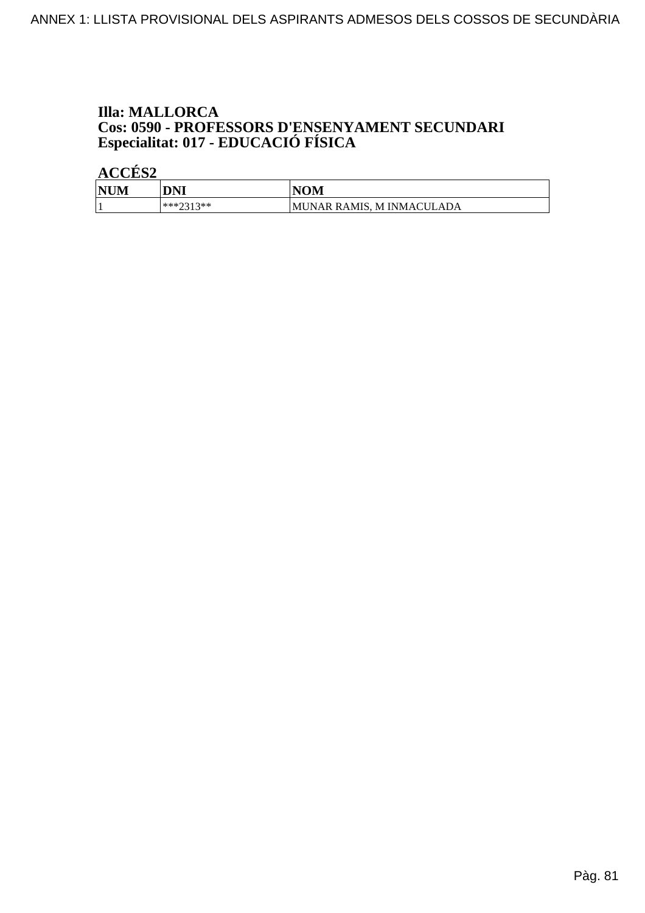# **Illa: MALLORCA Cos: 0590 - PROFESSORS D'ENSENYAMENT SECUNDARI<br>Especialitat: 017 - EDUCACIÓ FÍSICA**

| <b>NUM</b> | DNI              | VOM                                 |
|------------|------------------|-------------------------------------|
|            | ***?313**<br>--- | RAMIS.<br>ADA<br>M INMACUL<br>MUNAR |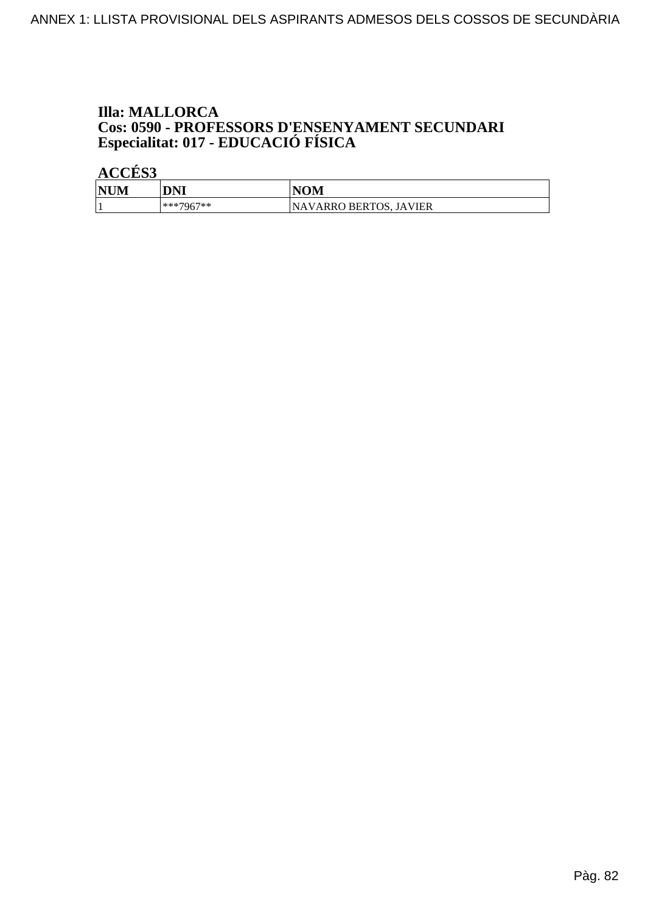# **Illa: MALLORCA Cos: 0590 - PROFESSORS D'ENSENYAMENT SECUNDARI<br>Especialitat: 017 - EDUCACIÓ FÍSICA**

| <b>NU</b><br>IМ | DNI         | VOM                         |
|-----------------|-------------|-----------------------------|
|                 | $***7967**$ | VARRO BERTOS, JAVIER<br>NA. |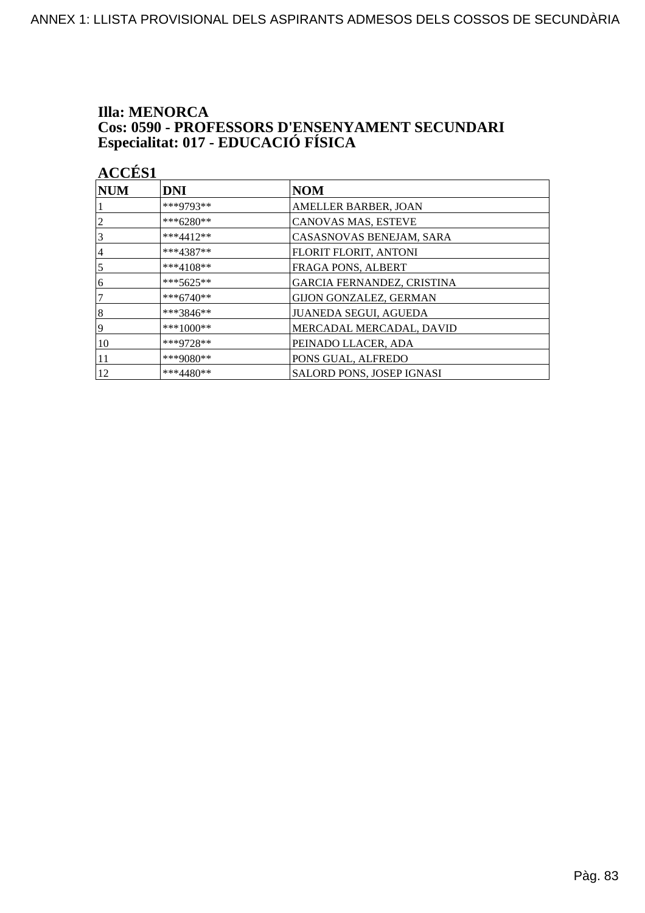# **Illa: MENORCA Cos: 0590 - PROFESSORS D'ENSENYAMENT SECUNDARI<br>Especialitat: 017 - EDUCACIÓ FÍSICA**

| <b>ACCÉS 1</b> |             |                                  |
|----------------|-------------|----------------------------------|
| $\bf NUM$      | <b>DNI</b>  | <b>NOM</b>                       |
|                | ***9793**   | AMELLER BARBER, JOAN             |
| $\overline{c}$ | ***6280**   | CANOVAS MAS, ESTEVE              |
| 3              | ***4412**   | CASASNOVAS BENEJAM, SARA         |
| 4              | $***4387**$ | FLORIT FLORIT, ANTONI            |
| 5              | ***4108**   | FRAGA PONS, ALBERT               |
| 6              | $***5625**$ | GARCIA FERNANDEZ, CRISTINA       |
| 7              | $***6740**$ | <b>GIJON GONZALEZ, GERMAN</b>    |
| 8              | ***3846**   | <b>JUANEDA SEGUI, AGUEDA</b>     |
| 9              | ***1000**   | MERCADAL MERCADAL, DAVID         |
| 10             | ***9728**   | PEINADO LLACER, ADA              |
| 11             | ***9080**   | PONS GUAL, ALFREDO               |
| 12             | $***4480**$ | <b>SALORD PONS, JOSEP IGNASI</b> |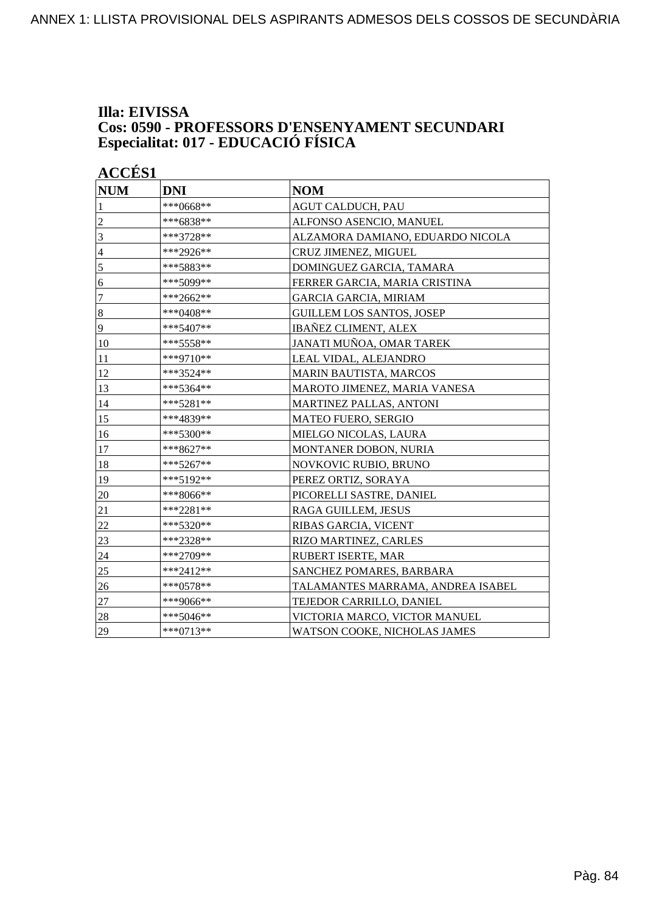#### **Illa: EIVISSA Cos: 0590 - PROFESSORS D'ENSENYAMENT SECUNDARI Especialitat: 017 - EDUCACIÓ FÍSICA**

| <b>ACCÉS 1</b> |             |                                   |
|----------------|-------------|-----------------------------------|
| <b>NUM</b>     | <b>DNI</b>  | <b>NOM</b>                        |
| 1              | ***0668**   | <b>AGUT CALDUCH, PAU</b>          |
| $\overline{c}$ | ***6838**   | ALFONSO ASENCIO, MANUEL           |
| 3              | ***3728**   | ALZAMORA DAMIANO, EDUARDO NICOLA  |
| $\overline{4}$ | ***2926**   | CRUZ JIMENEZ, MIGUEL              |
| 5              | ***5883**   | DOMINGUEZ GARCIA, TAMARA          |
| 6              | ***5099**   | FERRER GARCIA, MARIA CRISTINA     |
| 7              | ***2662**   | <b>GARCIA GARCIA, MIRIAM</b>      |
| $\bf 8$        | ***0408**   | <b>GUILLEM LOS SANTOS, JOSEP</b>  |
| 9              | ***5407**   | <b>IBAÑEZ CLIMENT, ALEX</b>       |
| 10             | ***5558**   | JANATI MUÑOA, OMAR TAREK          |
| 11             | ***9710**   | LEAL VIDAL, ALEJANDRO             |
| 12             | ***3524**   | MARIN BAUTISTA, MARCOS            |
| 13             | ***5364**   | MAROTO JIMENEZ, MARIA VANESA      |
| 14             | ***5281**   | MARTINEZ PALLAS, ANTONI           |
| 15             | ***4839**   | <b>MATEO FUERO, SERGIO</b>        |
| 16             | ***5300**   | MIELGO NICOLAS, LAURA             |
| 17             | ***8627**   | <b>MONTANER DOBON, NURIA</b>      |
| 18             | ***5267**   | NOVKOVIC RUBIO, BRUNO             |
| 19             | ***5192**   | PEREZ ORTIZ, SORAYA               |
| 20             | ***8066**   | PICORELLI SASTRE, DANIEL          |
| 21             | ***2281**   | RAGA GUILLEM, JESUS               |
| 22             | ***5320**   | RIBAS GARCIA, VICENT              |
| 23             | ***2328**   | RIZO MARTINEZ, CARLES             |
| 24             | ***2709**   | <b>RUBERT ISERTE, MAR</b>         |
| 25             | ***2412**   | SANCHEZ POMARES, BARBARA          |
| 26             | ***0578**   | TALAMANTES MARRAMA, ANDREA ISABEL |
| $27\,$         | ***9066**   | TEJEDOR CARRILLO, DANIEL          |
| 28             | ***5046**   | VICTORIA MARCO, VICTOR MANUEL     |
| 29             | $***0713**$ | WATSON COOKE, NICHOLAS JAMES      |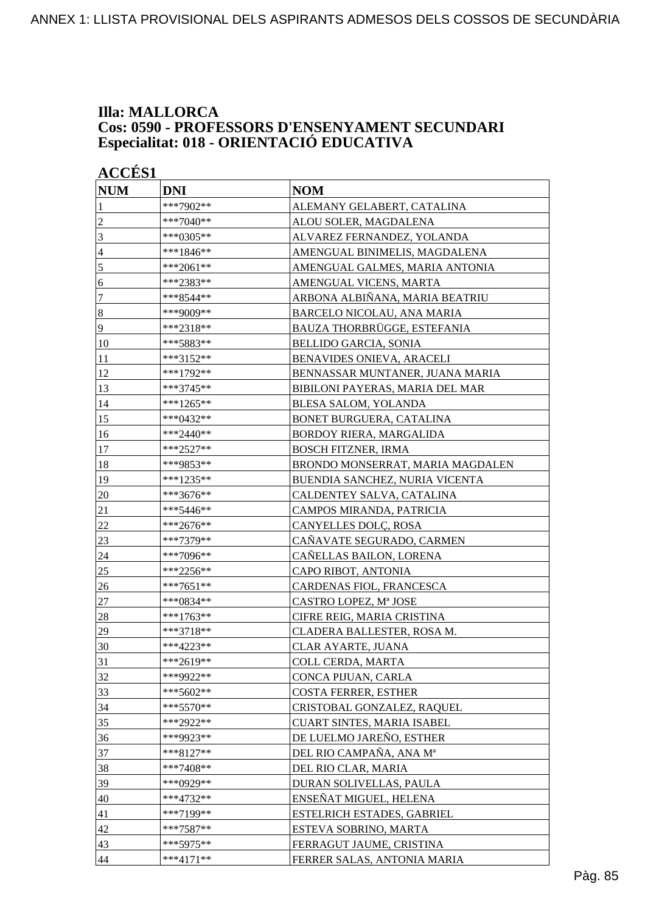#### **Illa: MALLORCA Cos: 0590 - PROFESSORS D'ENSENYAMENT SECUNDARI Especialitat: 018 - ORIENTACIÓ EDUCATIVA**

| <b>ACCÉS 1</b>   |             |                                  |
|------------------|-------------|----------------------------------|
| <b>NUM</b>       | <b>DNI</b>  | <b>NOM</b>                       |
| 1                | ***7902**   | ALEMANY GELABERT, CATALINA       |
| $\overline{c}$   | ***7040**   | ALOU SOLER, MAGDALENA            |
| 3                | ***0305**   | ALVAREZ FERNANDEZ, YOLANDA       |
| $\overline{4}$   | $***1846**$ | AMENGUAL BINIMELIS, MAGDALENA    |
| 5                | ***2061**   | AMENGUAL GALMES, MARIA ANTONIA   |
| 6                | ***2383**   | AMENGUAL VICENS, MARTA           |
| $\tau$           | ***8544**   | ARBONA ALBIÑANA, MARIA BEATRIU   |
| $\boldsymbol{8}$ | ***9009**   | BARCELO NICOLAU, ANA MARIA       |
| 9                | ***2318**   | BAUZA THORBRÜGGE, ESTEFANIA      |
| 10               | ***5883**   | <b>BELLIDO GARCIA, SONIA</b>     |
| 11               | ***3152**   | BENAVIDES ONIEVA, ARACELI        |
| 12               | ***1792**   | BENNASSAR MUNTANER, JUANA MARIA  |
| 13               | ***3745**   | BIBILONI PAYERAS, MARIA DEL MAR  |
| 14               | ***1265**   | BLESA SALOM, YOLANDA             |
| 15               | ***0432**   | <b>BONET BURGUERA, CATALINA</b>  |
| 16               | ***2440**   | BORDOY RIERA, MARGALIDA          |
| 17               | ***2527**   | <b>BOSCH FITZNER, IRMA</b>       |
| 18               | ***9853**   | BRONDO MONSERRAT, MARIA MAGDALEN |
| 19               | ***1235**   | BUENDIA SANCHEZ, NURIA VICENTA   |
| 20               | ***3676**   | CALDENTEY SALVA, CATALINA        |
| 21               | ***5446**   | CAMPOS MIRANDA, PATRICIA         |
| 22               | ***2676**   | CANYELLES DOLÇ, ROSA             |
| 23               | ***7379**   | CAÑAVATE SEGURADO, CARMEN        |
| 24               | ***7096**   | CAÑELLAS BAILON, LORENA          |
| 25               | ***2256**   | CAPO RIBOT, ANTONIA              |
| 26               | ***7651**   | CARDENAS FIOL, FRANCESCA         |
| 27               | ***0834**   | CASTRO LOPEZ, Mª JOSE            |
| 28               | ***1763**   | CIFRE REIG, MARIA CRISTINA       |
| 29               | ***3718**   | CLADERA BALLESTER, ROSA M.       |
| 30               | ***4223**   | CLAR AYARTE, JUANA               |
| 31               | ***2619**   | COLL CERDA, MARTA                |
| 32               | ***9922**   | CONCA PIJUAN, CARLA              |
| 33               | ***5602**   | <b>COSTA FERRER, ESTHER</b>      |
| 34               | ***5570**   | CRISTOBAL GONZALEZ, RAQUEL       |
| 35               | ***2922**   | CUART SINTES, MARIA ISABEL       |
| 36               | ***9923**   | DE LUELMO JAREÑO, ESTHER         |
| 37               | ***8127**   | DEL RIO CAMPAÑA, ANA Mª          |
| 38               | $***7408**$ | DEL RIO CLAR, MARIA              |
| 39               | ***0929**   | DURAN SOLIVELLAS, PAULA          |
| 40               | ***4732**   | ENSEÑAT MIGUEL, HELENA           |
| 41               | ***7199**   | ESTELRICH ESTADES, GABRIEL       |
| 42               | ***7587**   | ESTEVA SOBRINO, MARTA            |
| 43               | ***5975**   | FERRAGUT JAUME, CRISTINA         |
| 44               | ***4171**   | FERRER SALAS, ANTONIA MARIA      |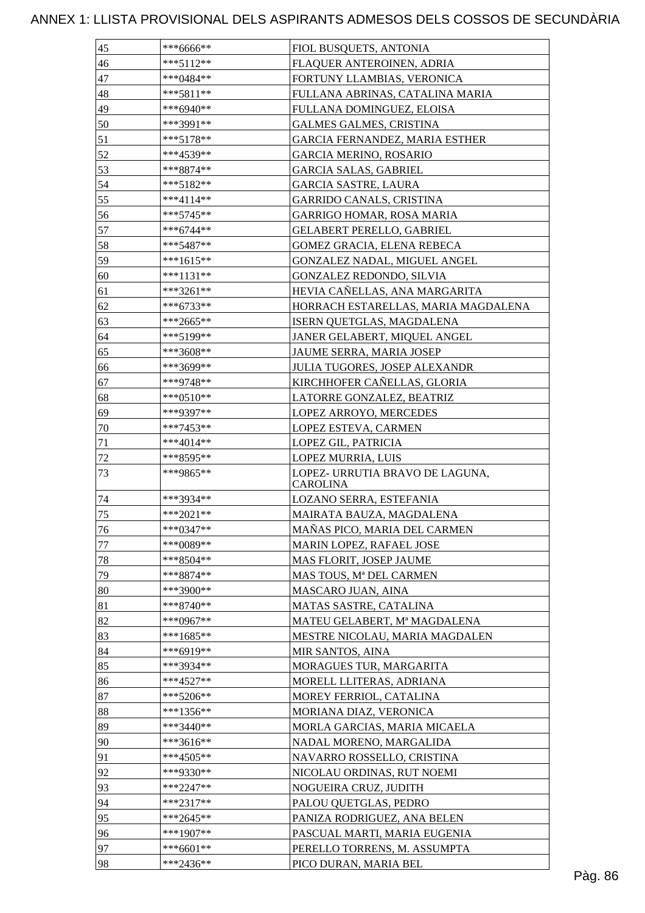### ANNEX 1: LLISTA PROVISIONAL DELS ASPIRANTS ADMESOS DELS COSSOS DE SECUNDÀRIA

| 45 | ***6666**   | FIOL BUSQUETS, ANTONIA                             |
|----|-------------|----------------------------------------------------|
| 46 | ***5112**   | FLAQUER ANTEROINEN, ADRIA                          |
| 47 | ***0484**   | FORTUNY LLAMBIAS, VERONICA                         |
| 48 | ***5811**   | FULLANA ABRINAS, CATALINA MARIA                    |
| 49 | ***6940**   | FULLANA DOMINGUEZ, ELOISA                          |
| 50 | ***3991**   | <b>GALMES GALMES, CRISTINA</b>                     |
| 51 | ***5178**   | GARCIA FERNANDEZ, MARIA ESTHER                     |
| 52 | ***4539**   | <b>GARCIA MERINO, ROSARIO</b>                      |
| 53 | ***8874**   | <b>GARCIA SALAS, GABRIEL</b>                       |
| 54 | ***5182**   | <b>GARCIA SASTRE, LAURA</b>                        |
| 55 | ***4114**   | <b>GARRIDO CANALS, CRISTINA</b>                    |
| 56 | ***5745**   | <b>GARRIGO HOMAR, ROSA MARIA</b>                   |
| 57 | ***6744**   | <b>GELABERT PERELLO, GABRIEL</b>                   |
| 58 | ***5487**   | GOMEZ GRACIA, ELENA REBECA                         |
| 59 | ***1615**   | GONZALEZ NADAL, MIGUEL ANGEL                       |
| 60 | ***1131**   | GONZALEZ REDONDO, SILVIA                           |
| 61 | $***3261**$ | HEVIA CAÑELLAS, ANA MARGARITA                      |
| 62 | ***6733**   | HORRACH ESTARELLAS, MARIA MAGDALENA                |
| 63 | ***2665**   | ISERN QUETGLAS, MAGDALENA                          |
| 64 | ***5199**   | JANER GELABERT, MIQUEL ANGEL                       |
| 65 | ***3608**   | JAUME SERRA, MARIA JOSEP                           |
| 66 | ***3699**   | <b>JULIA TUGORES, JOSEP ALEXANDR</b>               |
| 67 | ***9748**   | KIRCHHOFER CAÑELLAS, GLORIA                        |
| 68 | ***0510**   | LATORRE GONZALEZ, BEATRIZ                          |
| 69 | ***9397**   | LOPEZ ARROYO, MERCEDES                             |
| 70 | ***7453**   | LOPEZ ESTEVA, CARMEN                               |
| 71 | ***4014**   | LOPEZ GIL, PATRICIA                                |
| 72 | ***8595**   | LOPEZ MURRIA, LUIS                                 |
| 73 | ***9865**   | LOPEZ- URRUTIA BRAVO DE LAGUNA,<br><b>CAROLINA</b> |
| 74 | ***3934**   | LOZANO SERRA, ESTEFANIA                            |
| 75 | ***2021**   | MAIRATA BAUZA, MAGDALENA                           |
| 76 | ***0347**   | MAÑAS PICO, MARIA DEL CARMEN                       |
| 77 | ***0089**   | MARIN LOPEZ, RAFAEL JOSE                           |
| 78 | $***8504**$ | MAS FLORIT, JOSEP JAUME                            |
| 79 | ***8874**   | MAS TOUS, Mª DEL CARMEN                            |
| 80 | ***3900**   | MASCARO JUAN, AINA                                 |
| 81 | ***8740**   | MATAS SASTRE, CATALINA                             |
| 82 | ***0967**   | MATEU GELABERT, Mª MAGDALENA                       |
| 83 | ***1685**   | MESTRE NICOLAU, MARIA MAGDALEN                     |
| 84 | ***6919**   | MIR SANTOS, AINA                                   |
| 85 | ***3934**   | MORAGUES TUR, MARGARITA                            |
| 86 | $***4527**$ | MORELL LLITERAS, ADRIANA                           |
| 87 | ***5206**   | MOREY FERRIOL, CATALINA                            |
| 88 | ***1356**   | MORIANA DIAZ, VERONICA                             |
| 89 | ***3440**   | MORLA GARCIAS, MARIA MICAELA                       |
| 90 | ***3616**   | NADAL MORENO, MARGALIDA                            |
| 91 | ***4505**   | NAVARRO ROSSELLO, CRISTINA                         |
| 92 | ***9330**   | NICOLAU ORDINAS, RUT NOEMI                         |
| 93 | $***2247**$ | NOGUEIRA CRUZ, JUDITH                              |
| 94 | $***2317**$ | PALOU QUETGLAS, PEDRO                              |
| 95 | ***2645**   | PANIZA RODRIGUEZ, ANA BELEN                        |
| 96 | ***1907**   | PASCUAL MARTI, MARIA EUGENIA                       |
| 97 | ***6601**   | PERELLO TORRENS, M. ASSUMPTA                       |
| 98 | ***2436**   | PICO DURAN, MARIA BEL                              |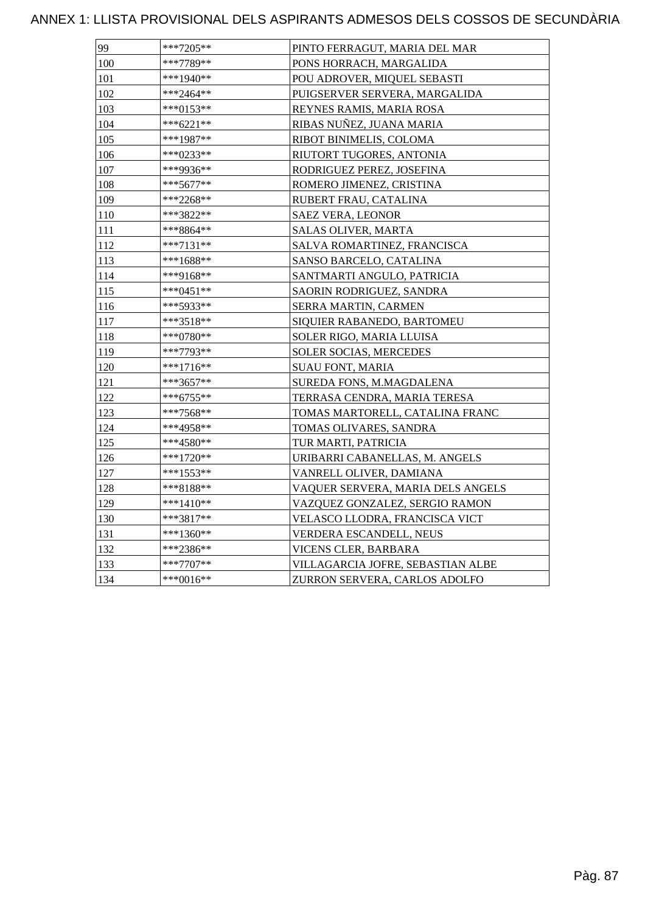### ANNEX 1: LLISTA PROVISIONAL DELS ASPIRANTS ADMESOS DELS COSSOS DE SECUNDÀRIA

| 99  | ***7205**   | PINTO FERRAGUT, MARIA DEL MAR     |
|-----|-------------|-----------------------------------|
| 100 | ***7789**   | PONS HORRACH, MARGALIDA           |
| 101 | ***1940**   | POU ADROVER, MIQUEL SEBASTI       |
| 102 | ***2464**   | PUIGSERVER SERVERA, MARGALIDA     |
| 103 | $***0153**$ | REYNES RAMIS, MARIA ROSA          |
| 104 | ***6221**   | RIBAS NUÑEZ, JUANA MARIA          |
| 105 | ***1987**   | RIBOT BINIMELIS, COLOMA           |
| 106 | ***0233**   | RIUTORT TUGORES, ANTONIA          |
| 107 | ***9936**   | RODRIGUEZ PEREZ, JOSEFINA         |
| 108 | $***5677**$ | ROMERO JIMENEZ, CRISTINA          |
| 109 | ***2268**   | RUBERT FRAU, CATALINA             |
| 110 | ***3822**   | SAEZ VERA, LEONOR                 |
| 111 | ***8864**   | SALAS OLIVER, MARTA               |
| 112 | ***7131**   | SALVA ROMARTINEZ, FRANCISCA       |
| 113 | ***1688**   | SANSO BARCELO, CATALINA           |
| 114 | ***9168**   | SANTMARTI ANGULO, PATRICIA        |
| 115 | $***0451**$ | SAORIN RODRIGUEZ, SANDRA          |
| 116 | ***5933**   | SERRA MARTIN, CARMEN              |
| 117 | ***3518**   | SIQUIER RABANEDO, BARTOMEU        |
| 118 | ***0780**   | SOLER RIGO, MARIA LLUISA          |
| 119 | ***7793**   | SOLER SOCIAS, MERCEDES            |
| 120 | ***1716**   | <b>SUAU FONT, MARIA</b>           |
| 121 | ***3657**   | SUREDA FONS, M.MAGDALENA          |
| 122 | ***6755**   | TERRASA CENDRA, MARIA TERESA      |
| 123 | ***7568**   | TOMAS MARTORELL, CATALINA FRANC   |
| 124 | ***4958**   | TOMAS OLIVARES, SANDRA            |
| 125 | ***4580**   | TUR MARTI, PATRICIA               |
| 126 | ***1720**   | URIBARRI CABANELLAS, M. ANGELS    |
| 127 | ***1553**   | VANRELL OLIVER, DAMIANA           |
| 128 | ***8188**   | VAQUER SERVERA, MARIA DELS ANGELS |
| 129 | ***1410**   | VAZQUEZ GONZALEZ, SERGIO RAMON    |
| 130 | ***3817**   | VELASCO LLODRA, FRANCISCA VICT    |
| 131 | ***1360**   | VERDERA ESCANDELL, NEUS           |
| 132 | ***2386**   | VICENS CLER, BARBARA              |
| 133 | $***7707**$ | VILLAGARCIA JOFRE, SEBASTIAN ALBE |
| 134 | ***0016**   | ZURRON SERVERA, CARLOS ADOLFO     |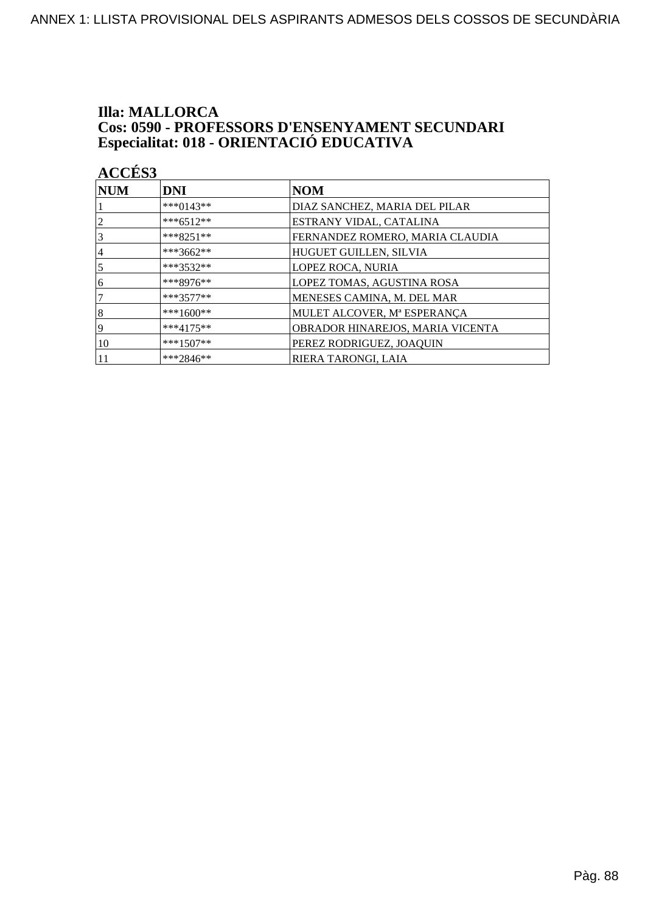## **Illa: MALLORCA Cos: 0590 - PROFESSORS D'ENSENYAMENT SECUNDARI<br>Especialitat: 018 - ORIENTACIÓ EDUCATIVA**

| <b>ACCÉS 3</b> |              |                                  |  |
|----------------|--------------|----------------------------------|--|
| $\bf NUM$      | <b>DNI</b>   | <b>NOM</b>                       |  |
|                | *** $0143**$ | DIAZ SANCHEZ, MARIA DEL PILAR    |  |
| 2              | $***6512**$  | ESTRANY VIDAL, CATALINA          |  |
| 3              | $***8251**$  | FERNANDEZ ROMERO, MARIA CLAUDIA  |  |
| 4              | ***3662**    | HUGUET GUILLEN, SILVIA           |  |
| 5              | ***3532**    | LOPEZ ROCA, NURIA                |  |
| 6              | $***8976**$  | LOPEZ TOMAS, AGUSTINA ROSA       |  |
| 7              | $***3577**$  | MENESES CAMINA, M. DEL MAR       |  |
| 8              | ***1600**    | MULET ALCOVER, Mª ESPERANÇA      |  |
| 9              | $***4175**$  | OBRADOR HINAREJOS, MARIA VICENTA |  |
| 10             | ***1507**    | PEREZ RODRIGUEZ, JOAQUIN         |  |
|                | ***2846**    | RIERA TARONGI, LAIA              |  |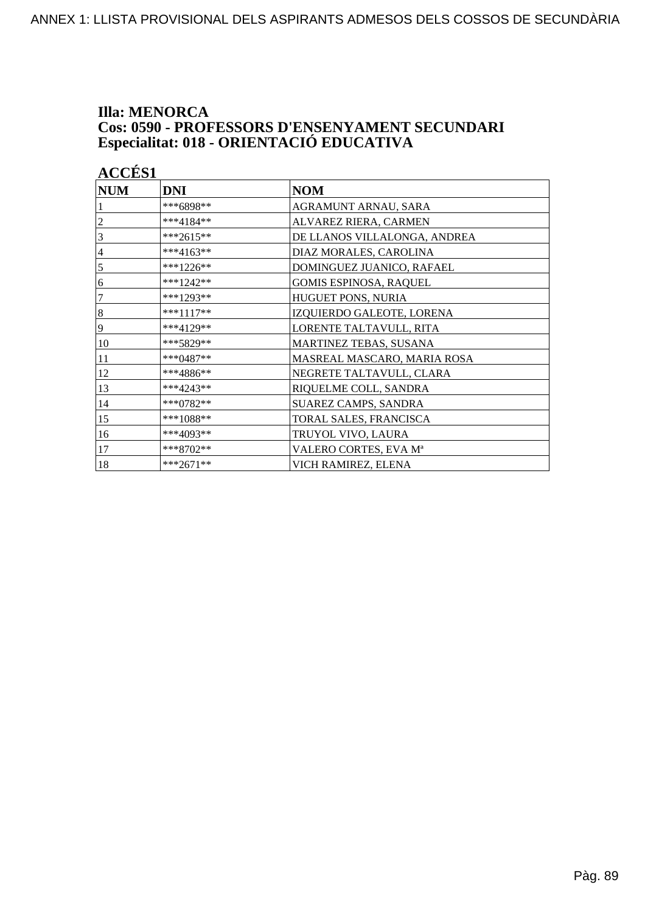## **Illa: MENORCA Cos: 0590 - PROFESSORS D'ENSENYAMENT SECUNDARI<br>Especialitat: 018 - ORIENTACIÓ EDUCATIVA**

| <b>ACCÉS 1</b> |             |                               |
|----------------|-------------|-------------------------------|
| <b>NUM</b>     | <b>DNI</b>  | <b>NOM</b>                    |
|                | ***6898**   | AGRAMUNT ARNAU, SARA          |
| $\overline{c}$ | ***4184**   | ALVAREZ RIERA, CARMEN         |
| 3              | ***2615**   | DE LLANOS VILLALONGA, ANDREA  |
| $\overline{4}$ | ***4163**   | DIAZ MORALES, CAROLINA        |
| 5              | ***1226**   | DOMINGUEZ JUANICO, RAFAEL     |
| 6              | ***1242**   | <b>GOMIS ESPINOSA, RAQUEL</b> |
| $\overline{7}$ | $***1293**$ | HUGUET PONS, NURIA            |
| $\vert 8$      | ***1117**   | IZQUIERDO GALEOTE, LORENA     |
| $\overline{9}$ | ***4129**   | LORENTE TALTAVULL, RITA       |
| 10             | ***5829**   | MARTINEZ TEBAS, SUSANA        |
| 11             | ***0487**   | MASREAL MASCARO, MARIA ROSA   |
| 12             | ***4886**   | NEGRETE TALTAVULL, CLARA      |
| 13             | $***4243**$ | RIQUELME COLL, SANDRA         |
| 14             | ***0782**   | SUAREZ CAMPS, SANDRA          |
| 15             | ***1088**   | TORAL SALES, FRANCISCA        |
| 16             | ***4093**   | TRUYOL VIVO, LAURA            |
| 17             | ***8702**   | VALERO CORTES, EVA Mª         |
| 18             | ***2671**   | VICH RAMIREZ, ELENA           |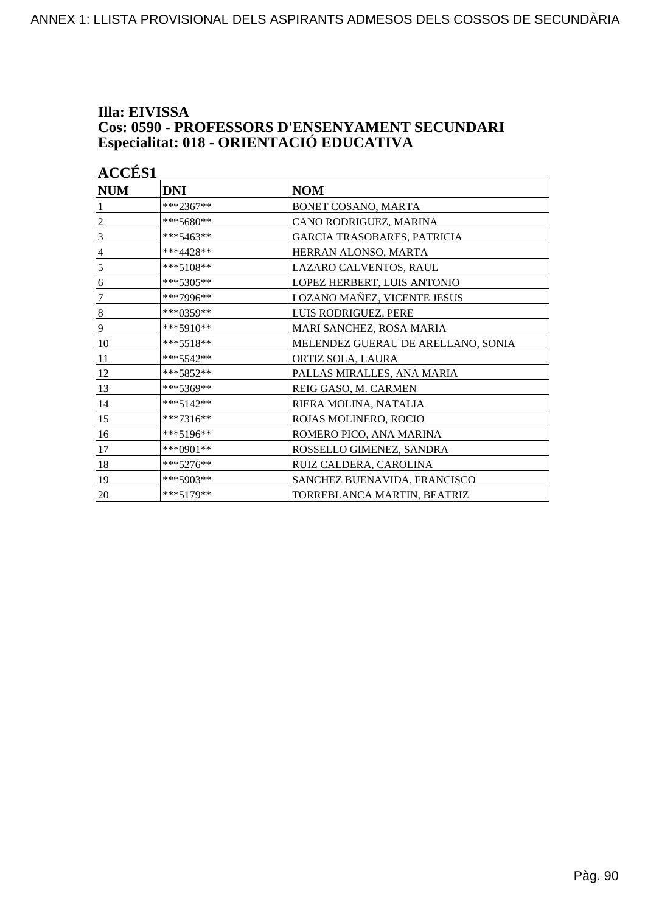#### **Illa: EIVISSA Cos: 0590 - PROFESSORS D'ENSENYAMENT SECUNDARI Especialitat: 018 - ORIENTACIÓ EDUCATIVA**

|                | <b>ACCÉS 1</b> |                                    |  |
|----------------|----------------|------------------------------------|--|
| <b>NUM</b>     | <b>DNI</b>     | <b>NOM</b>                         |  |
|                | ***2367**      | BONET COSANO, MARTA                |  |
| 2              | $***5680**$    | CANO RODRIGUEZ, MARINA             |  |
| 3              | ***5463**      | GARCIA TRASOBARES, PATRICIA        |  |
| $\overline{4}$ | ***4428**      | HERRAN ALONSO, MARTA               |  |
| 5              | $***5108**$    | LAZARO CALVENTOS, RAUL             |  |
| 6              | ***5305**      | LOPEZ HERBERT, LUIS ANTONIO        |  |
| 7              | ***7996**      | LOZANO MAÑEZ, VICENTE JESUS        |  |
| $\,8\,$        | ***0359**      | LUIS RODRIGUEZ, PERE               |  |
| 9              | ***5910**      | MARI SANCHEZ, ROSA MARIA           |  |
| 10             | $***5518**$    | MELENDEZ GUERAU DE ARELLANO, SONIA |  |
| 11             | *** 5542**     | ORTIZ SOLA, LAURA                  |  |
| 12             | ***5852**      | PALLAS MIRALLES, ANA MARIA         |  |
| 13             | ***5369**      | REIG GASO, M. CARMEN               |  |
| 14             | $***5142**$    | RIERA MOLINA, NATALIA              |  |
| 15             | ***7316**      | ROJAS MOLINERO, ROCIO              |  |
| 16             | ***5196**      | ROMERO PICO, ANA MARINA            |  |
| 17             | ***0901**      | ROSSELLO GIMENEZ, SANDRA           |  |
| 18             | ***5276**      | RUIZ CALDERA, CAROLINA             |  |
| 19             | ***5903**      | SANCHEZ BUENAVIDA, FRANCISCO       |  |
| $20\,$         | $***5179**$    | TORREBLANCA MARTIN, BEATRIZ        |  |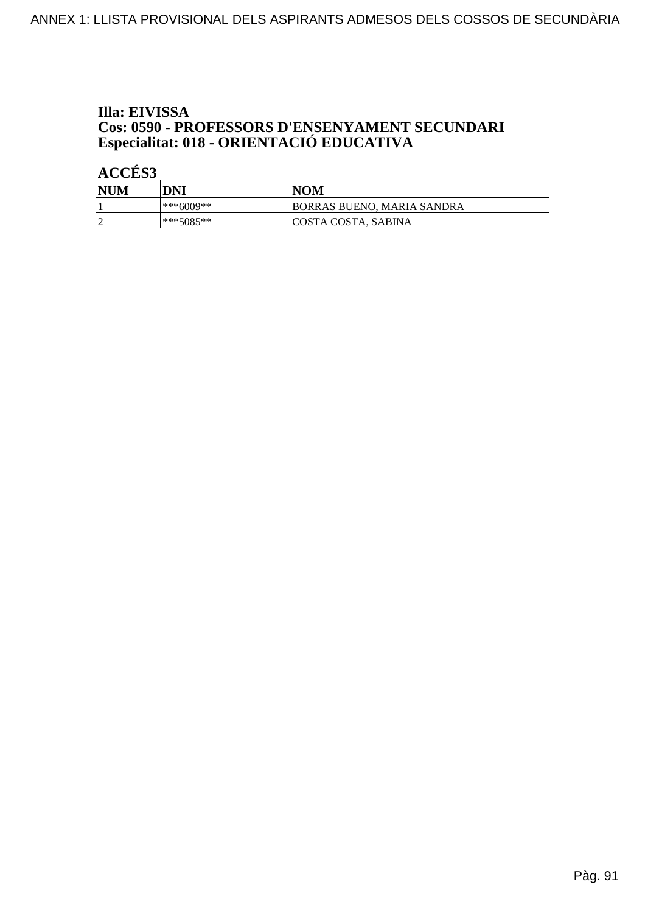## Illa: EIVISSA **Cos: 0590 - PROFESSORS D'ENSENYAMENT SECUNDARI<br>Especialitat: 018 - ORIENTACIÓ EDUCATIVA**

| <b>NUM</b> | DNI         | NOM                         |
|------------|-------------|-----------------------------|
|            | ***6009**   | BORRAS BUENO, MARIA SANDRA  |
|            | $***5085**$ | <b>ICOSTA COSTA, SABINA</b> |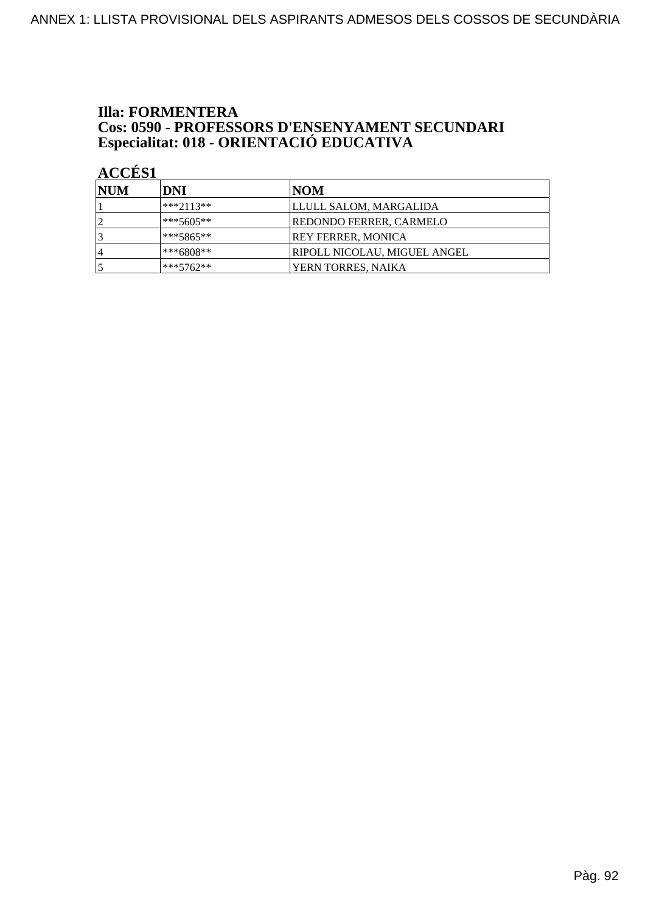## **Illa: FORMENTERA Cos: 0590 - PROFESSORS D'ENSENYAMENT SECUNDARI<br>Especialitat: 018 - ORIENTACIÓ EDUCATIVA**

| <b>INUM</b> | DNI         | NOM                          |
|-------------|-------------|------------------------------|
|             | $***2113**$ | LLULL SALOM, MARGALIDA       |
|             | $***5605**$ | REDONDO FERRER, CARMELO      |
|             | $***5865**$ | REY FERRER, MONICA           |
| 4           | $***6808**$ | RIPOLL NICOLAU, MIGUEL ANGEL |
|             | $***5762**$ | YERN TORRES, NAIKA           |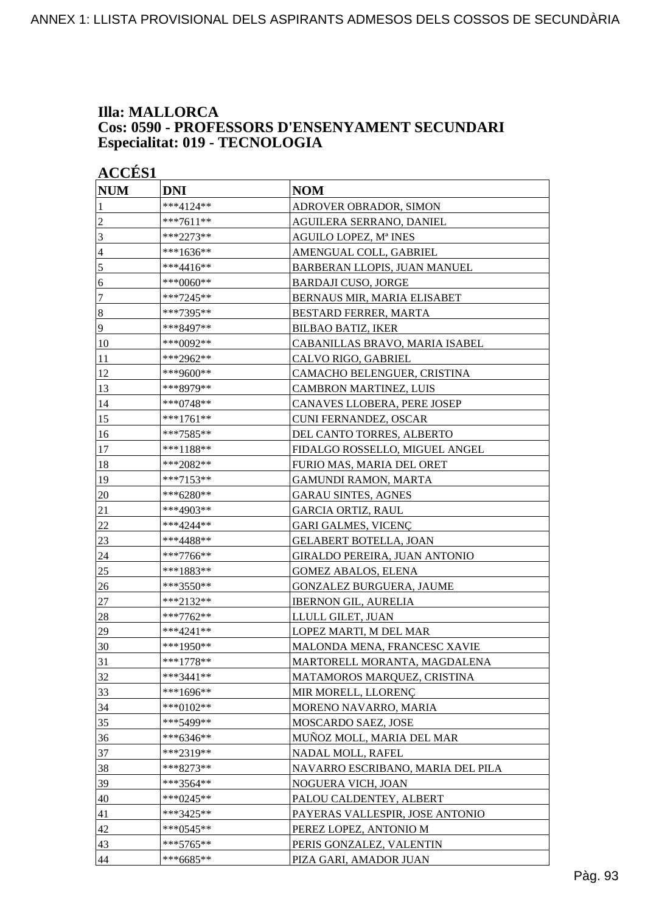# **Illa: MALLORCA Cos: 0590 - PROFESSORS D'ENSENYAMENT SECUNDARI<br>Especialitat: 019 - TECNOLOGIA**

| <b>ACCÉS 1</b>   |             |                                   |
|------------------|-------------|-----------------------------------|
| <b>NUM</b>       | <b>DNI</b>  | <b>NOM</b>                        |
| 1                | ***4124**   | ADROVER OBRADOR, SIMON            |
| $\overline{2}$   | ***7611**   | AGUILERA SERRANO, DANIEL          |
| 3                | ***2273**   | AGUILO LOPEZ, Mª INES             |
| $\overline{4}$   | ***1636**   | AMENGUAL COLL, GABRIEL            |
| 5                | ***4416**   | BARBERAN LLOPIS, JUAN MANUEL      |
| 6                | ***0060**   | <b>BARDAJI CUSO, JORGE</b>        |
| $\boldsymbol{7}$ | ***7245**   | BERNAUS MIR, MARIA ELISABET       |
| $\bf 8$          | ***7395**   | BESTARD FERRER, MARTA             |
| 9                | ***8497**   | <b>BILBAO BATIZ, IKER</b>         |
| 10               | ***0092**   | CABANILLAS BRAVO, MARIA ISABEL    |
| 11               | ***2962**   | CALVO RIGO, GABRIEL               |
| 12               | ***9600**   | CAMACHO BELENGUER, CRISTINA       |
| 13               | ***8979**   | <b>CAMBRON MARTINEZ, LUIS</b>     |
| 14               | ***0748**   | CANAVES LLOBERA, PERE JOSEP       |
| 15               | ***1761**   | <b>CUNI FERNANDEZ, OSCAR</b>      |
| 16               | ***7585**   | DEL CANTO TORRES, ALBERTO         |
| 17               | ***1188**   | FIDALGO ROSSELLO, MIGUEL ANGEL    |
| 18               | ***2082**   | FURIO MAS, MARIA DEL ORET         |
| 19               | ***7153**   | <b>GAMUNDI RAMON, MARTA</b>       |
| 20               | ***6280**   | <b>GARAU SINTES, AGNES</b>        |
| 21               | ***4903**   | GARCIA ORTIZ, RAUL                |
| 22               | ***4244**   | <b>GARI GALMES, VICENÇ</b>        |
| 23               | ***4488**   | <b>GELABERT BOTELLA, JOAN</b>     |
| 24               | ***7766**   | GIRALDO PEREIRA, JUAN ANTONIO     |
| 25               | ***1883**   | <b>GOMEZ ABALOS, ELENA</b>        |
| 26               | ***3550**   | GONZALEZ BURGUERA, JAUME          |
| $27\,$           | ***2132**   | <b>IBERNON GIL, AURELIA</b>       |
| 28               | ***7762**   | LLULL GILET, JUAN                 |
| 29               | ***4241**   | LOPEZ MARTI, M DEL MAR            |
| 30               | ***1950**   | MALONDA MENA, FRANCESC XAVIE      |
| 31               | $***1778**$ | MARTORELL MORANTA, MAGDALENA      |
| 32               | $***3441**$ | MATAMOROS MARQUEZ, CRISTINA       |
| 33               | ***1696**   | MIR MORELL, LLORENÇ               |
| 34               | ***0102**   | MORENO NAVARRO, MARIA             |
| 35               | ***5499**   | MOSCARDO SAEZ, JOSE               |
| 36               | ***6346**   | MUÑOZ MOLL, MARIA DEL MAR         |
| 37               | ***2319**   | NADAL MOLL, RAFEL                 |
| 38               | ***8273**   | NAVARRO ESCRIBANO, MARIA DEL PILA |
| 39               | ***3564**   | NOGUERA VICH, JOAN                |
| 40               | ***0245**   | PALOU CALDENTEY, ALBERT           |
| 41               | ***3425**   | PAYERAS VALLESPIR, JOSE ANTONIO   |
| 42               | ***0545**   | PEREZ LOPEZ, ANTONIO M            |
| 43               | ***5765**   | PERIS GONZALEZ, VALENTIN          |
| 44               | ***6685**   | PIZA GARI, AMADOR JUAN            |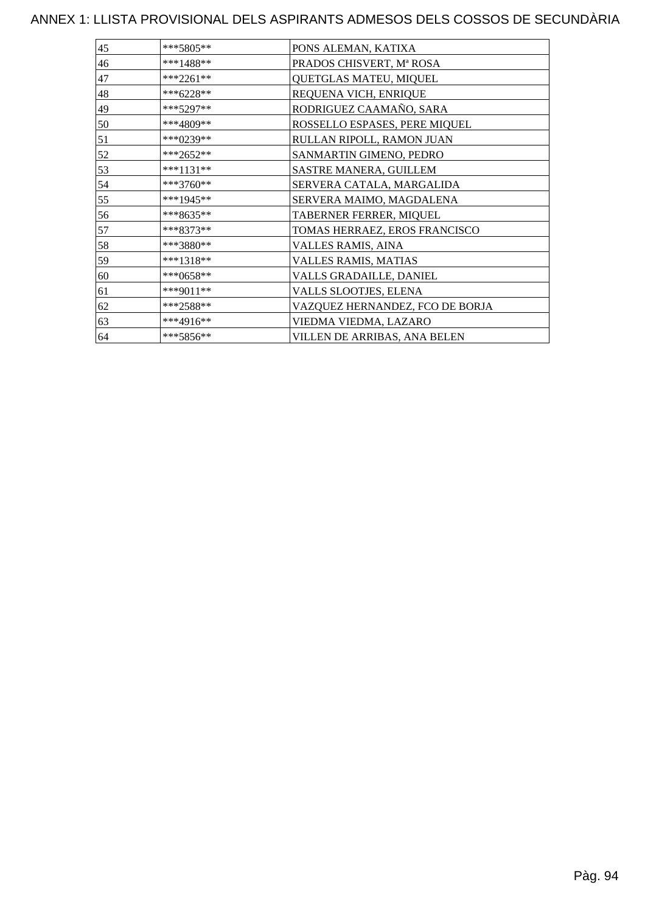### ANNEX 1: LLISTA PROVISIONAL DELS ASPIRANTS ADMESOS DELS COSSOS DE SECUNDÀRIA

| ***5805**   | PONS ALEMAN, KATIXA             |
|-------------|---------------------------------|
| $***1488**$ | PRADOS CHISVERT, Mª ROSA        |
| $***2261**$ | QUETGLAS MATEU, MIQUEL          |
| ***6228**   | REQUENA VICH, ENRIQUE           |
| $***5297**$ | RODRIGUEZ CAAMAÑO, SARA         |
| ***4809**   | ROSSELLO ESPASES, PERE MIQUEL   |
| ***0239**   | RULLAN RIPOLL, RAMON JUAN       |
| ***2652**   | SANMARTIN GIMENO, PEDRO         |
| $***1131**$ | SASTRE MANERA, GUILLEM          |
| $***3760**$ | SERVERA CATALA, MARGALIDA       |
| ***1945**   | SERVERA MAIMO, MAGDALENA        |
| ***8635**   | TABERNER FERRER, MIQUEL         |
| ***8373**   | TOMAS HERRAEZ, EROS FRANCISCO   |
| ***3880**   | VALLES RAMIS, AINA              |
| ***1318**   | VALLES RAMIS, MATIAS            |
| ***0658**   | VALLS GRADAILLE, DANIEL         |
| ***9011**   | VALLS SLOOTJES, ELENA           |
| ***2588**   | VAZQUEZ HERNANDEZ, FCO DE BORJA |
| $***4916**$ | VIEDMA VIEDMA, LAZARO           |
| ***5856**   | VILLEN DE ARRIBAS, ANA BELEN    |
|             |                                 |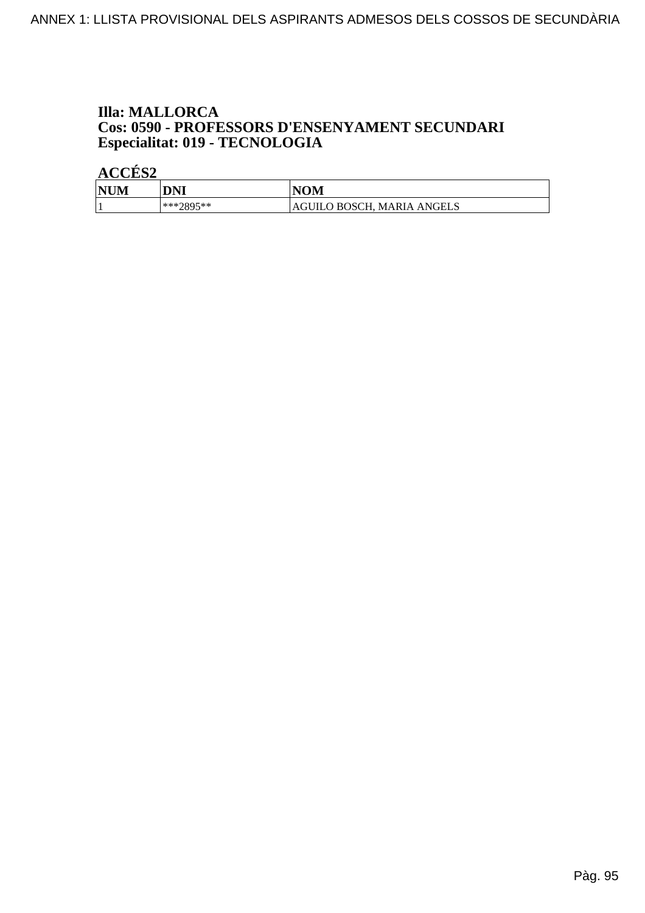# **Illa: MALLORCA Cos: 0590 - PROFESSORS D'ENSENYAMENT SECUNDARI<br>Especialitat: 019 - TECNOLOGIA**

| <b>NUM</b> | DNI       | <b>NOM</b>                 |
|------------|-----------|----------------------------|
|            | ***?895** | AGUILO BOSCH, MARIA ANGELS |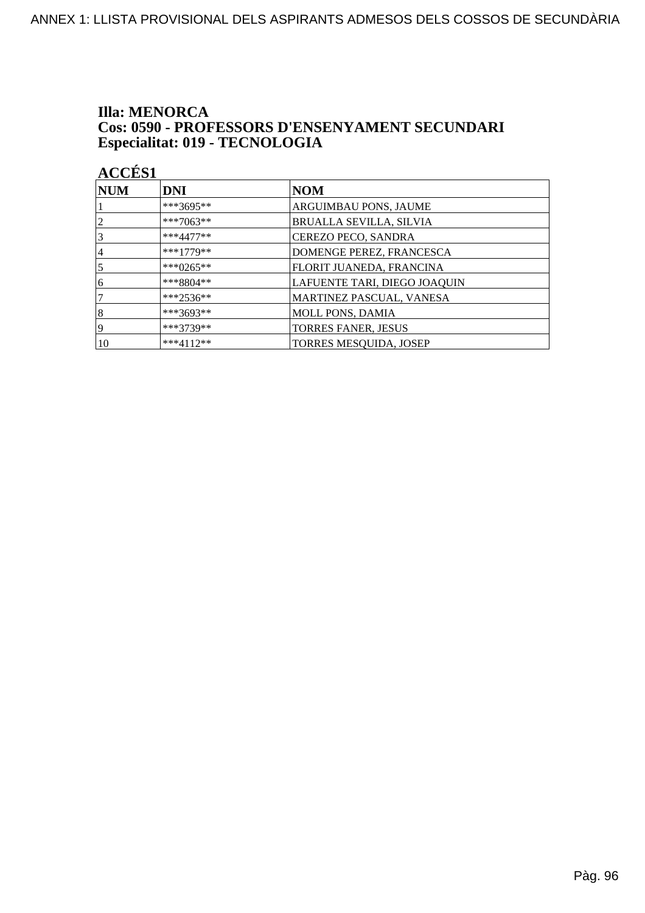#### **Illa: MENORCA** Cos: 0590 - PROFESSORS D'ENSENYAMENT SECUNDARI Especialitat: 019 - TECNOLOGIA

| NUM             | <b>DNI</b>   | <b>NOM</b>                     |
|-----------------|--------------|--------------------------------|
|                 | ***3695**    | ARGUIMBAU PONS, JAUME          |
| $\overline{2}$  | ***7063**    | <b>BRUALLA SEVILLA, SILVIA</b> |
| $\vert 3 \vert$ | $***4477**$  | CEREZO PECO, SANDRA            |
| 14              | $***1779**$  | DOMENGE PEREZ, FRANCESCA       |
| $\overline{5}$  | *** $0265**$ | FLORIT JUANEDA, FRANCINA       |
| 16              | $***8804**$  | LAFUENTE TARI, DIEGO JOAQUIN   |
| 17              | $***2536**$  | MARTINEZ PASCUAL, VANESA       |
| 8               | ***3693**    | <b>MOLL PONS, DAMIA</b>        |
| 19              | ***3739**    | <b>TORRES FANER, JESUS</b>     |
| 10              | $***4112**$  | TORRES MESQUIDA, JOSEP         |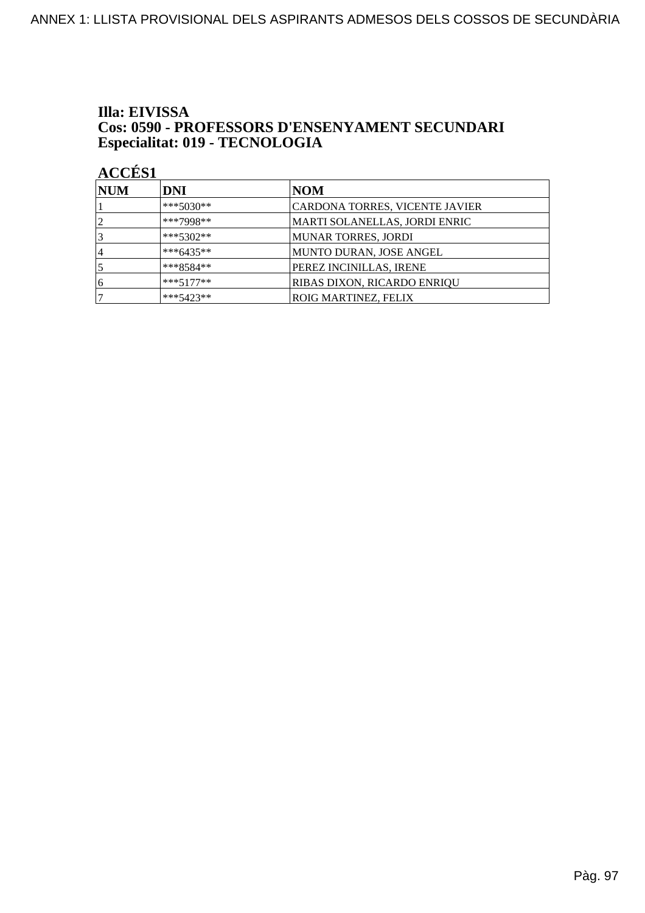#### Illa: EIVISSA **Cos: 0590 - PROFESSORS D'ENSENYAMENT SECUNDARI** Especialitat: 019 - TECNOLOGIA

| <b>NUM</b> | DNI         | NOM                                |
|------------|-------------|------------------------------------|
|            | $***5030**$ | CARDONA TORRES, VICENTE JAVIER     |
|            | ***7998**   | MARTI SOLANELLAS, JORDI ENRIC      |
|            | ***5302**   | MUNAR TORRES, JORDI                |
| 4          | ***6435**   | MUNTO DURAN, JOSE ANGEL            |
|            | $***8584**$ | PEREZ INCINILLAS, IRENE            |
| '6         | $***5177**$ | <b>RIBAS DIXON, RICARDO ENRIQU</b> |
|            | $***5423**$ | <b>ROIG MARTINEZ, FELIX</b>        |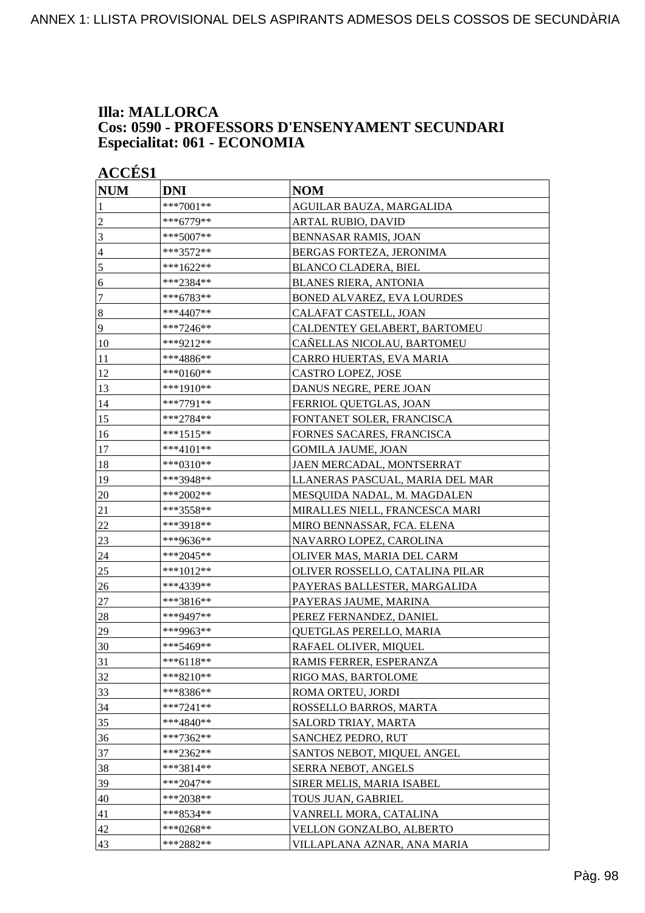#### **Illa: MALLORCA Cos: 0590 - PROFESSORS D'ENSENYAMENT SECUNDARI Especialitat: 061 - ECONOMIA**

| <b>ACCÉS 1</b>   |             |                                   |
|------------------|-------------|-----------------------------------|
| <b>NUM</b>       | <b>DNI</b>  | <b>NOM</b>                        |
| 1                | ***7001**   | AGUILAR BAUZA, MARGALIDA          |
| $\overline{c}$   | ***6779**   | ARTAL RUBIO, DAVID                |
| 3                | ***5007**   | <b>BENNASAR RAMIS, JOAN</b>       |
| $\overline{4}$   | ***3572**   | BERGAS FORTEZA, JERONIMA          |
| 5                | ***1622**   | <b>BLANCO CLADERA, BIEL</b>       |
| 6                | ***2384**   | <b>BLANES RIERA, ANTONIA</b>      |
| $\boldsymbol{7}$ | ***6783**   | <b>BONED ALVAREZ, EVA LOURDES</b> |
| $\boldsymbol{8}$ | ***4407**   | CALAFAT CASTELL, JOAN             |
| 9                | ***7246**   | CALDENTEY GELABERT, BARTOMEU      |
| 10               | ***9212**   | CAÑELLAS NICOLAU, BARTOMEU        |
| 11               | ***4886**   | CARRO HUERTAS, EVA MARIA          |
| 12               | ***0160**   | CASTRO LOPEZ, JOSE                |
| 13               | ***1910**   | DANUS NEGRE, PERE JOAN            |
| 14               | ***7791**   | FERRIOL QUETGLAS, JOAN            |
| 15               | ***2784**   | FONTANET SOLER, FRANCISCA         |
| 16               | ***1515**   | FORNES SACARES, FRANCISCA         |
| 17               | $***4101**$ | <b>GOMILA JAUME, JOAN</b>         |
| 18               | ***0310**   | JAEN MERCADAL, MONTSERRAT         |
| 19               | ***3948**   | LLANERAS PASCUAL, MARIA DEL MAR   |
| 20               | ***2002**   | MESQUIDA NADAL, M. MAGDALEN       |
| 21               | ***3558**   | MIRALLES NIELL, FRANCESCA MARI    |
| 22               | ***3918**   | MIRO BENNASSAR, FCA. ELENA        |
| 23               | ***9636**   | NAVARRO LOPEZ, CAROLINA           |
| 24               | ***2045**   | OLIVER MAS, MARIA DEL CARM        |
| 25               | ***1012**   | OLIVER ROSSELLO, CATALINA PILAR   |
| 26               | ***4339**   | PAYERAS BALLESTER, MARGALIDA      |
| 27               | ***3816**   | PAYERAS JAUME, MARINA             |
| 28               | ***9497**   | PEREZ FERNANDEZ, DANIEL           |
| 29               | ***9963**   | QUETGLAS PERELLO, MARIA           |
| 30               | ***5469**   | RAFAEL OLIVER, MIQUEL             |
| 31               | ***6118**   | RAMIS FERRER, ESPERANZA           |
| 32               | $***8210**$ | RIGO MAS, BARTOLOME               |
| 33               | ***8386**   | ROMA ORTEU, JORDI                 |
| 34               | ***7241**   | ROSSELLO BARROS, MARTA            |
| 35               | ***4840**   | SALORD TRIAY, MARTA               |
| 36               | ***7362**   | SANCHEZ PEDRO, RUT                |
| 37               | ***2362**   | SANTOS NEBOT, MIQUEL ANGEL        |
| 38               | ***3814**   | SERRA NEBOT, ANGELS               |
| 39               | $***2047**$ | SIRER MELIS, MARIA ISABEL         |
| 40               | ***2038**   | TOUS JUAN, GABRIEL                |
| 41               | ***8534**   | VANRELL MORA, CATALINA            |
| 42               | ***0268**   | VELLON GONZALBO, ALBERTO          |
| 43               | ***2882**   | VILLAPLANA AZNAR, ANA MARIA       |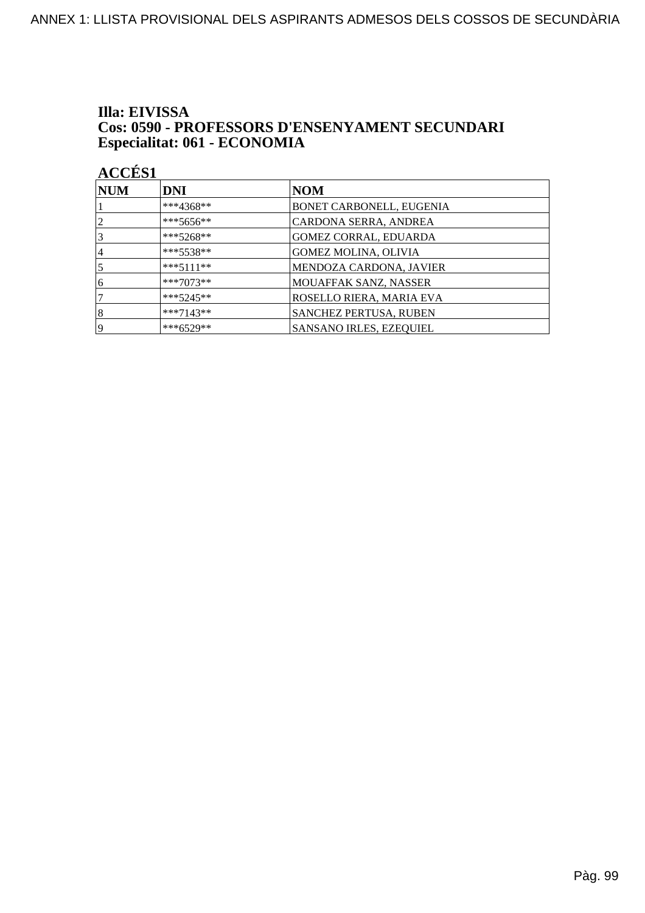#### Illa: EIVISSA **Cos: 0590 - PROFESSORS D'ENSENYAMENT SECUNDARI** Especialitat: 061 - ECONOMIA

| NUM            | <b>DNI</b>  | NOM                            |
|----------------|-------------|--------------------------------|
|                | ***4368**   | BONET CARBONELL, EUGENIA       |
| $\overline{2}$ | ***5656**   | CARDONA SERRA, ANDREA          |
| 3              | $***5268**$ | GOMEZ CORRAL, EDUARDA          |
| 4              | $***5538**$ | <b>GOMEZ MOLINA, OLIVIA</b>    |
| 5              | $***5111**$ | MENDOZA CARDONA, JAVIER        |
| 6              | $***7073**$ | <b>MOUAFFAK SANZ, NASSER</b>   |
|                | $***5245**$ | ROSELLO RIERA, MARIA EVA       |
| 8              | $***7143**$ | <b>SANCHEZ PERTUSA, RUBEN</b>  |
| 19             | ***6529**   | <b>SANSANO IRLES, EZEQUIEL</b> |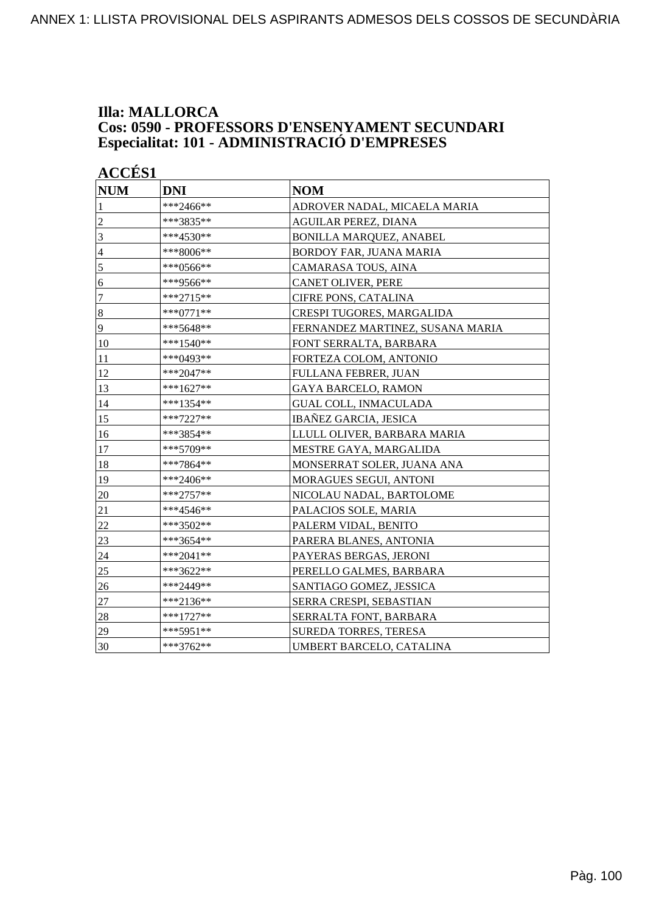#### **Illa: MALLORCA Cos: 0590 - PROFESSORS D'ENSENYAMENT SECUNDARI Especialitat: 101 - ADMINISTRACIÓ D'EMPRESES**

| <b>NUM</b>     | <b>DNI</b>  | <b>NOM</b>                       |
|----------------|-------------|----------------------------------|
| $\mathbf{1}$   | ***2466**   | ADROVER NADAL, MICAELA MARIA     |
| $\overline{c}$ | ***3835**   | <b>AGUILAR PEREZ, DIANA</b>      |
| $\overline{3}$ | ***4530**   | <b>BONILLA MARQUEZ, ANABEL</b>   |
| $\overline{4}$ | ***8006**   | BORDOY FAR, JUANA MARIA          |
| 5              | ***0566**   | CAMARASA TOUS, AINA              |
| 6              | ***9566**   | CANET OLIVER, PERE               |
| $\overline{7}$ | ***2715**   | <b>CIFRE PONS, CATALINA</b>      |
| $\vert 8$      | $***0771**$ | CRESPI TUGORES, MARGALIDA        |
| 9              | ***5648**   | FERNANDEZ MARTINEZ, SUSANA MARIA |
| 10             | ***1540**   | FONT SERRALTA, BARBARA           |
| 11             | ***0493**   | FORTEZA COLOM, ANTONIO           |
| 12             | ***2047**   | FULLANA FEBRER, JUAN             |
| 13             | ***1627**   | <b>GAYA BARCELO, RAMON</b>       |
| 14             | ***1354**   | <b>GUAL COLL, INMACULADA</b>     |
| 15             | ***7227**   | <b>IBAÑEZ GARCIA, JESICA</b>     |
| 16             | ***3854**   | LLULL OLIVER, BARBARA MARIA      |
| 17             | ***5709**   | MESTRE GAYA, MARGALIDA           |
| 18             | ***7864**   | MONSERRAT SOLER, JUANA ANA       |
| 19             | ***2406**   | <b>MORAGUES SEGUI, ANTONI</b>    |
| 20             | $***2757**$ | NICOLAU NADAL, BARTOLOME         |
| 21             | ***4546**   | PALACIOS SOLE, MARIA             |
| 22             | ***3502**   | PALERM VIDAL, BENITO             |
| 23             | ***3654**   | PARERA BLANES, ANTONIA           |
| 24             | $***2041**$ | PAYERAS BERGAS, JERONI           |
| 25             | ***3622**   | PERELLO GALMES, BARBARA          |
| 26             | ***2449**   | SANTIAGO GOMEZ, JESSICA          |
| $27\,$         | ***2136**   | SERRA CRESPI, SEBASTIAN          |
| 28             | $***1727**$ | SERRALTA FONT, BARBARA           |
| 29             | ***5951**   | SUREDA TORRES, TERESA            |
| 30             | ***3762**   | UMBERT BARCELO, CATALINA         |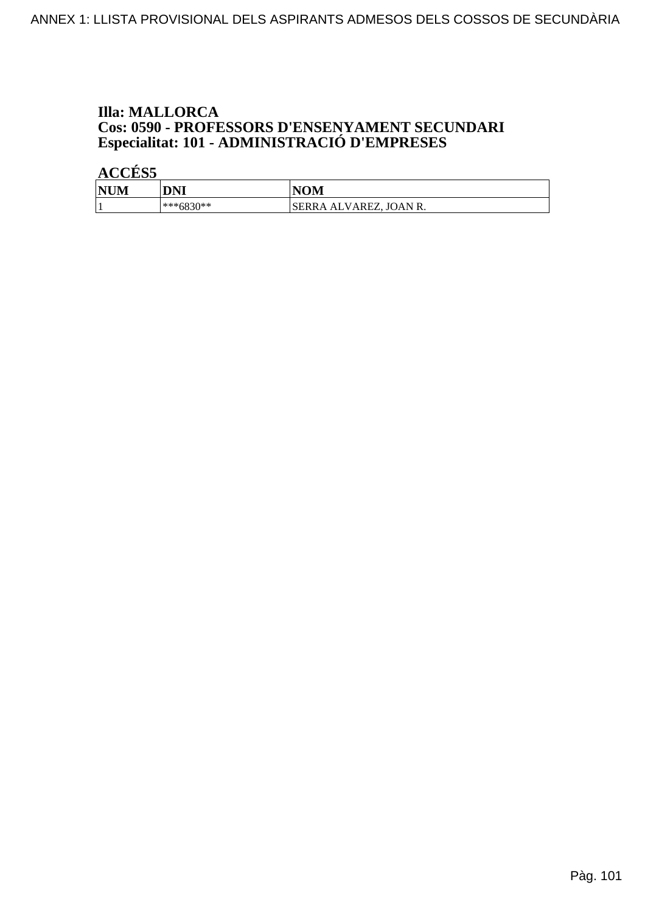## **Illa: MALLORCA Cos: 0590 - PROFESSORS D'ENSENYAMENT SECUNDARI<br>Especialitat: 101 - ADMINISTRACIÓ D'EMPRESES**

| <b>NUM</b> | DNI       | <b>NOM</b>              |
|------------|-----------|-------------------------|
|            | ***6830** | 'SERRA ALVAREZ, JOAN R. |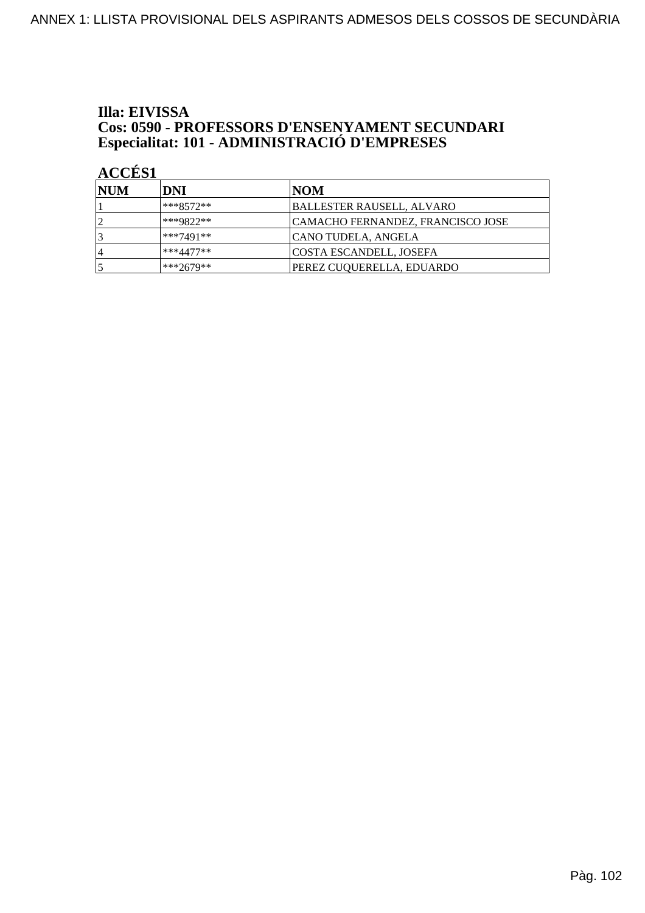## Illa: EIVISSA **Cos: 0590 - PROFESSORS D'ENSENYAMENT SECUNDARI<br>Especialitat: 101 - ADMINISTRACIÓ D'EMPRESES**

| <b>INUM</b> | DNI         | NOM                               |
|-------------|-------------|-----------------------------------|
|             | ***8572**   | <b>BALLESTER RAUSELL, ALVARO</b>  |
|             | ***9822**   | CAMACHO FERNANDEZ, FRANCISCO JOSE |
|             | ***7491**   | CANO TUDELA, ANGELA               |
| 4           | $***4477**$ | COSTA ESCANDELL, JOSEFA           |
|             | ***2679**   | PEREZ CUQUERELLA, EDUARDO         |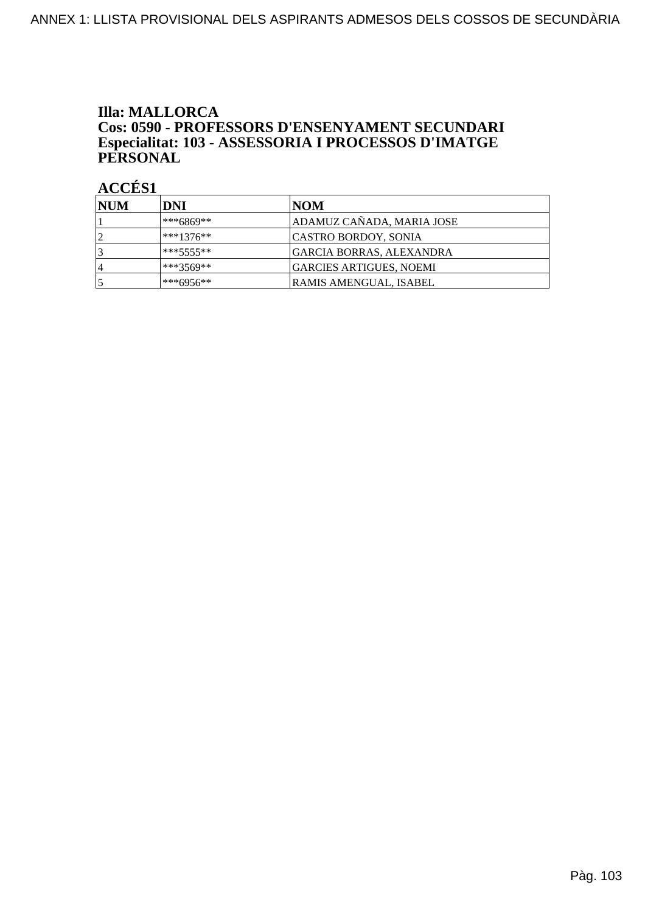### **Illa: MALLORCA** Cos: 0590 - PROFESSORS D'ENSENYAMENT SECUNDARI Especialitat: 103 - ASSESSORIA I PROCESSOS D'IMATGE<br>PERSONAL

| <b>NUM</b>     | DNI          | NOM                             |
|----------------|--------------|---------------------------------|
|                | ***6869**    | ADAMUZ CAÑADA, MARIA JOSE       |
|                | $***1376**$  | CASTRO BORDOY, SONIA            |
|                | $***5555***$ | <b>GARCIA BORRAS, ALEXANDRA</b> |
| $\overline{4}$ | ***3569**    | GARCIES ARTIGUES, NOEMI         |
|                | ***6956**    | RAMIS AMENGUAL, ISABEL          |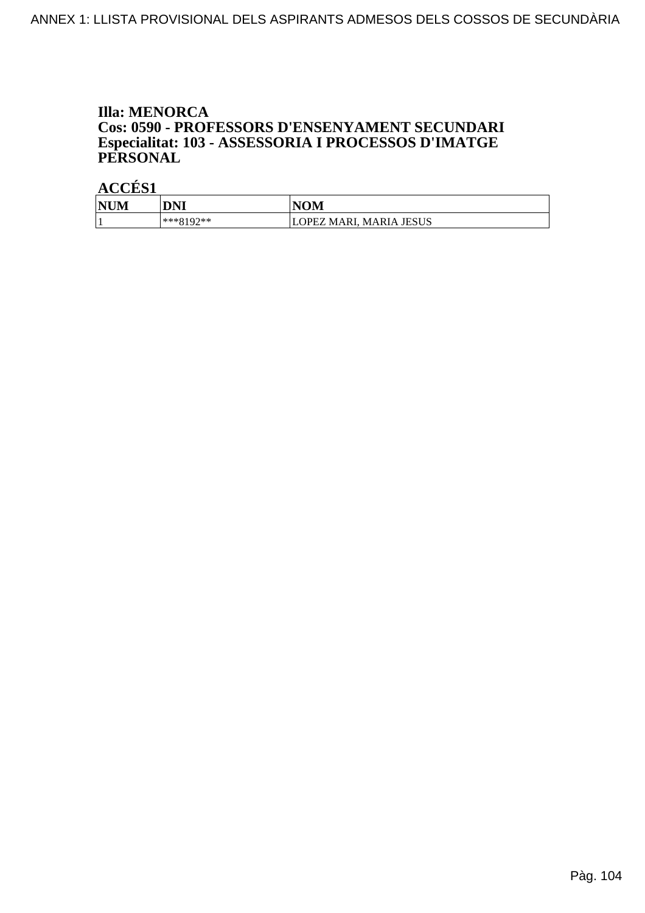#### **Illa: MENORCA** Cos: 0590 - PROFESSORS D'ENSENYAMENT SECUNDARI Especialitat: 103 - ASSESSORIA I PROCESSOS D'IMATGE PERSONAL

| <b>NUM</b> | DNI                | VOM<br>N                                  |
|------------|--------------------|-------------------------------------------|
|            | $02**$<br>$***910$ | <b>MARIA JESUS</b><br>MARI.<br><b>PEZ</b> |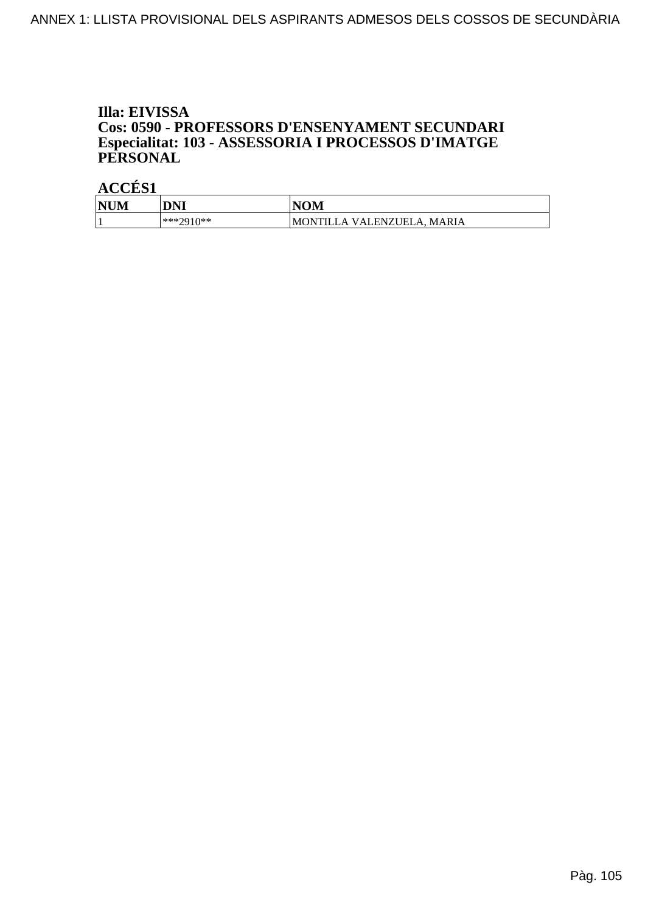#### Illa: EIVISSA Cos: 0590 - PROFESSORS D'ENSENYAMENT SECUNDARI Especialitat: 103 - ASSESSORIA I PROCESSOS D'IMATGE PERSONAL

| NU<br>'N | DNI               | VOM<br>NI                                                                           |
|----------|-------------------|-------------------------------------------------------------------------------------|
|          | ***?010**<br>2710 | <b>MARIA</b><br>IEL<br>)N<br>ENZU<br>M<br>$V \Delta I$<br>$\Lambda$<br>$\mathbf{A}$ |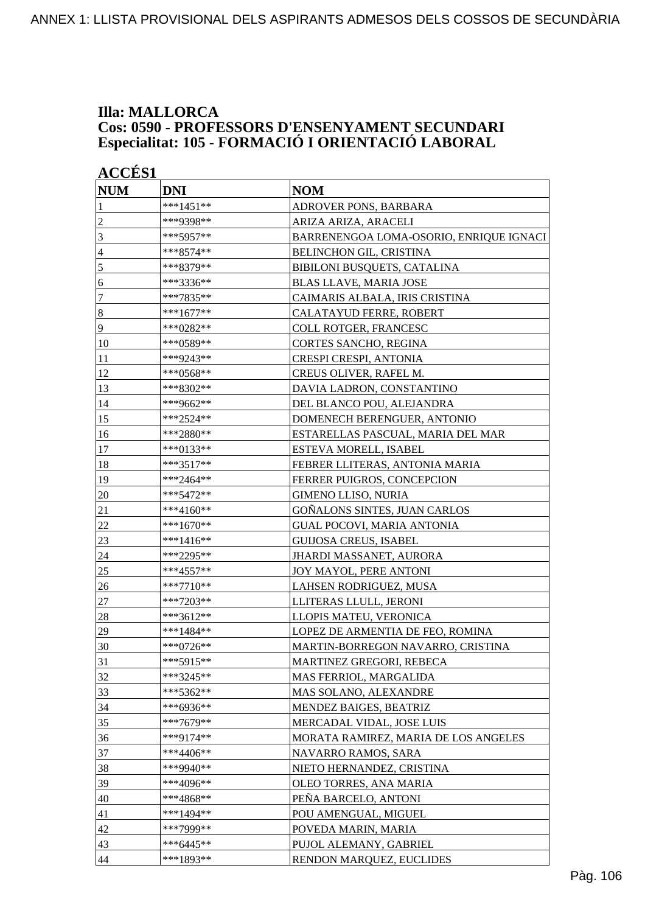#### **Illa: MALLORCA Cos: 0590 - PROFESSORS D'ENSENYAMENT SECUNDARI Especialitat: 105 - FORMACIÓ I ORIENTACIÓ LABORAL**

| <b>ACCES 1</b>   |             |                                         |
|------------------|-------------|-----------------------------------------|
| <b>NUM</b>       | <b>DNI</b>  | <b>NOM</b>                              |
| 1                | $***1451**$ | ADROVER PONS, BARBARA                   |
| $\overline{2}$   | ***9398**   | ARIZA ARIZA, ARACELI                    |
| 3                | ***5957**   | BARRENENGOA LOMA-OSORIO, ENRIQUE IGNACI |
| $\overline{4}$   | ***8574**   | BELINCHON GIL, CRISTINA                 |
| $\sqrt{5}$       | ***8379**   | BIBILONI BUSQUETS, CATALINA             |
| 6                | ***3336**   | <b>BLAS LLAVE, MARIA JOSE</b>           |
| $\tau$           | ***7835**   | CAIMARIS ALBALA, IRIS CRISTINA          |
| $\boldsymbol{8}$ | ***1677**   | CALATAYUD FERRE, ROBERT                 |
| 9                | ***0282**   | COLL ROTGER, FRANCESC                   |
| 10               | ***0589**   | CORTES SANCHO, REGINA                   |
| 11               | ***9243**   | CRESPI CRESPI, ANTONIA                  |
| 12               | ***0568**   | CREUS OLIVER, RAFEL M.                  |
| 13               | ***8302**   | DAVIA LADRON, CONSTANTINO               |
| 14               | ***9662**   | DEL BLANCO POU, ALEJANDRA               |
| 15               | ***2524**   | DOMENECH BERENGUER, ANTONIO             |
| 16               | ***2880**   | ESTARELLAS PASCUAL, MARIA DEL MAR       |
| 17               | ***0133**   | <b>ESTEVA MORELL, ISABEL</b>            |
| 18               | ***3517**   | FEBRER LLITERAS, ANTONIA MARIA          |
| 19               | ***2464**   | <b>FERRER PUIGROS, CONCEPCION</b>       |
| 20               | *** 5472**  | <b>GIMENO LLISO, NURIA</b>              |
| 21               | $***4160**$ | GOÑALONS SINTES, JUAN CARLOS            |
| 22               | ***1670**   | <b>GUAL POCOVI, MARIA ANTONIA</b>       |
| 23               | ***1416**   | <b>GUIJOSA CREUS, ISABEL</b>            |
| 24               | ***2295**   | JHARDI MASSANET, AURORA                 |
| 25               | ***4557**   | JOY MAYOL, PERE ANTONI                  |
| 26               | $***7710**$ | LAHSEN RODRIGUEZ, MUSA                  |
| 27               | ***7203**   | LLITERAS LLULL, JERONI                  |
| 28               | ***3612**   | LLOPIS MATEU, VERONICA                  |
| 29               | ***1484**   | LOPEZ DE ARMENTIA DE FEO, ROMINA        |
| 30               | ***0726**   | MARTIN-BORREGON NAVARRO, CRISTINA       |
| 31               | ***5915**   | MARTINEZ GREGORI, REBECA                |
| 32               | ***3245**   | MAS FERRIOL, MARGALIDA                  |
| 33               | ***5362**   | MAS SOLANO, ALEXANDRE                   |
| 34               | ***6936**   | MENDEZ BAIGES, BEATRIZ                  |
| 35               | ***7679**   | MERCADAL VIDAL, JOSE LUIS               |
| 36               | ***9174**   | MORATA RAMIREZ, MARIA DE LOS ANGELES    |
| 37               | ***4406**   | NAVARRO RAMOS, SARA                     |
| 38               | ***9940**   | NIETO HERNANDEZ, CRISTINA               |
| 39               | ***4096**   | OLEO TORRES, ANA MARIA                  |
| 40               | ***4868**   | PEÑA BARCELO, ANTONI                    |
| 41               | $***1494**$ | POU AMENGUAL, MIGUEL                    |
| 42               | ***7999**   | POVEDA MARIN, MARIA                     |
| 43               | $***6445**$ | PUJOL ALEMANY, GABRIEL                  |
| 44               | ***1893**   | RENDON MARQUEZ, EUCLIDES                |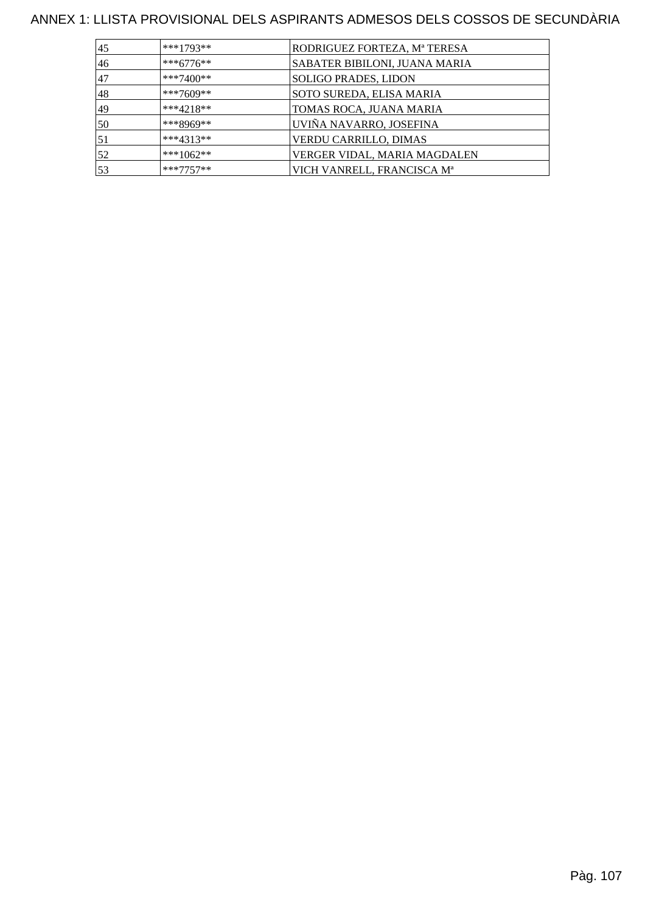### ANNEX 1: LLISTA PROVISIONAL DELS ASPIRANTS ADMESOS DELS COSSOS DE SECUNDÀRIA

| 45 | $***1793**$ | RODRIGUEZ FORTEZA, Mª TERESA           |
|----|-------------|----------------------------------------|
| 46 | $***6776**$ | SABATER BIBILONI, JUANA MARIA          |
| 47 | ***7400**   | <b>SOLIGO PRADES, LIDON</b>            |
| 48 | ***7609**   | SOTO SUREDA, ELISA MARIA               |
| 49 | $***4218**$ | TOMAS ROCA, JUANA MARIA                |
| 50 | ***8969**   | UVIÑA NAVARRO, JOSEFINA                |
| 51 | $***4313**$ | VERDU CARRILLO, DIMAS                  |
| 52 | ***1062**   | VERGER VIDAL, MARIA MAGDALEN           |
| 53 | $***7757**$ | VICH VANRELL, FRANCISCA M <sup>a</sup> |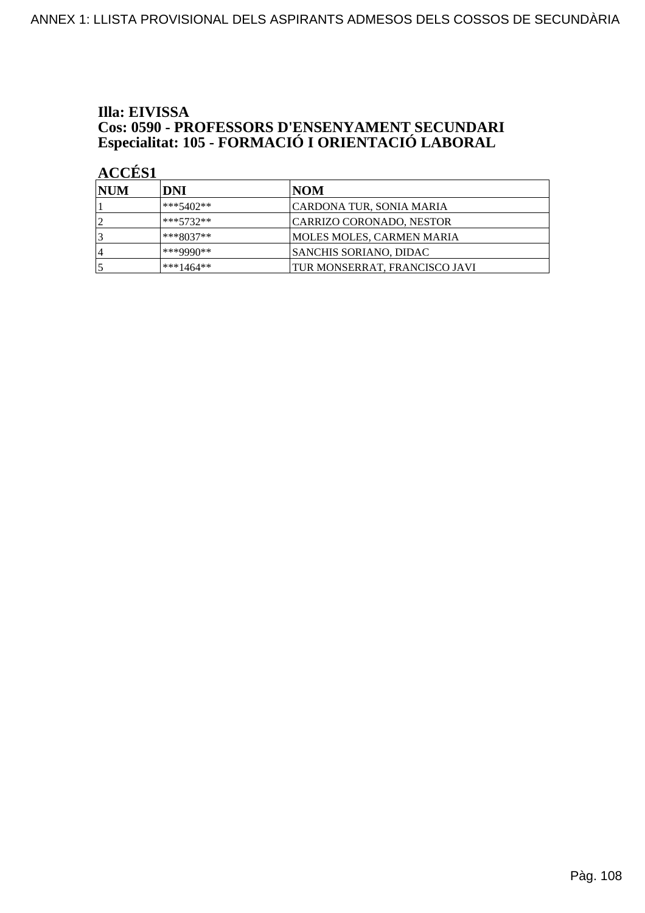## Illa: EIVISSA **Cos: 0590 - PROFESSORS D'ENSENYAMENT SECUNDARI<br>Especialitat: 105 - FORMACIÓ I ORIENTACIÓ LABORAL**

| <b>INUM</b>    | DNI         | NOM                           |
|----------------|-------------|-------------------------------|
|                | ***5402**   | CARDONA TUR, SONIA MARIA      |
|                | ***5732**   | CARRIZO CORONADO, NESTOR      |
|                | $***8037**$ | MOLES MOLES, CARMEN MARIA     |
| $\overline{4}$ | ***9990**   | <b>SANCHIS SORIANO, DIDAC</b> |
|                | $***1464**$ | TUR MONSERRAT, FRANCISCO JAVI |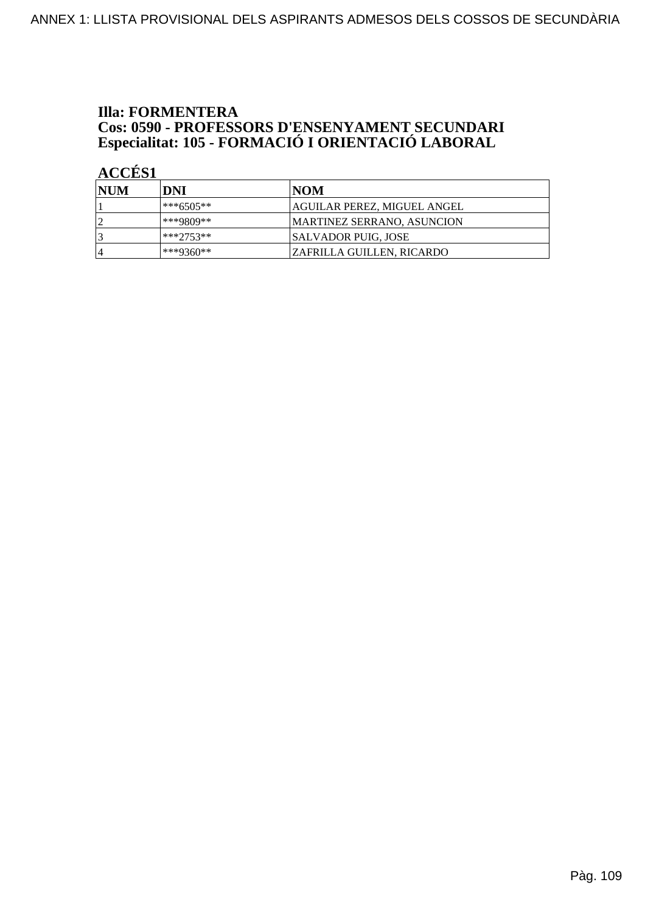# **Illa: FORMENTERA Cos: 0590 - PROFESSORS D'ENSENYAMENT SECUNDARI<br>Especialitat: 105 - FORMACIÓ I ORIENTACIÓ LABORAL**

| <b>NUM</b> | DNI         | INOM                              |
|------------|-------------|-----------------------------------|
|            | ***6505**   | AGUILAR PEREZ, MIGUEL ANGEL       |
|            | ***9809**   | <b>MARTINEZ SERRANO, ASUNCION</b> |
|            | $***2753**$ | <b>SALVADOR PUIG, JOSE</b>        |
|            | ***9360**   | <b>ZAFRILLA GUILLEN, RICARDO</b>  |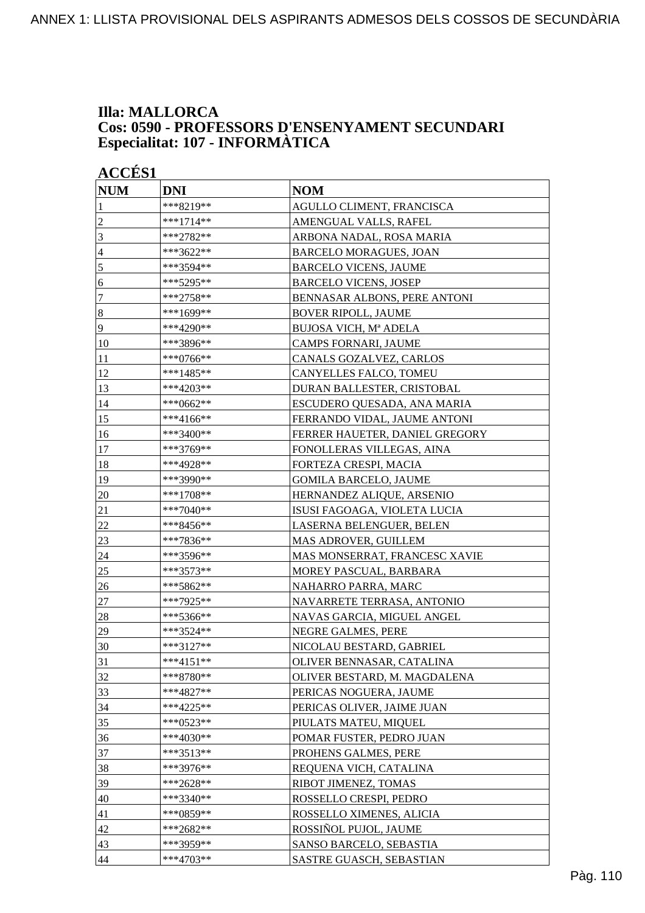#### **Illa: MALLORCA Cos: 0590 - PROFESSORS D'ENSENYAMENT SECUNDARI Especialitat: 107 - INFORMÀTICA**

| <b>ACCÉS 1</b>   |             |                                |
|------------------|-------------|--------------------------------|
| <b>NUM</b>       | <b>DNI</b>  | <b>NOM</b>                     |
| 1                | ***8219**   | AGULLO CLIMENT, FRANCISCA      |
| $\overline{c}$   | $***1714**$ | AMENGUAL VALLS, RAFEL          |
| 3                | ***2782**   | ARBONA NADAL, ROSA MARIA       |
| 4                | ***3622**   | <b>BARCELO MORAGUES, JOAN</b>  |
| 5                | ***3594**   | <b>BARCELO VICENS, JAUME</b>   |
| 6                | ***5295**   | <b>BARCELO VICENS, JOSEP</b>   |
| $\tau$           | ***2758**   | BENNASAR ALBONS, PERE ANTONI   |
| $\boldsymbol{8}$ | ***1699**   | <b>BOVER RIPOLL, JAUME</b>     |
| $\overline{9}$   | ***4290**   | BUJOSA VICH, Mª ADELA          |
| 10               | ***3896**   | CAMPS FORNARI, JAUME           |
| 11               | ***0766**   | CANALS GOZALVEZ, CARLOS        |
| 12               | ***1485**   | CANYELLES FALCO, TOMEU         |
| 13               | ***4203**   | DURAN BALLESTER, CRISTOBAL     |
| 14               | ***0662**   | ESCUDERO QUESADA, ANA MARIA    |
| 15               | ***4166**   | FERRANDO VIDAL, JAUME ANTONI   |
| 16               | ***3400**   | FERRER HAUETER, DANIEL GREGORY |
| 17               | ***3769**   | FONOLLERAS VILLEGAS, AINA      |
| 18               | ***4928**   | FORTEZA CRESPI, MACIA          |
| 19               | ***3990**   | <b>GOMILA BARCELO, JAUME</b>   |
| 20               | ***1708**   | HERNANDEZ ALIQUE, ARSENIO      |
| 21               | ***7040**   | ISUSI FAGOAGA, VIOLETA LUCIA   |
| 22               | ***8456**   | LASERNA BELENGUER, BELEN       |
| 23               | ***7836**   | <b>MAS ADROVER, GUILLEM</b>    |
| 24               | ***3596**   | MAS MONSERRAT, FRANCESC XAVIE  |
| <u>25</u>        | ***3573**   | MOREY PASCUAL, BARBARA         |
| 26               | ***5862**   | NAHARRO PARRA, MARC            |
| 27               | ***7925**   | NAVARRETE TERRASA, ANTONIO     |
| 28               | ***5366**   | NAVAS GARCIA, MIGUEL ANGEL     |
| 29               | ***3524**   | NEGRE GALMES, PERE             |
| 30               | ***3127**   | NICOLAU BESTARD, GABRIEL       |
| 31               | ***4151**   | OLIVER BENNASAR, CATALINA      |
| 32               | ***8780**   | OLIVER BESTARD, M. MAGDALENA   |
| 33               | ***4827**   | PERICAS NOGUERA, JAUME         |
| 34               | ***4225**   | PERICAS OLIVER, JAIME JUAN     |
| 35               | ***0523**   | PIULATS MATEU, MIQUEL          |
| 36               | $***4030**$ | POMAR FUSTER, PEDRO JUAN       |
| 37               | ***3513**   | PROHENS GALMES, PERE           |
| 38               | ***3976**   | REQUENA VICH, CATALINA         |
| 39               | ***2628**   | RIBOT JIMENEZ, TOMAS           |
| 40               | ***3340**   | ROSSELLO CRESPI, PEDRO         |
| 41               | ***0859**   | ROSSELLO XIMENES, ALICIA       |
| 42               | ***2682**   | ROSSIÑOL PUJOL, JAUME          |
| 43               | ***3959**   | SANSO BARCELO, SEBASTIA        |
| 44               | ***4703**   | SASTRE GUASCH, SEBASTIAN       |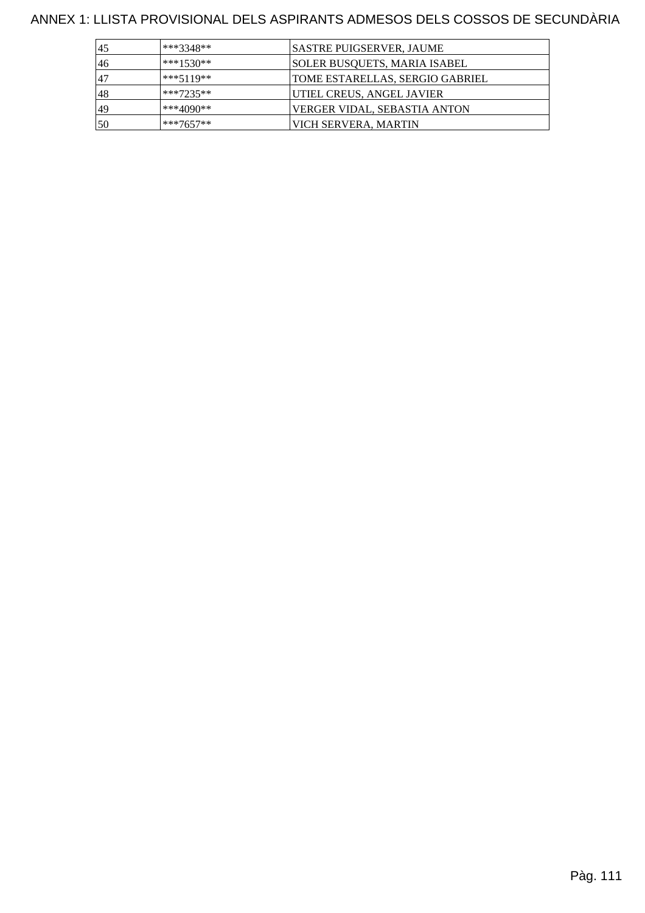ANNEX 1: LLISTA PROVISIONAL DELS ASPIRANTS ADMESOS DELS COSSOS DE SECUNDÀRIA

| 45 | ***3348**   | <b>SASTRE PUIGSERVER, JAUME</b>     |
|----|-------------|-------------------------------------|
| 46 | $***1530**$ | SOLER BUSOUETS, MARIA ISABEL        |
| 47 | $***5119**$ | TOME ESTARELLAS, SERGIO GABRIEL     |
| 48 | $***7235**$ | UTIEL CREUS, ANGEL JAVIER           |
| 49 | ***4090**   | <b>VERGER VIDAL, SEBASTIA ANTON</b> |
| 50 | $***7657**$ | VICH SERVERA, MARTIN                |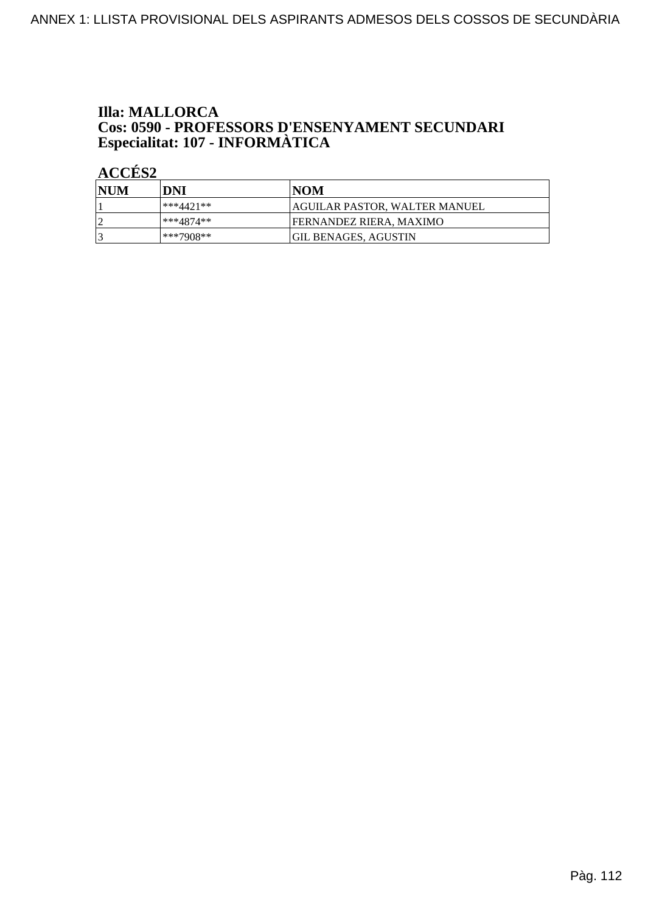# **Illa: MALLORCA Cos: 0590 - PROFESSORS D'ENSENYAMENT SECUNDARI<br>Especialitat: 107 - INFORMÀTICA**

| NUM | DNI       | NOM                             |
|-----|-----------|---------------------------------|
|     | ***4421** | AGUILAR PASTOR, WALTER MANUEL   |
|     | ***4874** | <b>IFERNANDEZ RIERA. MAXIMO</b> |
|     | ***7908** | <b>GIL BENAGES, AGUSTIN</b>     |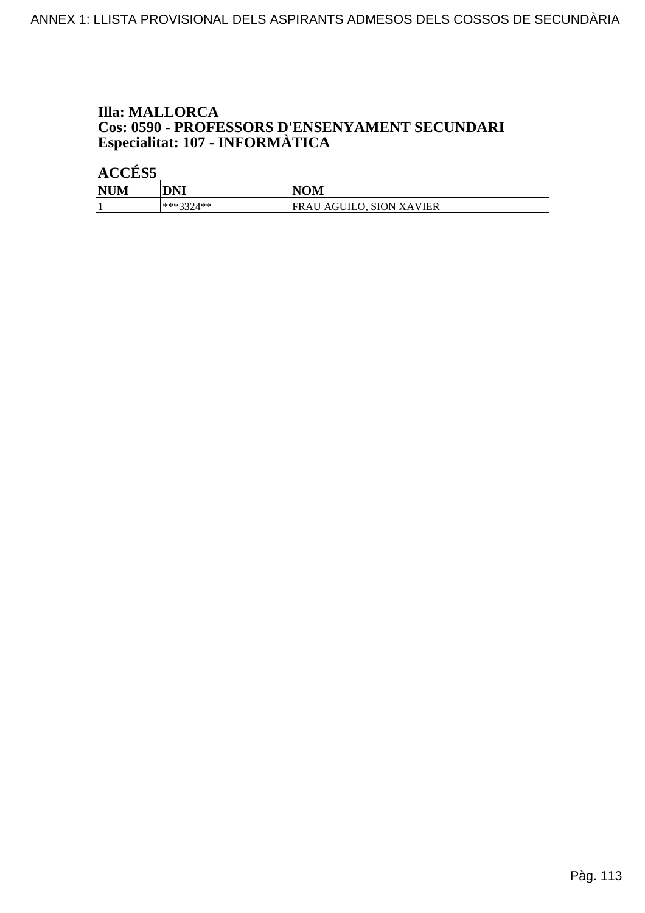# **Illa: MALLORCA Cos: 0590 - PROFESSORS D'ENSENYAMENT SECUNDARI<br>Especialitat: 107 - INFORMÀTICA**

| <b>NUM</b> | <b>DNI</b>  | <b>NOM</b>                      |
|------------|-------------|---------------------------------|
|            | $***3374**$ | <b>FRAU AGUILO, SION XAVIER</b> |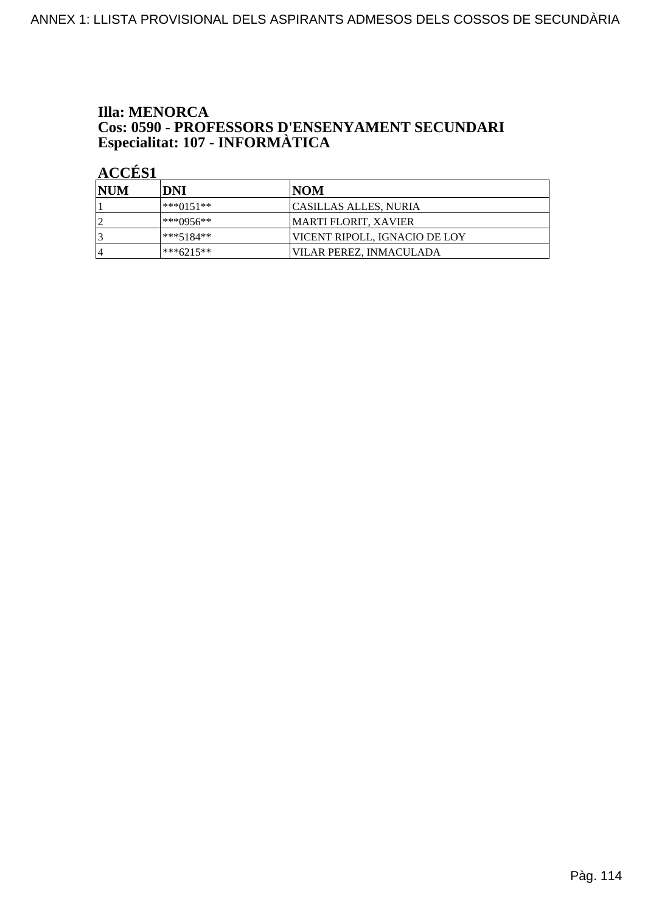#### **Illa: MENORCA** Cos: 0590 - PROFESSORS D'ENSENYAMENT SECUNDARI Especialitat: 107 - INFORMÀTICA

| <b>NUM</b>     | DNI         | INOM                          |
|----------------|-------------|-------------------------------|
|                | $***0151**$ | <b>CASILLAS ALLES, NURIA</b>  |
| ി              | ***0956**   | <b>MARTI FLORIT, XAVIER</b>   |
| 3              | $***5184**$ | VICENT RIPOLL, IGNACIO DE LOY |
| $\overline{4}$ | ***6215**   | VILAR PEREZ, INMACULADA       |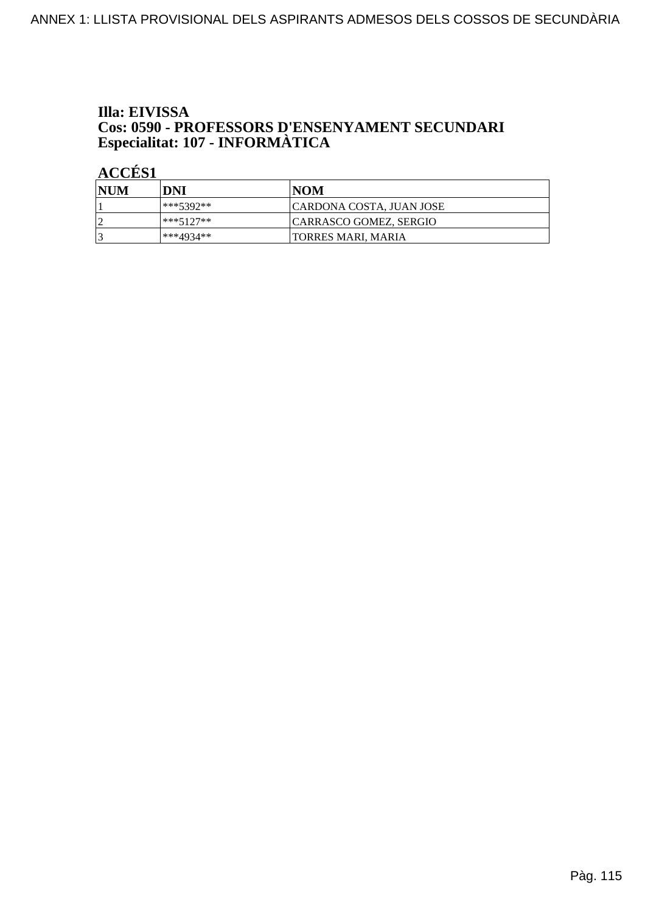# Illa: EIVISSA **Cos: 0590 - PROFESSORS D'ENSENYAMENT SECUNDARI<br>Especialitat: 107 - INFORMÀTICA**

| <b>NUM</b> | DNI         | NOM                             |
|------------|-------------|---------------------------------|
|            | $***5392**$ | <b>CARDONA COSTA, JUAN JOSE</b> |
|            | $***5127**$ | CARRASCO GOMEZ, SERGIO          |
|            | ***4934**   | <b>TORRES MARI, MARIA</b>       |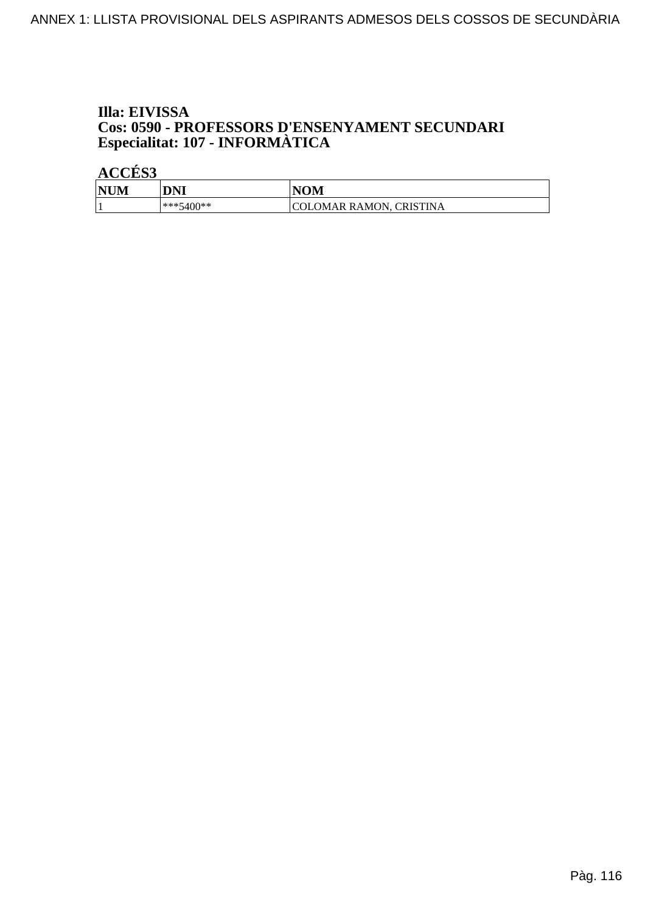# Illa: EIVISSA **Cos: 0590 - PROFESSORS D'ENSENYAMENT SECUNDARI<br>Especialitat: 107 - INFORMÀTICA**

| <b>NUM</b> | DNI       | <b>NOM</b>              |
|------------|-----------|-------------------------|
|            | ***5400** | COLOMAR RAMON, CRISTINA |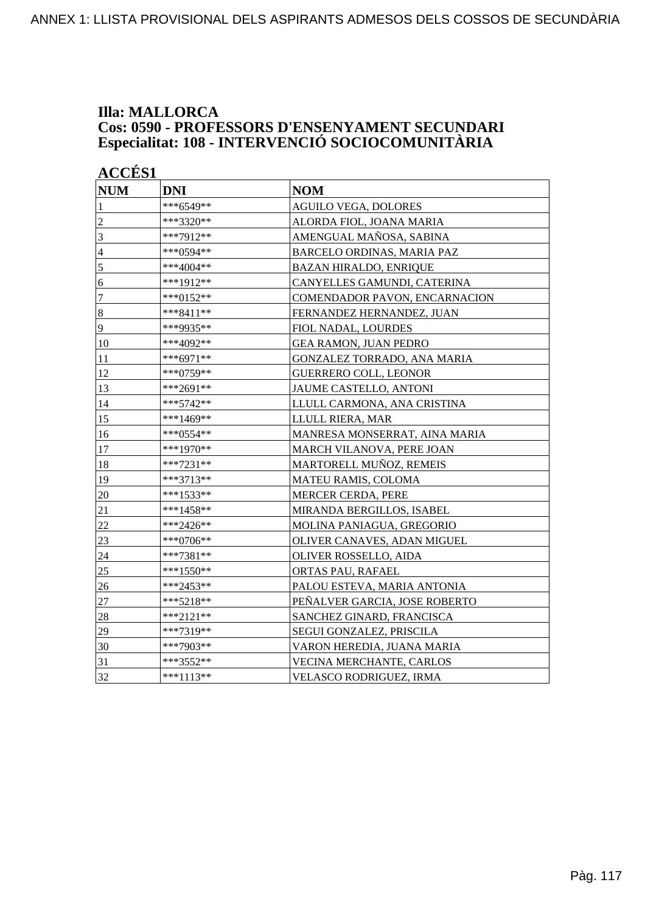#### **Illa: MALLORCA Cos: 0590 - PROFESSORS D'ENSENYAMENT SECUNDARI Especialitat: 108 - INTERVENCIÓ SOCIOCOMUNITÀRIA**

| <b>ACCES 1</b>   |             |                               |
|------------------|-------------|-------------------------------|
| <b>NUM</b>       | <b>DNI</b>  | <b>NOM</b>                    |
| 1                | ***6549**   | <b>AGUILO VEGA, DOLORES</b>   |
| $\overline{c}$   | ***3320**   | ALORDA FIOL, JOANA MARIA      |
| 3                | ***7912**   | AMENGUAL MAÑOSA, SABINA       |
| $\overline{4}$   | ***0594**   | BARCELO ORDINAS, MARIA PAZ    |
| 5                | ***4004**   | <b>BAZAN HIRALDO, ENRIQUE</b> |
| 6                | ***1912**   | CANYELLES GAMUNDI, CATERINA   |
| $\boldsymbol{7}$ | ***0152**   | COMENDADOR PAVON, ENCARNACION |
| $\bf 8$          | $***8411**$ | FERNANDEZ HERNANDEZ, JUAN     |
| 9                | ***9935**   | FIOL NADAL, LOURDES           |
| 10               | ***4092**   | <b>GEA RAMON, JUAN PEDRO</b>  |
| 11               | ***6971**   | GONZALEZ TORRADO, ANA MARIA   |
| 12               | ***0759**   | <b>GUERRERO COLL, LEONOR</b>  |
| 13               | ***2691**   | <b>JAUME CASTELLO, ANTONI</b> |
| 14               | ***5742**   | LLULL CARMONA, ANA CRISTINA   |
| 15               | ***1469**   | LLULL RIERA, MAR              |
| 16               | ***0554**   | MANRESA MONSERRAT, AINA MARIA |
| 17               | ***1970**   | MARCH VILANOVA, PERE JOAN     |
| 18               | ***7231**   | MARTORELL MUÑOZ, REMEIS       |
| 19               | ***3713**   | <b>MATEU RAMIS, COLOMA</b>    |
| 20               | ***1533**   | MERCER CERDA, PERE            |
| 21               | ***1458**   | MIRANDA BERGILLOS, ISABEL     |
| 22               | ***2426**   | MOLINA PANIAGUA, GREGORIO     |
| 23               | ***0706**   | OLIVER CANAVES, ADAN MIGUEL   |
| 24               | ***7381**   | <b>OLIVER ROSSELLO, AIDA</b>  |
| 25               | $***1550**$ | ORTAS PAU, RAFAEL             |
| 26               | ***2453**   | PALOU ESTEVA, MARIA ANTONIA   |
| $27\,$           | ***5218**   | PEÑALVER GARCIA, JOSE ROBERTO |
| 28               | ***2121**   | SANCHEZ GINARD, FRANCISCA     |
| 29               | ***7319**   | SEGUI GONZALEZ, PRISCILA      |
| 30               | ***7903**   | VARON HEREDIA, JUANA MARIA    |
| 31               | ***3552**   | VECINA MERCHANTE, CARLOS      |
| 32               | ***1113**   | VELASCO RODRIGUEZ, IRMA       |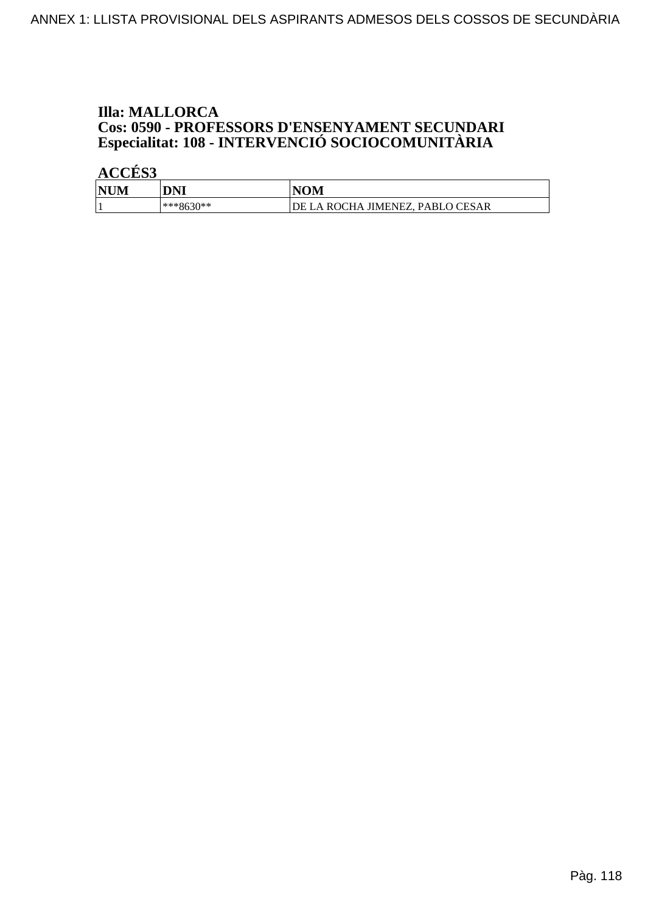# **Illa: MALLORCA Cos: 0590 - PROFESSORS D'ENSENYAMENT SECUNDARI<br>Especialitat: 108 - INTERVENCIÓ SOCIOCOMUNITÀRIA**

| <b>NUM</b> | DNI                | <b>NOM</b>                                                |
|------------|--------------------|-----------------------------------------------------------|
|            | $630**$<br>$***86$ | . JIMENEZ, PABLO CESAR<br><b>ROCHA</b><br>DE<br>$\Lambda$ |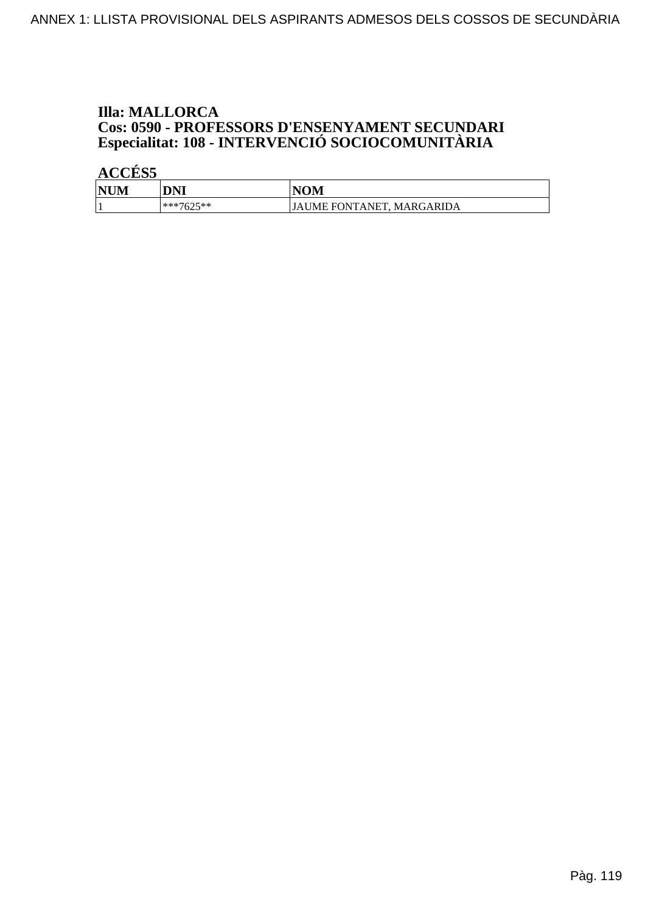# **Illa: MALLORCA Cos: 0590 - PROFESSORS D'ENSENYAMENT SECUNDARI<br>Especialitat: 108 - INTERVENCIÓ SOCIOCOMUNITÀRIA**

| <b>NUM</b><br>M | DNI       | <b>NOM</b>                |
|-----------------|-----------|---------------------------|
|                 | ***7625** | JAUME FONTANET, MARGARIDA |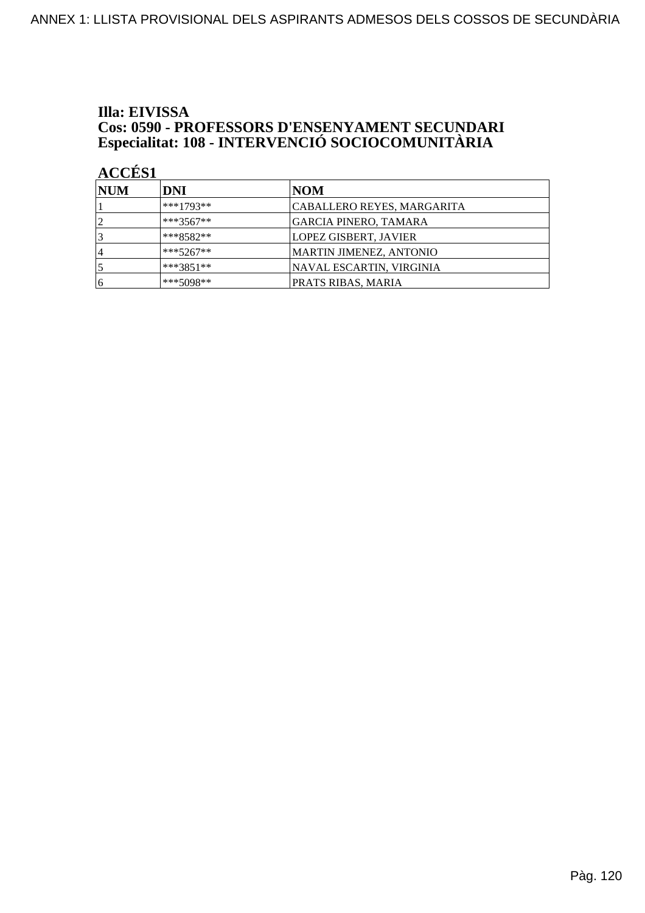# Illa: EIVISSA **Cos: 0590 - PROFESSORS D'ENSENYAMENT SECUNDARI<br>Especialitat: 108 - INTERVENCIÓ SOCIOCOMUNITÀRIA**

| <b>NUM</b>     | DNI          | NOM                          |
|----------------|--------------|------------------------------|
|                | $***1793**$  | CABALLERO REYES, MARGARITA   |
| $\overline{2}$ | $ ***3567**$ | <b>GARCIA PINERO, TAMARA</b> |
| 3              | ***8582**    | LOPEZ GISBERT, JAVIER        |
| 14             | $***5267**$  | MARTIN JIMENEZ, ANTONIO      |
|                | $***3851**$  | NAVAL ESCARTIN, VIRGINIA     |
| 16             | $***5098**$  | PRATS RIBAS, MARIA           |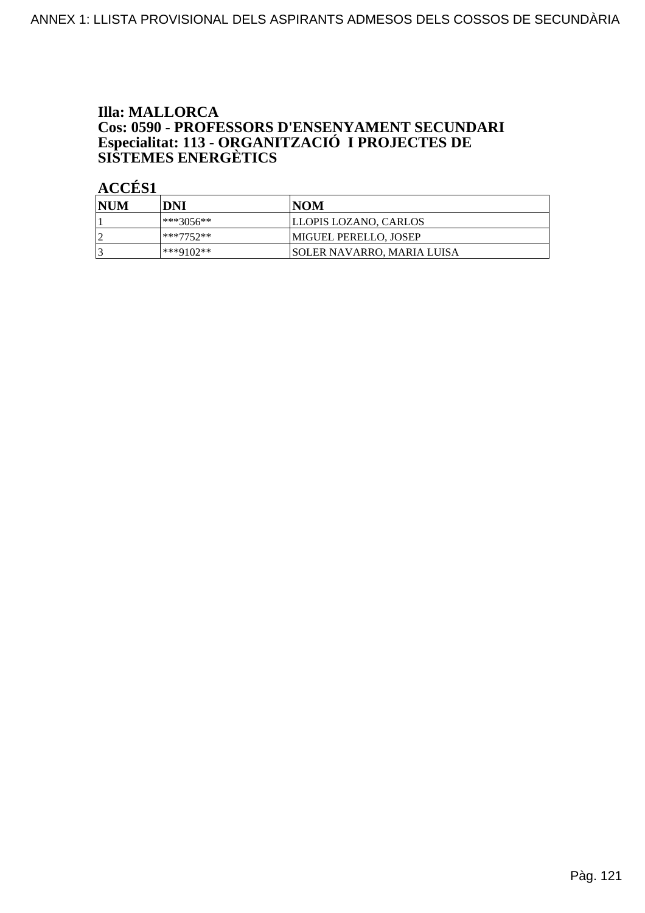# **Illa: MALLORCA** Cos: 0590 - PROFESSORS D'ENSENYAMENT SECUNDARI<br>Especialitat: 113 - ORGANITZACIÓ I PROJECTES DE<br>SISTEMES ENERGÈTICS

| <b>NUM</b> | DNI       | NOM                         |
|------------|-----------|-----------------------------|
|            | ***3056** | LLOPIS LOZANO, CARLOS       |
|            | ***7752** | MIGUEL PERELLO, JOSEP       |
|            | ***9102** | ISOLER NAVARRO. MARIA LUISA |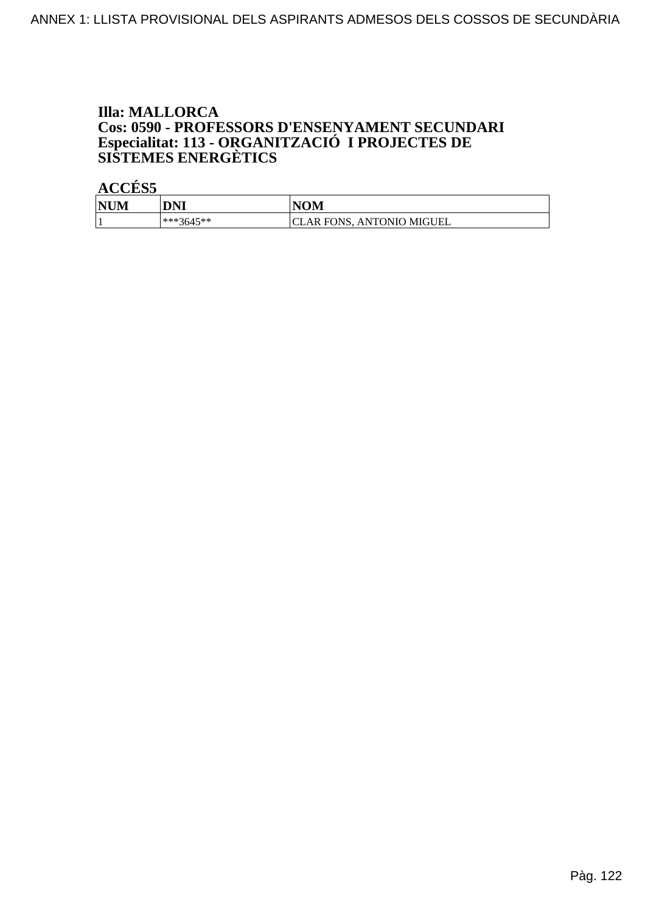# **Illa: MALLORCA** Cos: 0590 - PROFESSORS D'ENSENYAMENT SECUNDARI<br>Especialitat: 113 - ORGANITZACIÓ I PROJECTES DE<br>SISTEMES ENERGÈTICS

| <b>NUM</b> | DNI       | <b>NOM</b>                        |
|------------|-----------|-----------------------------------|
|            | ***3645** | AR FONS.<br><b>ANTONIO MIGUEL</b> |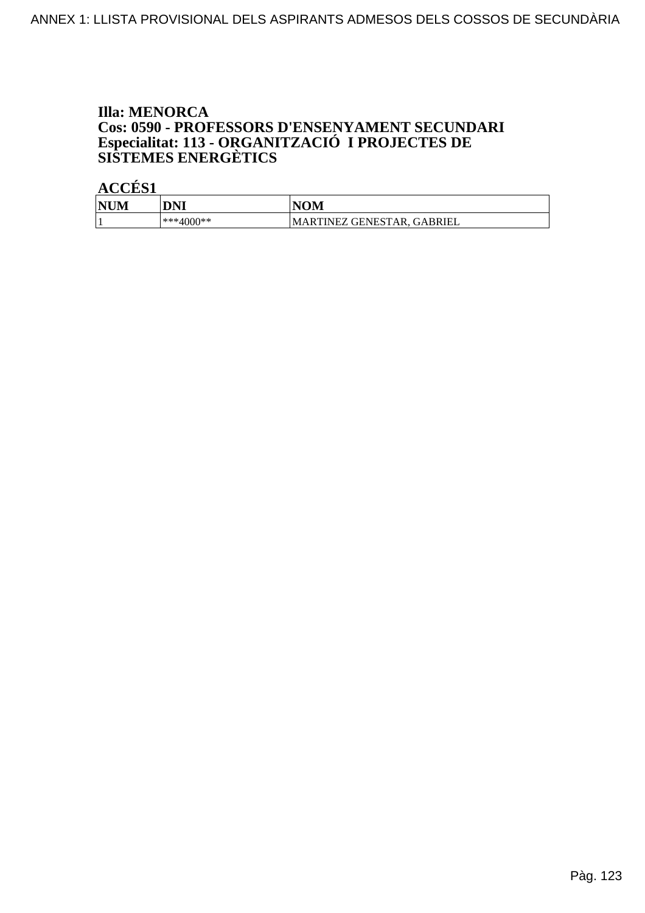# **Illa: MENORCA** Cos: 0590 - PROFESSORS D'ENSENYAMENT SECUNDARI<br>Especialitat: 113 - ORGANITZACIÓ I PROJECTES DE<br>SISTEMES ENERGÈTICS

| <b>NUM</b><br>IМ | DNI       | VOM                                |
|------------------|-----------|------------------------------------|
|                  | ***4000** | GABRIEL<br>IARTINEZ GENESTAR.<br>M |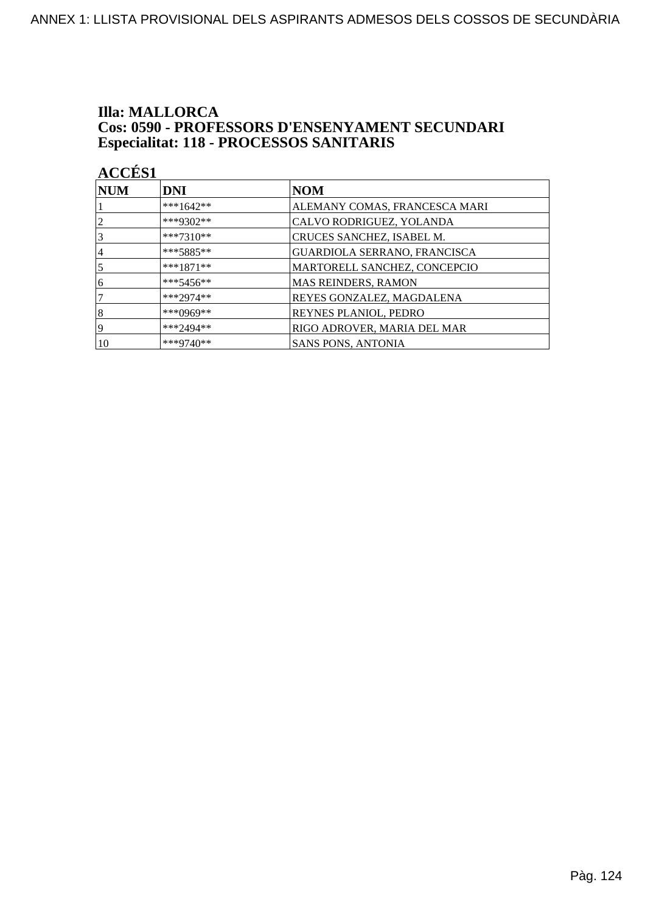# **Illa: MALLORCA Cos: 0590 - PROFESSORS D'ENSENYAMENT SECUNDARI<br>Especialitat: 118 - PROCESSOS SANITARIS**

| <b>ACCÉS 1</b> |             |                               |
|----------------|-------------|-------------------------------|
| NUM            | DNI         | <b>NOM</b>                    |
|                | ***1642**   | ALEMANY COMAS, FRANCESCA MARI |
| $\overline{2}$ | ***9302**   | CALVO RODRIGUEZ, YOLANDA      |
| 3              | $***7310**$ | CRUCES SANCHEZ, ISABEL M.     |
| $\overline{4}$ | $***5885**$ | GUARDIOLA SERRANO, FRANCISCA  |
| 5              | $***1871**$ | MARTORELL SANCHEZ, CONCEPCIO  |
| 6              | $***5456**$ | MAS REINDERS, RAMON           |
|                | $***2974**$ | REYES GONZALEZ, MAGDALENA     |
| 8              | ***0969**   | <b>REYNES PLANIOL, PEDRO</b>  |
| 9              | ***2494**   | RIGO ADROVER, MARIA DEL MAR   |
| 10             | $***9740**$ | <b>SANS PONS, ANTONIA</b>     |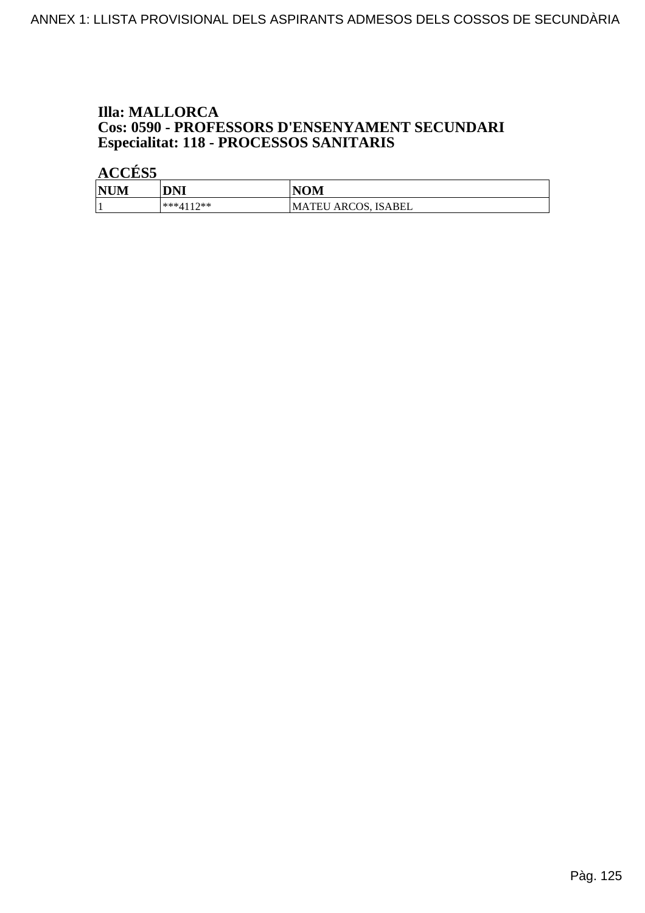# **Illa: MALLORCA Cos: 0590 - PROFESSORS D'ENSENYAMENT SECUNDARI<br>Especialitat: 118 - PROCESSOS SANITARIS**

| <b>NUM</b> | DNI       | <b>NOM</b>                 |
|------------|-----------|----------------------------|
|            | ***4117** | <b>MATEU ARCOS, ISABEL</b> |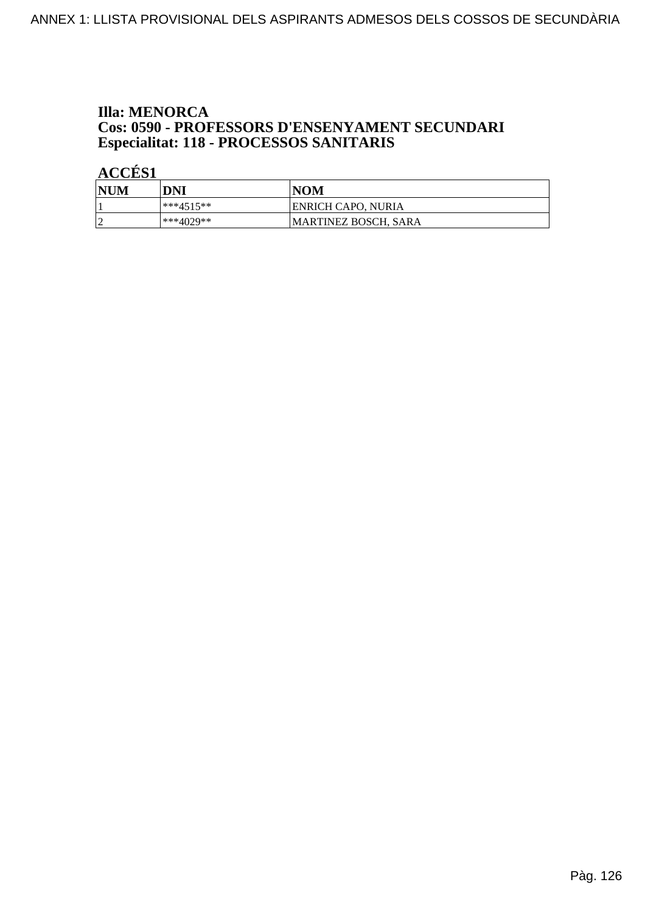# **Illa: MENORCA Cos: 0590 - PROFESSORS D'ENSENYAMENT SECUNDARI<br>Especialitat: 118 - PROCESSOS SANITARIS**

| <b>NUM</b> | DNI       | <b>NOM</b>           |
|------------|-----------|----------------------|
|            | ***4515** | ENRICH CAPO, NURIA   |
|            | ***4029** | MARTINEZ BOSCH, SARA |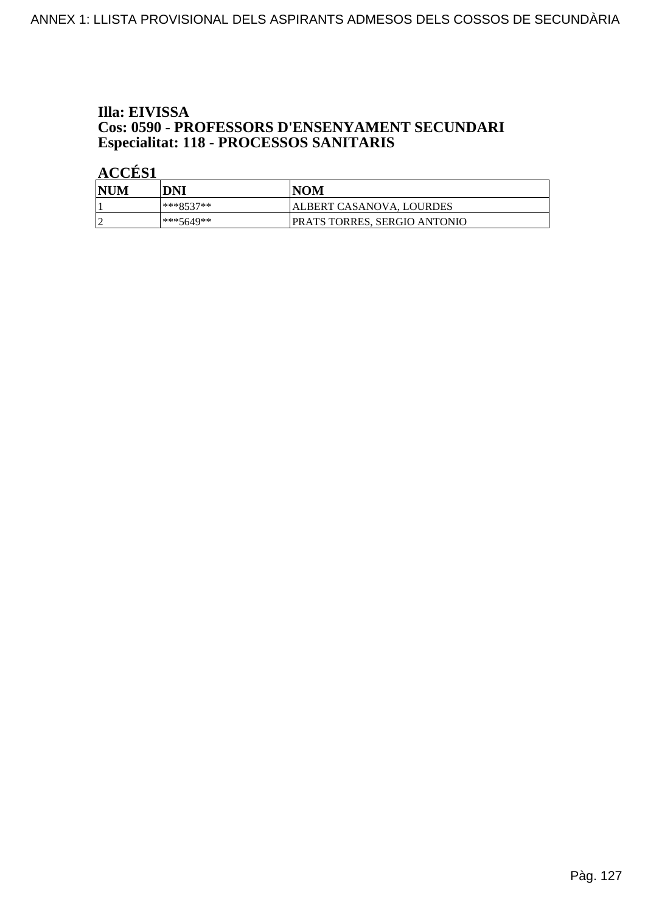# Illa: EIVISSA **Cos: 0590 - PROFESSORS D'ENSENYAMENT SECUNDARI<br>Especialitat: 118 - PROCESSOS SANITARIS**

| <b>NUM</b> | DNI       | NOM                          |
|------------|-----------|------------------------------|
|            | ***8537** | ALBERT CASANOVA, LOURDES     |
|            | ***5649** | PRATS TORRES, SERGIO ANTONIO |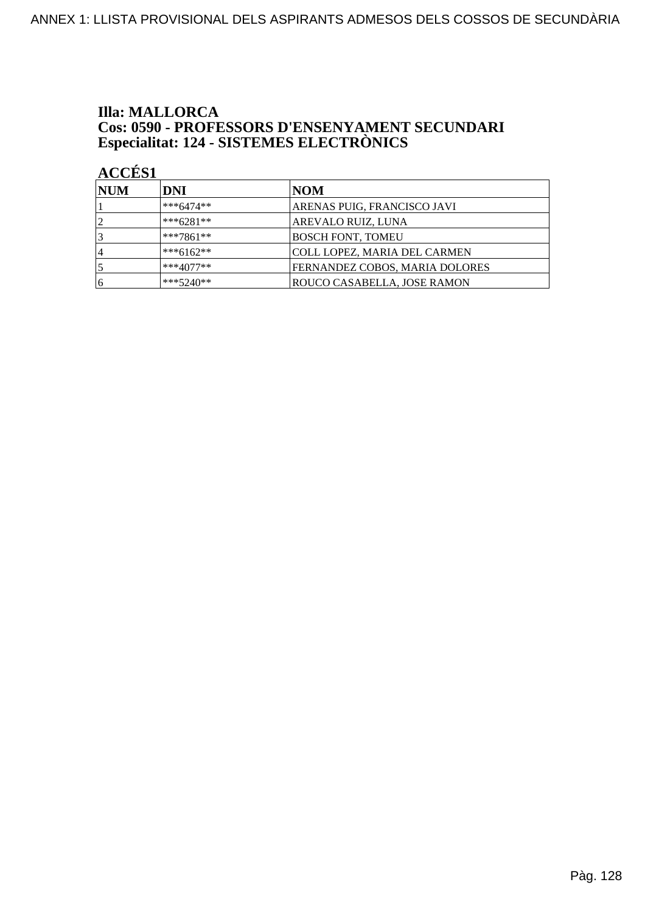# **Illa: MALLORCA Cos: 0590 - PROFESSORS D'ENSENYAMENT SECUNDARI<br>Especialitat: 124 - SISTEMES ELECTRÒNICS**

| <b>NUM</b>     | DNI         | NOM                                 |
|----------------|-------------|-------------------------------------|
|                | $***6474**$ | ARENAS PUIG, FRANCISCO JAVI         |
| $\overline{2}$ | $***6281**$ | AREVALO RUIZ, LUNA                  |
|                | $***7861**$ | <b>BOSCH FONT, TOMEU</b>            |
| ا 4            | $***6162**$ | <b>COLL LOPEZ, MARIA DEL CARMEN</b> |
|                | ***4077**   | FERNANDEZ COBOS, MARIA DOLORES      |
| 16             | $***5240**$ | ROUCO CASABELLA, JOSE RAMON         |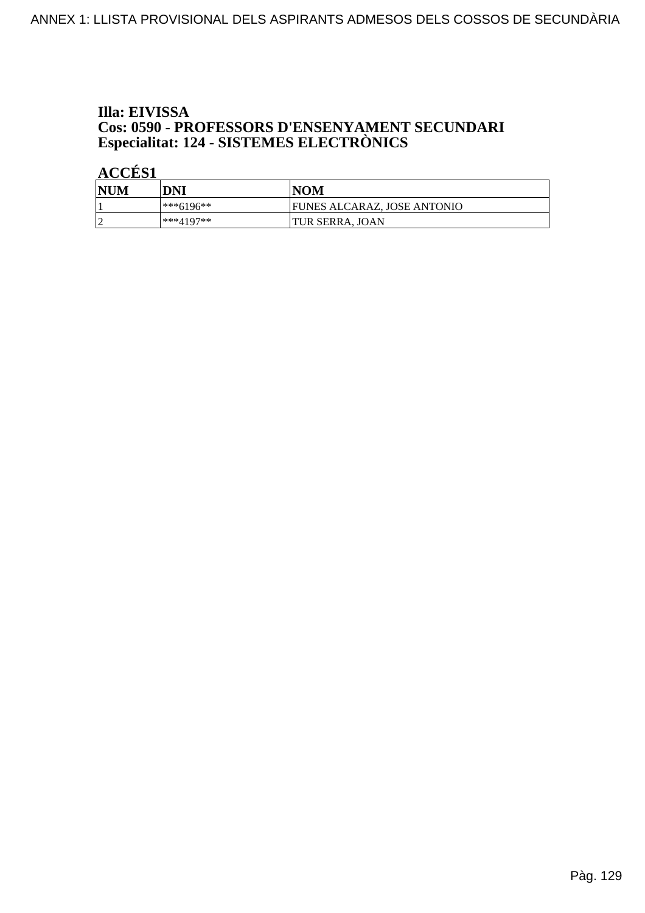# Illa: EIVISSA **Cos: 0590 - PROFESSORS D'ENSENYAMENT SECUNDARI<br>Especialitat: 124 - SISTEMES ELECTRÒNICS**

| <b>NUM</b> | DNI           | <b>NOM</b>                         |
|------------|---------------|------------------------------------|
|            | $ ***6196***$ | <b>FUNES ALCARAZ, JOSE ANTONIO</b> |
|            | ***4197**     | <b>ITUR SERRA. JOAN</b>            |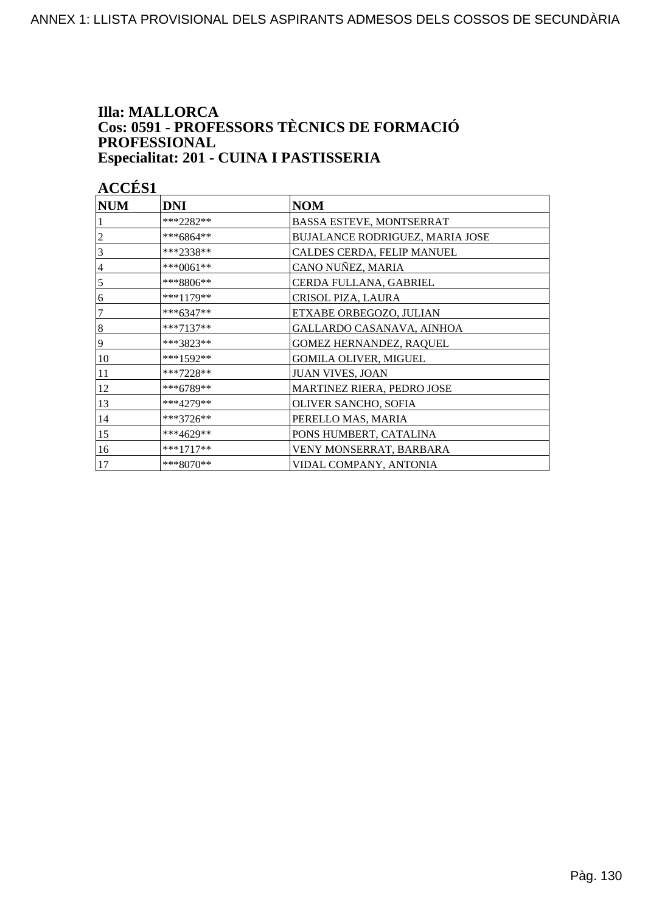#### **Illa: MALLORCA** Cos: 0591 - PROFESSORS TÈCNICS DE FORMACIÓ PROFESSIONAL Especialitat: 201 - CUINA I PASTISSERIA

| <b>NUM</b>     | <b>DNI</b>  | <b>NOM</b>                      |
|----------------|-------------|---------------------------------|
|                | ***2282**   | BASSA ESTEVE, MONTSERRAT        |
| $\overline{c}$ | ***6864**   | BUJALANCE RODRIGUEZ, MARIA JOSE |
| 3              | ***2338**   | CALDES CERDA, FELIP MANUEL      |
| $\overline{4}$ | ***0061**   | CANO NUÑEZ, MARIA               |
| $\overline{5}$ | ***8806**   | CERDA FULLANA, GABRIEL          |
| 6              | ***1179**   | CRISOL PIZA, LAURA              |
| 7              | ***6347**   | ETXABE ORBEGOZO, JULIAN         |
| $\vert 8$      | $***7137**$ | GALLARDO CASANAVA, AINHOA       |
| 9              | ***3823**   | GOMEZ HERNANDEZ, RAQUEL         |
| 10             | $***1592**$ | <b>GOMILA OLIVER, MIGUEL</b>    |
| 11             | $***7228**$ | <b>JUAN VIVES, JOAN</b>         |
| 12             | ***6789**   | MARTINEZ RIERA, PEDRO JOSE      |
| 13             | ***4279**   | OLIVER SANCHO, SOFIA            |
| 14             | ***3726**   | PERELLO MAS, MARIA              |
| 15             | ***4629**   | PONS HUMBERT, CATALINA          |
| 16             | $***1717**$ | VENY MONSERRAT, BARBARA         |
| 17             | ***8070**   | VIDAL COMPANY, ANTONIA          |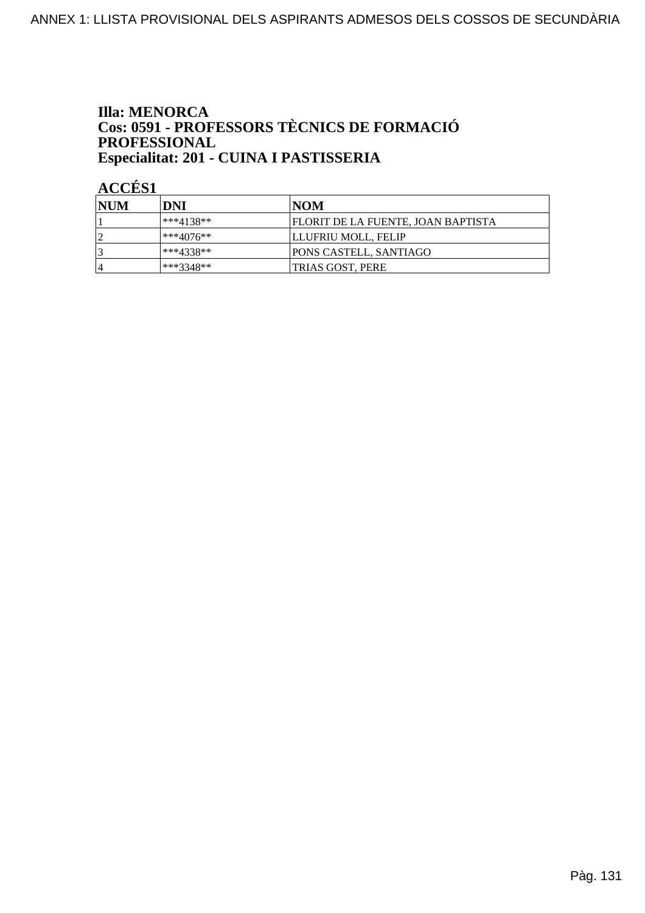#### **Illa: MENORCA** Cos: 0591 - PROFESSORS TÈCNICS DE FORMACIÓ PROFESSIONAL Especialitat: 201 - CUINA I PASTISSERIA

| <b>INUM</b> | DNI         | INOM                                      |
|-------------|-------------|-------------------------------------------|
|             | ***4138**   | <b>FLORIT DE LA FUENTE, JOAN BAPTISTA</b> |
|             | l***4076**_ | LLUFRIU MOLL, FELIP                       |
|             | ***4338**   | <b>PONS CASTELL, SANTIAGO</b>             |
| 4           | ***3348**   | TRIAS GOST, PERE                          |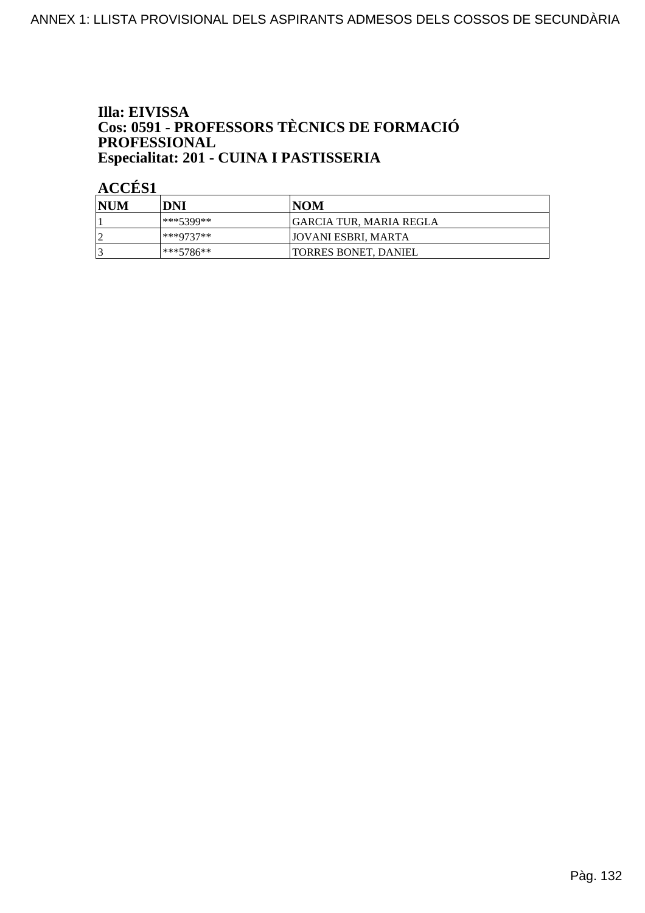### Illa: EIVISSA **Cos: 0591 - PROFESSORS TÈCNICS DE FORMACIÓ<br>PROFESSIONAL** Especialitat: 201 - CUINA I PASTISSERIA

| <b>NUM</b> | DNI        | NOM                         |
|------------|------------|-----------------------------|
|            | 1***5399** | IGARCIA TUR. MARIA REGLA    |
|            | ***9737**  | JOVANI ESBRI, MARTA         |
| ∍          | l***5786** | <b>TORRES BONET, DANIEL</b> |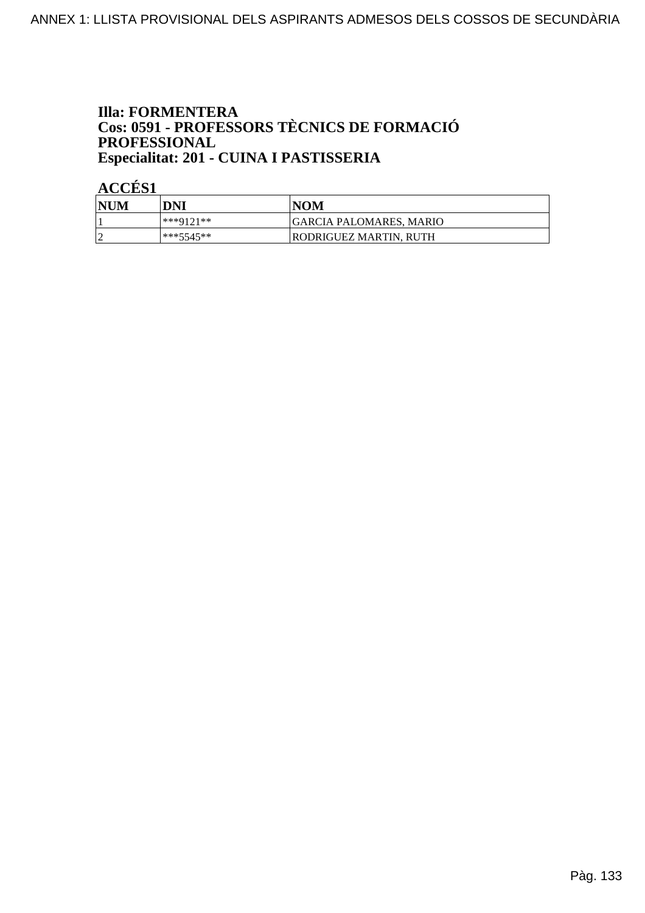#### **Illa: FORMENTERA** Cos: 0591 - PROFESSORS TÈCNICS DE FORMACIÓ PROFESSIONAL Especialitat: 201 - CUINA I PASTISSERIA

| <b>NUM</b> | DNI       | <b>NOM</b>              |
|------------|-----------|-------------------------|
|            | ***9121** | GARCIA PALOMARES, MARIO |
| $\sqrt{ }$ | ***5545** | RODRIGUEZ MARTIN, RUTH  |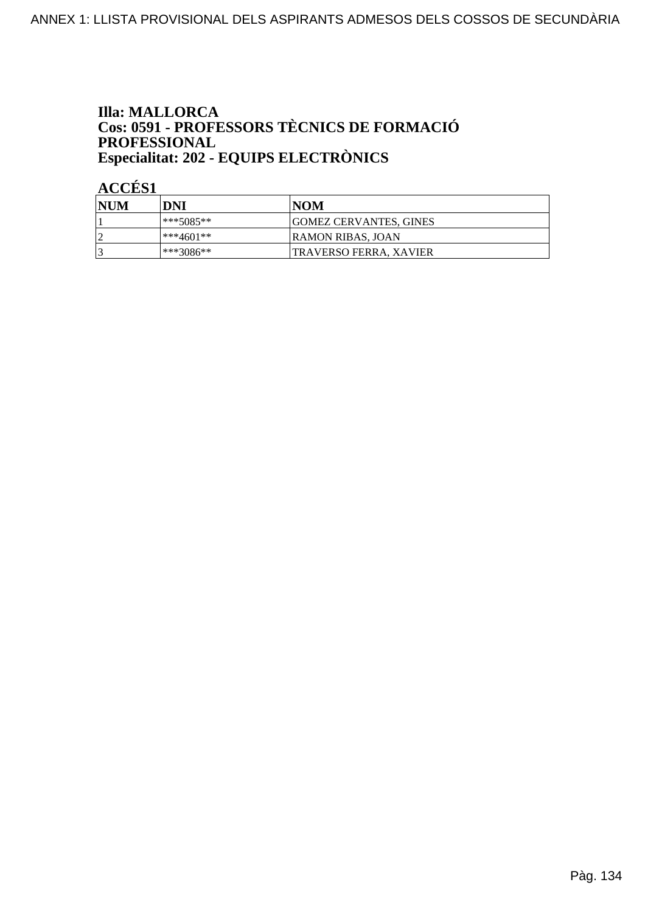#### **Illa: MALLORCA** Cos: 0591 - PROFESSORS TÈCNICS DE FORMACIÓ PROFESSIONAL Especialitat: 202 - EQUIPS ELECTRÒNICS

| <b>NUM</b> | DNI       | NOM                           |
|------------|-----------|-------------------------------|
|            | ***5085** | <b>GOMEZ CERVANTES, GINES</b> |
|            | ***4601** | RAMON RIBAS, JOAN             |
| ₽          | ***3086** | <b>TRAVERSO FERRA. XAVIER</b> |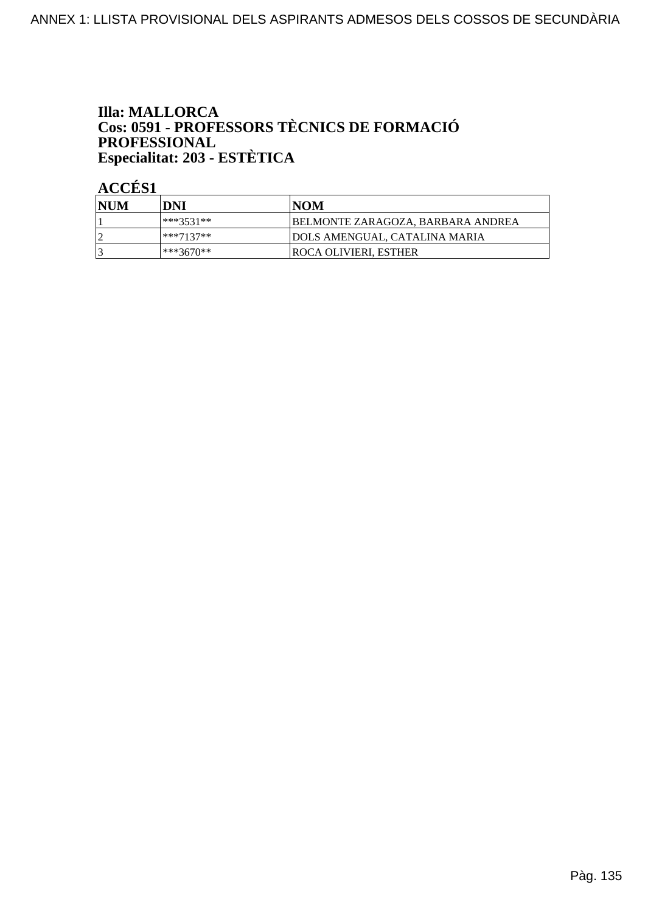### **Illa: MALLORCA Cos: 0591 - PROFESSORS TÈCNICS DE FORMACIÓ<br>PROFESSIONAL** Especialitat: 203 - ESTÈTICA

| <b>INUM</b> | DNI       | INOM                                     |
|-------------|-----------|------------------------------------------|
|             | ***3531** | <b>BELMONTE ZARAGOZA, BARBARA ANDREA</b> |
|             | ***7137** | <b>JDOLS AMENGUAL, CATALINA MARIA</b>    |
|             | ***3670** | <b>ROCA OLIVIERI. ESTHER</b>             |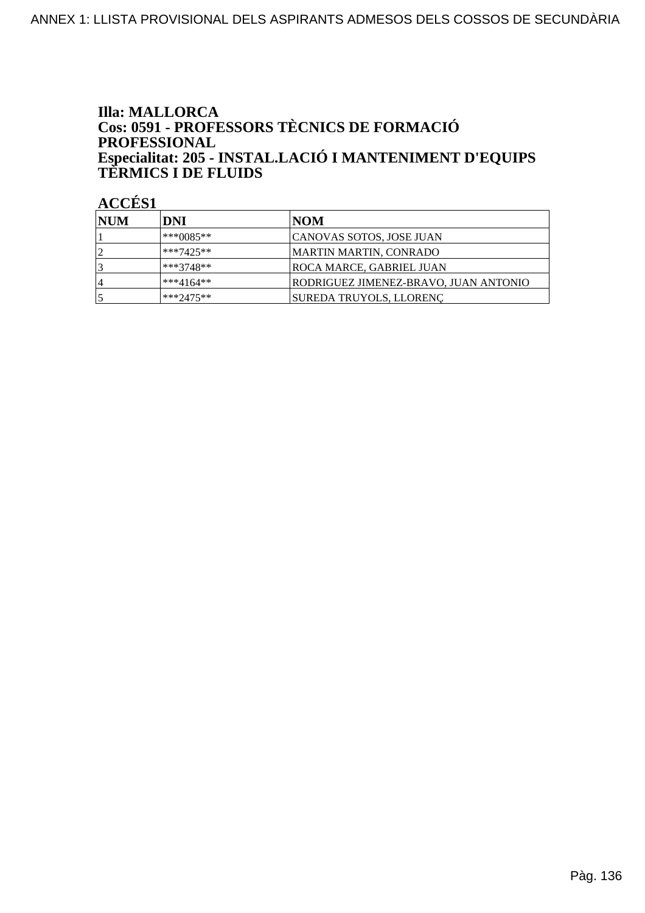### **Illa: MALLORCA** Cos: 0591 - PROFESSORS TÈCNICS DE FORMACIÓ **PROFESSIONAL** Especialitat: 205 - INSTAL.LACIÓ I MANTENIMENT D'EQUIPS<br>TERMICS I DE FLUIDS

| <b>INUM</b> | DNI         | NOM                                   |
|-------------|-------------|---------------------------------------|
|             | $***0085**$ | CANOVAS SOTOS, JOSE JUAN              |
|             | $***7425**$ | MARTIN MARTIN, CONRADO                |
|             | $***3748**$ | ROCA MARCE, GABRIEL JUAN              |
| 4           | $***4164**$ | RODRIGUEZ JIMENEZ-BRAVO, JUAN ANTONIO |
|             | $***2475**$ | SUREDA TRUYOLS, LLORENC               |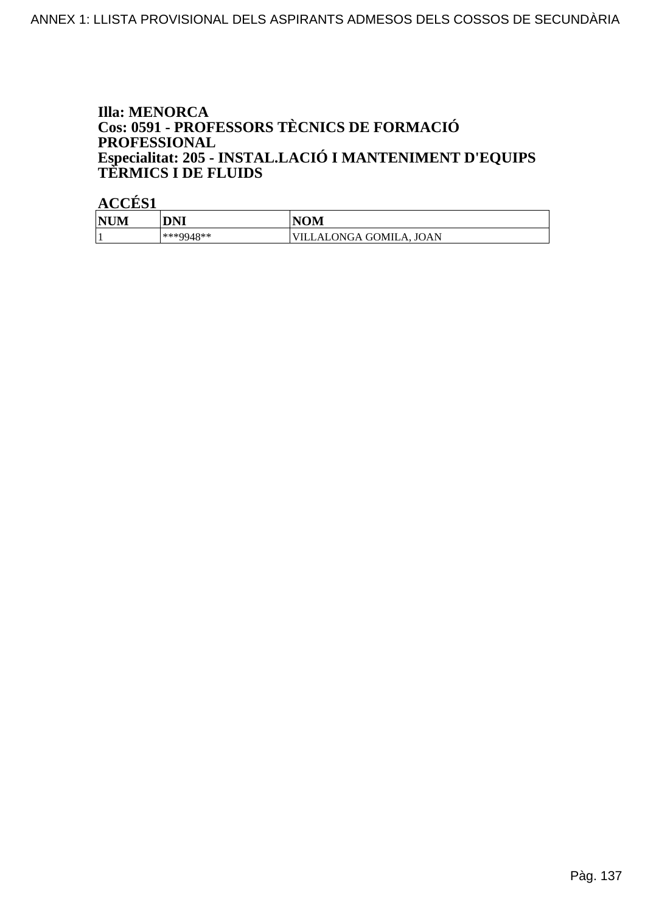### **Illa: MENORCA** Cos: 0591 - PROFESSORS TÈCNICS DE FORMACIÓ PROFESSIONAL Especialitat: 205 - INSTAL.LACIÓ I MANTENIMENT D'EQUIPS<br>TERMICS I DE FLUIDS

| <b>NUM</b>   | <b>DNI</b> | VOM                     |
|--------------|------------|-------------------------|
| $\mathbf{r}$ | ***9948**  | /ILLALONGA GOMILA, JOAN |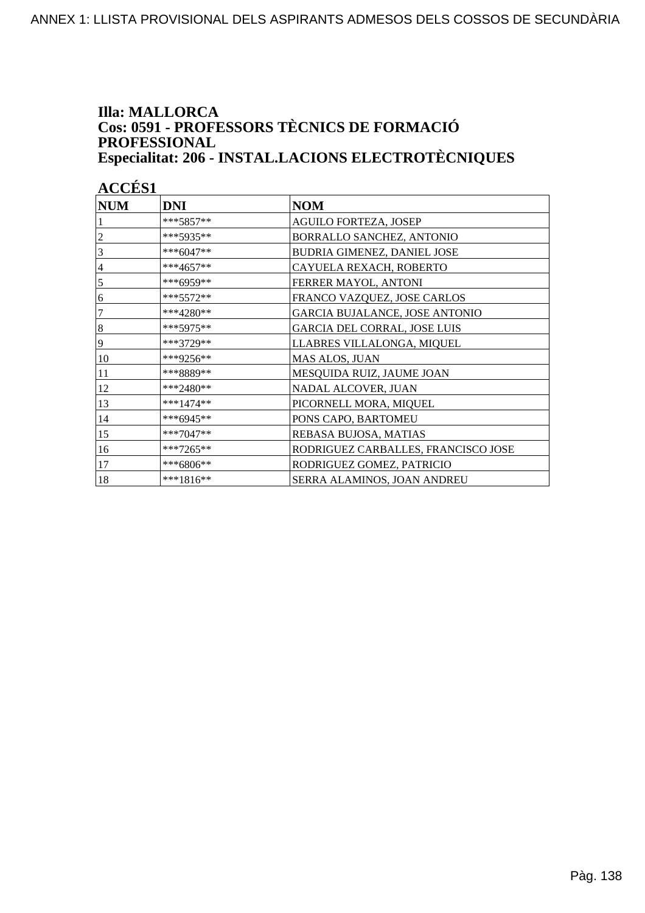#### **Illa: MALLORCA** Cos: 0591 - PROFESSORS TÈCNICS DE FORMACIÓ PROFESSIONAL Especialitat: 206 - INSTAL.LACIONS ELECTROTÈCNIQUES

| <b>NUM</b>     | <b>DNI</b>  | <b>NOM</b>                            |
|----------------|-------------|---------------------------------------|
|                | $***5857**$ | <b>AGUILO FORTEZA, JOSEP</b>          |
| $\overline{c}$ | ***5935**   | BORRALLO SANCHEZ, ANTONIO             |
| 3              | ***6047**   | BUDRIA GIMENEZ, DANIEL JOSE           |
| $\overline{4}$ | $***4657**$ | CAYUELA REXACH, ROBERTO               |
| 5              | ***6959**   | FERRER MAYOL, ANTONI                  |
| 6              | $***5572**$ | FRANCO VAZQUEZ, JOSE CARLOS           |
| $\overline{7}$ | ***4280**   | <b>GARCIA BUJALANCE, JOSE ANTONIO</b> |
| 8              | $***5975**$ | GARCIA DEL CORRAL, JOSE LUIS          |
| 19             | ***3729**   | LLABRES VILLALONGA, MIQUEL            |
| 10             | ***9256**   | MAS ALOS, JUAN                        |
| 11             | ***8889**   | MESQUIDA RUIZ, JAUME JOAN             |
| 12             | ***2480**   | NADAL ALCOVER, JUAN                   |
| 13             | $***1474**$ | PICORNELL MORA, MIQUEL                |
| 14             | ***6945**   | PONS CAPO, BARTOMEU                   |
| 15             | ***7047**   | REBASA BUJOSA, MATIAS                 |
| 16             | ***7265**   | RODRIGUEZ CARBALLES, FRANCISCO JOSE   |
| 17             | ***6806**   | RODRIGUEZ GOMEZ, PATRICIO             |
| 18             | ***1816**   | SERRA ALAMINOS, JOAN ANDREU           |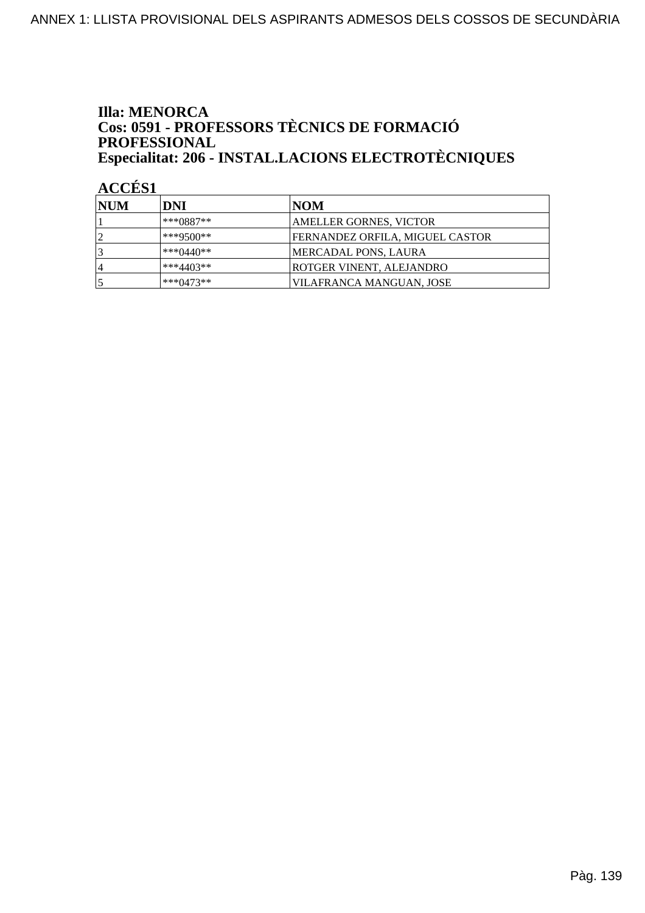#### **Illa: MENORCA** Cos: 0591 - PROFESSORS TÈCNICS DE FORMACIÓ PROFESSIONAL Especialitat: 206 - INSTAL.LACIONS ELECTROTÈCNIQUES

| <b>NUM</b>     | DNI          | NOM                             |
|----------------|--------------|---------------------------------|
|                | $***0887**$  | AMELLER GORNES, VICTOR          |
|                | $***9500**$  | FERNANDEZ ORFILA, MIGUEL CASTOR |
|                | *** $0440**$ | MERCADAL PONS, LAURA            |
| $\overline{4}$ | $***4403**$  | ROTGER VINENT, ALEJANDRO        |
|                | $***0473**$  | VILAFRANCA MANGUAN, JOSE        |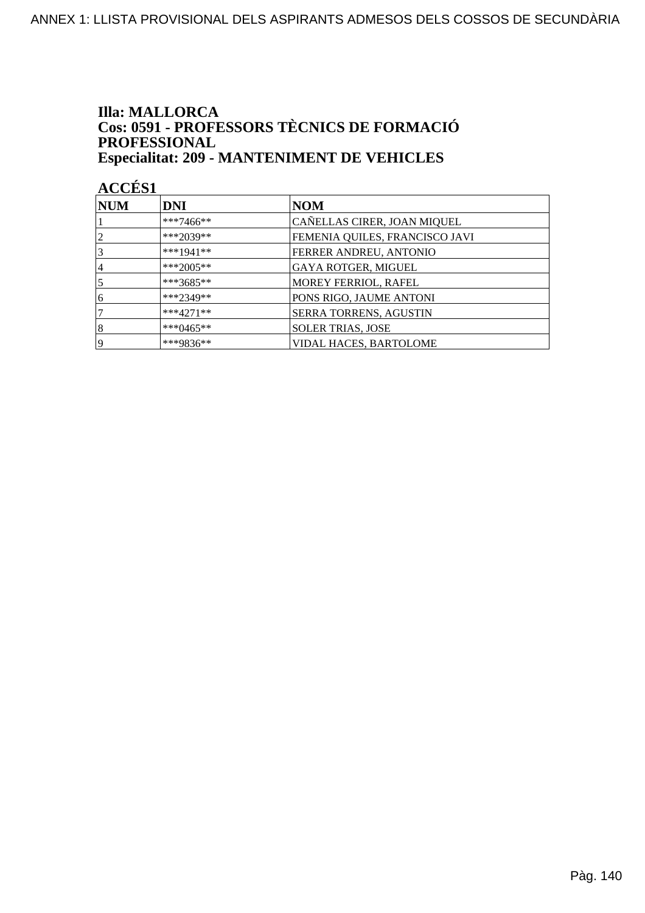#### **Illa: MALLORCA** Cos: 0591 - PROFESSORS TÈCNICS DE FORMACIÓ PROFESSIONAL **Especialitat: 209 - MANTENIMENT DE VEHICLES**

| <b>NUM</b> | <b>DNI</b>   | NOM                            |
|------------|--------------|--------------------------------|
|            | ***7466**    | CAÑELLAS CIRER, JOAN MIQUEL    |
| 2          | ***2039**    | FEMENIA QUILES, FRANCISCO JAVI |
| 3          | ***1941**    | FERRER ANDREU, ANTONIO         |
| 4          | ***2005**    | <b>GAYA ROTGER, MIGUEL</b>     |
| 5          | $***3685**$  | MOREY FERRIOL, RAFEL           |
| 6          | $***2349**$  | PONS RIGO, JAUME ANTONI        |
|            | $***4271**$  | <b>SERRA TORRENS, AGUSTIN</b>  |
| 8          | *** $0465**$ | <b>SOLER TRIAS, JOSE</b>       |
| 19         | ***9836**    | <b>VIDAL HACES, BARTOLOME</b>  |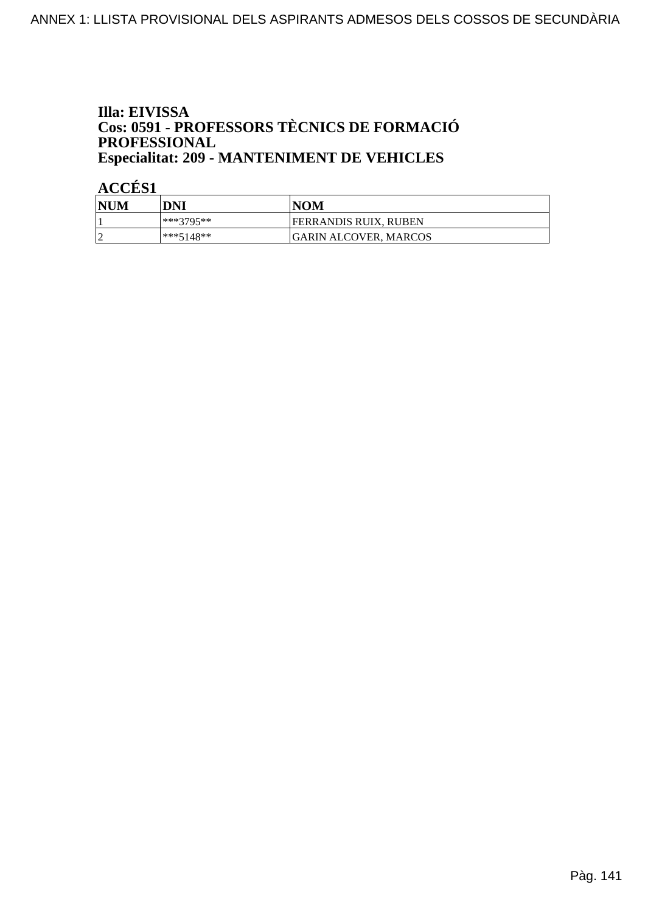### Illa: EIVISSA **Cos: 0591 - PROFESSORS TÈCNICS DE FORMACIÓ<br>PROFESSIONAL Especialitat: 209 - MANTENIMENT DE VEHICLES**

| <b>NUM</b>      | DNI         | <b>NOM</b>            |
|-----------------|-------------|-----------------------|
|                 | ***3795**   | FERRANDIS RUIX, RUBEN |
| $\sqrt{ }$<br>∼ | $***5148**$ | GARIN ALCOVER, MARCOS |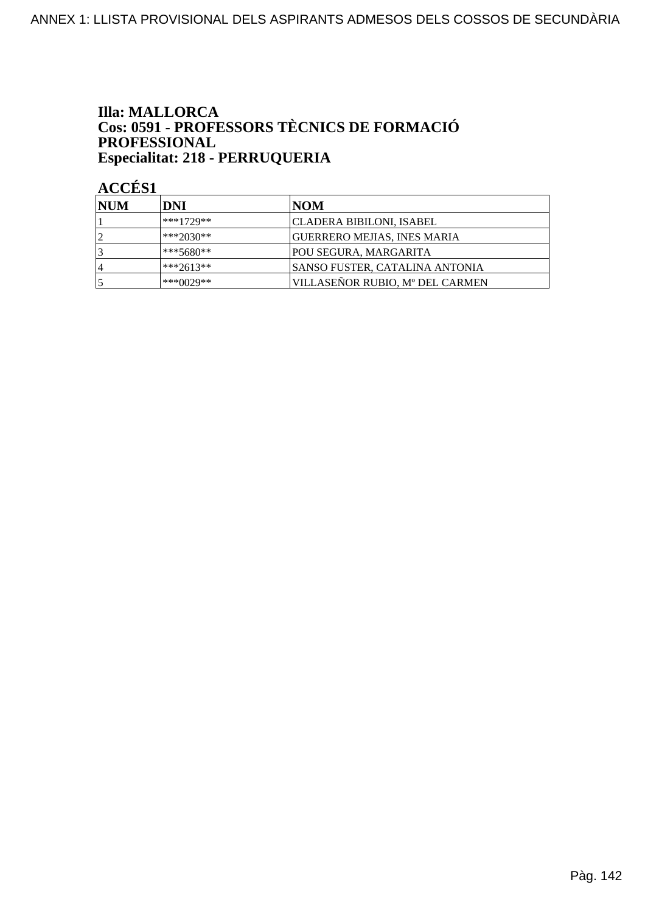### **Illa: MALLORCA Cos: 0591 - PROFESSORS TÈCNICS DE FORMACIÓ<br>PROFESSIONAL** Especialitat: 218 - PERRUQUERIA

| <b>INUM</b>    | DNI         | NOM                                |
|----------------|-------------|------------------------------------|
|                | $***1729**$ | CLADERA BIBILONI, ISABEL           |
|                | $***2030**$ | <b>GUERRERO MEJIAS, INES MARIA</b> |
|                | $***5680**$ | POU SEGURA, MARGARITA              |
| $\overline{4}$ | $***2613**$ | SANSO FUSTER, CATALINA ANTONIA     |
|                | $***0029**$ | VILLASEÑOR RUBIO, Mº DEL CARMEN    |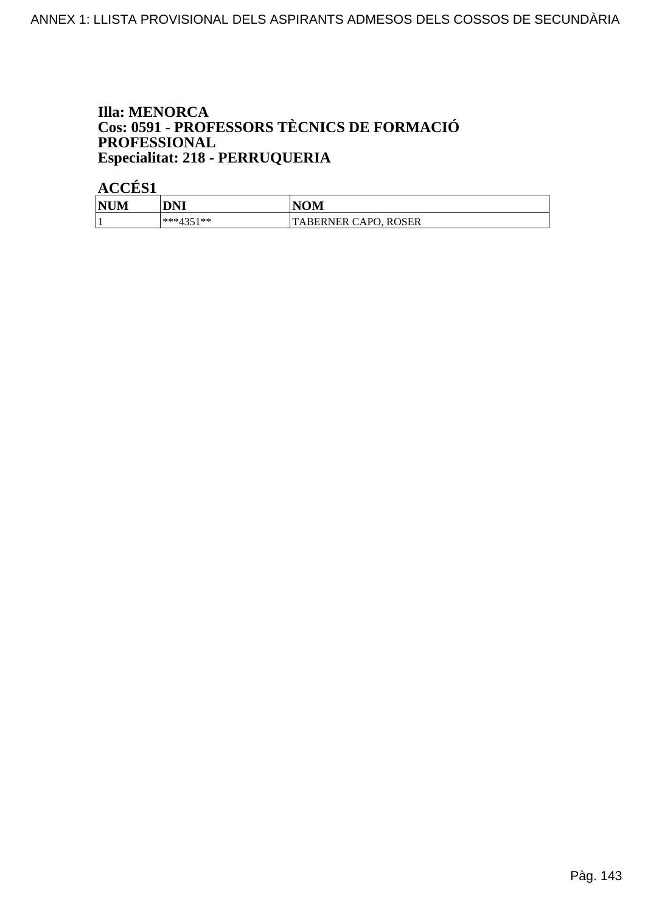#### **Illa: MENORCA** Cos: 0591 - PROFESSORS TÈCNICS DE FORMACIÓ PROFESSIONAL Especialitat: 218 - PERRUQUERIA

| <b>NUM</b> | DNI       | <b>NOM</b>           |
|------------|-----------|----------------------|
|            | ***/351** | TABERNER CAPO, ROSER |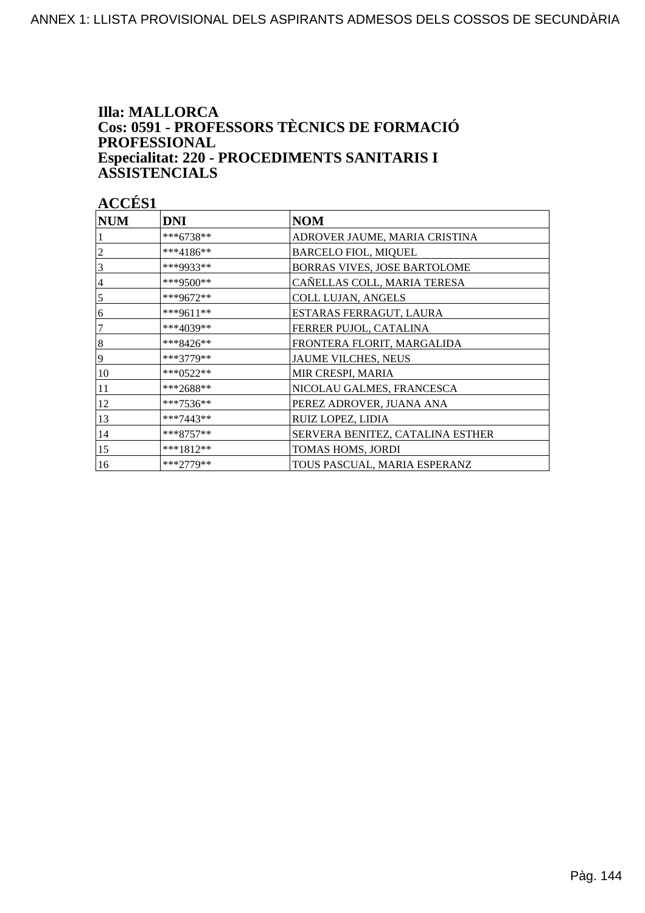#### **Illa: MALLORCA** Cos: 0591 - PROFESSORS TÈCNICS DE FORMACIÓ **PROFESSIONAL** Especialitat: 220 - PROCEDIMENTS SANITARIS I **ASSISTENCIALS**

| <b>NUM</b>     | <b>DNI</b>    | <b>NOM</b>                       |
|----------------|---------------|----------------------------------|
|                | ***6738**     | ADROVER JAUME, MARIA CRISTINA    |
| $\overline{c}$ | ***4186**     | <b>BARCELO FIOL, MIQUEL</b>      |
| 3              | ***9933**     | BORRAS VIVES, JOSE BARTOLOME     |
| $\overline{4}$ | ***9500**     | CAÑELLAS COLL, MARIA TERESA      |
| 5              | ***9672**     | <b>COLL LUJAN, ANGELS</b>        |
| 6              | ***9611**     | ESTARAS FERRAGUT, LAURA          |
| 7              | ***4039**     | FERRER PUJOL, CATALINA           |
| $\vert 8$      | ***8426**     | FRONTERA FLORIT, MARGALIDA       |
| 9              | ***3779**     | JAUME VILCHES, NEUS              |
| 10             | *** $0.522**$ | MIR CRESPI, MARIA                |
| 11             | ***2688**     | NICOLAU GALMES, FRANCESCA        |
| 12             | ***7536**     | PEREZ ADROVER, JUANA ANA         |
| 13             | ***7443**     | RUIZ LOPEZ, LIDIA                |
| 14             | $***8757**$   | SERVERA BENITEZ, CATALINA ESTHER |
| 15             | ***1812**     | TOMAS HOMS, JORDI                |
| 16             | ***2779**     | TOUS PASCUAL. MARIA ESPERANZ     |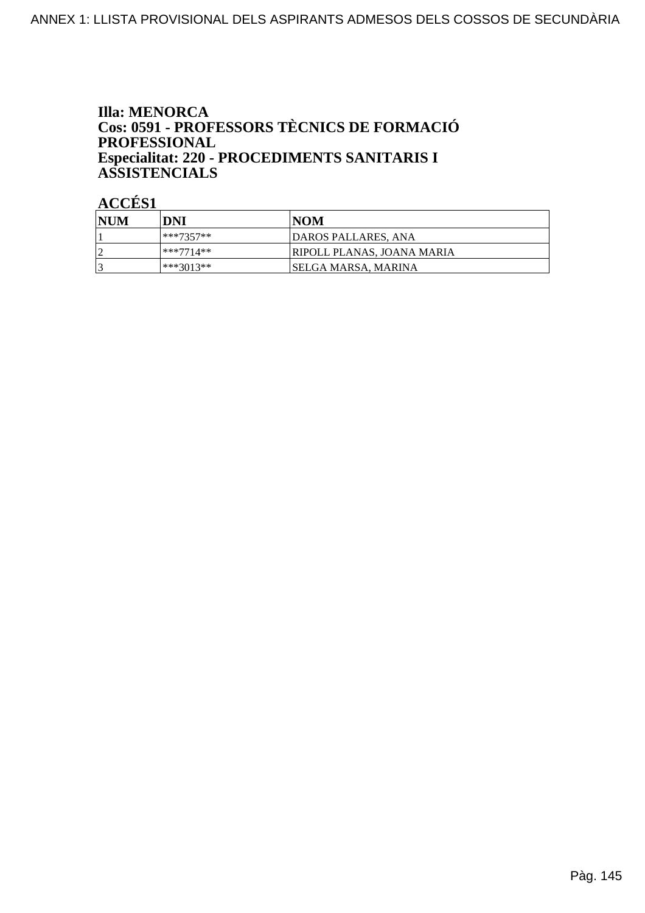### **Illa: MENORCA** Cos: 0591 - PROFESSORS TÈCNICS DE FORMACIÓ **PROFESSIONAL** Especialitat: 220 - PROCEDIMENTS SANITARIS I **ASSISTENCIALS**

| <b>NUM</b> | DNI          | NOM                               |
|------------|--------------|-----------------------------------|
|            | ***7357**    | DAROS PALLARES, ANA               |
|            | $ ***7714**$ | <b>RIPOLL PLANAS, JOANA MARIA</b> |
|            | ***3013**    | ISELGA MARSA. MARINA              |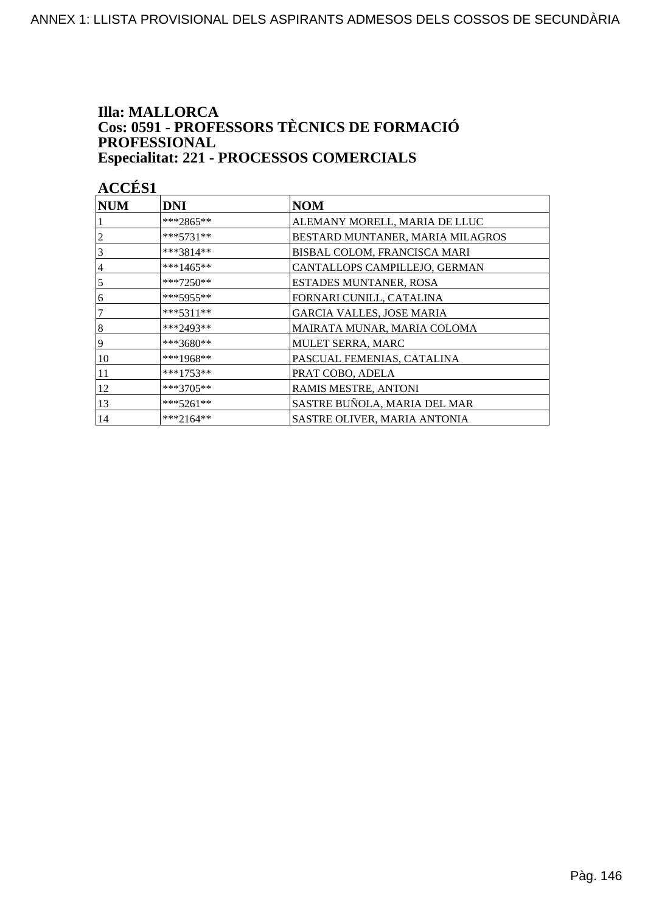#### **Illa: MALLORCA** Cos: 0591 - PROFESSORS TÈCNICS DE FORMACIÓ PROFESSIONAL **Especialitat: 221 - PROCESSOS COMERCIALS**

| <b>NUM</b>     | <b>DNI</b>  | <b>NOM</b>                       |
|----------------|-------------|----------------------------------|
|                | ***2865**   | ALEMANY MORELL, MARIA DE LLUC    |
| 2              | $***5731**$ | BESTARD MUNTANER, MARIA MILAGROS |
| 3              | $***3814**$ | BISBAL COLOM, FRANCISCA MARI     |
| 4              | ***1465**   | CANTALLOPS CAMPILLEJO, GERMAN    |
| 5              | ***7250**   | ESTADES MUNTANER, ROSA           |
| 16             | $***5955**$ | FORNARI CUNILL, CATALINA         |
| $\overline{7}$ | $***5311**$ | <b>GARCIA VALLES, JOSE MARIA</b> |
| $\vert 8$      | $***2493**$ | MAIRATA MUNAR, MARIA COLOMA      |
| 9              | ***3680**   | MULET SERRA, MARC                |
| 10             | ***1968**   | PASCUAL FEMENIAS, CATALINA       |
| 11             | ***1753**   | PRAT COBO, ADELA                 |
| 12             | ***3705**   | RAMIS MESTRE, ANTONI             |
| 13             | $***5261**$ | SASTRE BUÑOLA, MARIA DEL MAR     |
| 14             | ***2164**   | SASTRE OLIVER, MARIA ANTONIA     |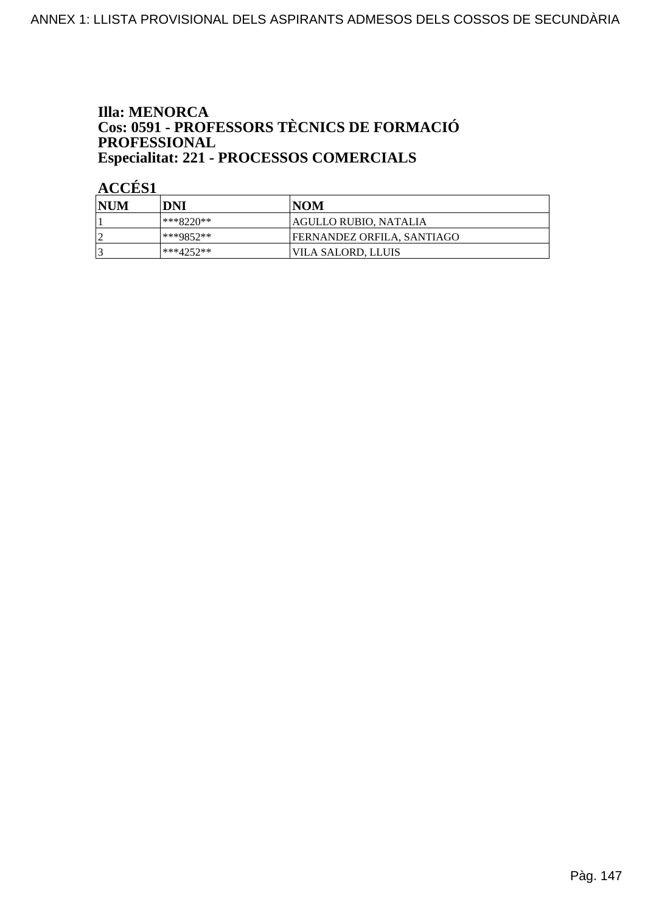### **Illa: MENORCA** Cos: 0591 - PROFESSORS TÈCNICS DE FORMACIÓ PROFESSIONAL Especialitat: 221 - PROCESSOS COMERCIALS

| <b>NUM</b> | DNI         | NOM                        |
|------------|-------------|----------------------------|
|            | ***8220**   | AGULLO RUBIO, NATALIA      |
|            | ***9852**   | FERNANDEZ ORFILA, SANTIAGO |
|            | $***4252**$ | VILA SALORD, LLUIS         |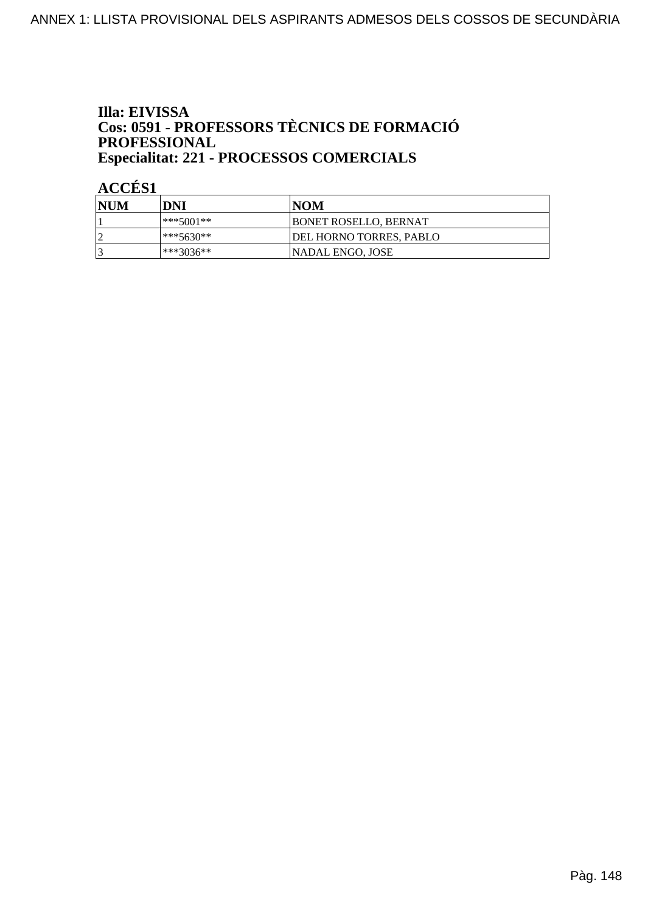### Illa: EIVISSA Cos: 0591 - PROFESSORS TÈCNICS DE FORMACIÓ PROFESSIONAL Especialitat: 221 - PROCESSOS COMERCIALS

| <b>NUM</b> | DNI       | NOM                     |
|------------|-----------|-------------------------|
|            | ***5001** | BONET ROSELLO, BERNAT   |
|            | ***5630** | DEL HORNO TORRES, PABLO |
|            | ***3036** | NADAL ENGO, JOSE        |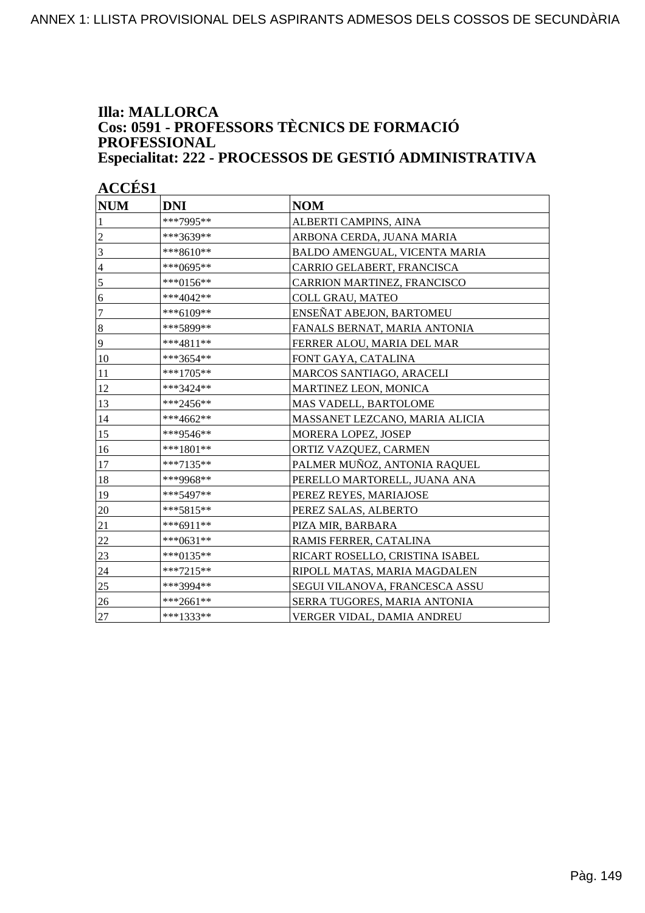### **Illa: MALLORCA Cos: 0591 - PROFESSORS TÈCNICS DE FORMACIÓ PROFESSIONAL Especialitat: 222 - PROCESSOS DE GESTIÓ ADMINISTRATIVA**

| <b>NUM</b>       | <b>DNI</b>  | <b>NOM</b>                      |
|------------------|-------------|---------------------------------|
| 1                | ***7995**   | ALBERTI CAMPINS, AINA           |
| $\overline{c}$   | ***3639**   | ARBONA CERDA, JUANA MARIA       |
| 3                | ***8610**   | BALDO AMENGUAL, VICENTA MARIA   |
| $\overline{4}$   | ***0695**   | CARRIO GELABERT, FRANCISCA      |
| 5                | ***0156**   | CARRION MARTINEZ, FRANCISCO     |
| 6                | ***4042**   | <b>COLL GRAU, MATEO</b>         |
| 7                | ***6109**   | ENSEÑAT ABEJON, BARTOMEU        |
| $\boldsymbol{8}$ | ***5899**   | FANALS BERNAT, MARIA ANTONIA    |
| $\overline{9}$   | ***4811**   | FERRER ALOU, MARIA DEL MAR      |
| 10               | ***3654**   | FONT GAYA, CATALINA             |
| 11               | ***1705**   | MARCOS SANTIAGO, ARACELI        |
| 12               | ***3424**   | <b>MARTINEZ LEON, MONICA</b>    |
| 13               | ***2456**   | MAS VADELL, BARTOLOME           |
| 14               | ***4662**   | MASSANET LEZCANO, MARIA ALICIA  |
| 15               | ***9546**   | MORERA LOPEZ, JOSEP             |
| 16               | $***1801**$ | ORTIZ VAZQUEZ, CARMEN           |
| 17               | ***7135**   | PALMER MUÑOZ, ANTONIA RAQUEL    |
| 18               | ***9968**   | PERELLO MARTORELL, JUANA ANA    |
| 19               | ***5497**   | PEREZ REYES, MARIAJOSE          |
| 20               | ***5815**   | PEREZ SALAS, ALBERTO            |
| 21               | ***6911**   | PIZA MIR, BARBARA               |
| 22               | ***0631**   | RAMIS FERRER, CATALINA          |
| 23               | ***0135**   | RICART ROSELLO, CRISTINA ISABEL |
| 24               | $***7215**$ | RIPOLL MATAS, MARIA MAGDALEN    |
| 25               | ***3994**   | SEGUI VILANOVA, FRANCESCA ASSU  |
| 26               | ***2661**   | SERRA TUGORES, MARIA ANTONIA    |
| 27               | ***1333**   | VERGER VIDAL, DAMIA ANDREU      |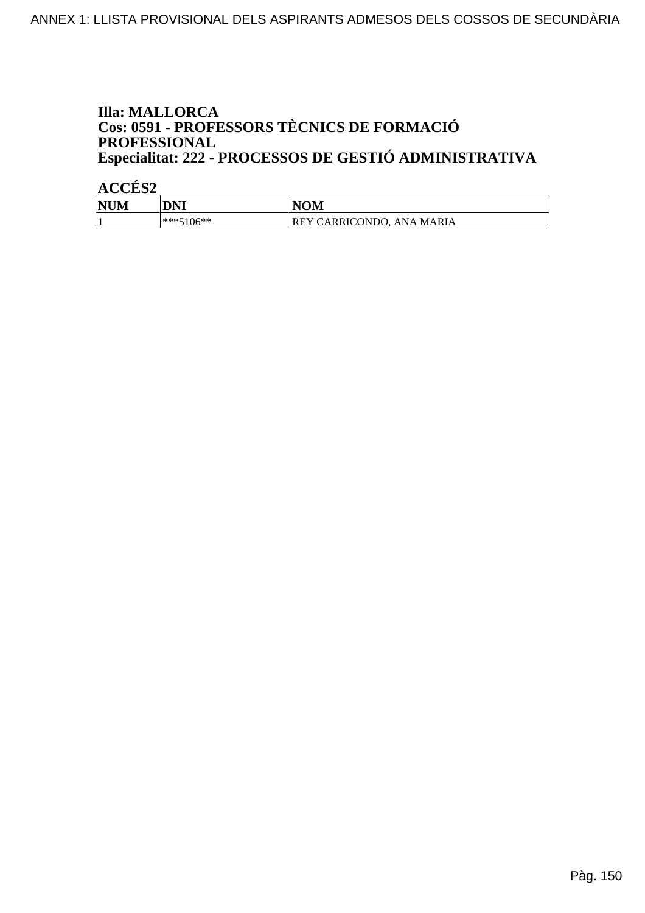### **Illa: MALLORCA** Cos: 0591 - PROFESSORS TÈCNICS DE FORMACIÓ PROFESSIONAL Especialitat: 222 - PROCESSOS DE GESTIÓ ADMINISTRATIVA

| <b>NUM</b> | DNI         | <b>NOM</b>                           |
|------------|-------------|--------------------------------------|
|            | $***5106**$ | <b>IREY CARRICONDO. ANA</b><br>MARIA |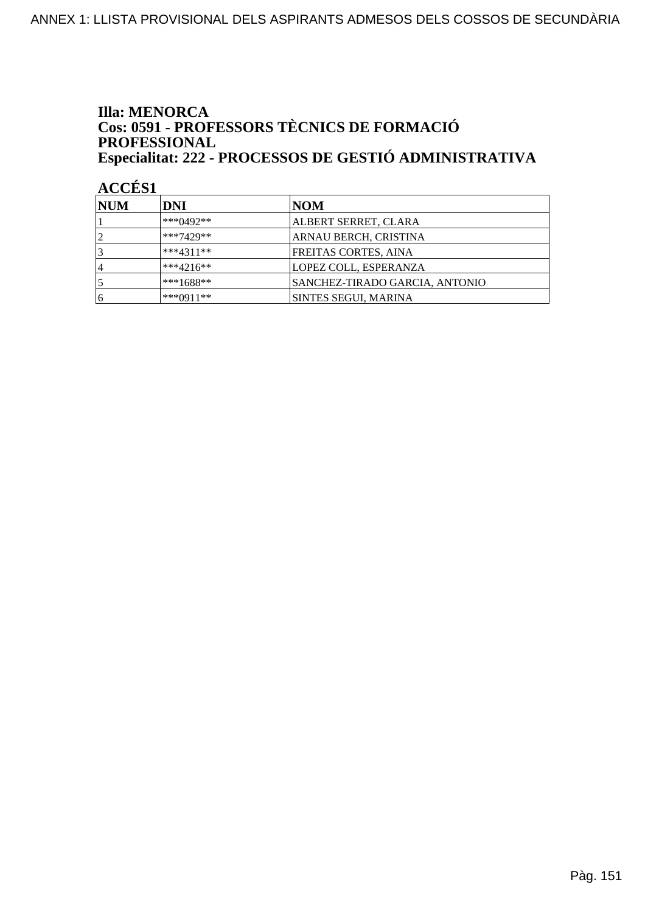### **Illa: MENORCA** Cos: 0591 - PROFESSORS TÈCNICS DE FORMACIÓ PROFESSIONAL Especialitat: 222 - PROCESSOS DE GESTIÓ ADMINISTRATIVA

| <b>NUM</b>     | DNI          | NOM                            |
|----------------|--------------|--------------------------------|
|                | *** $0492**$ | ALBERT SERRET, CLARA           |
| $\overline{2}$ | $***7429**$  | ARNAU BERCH, CRISTINA          |
| 3              | $***4311**$  | FREITAS CORTES, AINA           |
| 14             | $***4216**$  | LOPEZ COLL, ESPERANZA          |
|                | $***1688**$  | SANCHEZ-TIRADO GARCIA, ANTONIO |
| 16             | $***0911**$  | SINTES SEGUI, MARINA           |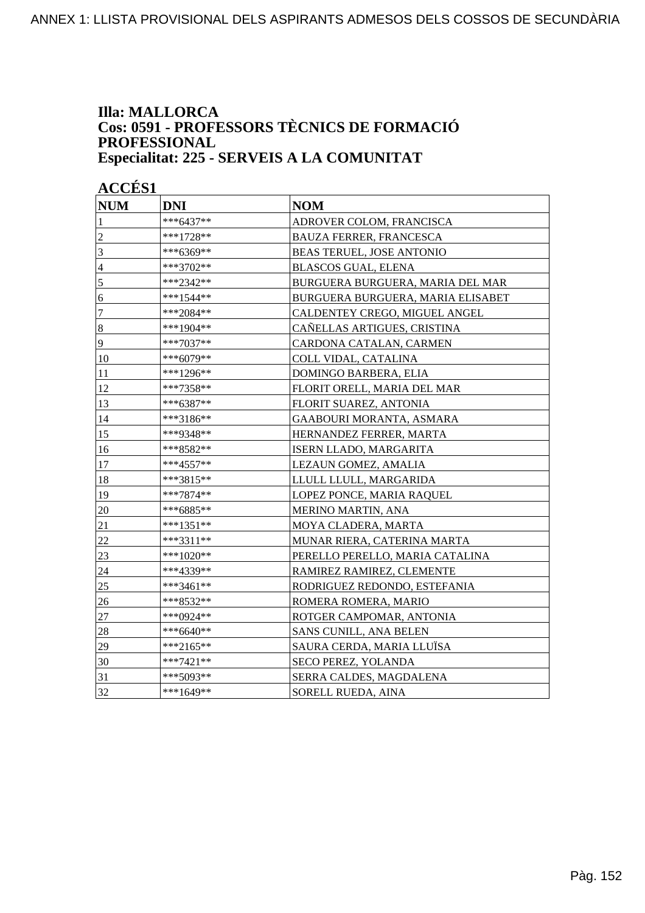#### **Illa: MALLORCA Cos: 0591 - PROFESSORS TÈCNICS DE FORMACIÓ PROFESSIONAL Especialitat: 225 - SERVEIS A LA COMUNITAT**

| <b>NUM</b>     | <b>DNI</b>  | <b>NOM</b>                        |
|----------------|-------------|-----------------------------------|
| 1              | ***6437**   | ADROVER COLOM, FRANCISCA          |
| $\overline{c}$ | ***1728**   | <b>BAUZA FERRER, FRANCESCA</b>    |
| 3              | ***6369**   | <b>BEAS TERUEL, JOSE ANTONIO</b>  |
| $\overline{4}$ | ***3702**   | <b>BLASCOS GUAL, ELENA</b>        |
| 5              | ***2342**   | BURGUERA BURGUERA, MARIA DEL MAR  |
| $\sqrt{6}$     | ***1544**   | BURGUERA BURGUERA, MARIA ELISABET |
| $\tau$         | ***2084**   | CALDENTEY CREGO, MIGUEL ANGEL     |
| $\sqrt{8}$     | ***1904**   | CAÑELLAS ARTIGUES, CRISTINA       |
| 9              | ***7037**   | CARDONA CATALAN, CARMEN           |
| 10             | ***6079**   | COLL VIDAL, CATALINA              |
| 11             | ***1296**   | DOMINGO BARBERA, ELIA             |
| 12             | ***7358**   | FLORIT ORELL, MARIA DEL MAR       |
| 13             | ***6387**   | FLORIT SUAREZ, ANTONIA            |
| 14             | ***3186**   | GAABOURI MORANTA, ASMARA          |
| 15             | ***9348**   | HERNANDEZ FERRER, MARTA           |
| 16             | ***8582**   | ISERN LLADO, MARGARITA            |
| 17             | $***4557**$ | LEZAUN GOMEZ, AMALIA              |
| 18             | ***3815**   | LLULL LLULL, MARGARIDA            |
| 19             | ***7874**   | LOPEZ PONCE, MARIA RAQUEL         |
| 20             | ***6885**   | MERINO MARTIN, ANA                |
| 21             | ***1351**   | MOYA CLADERA, MARTA               |
| 22             | ***3311**   | MUNAR RIERA, CATERINA MARTA       |
| 23             | ***1020**   | PERELLO PERELLO, MARIA CATALINA   |
| 24             | ***4339**   | RAMIREZ RAMIREZ, CLEMENTE         |
| 25             | ***3461**   | RODRIGUEZ REDONDO, ESTEFANIA      |
| 26             | ***8532**   | ROMERA ROMERA, MARIO              |
| 27             | ***0924**   | ROTGER CAMPOMAR, ANTONIA          |
| 28             | ***6640**   | SANS CUNILL, ANA BELEN            |
| 29             | ***2165**   | SAURA CERDA, MARIA LLUÏSA         |
| 30             | $***7421**$ | SECO PEREZ, YOLANDA               |
| 31             | ***5093**   | SERRA CALDES, MAGDALENA           |
| 32             | ***1649**   | SORELL RUEDA, AINA                |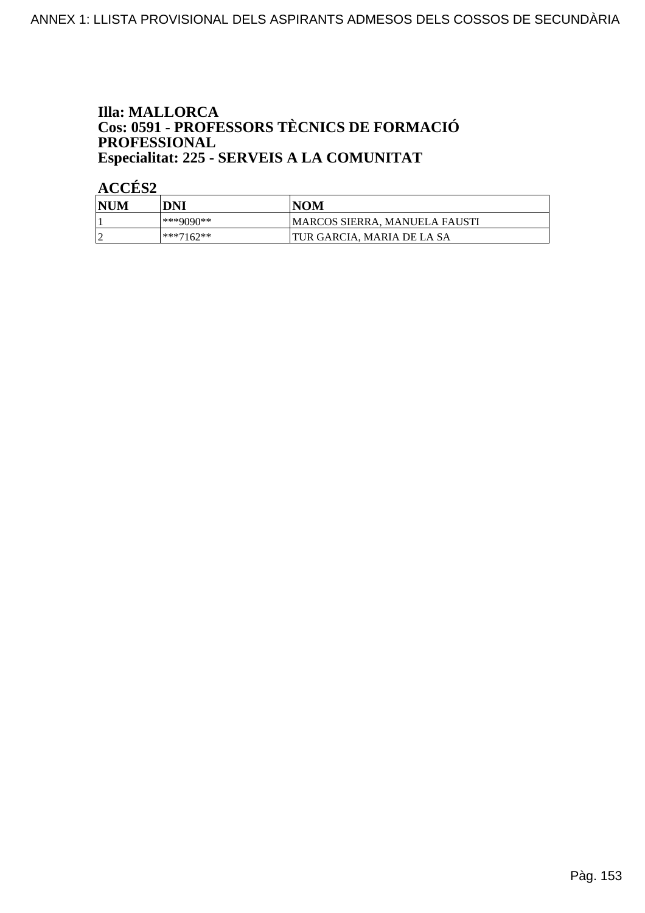### **Illa: MALLORCA** Cos: 0591 - PROFESSORS TÈCNICS DE FORMACIÓ PROFESSIONAL Especialitat: 225 - SERVEIS A LA COMUNITAT

| <b>NUM</b> | DNI       | NOM                           |
|------------|-----------|-------------------------------|
|            | ***9090** | MARCOS SIERRA. MANUELA FAUSTI |
|            | ***7162** | TUR GARCIA. MARIA DE LA SA    |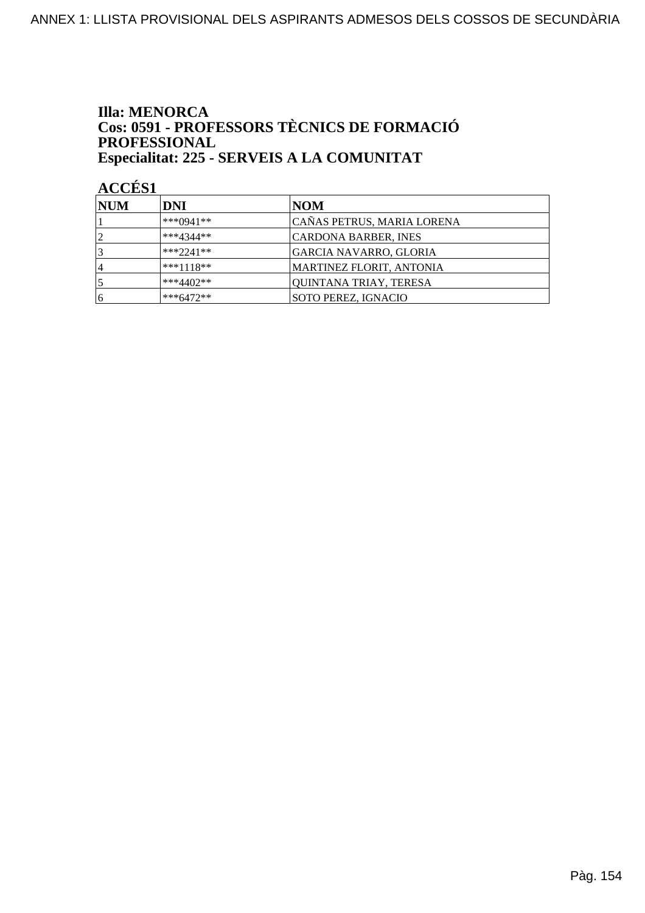### **Illa: MENORCA** Cos: 0591 - PROFESSORS TÈCNICS DE FORMACIÓ PROFESSIONAL Especialitat: 225 - SERVEIS A LA COMUNITAT

| <b>NUM</b>     | DNI         | NOM                        |
|----------------|-------------|----------------------------|
|                | ***0941**   | CAÑAS PETRUS, MARIA LORENA |
| $\overline{2}$ | $***4344**$ | CARDONA BARBER, INES       |
|                | $***2241**$ | GARCIA NAVARRO, GLORIA     |
| ۱4             | $***1118**$ | MARTINEZ FLORIT, ANTONIA   |
|                | ***4402**   | QUINTANA TRIAY, TERESA     |
| 16             | $***6472**$ | SOTO PEREZ, IGNACIO        |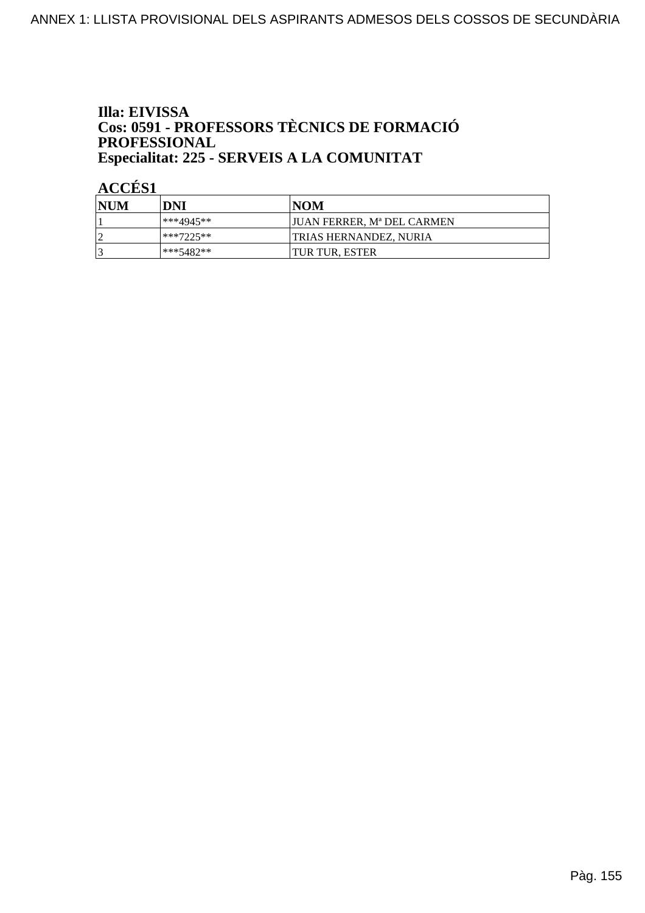### Illa: EIVISSA **Cos: 0591 - PROFESSORS TÈCNICS DE FORMACIÓ<br>PROFESSIONAL** Especialitat: 225 - SERVEIS A LA COMUNITAT

| <b>NUM</b> | DNI       | <b>NOM</b>                    |
|------------|-----------|-------------------------------|
|            | ***4945** | IJUAN FERRER. Mª DEL CARMEN   |
|            | ***7225** | <b>TRIAS HERNANDEZ, NURIA</b> |
|            | ***5482** | <b>TUR TUR, ESTER</b>         |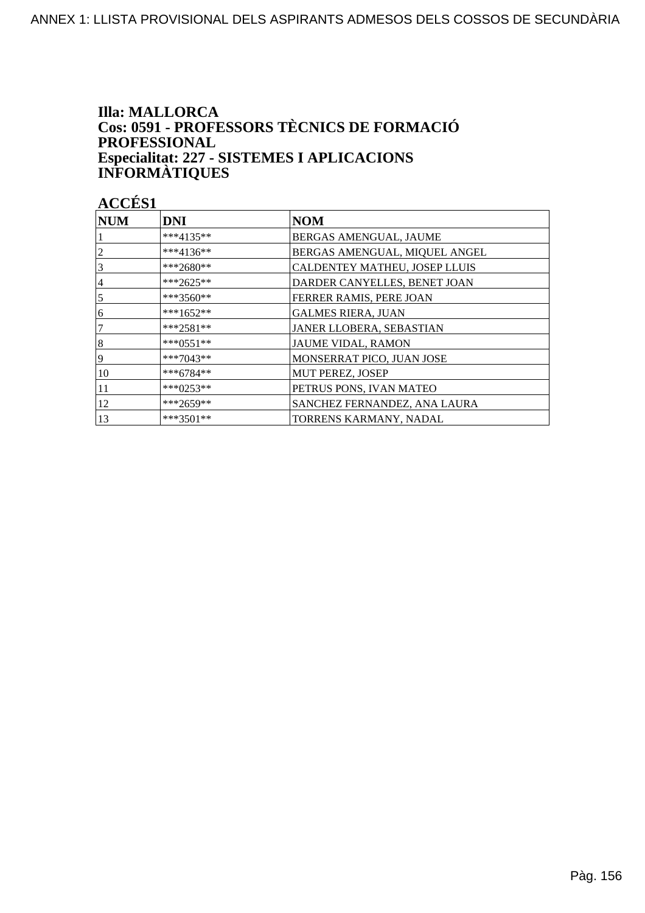### **Illa: MALLORCA** Cos: 0591 - PROFESSORS TÈCNICS DE FORMACIÓ **PROFESSIONAL** Especialitat: 227 - SISTEMES I APLICACIONS<br>INFORMÀTIQUES

| <b>NUM</b>     | <b>DNI</b>  | <b>NOM</b>                    |
|----------------|-------------|-------------------------------|
|                | $***4135**$ | BERGAS AMENGUAL, JAUME        |
| 2              | $***4136**$ | BERGAS AMENGUAL, MIQUEL ANGEL |
| 3              | ***2680**   | CALDENTEY MATHEU, JOSEP LLUIS |
| 4              | ***2625**   | DARDER CANYELLES, BENET JOAN  |
| 5              | $***3560**$ | FERRER RAMIS, PERE JOAN       |
| 16             | $***1652**$ | <b>GALMES RIERA, JUAN</b>     |
| $\overline{7}$ | $***2581**$ | JANER LLOBERA, SEBASTIAN      |
| $\vert 8$      | $***0551**$ | <b>JAUME VIDAL, RAMON</b>     |
| 19             | $***7043**$ | MONSERRAT PICO, JUAN JOSE     |
| 10             | $***6784**$ | <b>MUT PEREZ, JOSEP</b>       |
| 11             | ***0253**   | PETRUS PONS, IVAN MATEO       |
| 12             | ***2659**   | SANCHEZ FERNANDEZ, ANA LAURA  |
| 13             | $***3501**$ | TORRENS KARMANY, NADAL        |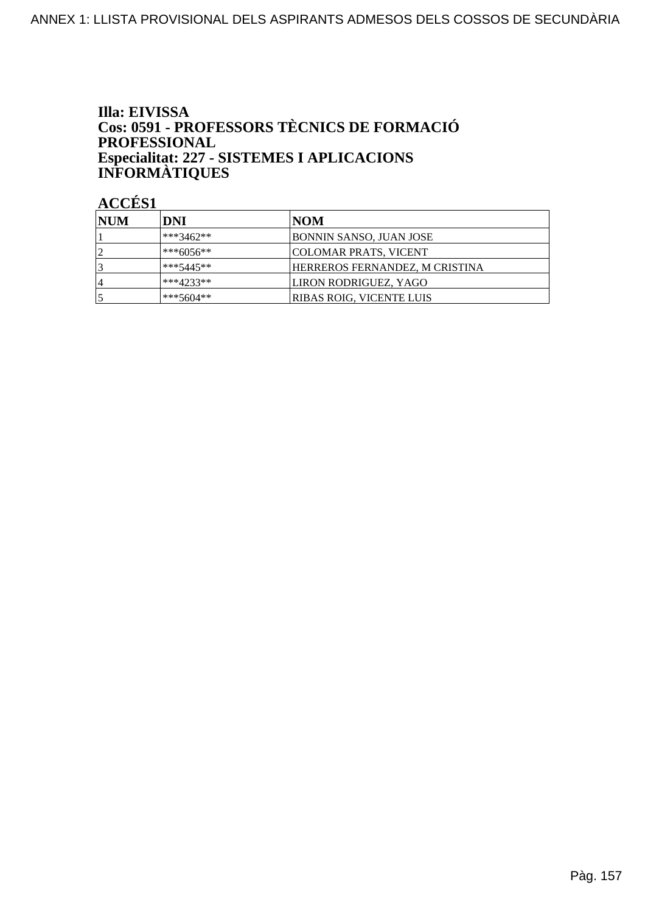### Illa: EIVISSA Cos: 0591 - PROFESSORS TÈCNICS DE FORMACIÓ PROFESSIONAL Especialitat: 227 - SISTEMES I APLICACIONS<br>INFORMÀTIQUES

| <b>INUM</b> | DNI           | NOM                            |
|-------------|---------------|--------------------------------|
|             | ***3462**     | BONNIN SANSO, JUAN JOSE        |
|             | $ ***6056***$ | COLOMAR PRATS, VICENT          |
|             | $***5445**$   | HERREROS FERNANDEZ, M CRISTINA |
| 4           | $***4233**$   | LIRON RODRIGUEZ, YAGO          |
|             | $***5604**$   | RIBAS ROIG, VICENTE LUIS       |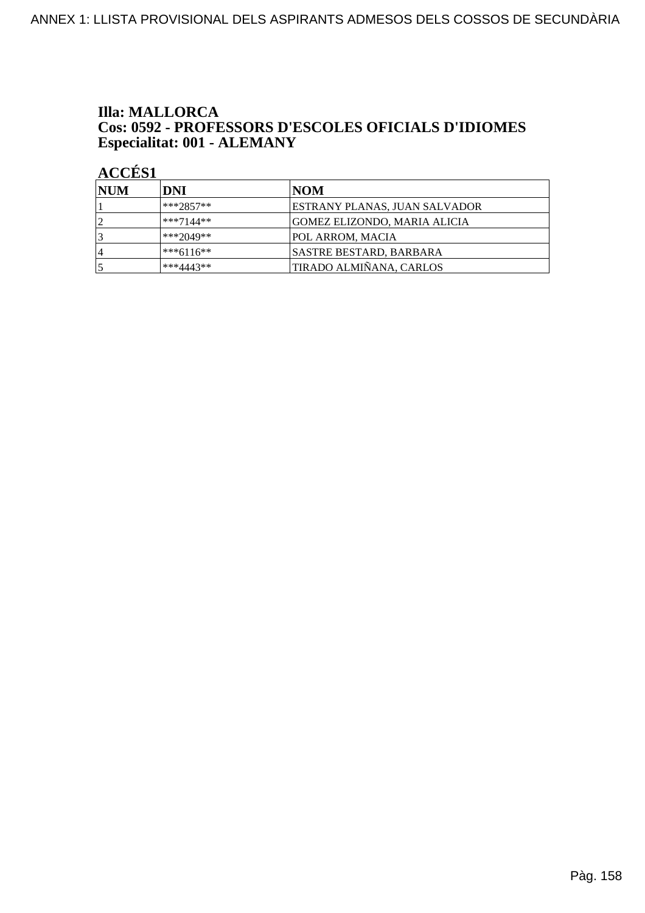#### **Illa: MALLORCA** Cos: 0592 - PROFESSORS D'ESCOLES OFICIALS D'IDIOMES Especialitat: 001 - ALEMANY

| <b>NUM</b>     | DNI         | NOM                           |
|----------------|-------------|-------------------------------|
|                | $***2857**$ | ESTRANY PLANAS, JUAN SALVADOR |
| ി              | $***7144**$ | GOMEZ ELIZONDO, MARIA ALICIA  |
|                | $***2049**$ | <b>POL ARROM, MACIA</b>       |
| $\overline{4}$ | $***6116**$ | SASTRE BESTARD, BARBARA       |
|                | $***4443**$ | TIRADO ALMIÑANA, CARLOS       |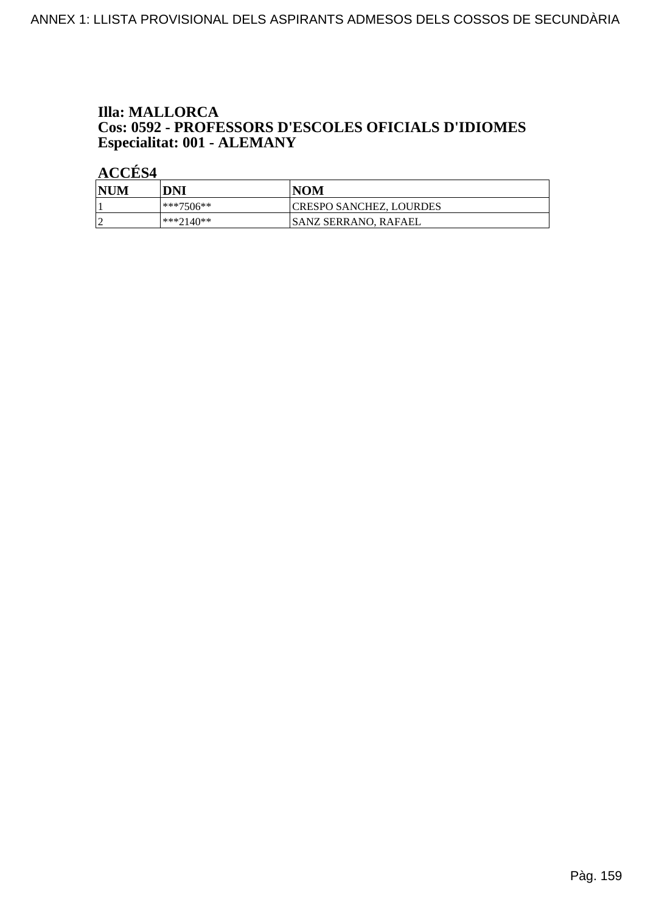#### **Illa: MALLORCA** Cos: 0592 - PROFESSORS D'ESCOLES OFICIALS D'IDIOMES Especialitat: 001 - ALEMANY

| NUM | DNI           | <b>NOM</b>              |
|-----|---------------|-------------------------|
|     | $ ***7506***$ | CRESPO SANCHEZ, LOURDES |
|     | ***2140**     | ISANZ SERRANO. RAFAEL   |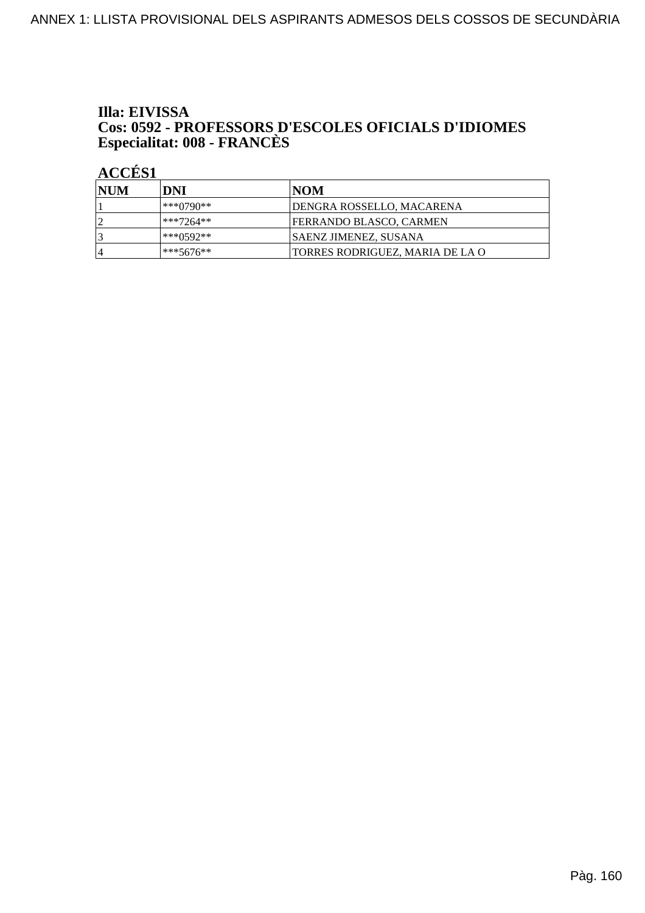## Illa: EIVISSA **Cos: 0592 - PROFESSORS D'ESCOLES OFICIALS D'IDIOMES<br>Especialitat: 008 - FRANCÈS**

| NUM | <b>DNI</b>    | INOM                              |
|-----|---------------|-----------------------------------|
|     | ***0790**     | <b>JDENGRA ROSSELLO, MACARENA</b> |
| ി   | $**7264**$    | <b>FERRANDO BLASCO, CARMEN</b>    |
|     | ***0592**     | <b>SAENZ JIMENEZ, SUSANA</b>      |
| ı 4 | $ ***5676***$ | TORRES RODRIGUEZ, MARIA DE LA O   |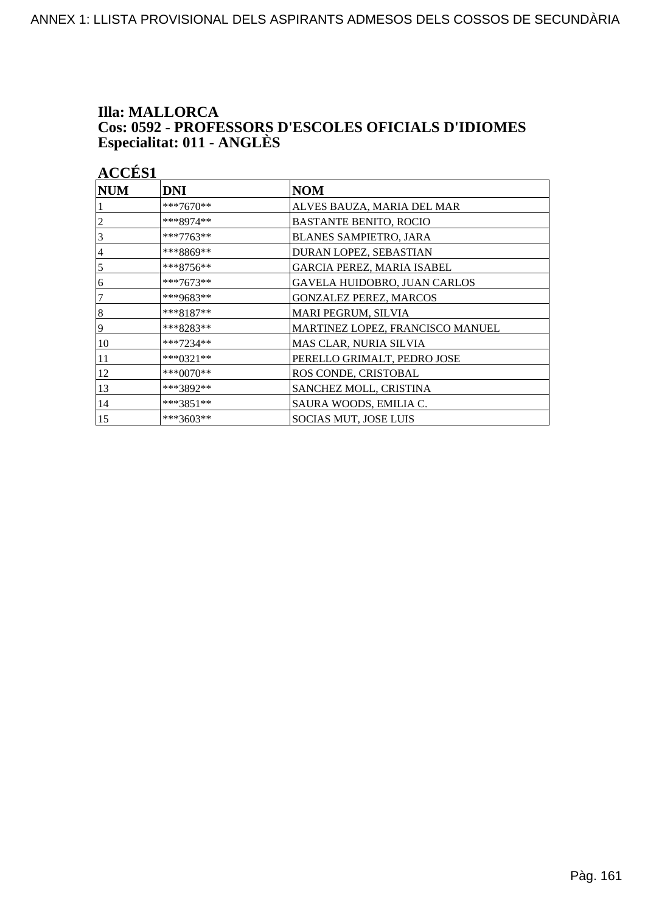## **Illa: MALLORCA** Cos: 0592 - PROFESSORS D'ESCOLES OFICIALS D'IDIOMES<br>Especialitat: 011 - ANGLÈS

| <b>ACCÉS 1</b> |             |                                   |
|----------------|-------------|-----------------------------------|
| <b>NUM</b>     | <b>DNI</b>  | <b>NOM</b>                        |
|                | ***7670**   | ALVES BAUZA, MARIA DEL MAR        |
| $\overline{c}$ | ***8974**   | <b>BASTANTE BENITO, ROCIO</b>     |
| 3              | ***7763**   | <b>BLANES SAMPIETRO, JARA</b>     |
| $\overline{4}$ | ***8869**   | DURAN LOPEZ, SEBASTIAN            |
| 5              | $***8756**$ | <b>GARCIA PEREZ, MARIA ISABEL</b> |
| 6              | ***7673**   | GAVELA HUIDOBRO, JUAN CARLOS      |
| 7              | ***9683**   | <b>GONZALEZ PEREZ, MARCOS</b>     |
| $\vert 8$      | ***8187**   | MARI PEGRUM, SILVIA               |
| 9              | ***8283**   | MARTINEZ LOPEZ, FRANCISCO MANUEL  |
| 10             | ***7234**   | MAS CLAR, NURIA SILVIA            |
| 11             | ***0321**   | PERELLO GRIMALT, PEDRO JOSE       |
| 12             | ***0070**   | ROS CONDE, CRISTOBAL              |
| 13             | ***3892**   | SANCHEZ MOLL, CRISTINA            |
| 14             | ***3851**   | SAURA WOODS, EMILIA C.            |
| 15             | ***3603**   | <b>SOCIAS MUT, JOSE LUIS</b>      |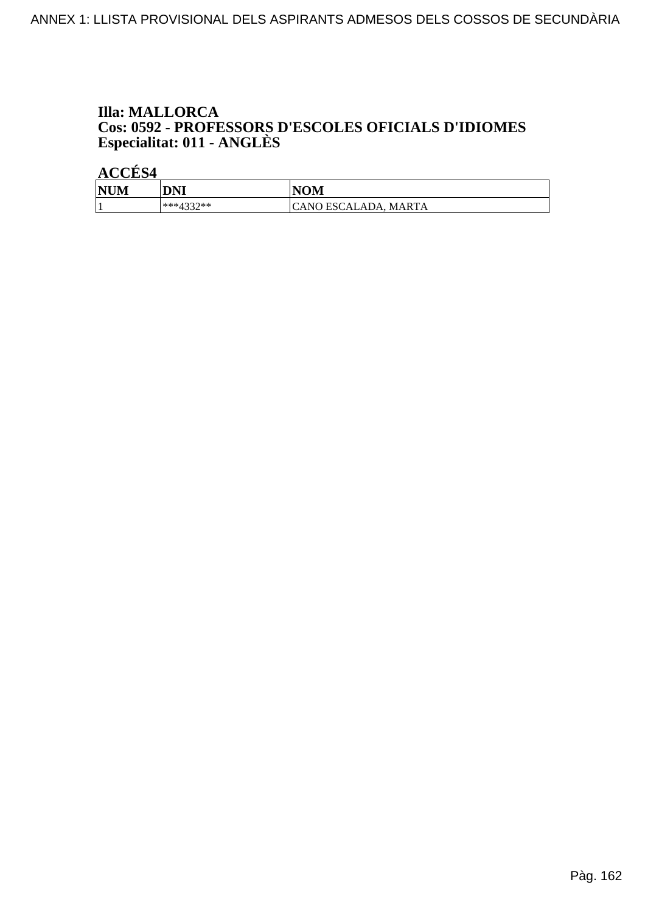### **Illa: MALLORCA** Cos: 0592 - PROFESSORS D'ESCOLES OFICIALS D'IDIOMES<br>Especialitat: 011 - ANGLÈS

| <b>NUM</b> | DNI           | <b>NOM</b>           |
|------------|---------------|----------------------|
|            | *** $4337$ ** | CANO ESCALADA, MARTA |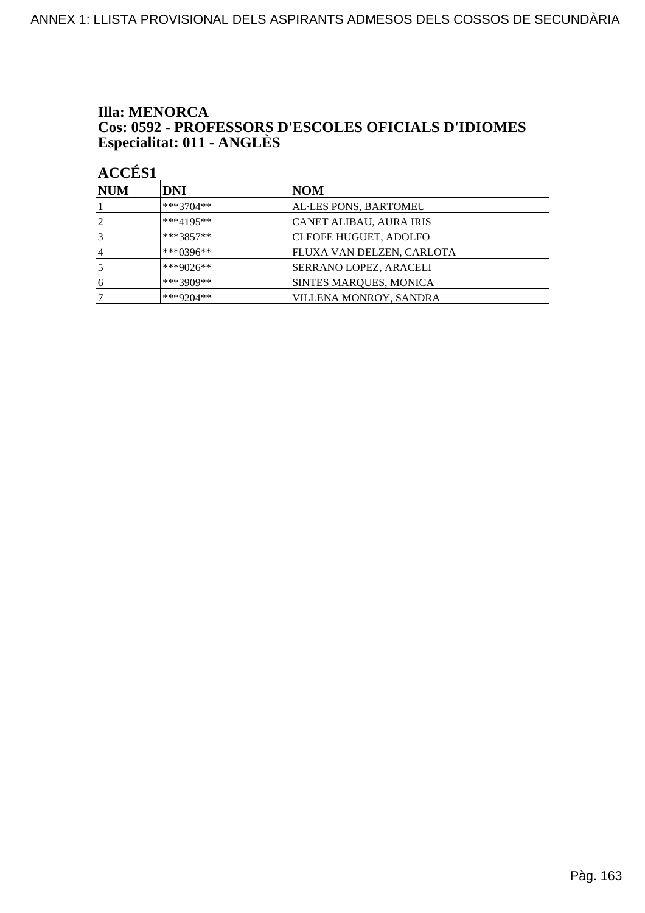## **Illa: MENORCA** Cos: 0592 - PROFESSORS D'ESCOLES OFICIALS D'IDIOMES<br>Especialitat: 011 - ANGLÈS

| <b>NUM</b> | DNI         | NOM                              |
|------------|-------------|----------------------------------|
|            | ***3704**   | AL·LES PONS, BARTOMEU            |
| 2          | $***4195**$ | CANET ALIBAU, AURA IRIS          |
|            | ***3857**   | <b>CLEOFE HUGUET, ADOLFO</b>     |
| 14         | ***0396**   | <b>FLUXA VAN DELZEN, CARLOTA</b> |
|            | ***9026**   | SERRANO LOPEZ, ARACELI           |
| 6          | ***3909**   | <b>SINTES MARQUES, MONICA</b>    |
|            | ***9204**   | VILLENA MONROY, SANDRA           |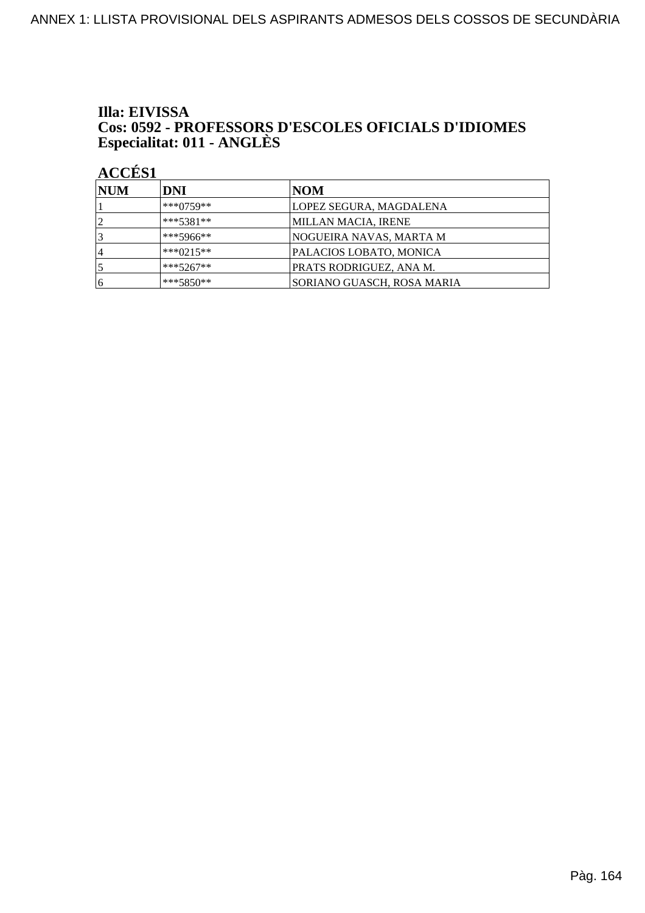## Illa: EIVISSA Cos: 0592 - PROFESSORS D'ESCOLES OFICIALS D'IDIOMES<br>Especialitat: 011 - ANGLÈS

| <b>NUM</b> | DNI         | NOM                        |
|------------|-------------|----------------------------|
|            | $***0759**$ | LOPEZ SEGURA, MAGDALENA    |
| 2          | $***5381**$ | MILLAN MACIA, IRENE        |
| 3          | $***5966**$ | NOGUEIRA NAVAS, MARTA M    |
| 14         | $***0215**$ | PALACIOS LOBATO, MONICA    |
| 5          | $***5267**$ | PRATS RODRIGUEZ, ANA M.    |
| 16         | $***5850**$ | SORIANO GUASCH, ROSA MARIA |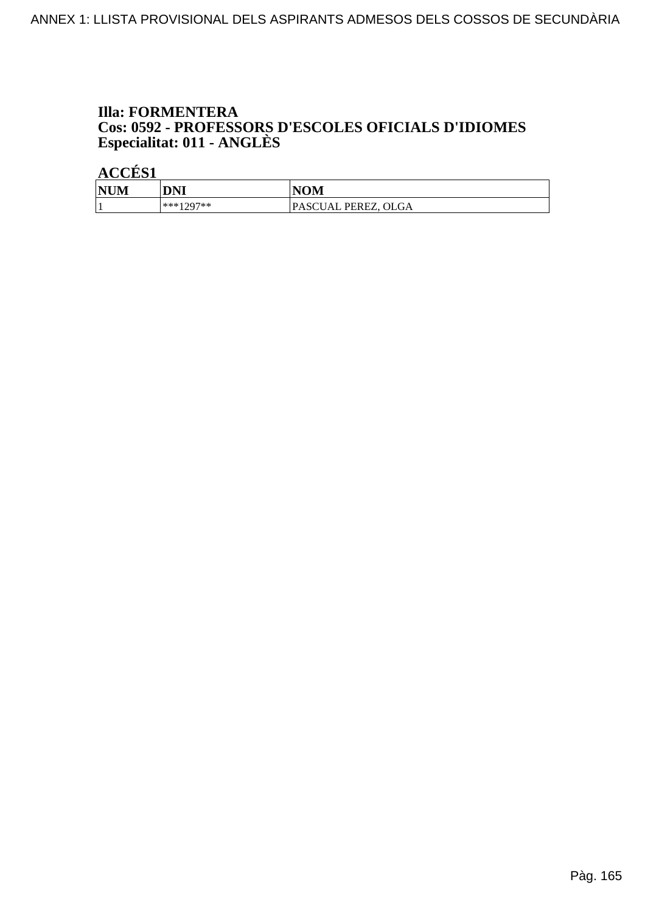## **Illa: FORMENTERA** Cos: 0592 - PROFESSORS D'ESCOLES OFICIALS D'IDIOMES<br>Especialitat: 011 - ANGLÈS

| <b>NUM</b> | <b>DNI</b> | <b>NOM</b>          |
|------------|------------|---------------------|
|            | ***1207**  | PASCUAL PEREZ, OLGA |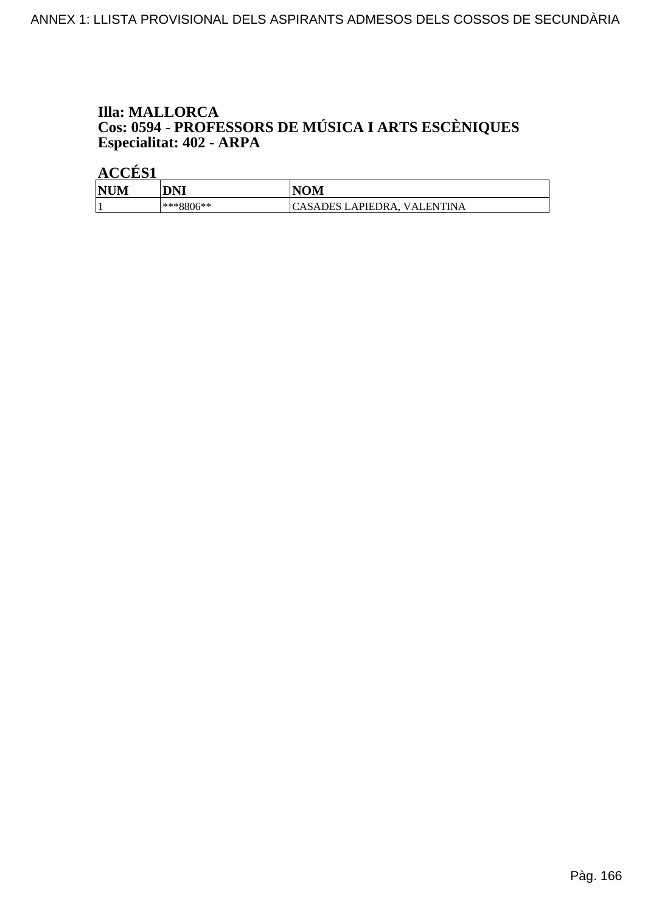# **Illa: MALLORCA Cos: 0594 - PROFESSORS DE MÚSICA I ARTS ESCÈNIQUES<br>Especialitat: 402 - ARPA**

| <b>NIN</b><br> NUM | <b>DNI</b>        | VOM                                           |
|--------------------|-------------------|-----------------------------------------------|
|                    | ገ6**<br>$1***880$ | ' ENTINA<br><b>ICASADES LAPIEDRA,</b><br>VAL. |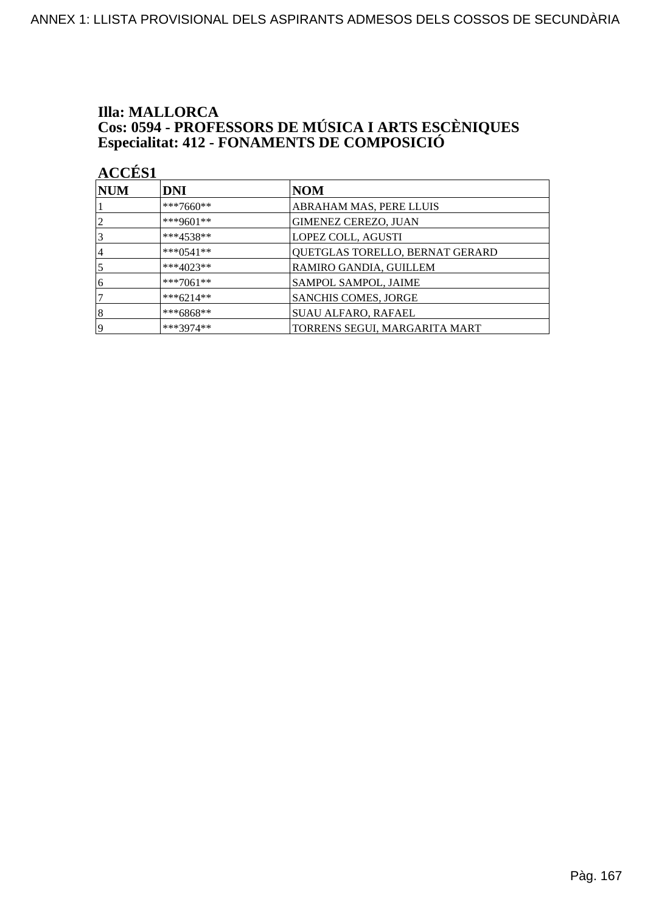### **Illa: MALLORCA Cos: 0594 - PROFESSORS DE MÚSICA I ARTS ESCÈNIQUES<br>Especialitat: 412 - FONAMENTS DE COMPOSICIÓ**

| <b>ACCÉS 1</b> |                |                                 |
|----------------|----------------|---------------------------------|
| <b>NUM</b>     | <b>DNI</b>     | NOM                             |
|                | $***7660**$    | ABRAHAM MAS, PERE LLUIS         |
| $\overline{2}$ | ***9601**      | <b>GIMENEZ CEREZO, JUAN</b>     |
| 3              | $***4538**$    | LOPEZ COLL, AGUSTI              |
| 4              | *** $0.541$ ** | QUETGLAS TORELLO, BERNAT GERARD |
| 5              | $***4023**$    | RAMIRO GANDIA, GUILLEM          |
| 6              | $***7061**$    | SAMPOL SAMPOL, JAIME            |
|                | $***6214**$    | <b>SANCHIS COMES, JORGE</b>     |
| 8              | ***6868**      | <b>SUAU ALFARO, RAFAEL</b>      |
| 19             | ***3974**      | TORRENS SEGUI, MARGARITA MART   |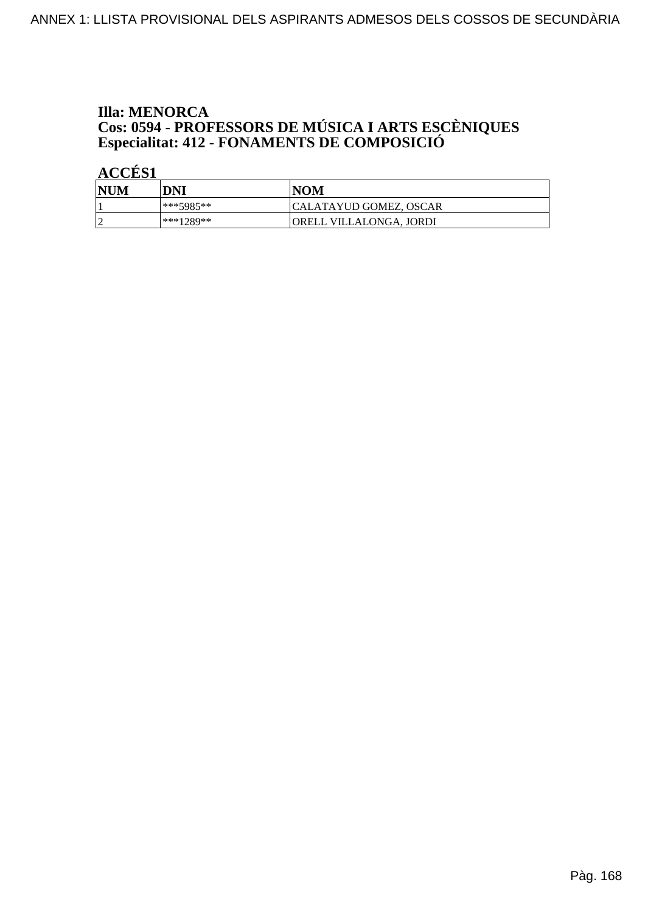# **Illa: MENORCA Cos: 0594 - PROFESSORS DE MÚSICA I ARTS ESCÈNIQUES<br>Especialitat: 412 - FONAMENTS DE COMPOSICIÓ**

| <b>NUM</b> | DNI       | <b>NOM</b>              |
|------------|-----------|-------------------------|
|            | ***5985** | CALATAYUD GOMEZ, OSCAR  |
|            | ***1289** | ORELL VILLALONGA, JORDI |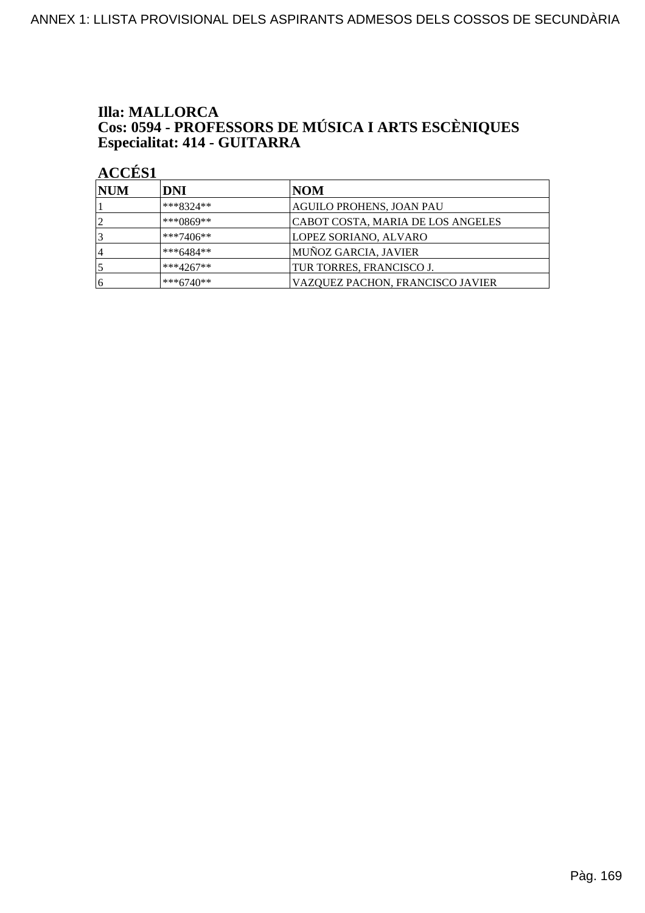# **Illa: MALLORCA Cos: 0594 - PROFESSORS DE MÚSICA I ARTS ESCÈNIQUES<br>Especialitat: 414 - GUITARRA**

| <b>NUM</b> | DNI         | NOM                               |
|------------|-------------|-----------------------------------|
|            | $***8324**$ | AGUILO PROHENS, JOAN PAU          |
| 12         | $***0869**$ | CABOT COSTA, MARIA DE LOS ANGELES |
| 3          | $***7406**$ | LOPEZ SORIANO, ALVARO             |
| 14         | $***6484**$ | MUÑOZ GARCIA, JAVIER              |
|            | $***4267**$ | TUR TORRES, FRANCISCO J.          |
| 16         | $***6740**$ | VAZQUEZ PACHON, FRANCISCO JAVIER  |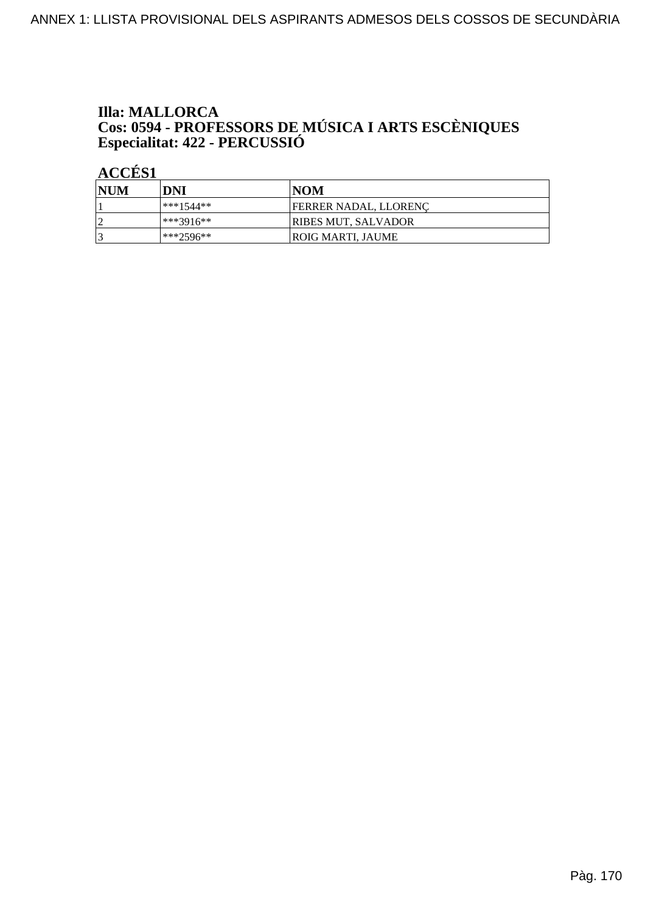# **Illa: MALLORCA** Cos: 0594 - PROFESSORS DE MÚSICA I ARTS ESCÈNIQUES<br>Especialitat: 422 - PERCUSSIÓ

| <b>NUM</b> | DNI       | NOM                        |
|------------|-----------|----------------------------|
|            | ***1544** | FERRER NADAL, LLORENC      |
| n          | ***3916** | <b>RIBES MUT, SALVADOR</b> |
|            | ***2596** | ROIG MARTI. JAUME          |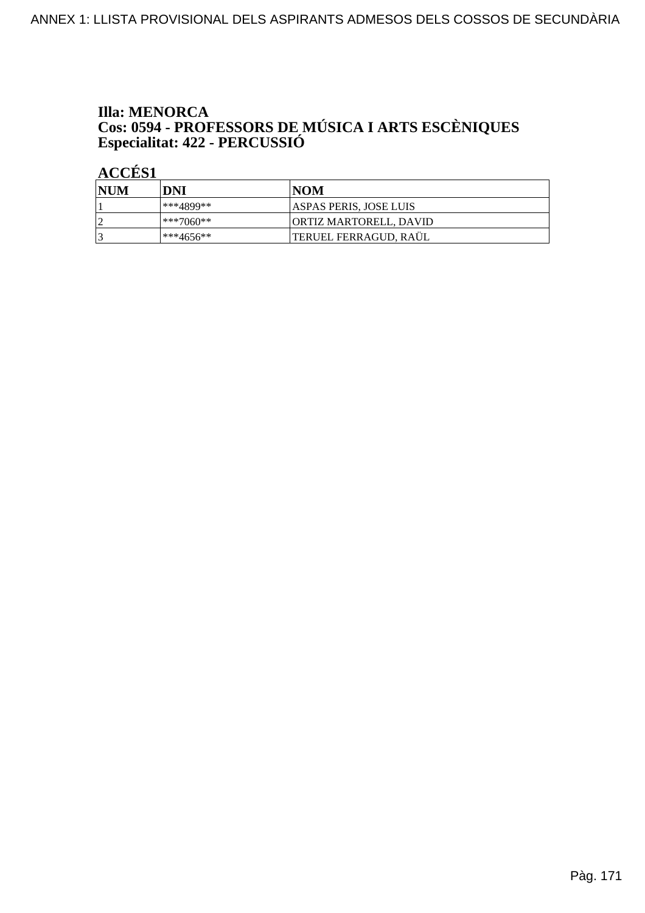# **Illa: MENORCA** Cos: 0594 - PROFESSORS DE MÚSICA I ARTS ESCÈNIQUES<br>Especialitat: 422 - PERCUSSIÓ

| <b>NUM</b> | DNI       | INOM                          |
|------------|-----------|-------------------------------|
|            | ***4899** | <b>ASPAS PERIS, JOSE LUIS</b> |
| h          | ***7060** | ORTIZ MARTORELL, DAVID        |
| 13         | ***4656** | TERUEL FERRAGUD, RAÜL         |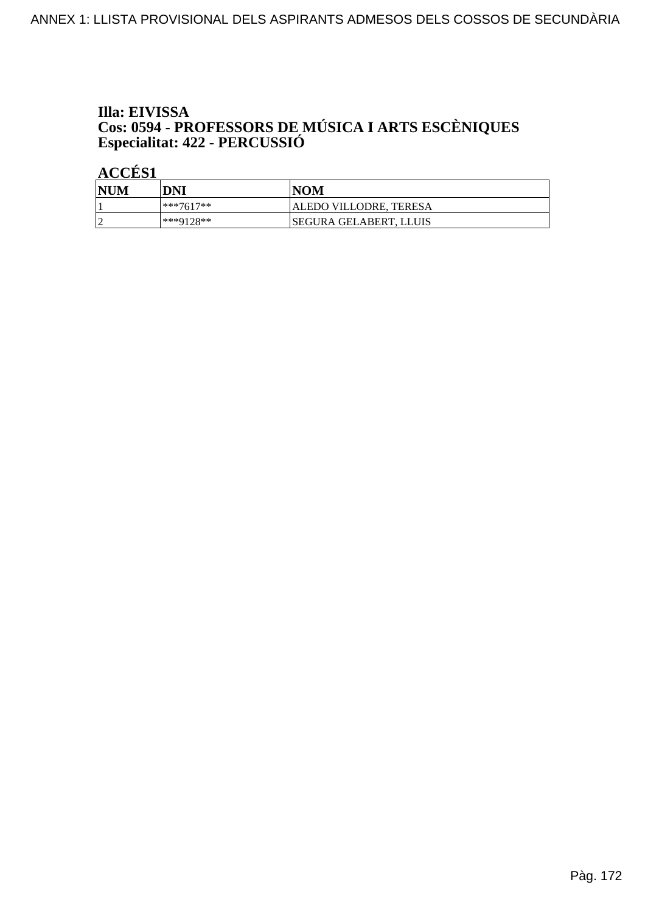# Illa: EIVISSA **Cos: 0594 - PROFESSORS DE MÚSICA I ARTS ESCÈNIQUES<br>Especialitat: 422 - PERCUSSIÓ**

| <b>NUM</b> | DNI         | NOM                     |
|------------|-------------|-------------------------|
|            | $***7617**$ | ALEDO VILLODRE, TERESA  |
|            | ***9128**   | ISEGURA GELABERT. LLUIS |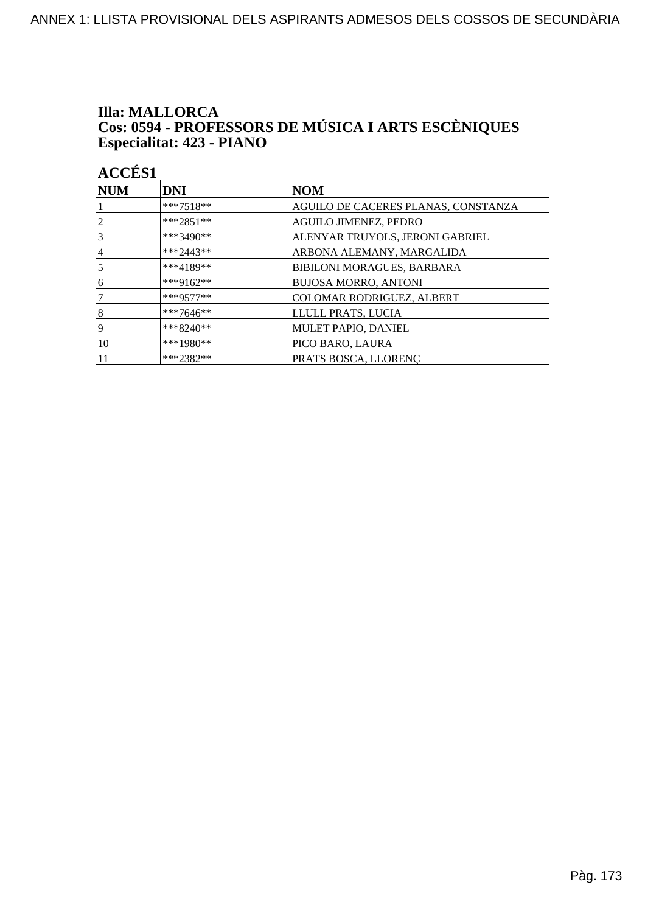# **Illa: MALLORCA Cos: 0594 - PROFESSORS DE MÚSICA I ARTS ESCÈNIQUES<br>Especialitat: 423 - PIANO**

| <b>NUM</b>     | DNI         | <b>NOM</b>                          |
|----------------|-------------|-------------------------------------|
|                | ***7518**   | AGUILO DE CACERES PLANAS, CONSTANZA |
| $\overline{2}$ | ***2851**   | <b>AGUILO JIMENEZ, PEDRO</b>        |
| 3              | ***3490**   | ALENYAR TRUYOLS, JERONI GABRIEL     |
| 4              | ***2443**   | ARBONA ALEMANY, MARGALIDA           |
| $\overline{5}$ | ***4189**   | BIBILONI MORAGUES, BARBARA          |
| 16             | ***9162**   | <b>BUJOSA MORRO, ANTONI</b>         |
| 7              | $***9577**$ | COLOMAR RODRIGUEZ, ALBERT           |
| 8              | ***7646**   | LLULL PRATS, LUCIA                  |
| 19             | $***8240**$ | MULET PAPIO, DANIEL                 |
| 10             | $***1980**$ | PICO BARO, LAURA                    |
|                | ***2382**   | PRATS BOSCA, LLORENC                |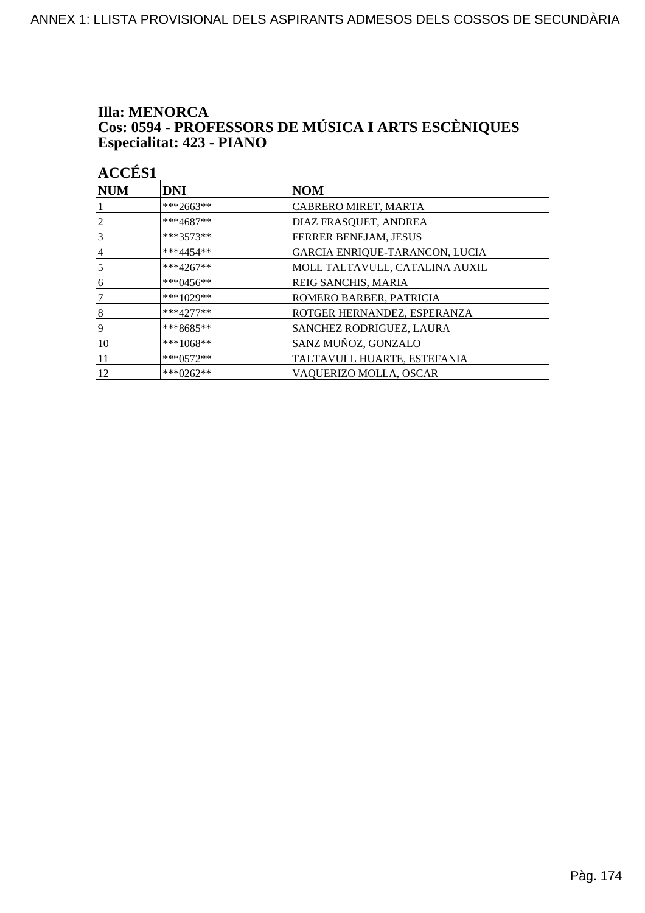# **Illa: MENORCA** Cos: 0594 - PROFESSORS DE MÚSICA I ARTS ESCÈNIQUES<br>Especialitat: 423 - PIANO

| <b>NUM</b>     | <b>DNI</b>  | <b>NOM</b>                     |
|----------------|-------------|--------------------------------|
|                | ***2663**   | CABRERO MIRET, MARTA           |
| 2              | ***4687**   | DIAZ FRASQUET, ANDREA          |
| 3              | $***3573**$ | FERRER BENEJAM, JESUS          |
| 4              | $***4454**$ | GARCIA ENRIQUE-TARANCON, LUCIA |
| $\overline{5}$ | $***4267**$ | MOLL TALTAVULL, CATALINA AUXIL |
| 16             | ***0456**   | REIG SANCHIS, MARIA            |
| 7              | ***1029**   | ROMERO BARBER, PATRICIA        |
| 8              | $***4277**$ | ROTGER HERNANDEZ, ESPERANZA    |
| 19             | $***8685**$ | SANCHEZ RODRIGUEZ, LAURA       |
| 10             | $***1068**$ | SANZ MUÑOZ, GONZALO            |
| 11             | $***0572**$ | TALTAVULL HUARTE, ESTEFANIA    |
| 12             | ***0262**   | VAQUERIZO MOLLA, OSCAR         |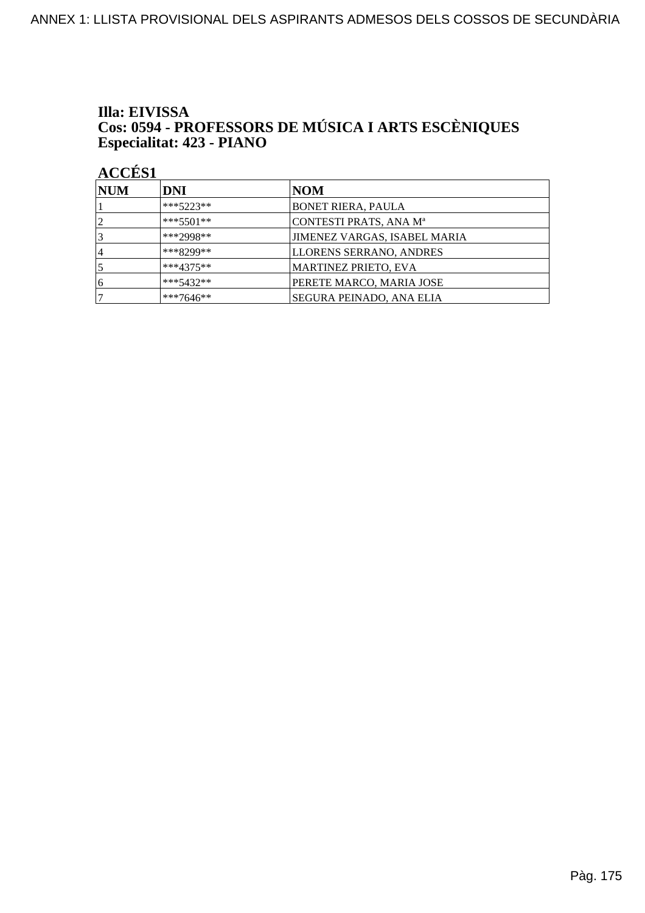# Illa: EIVISSA Cos: 0594 - PROFESSORS DE MÚSICA I ARTS ESCÈNIQUES<br>Especialitat: 423 - PIANO

| <b>NUM</b> | DNI         | NOM                                 |
|------------|-------------|-------------------------------------|
|            | $***5223**$ | <b>BONET RIERA, PAULA</b>           |
|            | $***5501**$ | CONTESTI PRATS, ANA M <sup>a</sup>  |
|            | ***2998**   | <b>JIMENEZ VARGAS, ISABEL MARIA</b> |
| $\vert 4$  | ***8299**   | <b>LLORENS SERRANO, ANDRES</b>      |
|            | $***4375**$ | <b>MARTINEZ PRIETO, EVA</b>         |
| 6          | ***5432**   | PERETE MARCO, MARIA JOSE            |
|            | ***7646**   | SEGURA PEINADO, ANA ELIA            |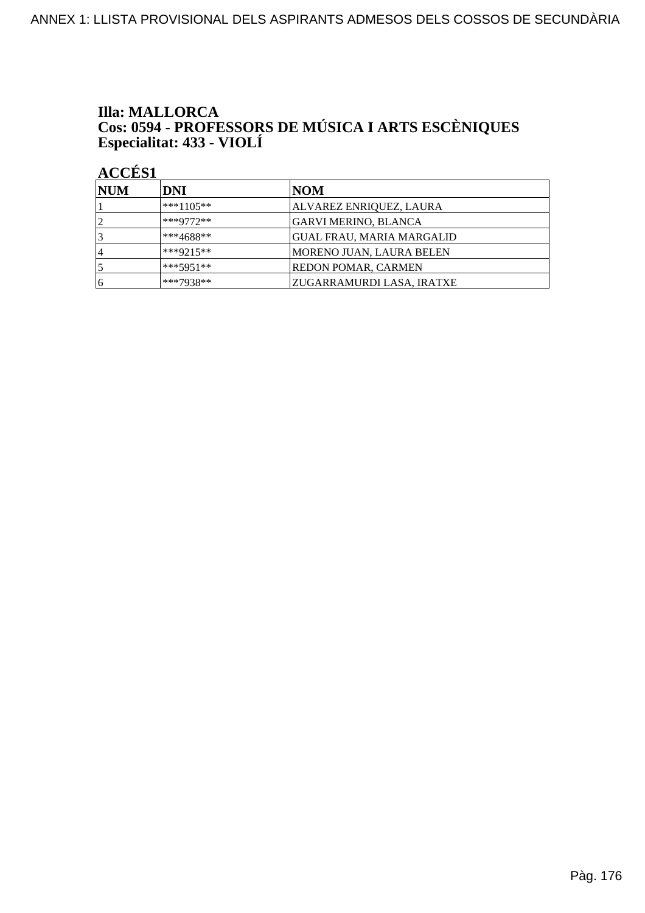# **Illa: MALLORCA** Cos: 0594 - PROFESSORS DE MÚSICA I ARTS ESCÈNIQUES<br>Especialitat: 433 - VIOLÍ

| <b>NUM</b>     | DNI         | NOM                        |
|----------------|-------------|----------------------------|
|                | $***1105**$ | ALVAREZ ENRIQUEZ, LAURA    |
| $\overline{2}$ | $***9772**$ | GARVI MERINO, BLANCA       |
|                | ***4688**   | GUAL FRAU, MARIA MARGALID  |
| ا 4            | ***9215**   | MORENO JUAN, LAURA BELEN   |
|                | $***5951**$ | <b>REDON POMAR, CARMEN</b> |
| 16             | ***7938**   | ZUGARRAMURDI LASA, IRATXE  |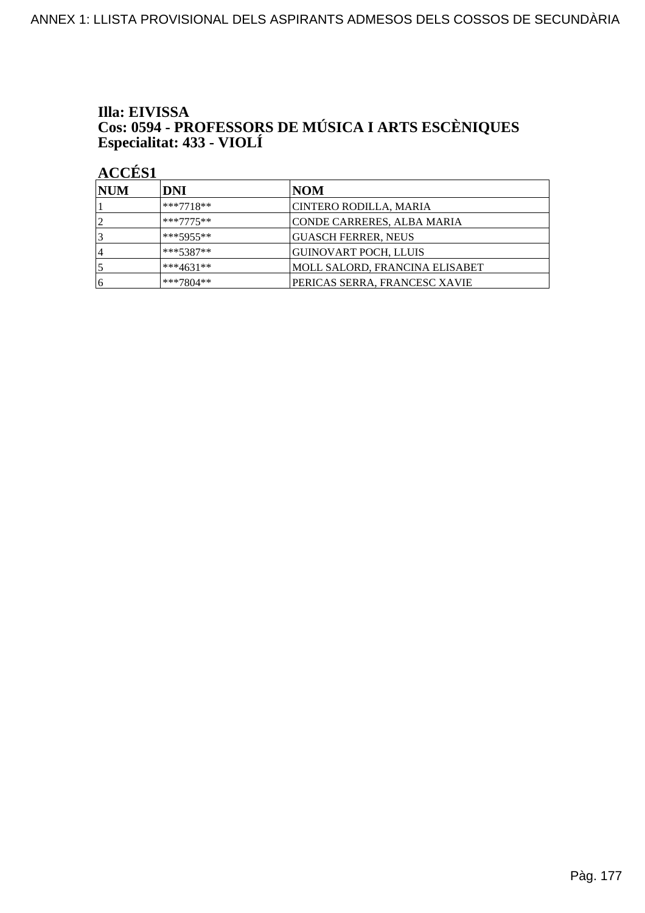# Illa: EIVISSA Cos: 0594 - PROFESSORS DE MÚSICA I ARTS ESCÈNIQUES<br>Especialitat: 433 - VIOLÍ

| <b>NUM</b> | <b>DNI</b>  | NOM                            |
|------------|-------------|--------------------------------|
|            | $***7718**$ | CINTERO RODILLA, MARIA         |
| ◯          | $***7775**$ | CONDE CARRERES, ALBA MARIA     |
|            | ***5955**   | <b>GUASCH FERRER, NEUS</b>     |
| 14         | $***5387**$ | <b>GUINOVART POCH, LLUIS</b>   |
|            | ***4631**   | MOLL SALORD, FRANCINA ELISABET |
| 16         | ***7804**   | PERICAS SERRA, FRANCESC XAVIE  |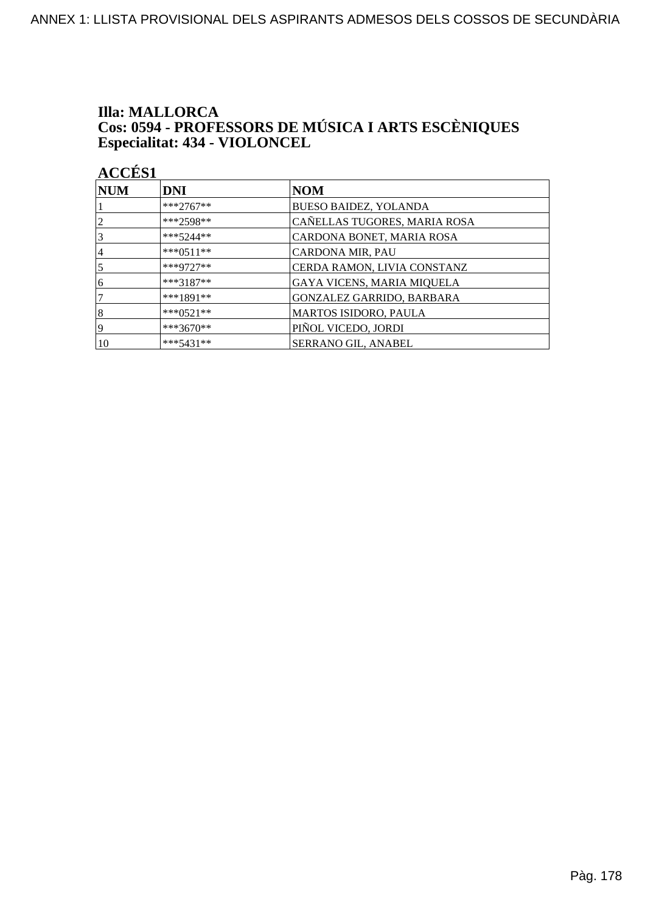#### **Illa: MALLORCA** Cos: 0594 - PROFESSORS DE MÚSICA I ARTS ESCÈNIQUES Especialitat: 434 - VIOLONCEL

**ACCÉS 1 NUM DNI NOM**  $***2767**$ **BUESO BAIDEZ, YOLANDA** 1 \*\*\*2598\*\*  $\overline{2}$ CAÑELLAS TUGORES, MARIA ROSA  $\overline{3}$  $***5244**$ CARDONA BONET, MARIA ROSA  $\overline{4}$ \*\*\*0511\*\* CARDONA MIR, PAU  $\overline{5}$ \*\*\*9727\*\* CERDA RAMON, LIVIA CONSTANZ  $\overline{6}$  $***3187**$ GAYA VICENS, MARIA MIQUELA  $\overline{7}$ \*\*\*1891\*\* **GONZALEZ GARRIDO, BARBARA**  $\overline{8}$ \*\*\*0521\*\* **MARTOS ISIDORO, PAULA**  $\overline{9}$  $***3670**$ PIÑOL VICEDO, JORDI  $|10\rangle$ \*\*\*5431\*\* SERRANO GIL, ANABEL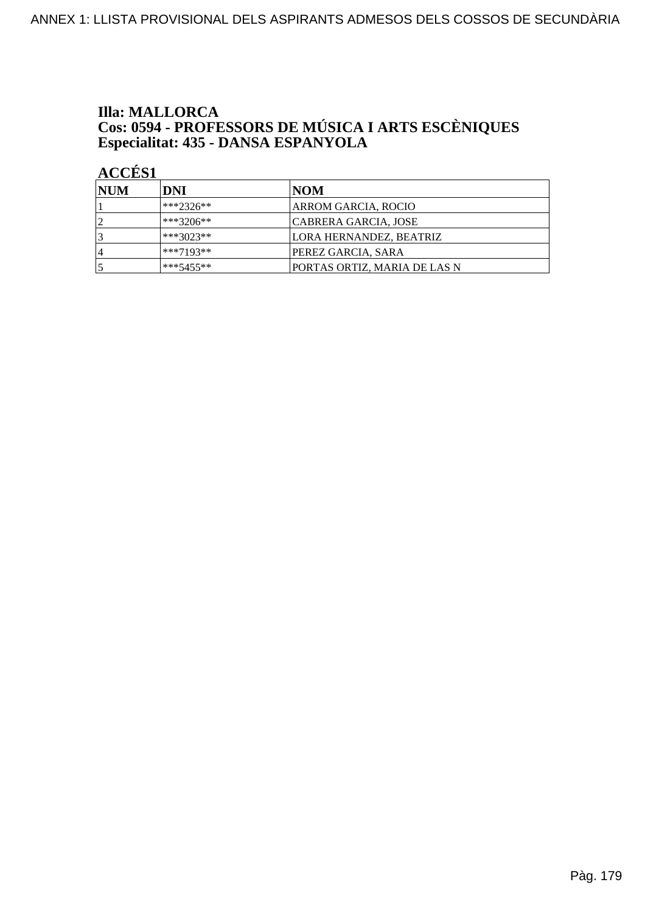### **Illa: MALLORCA Cos: 0594 - PROFESSORS DE MÚSICA I ARTS ESCÈNIQUES<br>Especialitat: 435 - DANSA ESPANYOLA**

| <b>INUM</b>    | DNI          | NOM                          |
|----------------|--------------|------------------------------|
|                | $ ***2326**$ | ARROM GARCIA, ROCIO          |
|                | ***3206**    | CABRERA GARCIA, JOSE         |
|                | $***3023**$  | LORA HERNANDEZ, BEATRIZ      |
| $\overline{4}$ | ***7193**    | PEREZ GARCIA, SARA           |
|                | $***5455**$  | PORTAS ORTIZ, MARIA DE LAS N |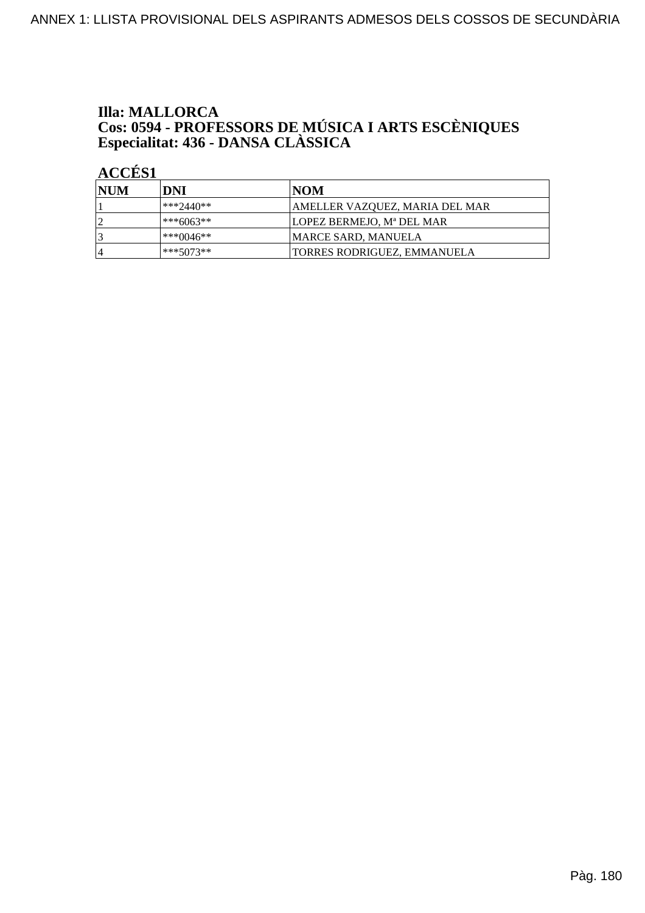# **Illa: MALLORCA Cos: 0594 - PROFESSORS DE MÚSICA I ARTS ESCÈNIQUES<br>Especialitat: 436 - DANSA CLÀSSICA**

| <b>NUM</b> | DNI         | INOM                               |
|------------|-------------|------------------------------------|
|            | ***2440**   | AMELLER VAZQUEZ, MARIA DEL MAR     |
| ຳ          | ***6063**   | LOPEZ BERMEJO, Mª DEL MAR          |
| 3          | ***0046**   | <b>MARCE SARD, MANUELA</b>         |
| 14         | $***5073**$ | <b>TORRES RODRIGUEZ, EMMANUELA</b> |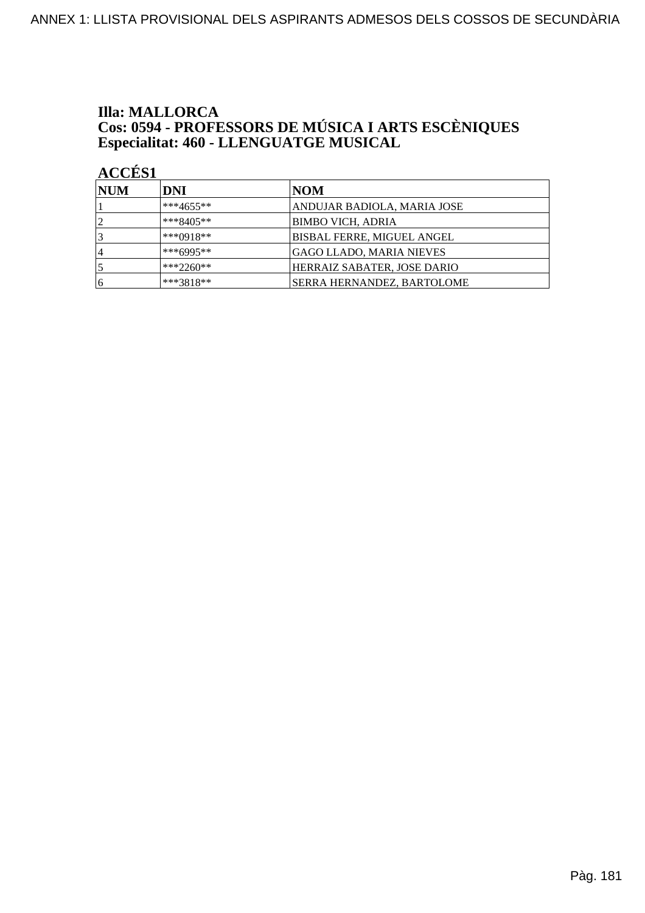# **Illa: MALLORCA Cos: 0594 - PROFESSORS DE MÚSICA I ARTS ESCÈNIQUES<br>Especialitat: 460 - LLENGUATGE MUSICAL**

| <b>NUM</b> | DNI         | NOM                               |
|------------|-------------|-----------------------------------|
|            | $***4655**$ | ANDUJAR BADIOLA, MARIA JOSE       |
| 12         | ***8405**   | BIMBO VICH, ADRIA                 |
| 3          | $***0918**$ | <b>BISBAL FERRE, MIGUEL ANGEL</b> |
| 14         | $***6995**$ | <b>GAGO LLADO, MARIA NIEVES</b>   |
|            | $***2260**$ | HERRAIZ SABATER, JOSE DARIO       |
| 16         | ***3818**   | SERRA HERNANDEZ, BARTOLOME        |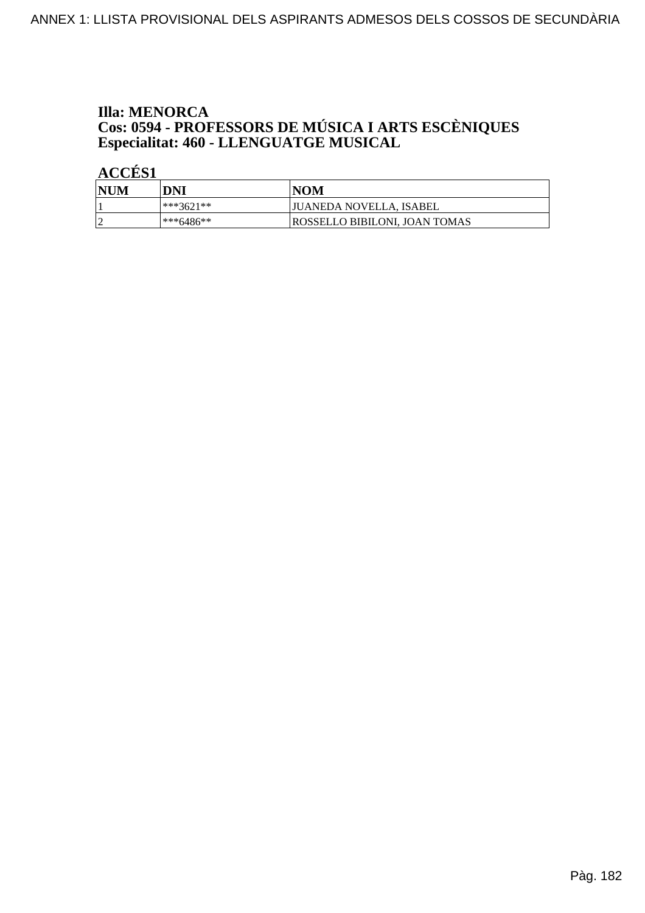## **Illa: MENORCA Cos: 0594 - PROFESSORS DE MÚSICA I ARTS ESCÈNIQUES<br>Especialitat: 460 - LLENGUATGE MUSICAL**

| NUM | DNI       | <b>NOM</b>                    |
|-----|-----------|-------------------------------|
|     | ***3621** | JUANEDA NOVELLA, ISABEL       |
|     | ***6486** | ROSSELLO BIBILONI. JOAN TOMAS |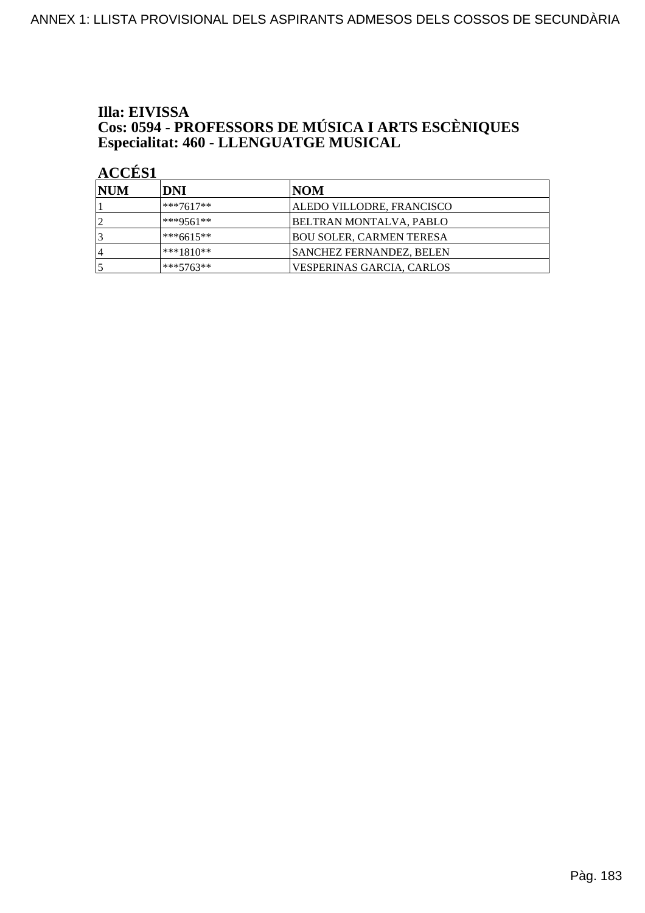## Illa: EIVISSA **Cos: 0594 - PROFESSORS DE MÚSICA I ARTS ESCÈNIQUES<br>Especialitat: 460 - LLENGUATGE MUSICAL**

| <b>INUM</b> | DNI         | NOM                             |
|-------------|-------------|---------------------------------|
|             | ***7617**   | ALEDO VILLODRE, FRANCISCO       |
|             | ***9561**   | BELTRAN MONTALVA, PABLO         |
|             | ***6615**   | <b>BOU SOLER, CARMEN TERESA</b> |
| 4           | ***1810**   | SANCHEZ FERNANDEZ, BELEN        |
|             | $***5763**$ | VESPERINAS GARCIA, CARLOS       |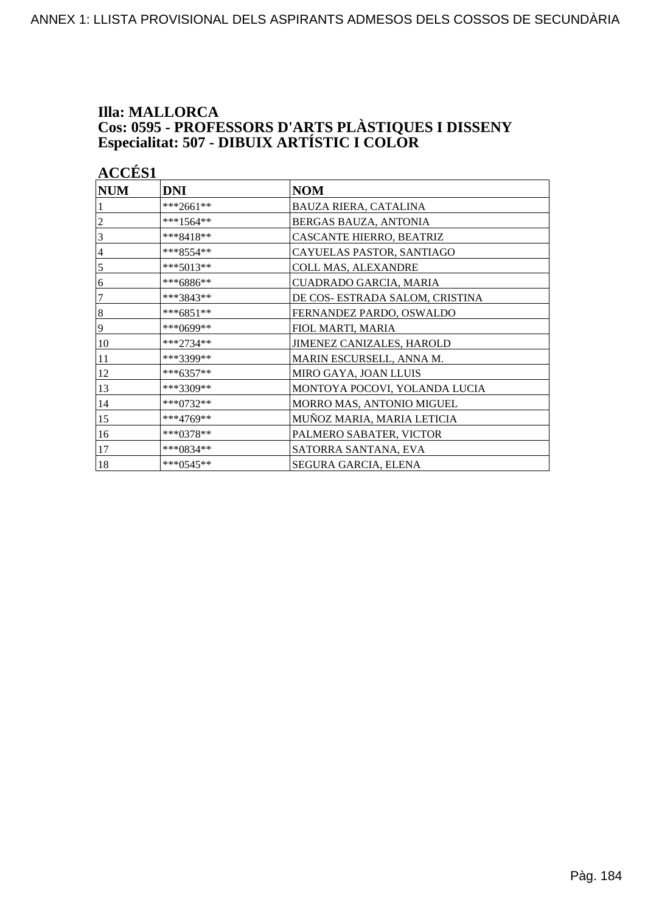#### **Illa: MALLORCA Cos: 0595 - PROFESSORS D'ARTS PLÀSTIQUES I DISSENY<br>Especialitat: 507 - DIBUIX ARTÍSTIC I COLOR**

| <b>ACCÉS 1</b> |             |                                 |
|----------------|-------------|---------------------------------|
| <b>NUM</b>     | <b>DNI</b>  | <b>NOM</b>                      |
|                | ***2661**   | BAUZA RIERA, CATALINA           |
| $\overline{c}$ | ***1564**   | BERGAS BAUZA, ANTONIA           |
| 3              | ***8418**   | CASCANTE HIERRO, BEATRIZ        |
| $\overline{4}$ | ***8554**   | CAYUELAS PASTOR, SANTIAGO       |
| 5              | $***5013**$ | COLL MAS, ALEXANDRE             |
| 6              | ***6886**   | CUADRADO GARCIA, MARIA          |
| 7              | ***3843**   | DE COS- ESTRADA SALOM, CRISTINA |
| 8              | $***6851**$ | FERNANDEZ PARDO, OSWALDO        |
| 9              | ***0699**   | FIOL MARTI, MARIA               |
| 10             | ***2734**   | JIMENEZ CANIZALES, HAROLD       |
| 11             | ***3399**   | MARIN ESCURSELL, ANNA M.        |
| 12             | $***6357**$ | MIRO GAYA, JOAN LLUIS           |
| 13             | ***3309**   | MONTOYA POCOVI, YOLANDA LUCIA   |
| 14             | ***0732**   | MORRO MAS, ANTONIO MIGUEL       |
| 15             | ***4769**   | MUÑOZ MARIA, MARIA LETICIA      |
| 16             | ***0378**   | PALMERO SABATER, VICTOR         |
| 17             | ***0834**   | SATORRA SANTANA, EVA            |
| 18             | $***0545**$ | SEGURA GARCIA, ELENA            |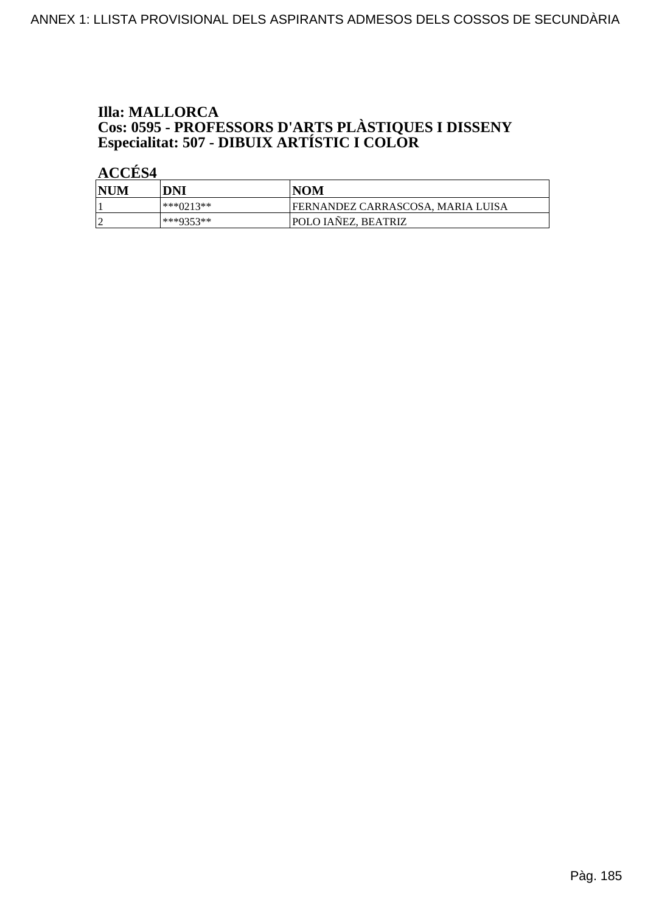#### **Illa: MALLORCA Cos: 0595 - PROFESSORS D'ARTS PLÀSTIQUES I DISSENY<br>Especialitat: 507 - DIBUIX ARTÍSTIC I COLOR**

| <b>NUM</b> | DNI       | INOM                              |
|------------|-----------|-----------------------------------|
|            | ***0213** | FERNANDEZ CARRASCOSA, MARIA LUISA |
| $\sim$     | ***0353** | <b>POLO IANEZ, BEATRIZ</b>        |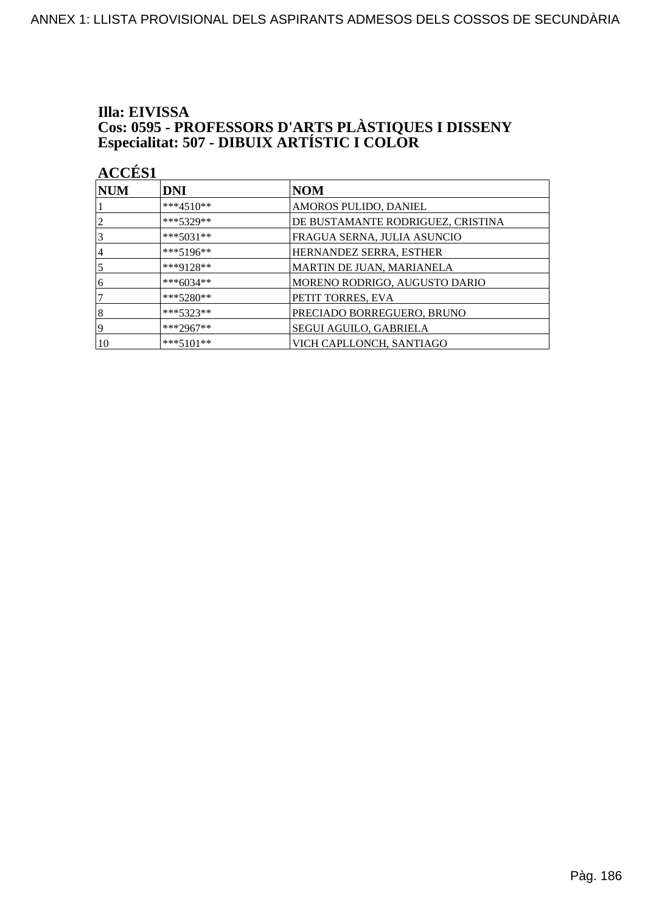#### Illa: EIVISSA **Cos: 0595 - PROFESSORS D'ARTS PLÀSTIQUES I DISSENY<br>Especialitat: 507 - DIBUIX ARTÍSTIC I COLOR**

| <b>ACCÉS 1</b>   |             |                                   |  |
|------------------|-------------|-----------------------------------|--|
| $\bf NUM$        | <b>DNI</b>  | NOM                               |  |
|                  | $***4510**$ | AMOROS PULIDO, DANIEL             |  |
| 2                | $***5329**$ | DE BUSTAMANTE RODRIGUEZ, CRISTINA |  |
| 3                | $***5031**$ | FRAGUA SERNA, JULIA ASUNCIO       |  |
| 4                | $***5196**$ | HERNANDEZ SERRA, ESTHER           |  |
| 5                | ***9128**   | MARTIN DE JUAN, MARIANELA         |  |
| 6                | ***6034**   | MORENO RODRIGO, AUGUSTO DARIO     |  |
| 7                | $***5280**$ | PETIT TORRES, EVA                 |  |
| $\boldsymbol{8}$ | $***5323**$ | PRECIADO BORREGUERO, BRUNO        |  |
| 9                | ***2967**   | <b>SEGUI AGUILO, GABRIELA</b>     |  |
| 10               | $***5101**$ | VICH CAPLLONCH, SANTIAGO          |  |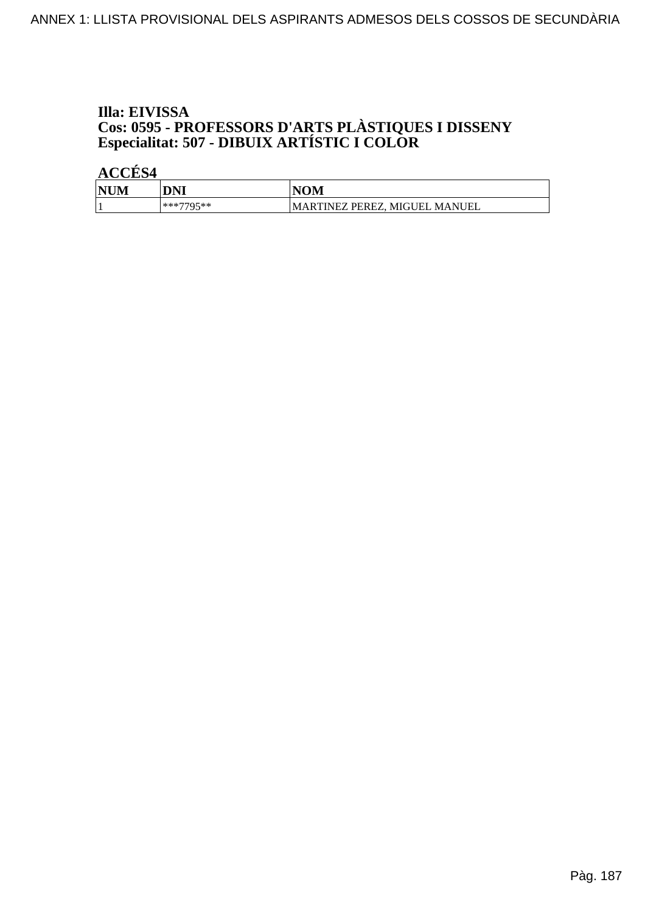#### Illa: EIVISSA **Cos: 0595 - PROFESSORS D'ARTS PLÀSTIQUES I DISSENY<br>Especialitat: 507 - DIBUIX ARTÍSTIC I COLOR**

| <b>NUM</b><br>M | DNI       | <b>NOM</b>                          |
|-----------------|-----------|-------------------------------------|
|                 | ***7705** | MARTINEZ PEREZ.<br>MANUEL<br>MIGUEL |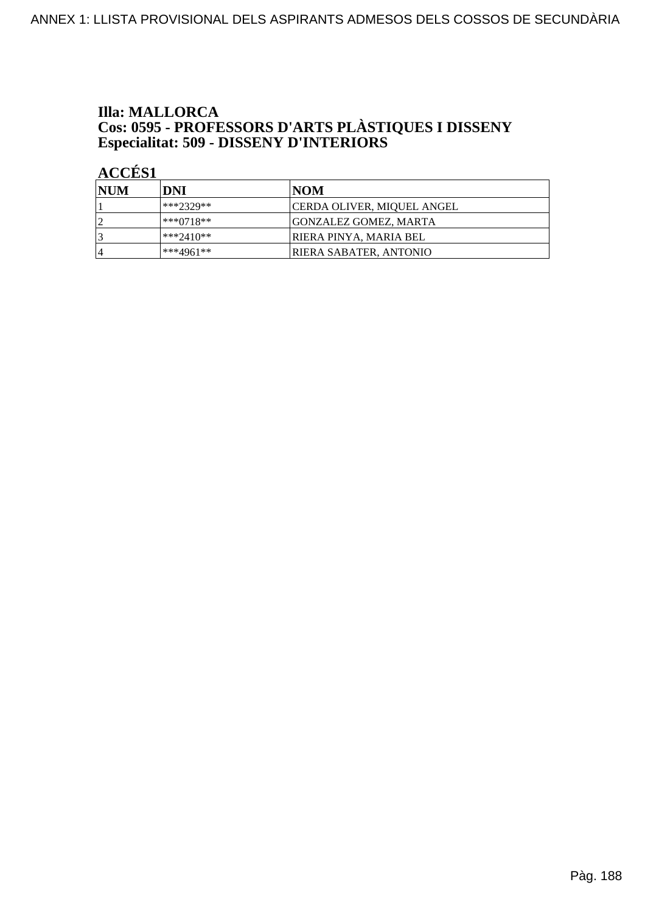# **Illa: MALLORCA Cos: 0595 - PROFESSORS D'ARTS PLÀSTIQUES I DISSENY<br>Especialitat: 509 - DISSENY D'INTERIORS**

| NUM       | DNI         | INOM                              |
|-----------|-------------|-----------------------------------|
|           | $***2329**$ | <b>CERDA OLIVER, MIQUEL ANGEL</b> |
| ി         | ***0718**   | <b>GONZALEZ GOMEZ, MARTA</b>      |
| 3         | ***2410**   | IRIERA PINYA. MARIA BEL           |
| $\vert 4$ | $***4961**$ | IRIERA SABATER. ANTONIO           |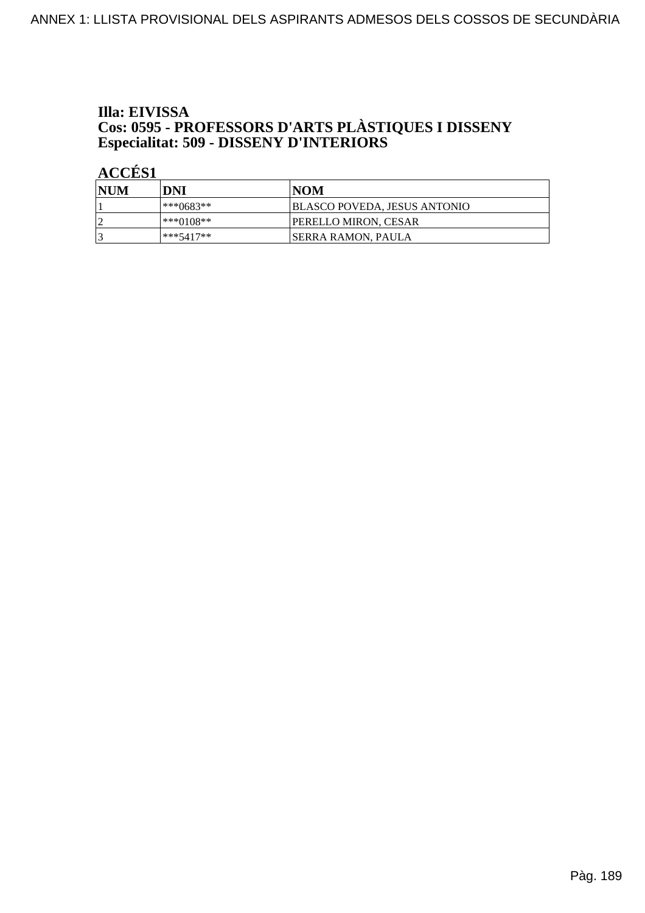### Illa: EIVISSA **Cos: 0595 - PROFESSORS D'ARTS PLÀSTIQUES I DISSENY<br>Especialitat: 509 - DISSENY D'INTERIORS**

| NUM | DNI         | INOM                                |
|-----|-------------|-------------------------------------|
|     | ***0683**   | <b>BLASCO POVEDA, JESUS ANTONIO</b> |
| h   | ***0108**   | <b>IPERELLO MIRON. CESAR</b>        |
|     | $***5417**$ | <b>SERRA RAMON, PAULA</b>           |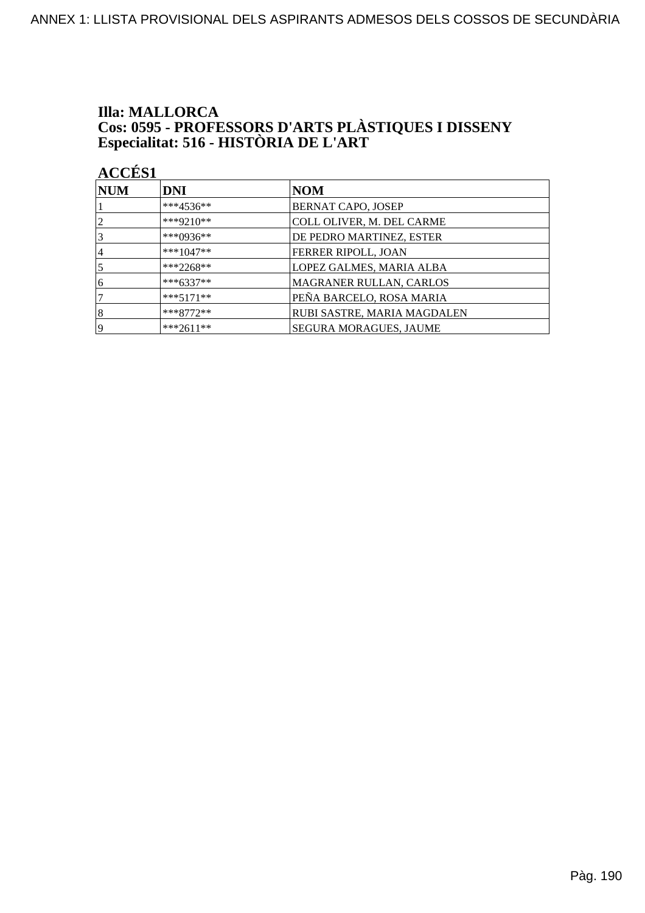# **Illa: MALLORCA Cos: 0595 - PROFESSORS D'ARTS PLÀSTIQUES I DISSENY<br>Especialitat: 516 - HISTÒRIA DE L'ART**

| <b>NUM</b>     | <b>DNI</b>  | <b>NOM</b>                    |
|----------------|-------------|-------------------------------|
|                | ***4536**   | BERNAT CAPO, JOSEP            |
| $\overline{2}$ | ***9210**   | COLL OLIVER, M. DEL CARME     |
| 3              | ***0936**   | DE PEDRO MARTINEZ, ESTER      |
| 4              | $***1047**$ | FERRER RIPOLL, JOAN           |
| 5              | $***2268**$ | LOPEZ GALMES, MARIA ALBA      |
| 6              | $***6337**$ | MAGRANER RULLAN, CARLOS       |
|                | $***5171**$ | PEÑA BARCELO, ROSA MARIA      |
| 8              | $***8772**$ | RUBI SASTRE, MARIA MAGDALEN   |
| 19             | $***2611**$ | <b>SEGURA MORAGUES, JAUME</b> |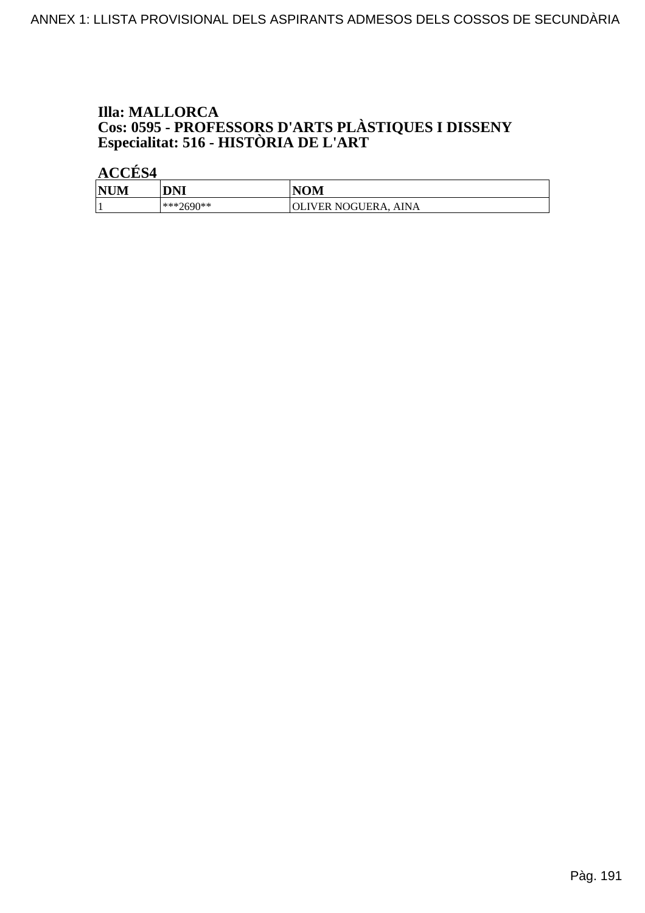# **Illa: MALLORCA Cos: 0595 - PROFESSORS D'ARTS PLÀSTIQUES I DISSENY<br>Especialitat: 516 - HISTÒRIA DE L'ART**

| <b>NUM</b> | DNI       | <b>NOM</b>           |
|------------|-----------|----------------------|
|            | ***2690** | OLIVER NOGUERA, AINA |